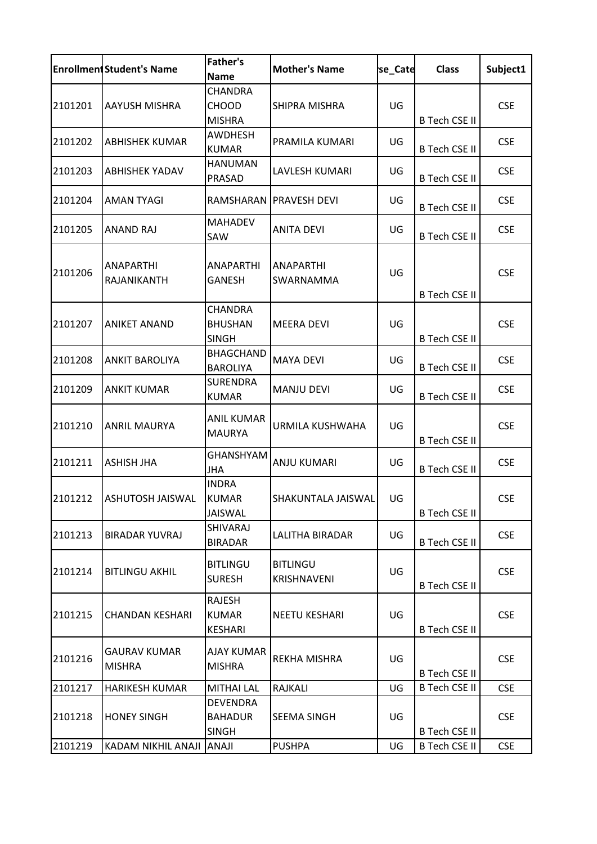|         | <b>Enrollment Student's Name</b>     | <b>Father's</b><br><b>Name</b>                    | <b>Mother's Name</b>           | se Cate | <b>Class</b>         | Subject1   |
|---------|--------------------------------------|---------------------------------------------------|--------------------------------|---------|----------------------|------------|
| 2101201 | <b>AAYUSH MISHRA</b>                 | <b>CHANDRA</b><br><b>CHOOD</b><br><b>MISHRA</b>   | SHIPRA MISHRA                  | UG      | <b>B Tech CSE II</b> | <b>CSE</b> |
| 2101202 | <b>ABHISHEK KUMAR</b>                | <b>AWDHESH</b><br><b>KUMAR</b>                    | PRAMILA KUMARI                 | UG      | <b>B Tech CSE II</b> | <b>CSE</b> |
| 2101203 | <b>ABHISHEK YADAV</b>                | <b>HANUMAN</b><br>PRASAD                          | LAVLESH KUMARI                 | UG      | <b>B Tech CSE II</b> | <b>CSE</b> |
| 2101204 | <b>AMAN TYAGI</b>                    | RAMSHARAN                                         | <b>PRAVESH DEVI</b>            | UG      | <b>B Tech CSE II</b> | <b>CSE</b> |
| 2101205 | <b>ANAND RAJ</b>                     | <b>MAHADEV</b><br>SAW                             | <b>ANITA DEVI</b>              | UG      | <b>B Tech CSE II</b> | <b>CSE</b> |
| 2101206 | <b>ANAPARTHI</b><br>RAJANIKANTH      | <b>ANAPARTHI</b><br><b>GANESH</b>                 | <b>ANAPARTHI</b><br>SWARNAMMA  | UG      | <b>B Tech CSE II</b> | <b>CSE</b> |
| 2101207 | <b>ANIKET ANAND</b>                  | <b>CHANDRA</b><br><b>BHUSHAN</b><br><b>SINGH</b>  | <b>MEERA DEVI</b>              | UG      | <b>B Tech CSE II</b> | <b>CSE</b> |
| 2101208 | <b>ANKIT BAROLIYA</b>                | <b>BHAGCHAND</b><br><b>BAROLIYA</b>               | <b>MAYA DEVI</b>               | UG      | <b>B Tech CSE II</b> | <b>CSE</b> |
| 2101209 | <b>ANKIT KUMAR</b>                   | <b>SURENDRA</b><br><b>KUMAR</b>                   | <b>MANJU DEVI</b>              | UG      | <b>B Tech CSE II</b> | <b>CSE</b> |
| 2101210 | <b>ANRIL MAURYA</b>                  | ANIL KUMAR<br><b>MAURYA</b>                       | URMILA KUSHWAHA                | UG      | <b>B Tech CSE II</b> | <b>CSE</b> |
| 2101211 | <b>ASHISH JHA</b>                    | <b>GHANSHYAM</b><br><b>JHA</b>                    | <b>ANJU KUMARI</b>             | UG      | <b>B Tech CSE II</b> | <b>CSE</b> |
|         | 2101212   ASHUTOSH JAISWAL           | <b>INDRA</b><br><b>KUMAR</b><br><b>JAISWAL</b>    | SHAKUNTALA JAISWAL             | UG      | <b>B Tech CSE II</b> | <b>CSE</b> |
| 2101213 | <b>BIRADAR YUVRAJ</b>                | SHIVARAJ<br><b>BIRADAR</b>                        | LALITHA BIRADAR                | UG      | <b>B Tech CSE II</b> | <b>CSE</b> |
| 2101214 | <b>BITLINGU AKHIL</b>                | <b>BITLINGU</b><br><b>SURESH</b>                  | <b>BITLINGU</b><br>KRISHNAVENI | UG      | <b>B Tech CSE II</b> | <b>CSE</b> |
| 2101215 | <b>CHANDAN KESHARI</b>               | RAJESH<br><b>KUMAR</b><br>KESHARI                 | <b>NEETU KESHARI</b>           | UG      | <b>B Tech CSE II</b> | <b>CSE</b> |
| 2101216 | <b>GAURAV KUMAR</b><br><b>MISHRA</b> | <b>AJAY KUMAR</b><br><b>MISHRA</b>                | REKHA MISHRA                   | UG      | <b>B Tech CSE II</b> | <b>CSE</b> |
| 2101217 | <b>HARIKESH KUMAR</b>                | <b>MITHAI LAL</b>                                 | <b>RAJKALI</b>                 | UG      | <b>B Tech CSE II</b> | <b>CSE</b> |
| 2101218 | <b>HONEY SINGH</b>                   | <b>DEVENDRA</b><br><b>BAHADUR</b><br><b>SINGH</b> | <b>SEEMA SINGH</b>             | UG      | <b>B Tech CSE II</b> | <b>CSE</b> |
| 2101219 | KADAM NIKHIL ANAJI                   | <b>ANAJI</b>                                      | <b>PUSHPA</b>                  | UG      | <b>B Tech CSE II</b> | <b>CSE</b> |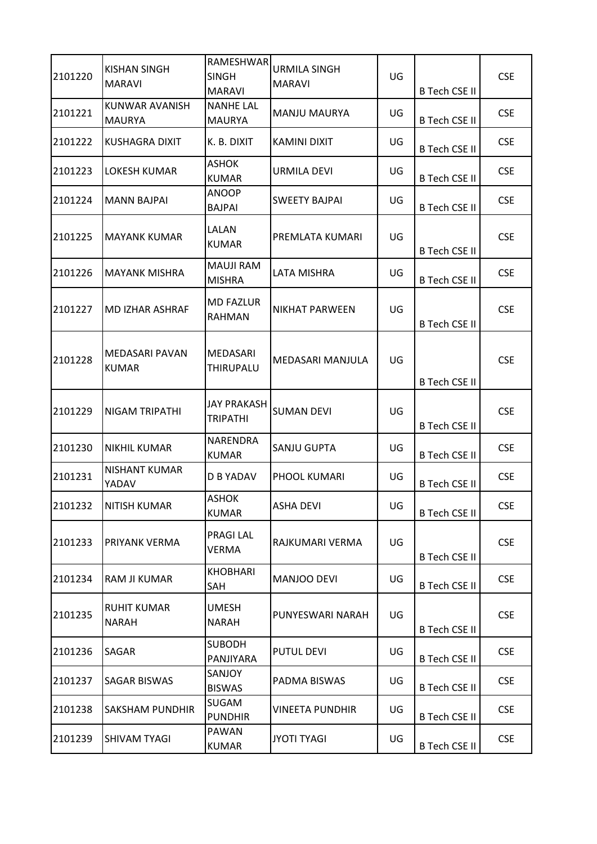| 2101220 | KISHAN SINGH<br><b>MARAVI</b>      | RAMESHWAR<br><b>SINGH</b><br><b>MARAVI</b> | <b>URMILA SINGH</b><br><b>MARAVI</b> | UG | <b>B Tech CSE II</b> | <b>CSE</b> |
|---------|------------------------------------|--------------------------------------------|--------------------------------------|----|----------------------|------------|
| 2101221 | KUNWAR AVANISH<br>MAURYA           | <b>NANHE LAL</b><br><b>MAURYA</b>          | <b>MANJU MAURYA</b>                  | UG | <b>B Tech CSE II</b> | <b>CSE</b> |
| 2101222 | <b>KUSHAGRA DIXIT</b>              | K. B. DIXIT                                | <b>KAMINI DIXIT</b>                  | UG | <b>B Tech CSE II</b> | <b>CSE</b> |
| 2101223 | LOKESH KUMAR                       | <b>ASHOK</b><br><b>KUMAR</b>               | URMILA DEVI                          | UG | <b>B Tech CSE II</b> | <b>CSE</b> |
| 2101224 | <b>MANN BAJPAI</b>                 | <b>ANOOP</b><br><b>BAJPAI</b>              | <b>SWEETY BAJPAI</b>                 | UG | <b>B Tech CSE II</b> | <b>CSE</b> |
| 2101225 | <b>MAYANK KUMAR</b>                | LALAN<br><b>KUMAR</b>                      | PREMLATA KUMARI                      | UG | <b>B Tech CSE II</b> | <b>CSE</b> |
| 2101226 | <b>MAYANK MISHRA</b>               | <b>MAUJI RAM</b><br><b>MISHRA</b>          | LATA MISHRA                          | UG | <b>B Tech CSE II</b> | <b>CSE</b> |
| 2101227 | MD IZHAR ASHRAF                    | <b>MD FAZLUR</b><br><b>RAHMAN</b>          | <b>NIKHAT PARWEEN</b>                | UG | <b>B Tech CSE II</b> | <b>CSE</b> |
| 2101228 | MEDASARI PAVAN<br><b>KUMAR</b>     | <b>MEDASARI</b><br><b>THIRUPALU</b>        | MEDASARI MANJULA                     | UG | <b>B Tech CSE II</b> | <b>CSE</b> |
| 2101229 | NIGAM TRIPATHI                     | JAY PRAKASH<br><b>TRIPATHI</b>             | <b>SUMAN DEVI</b>                    | UG | <b>B Tech CSE II</b> | <b>CSE</b> |
| 2101230 | <b>NIKHIL KUMAR</b>                | NARENDRA<br><b>KUMAR</b>                   | SANJU GUPTA                          | UG | <b>B Tech CSE II</b> | <b>CSE</b> |
| 2101231 | NISHANT KUMAR<br>YADAV             | D B YADAV                                  | PHOOL KUMARI                         | UG | <b>B Tech CSE II</b> | <b>CSE</b> |
| 2101232 | INITISH KUMAR                      | <b>ASHOK</b><br><b>KUMAR</b>               | ASHA DEVI                            | UG | <b>B Tech CSE II</b> | CSE.       |
| 2101233 | PRIYANK VERMA                      | <b>PRAGILAL</b><br>VERMA                   | RAJKUMARI VERMA                      | UG | <b>B Tech CSE II</b> | <b>CSE</b> |
| 2101234 | RAM JI KUMAR                       | <b>KHOBHARI</b><br>SAH                     | MANJOO DEVI                          | UG | <b>B Tech CSE II</b> | <b>CSE</b> |
| 2101235 | <b>RUHIT KUMAR</b><br><b>NARAH</b> | UMESH<br><b>NARAH</b>                      | PUNYESWARI NARAH                     | UG | <b>B Tech CSE II</b> | <b>CSE</b> |
| 2101236 | SAGAR                              | <b>SUBODH</b><br>PANJIYARA                 | <b>PUTUL DEVI</b>                    | UG | <b>B Tech CSE II</b> | <b>CSE</b> |
| 2101237 | SAGAR BISWAS                       | SANJOY<br><b>BISWAS</b>                    | PADMA BISWAS                         | UG | <b>B Tech CSE II</b> | <b>CSE</b> |
| 2101238 | SAKSHAM PUNDHIR                    | <b>SUGAM</b><br><b>PUNDHIR</b>             | VINEETA PUNDHIR                      | UG | <b>B Tech CSE II</b> | <b>CSE</b> |
| 2101239 | SHIVAM TYAGI                       | PAWAN<br><b>KUMAR</b>                      | <b>JYOTI TYAGI</b>                   | UG | <b>B Tech CSE II</b> | <b>CSE</b> |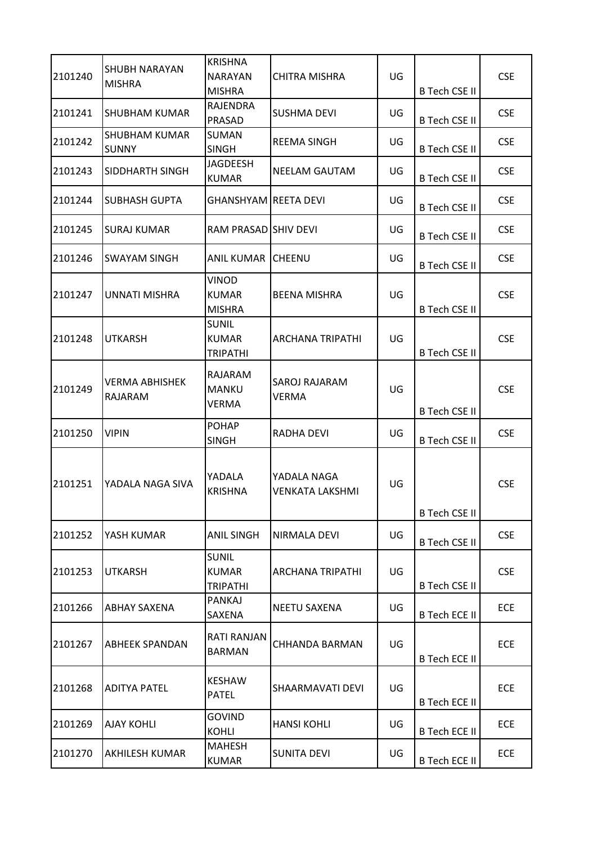| 2101240 | SHUBH NARAYAN<br><b>MISHRA</b>       | <b>KRISHNA</b><br><b>NARAYAN</b><br><b>MISHRA</b> | CHITRA MISHRA                         | UG | <b>B Tech CSE II</b> | <b>CSE</b> |
|---------|--------------------------------------|---------------------------------------------------|---------------------------------------|----|----------------------|------------|
| 2101241 | <b>SHUBHAM KUMAR</b>                 | <b>RAJENDRA</b><br>PRASAD                         | SUSHMA DEVI                           | UG | <b>B Tech CSE II</b> | <b>CSE</b> |
| 2101242 | <b>SHUBHAM KUMAR</b><br><b>SUNNY</b> | <b>SUMAN</b><br><b>SINGH</b>                      | <b>REEMA SINGH</b>                    | UG | <b>B Tech CSE II</b> | <b>CSE</b> |
| 2101243 | SIDDHARTH SINGH                      | <b>JAGDEESH</b><br><b>KUMAR</b>                   | NEELAM GAUTAM                         | UG | <b>B Tech CSE II</b> | <b>CSE</b> |
| 2101244 | <b>SUBHASH GUPTA</b>                 | GHANSHYAM REETA DEVI                              |                                       | UG | <b>B Tech CSE II</b> | <b>CSE</b> |
| 2101245 | SURAJ KUMAR                          | RAM PRASAD SHIV DEVI                              |                                       | UG | <b>B Tech CSE II</b> | <b>CSE</b> |
| 2101246 | SWAYAM SINGH                         | <b>ANIL KUMAR</b>                                 | CHEENU                                | UG | <b>B Tech CSE II</b> | <b>CSE</b> |
| 2101247 | UNNATI MISHRA                        | <b>VINOD</b><br><b>KUMAR</b><br><b>MISHRA</b>     | BEENA MISHRA                          | UG | <b>B Tech CSE II</b> | <b>CSE</b> |
| 2101248 | <b>UTKARSH</b>                       | <b>SUNIL</b><br><b>KUMAR</b><br><b>TRIPATHI</b>   | ARCHANA TRIPATHI                      | UG | <b>B Tech CSE II</b> | <b>CSE</b> |
| 2101249 | <b>VERMA ABHISHEK</b><br>RAJARAM     | RAJARAM<br><b>MANKU</b><br><b>VERMA</b>           | SAROJ RAJARAM<br>VERMA                | UG | <b>B Tech CSE II</b> | <b>CSE</b> |
| 2101250 | <b>VIPIN</b>                         | <b>POHAP</b><br><b>SINGH</b>                      | RADHA DEVI                            | UG | <b>B Tech CSE II</b> | <b>CSE</b> |
| 2101251 | YADALA NAGA SIVA                     | YADALA<br><b>KRISHNA</b>                          | YADALA NAGA<br><b>VENKATA LAKSHMI</b> | UG | <b>B Tech CSE II</b> | <b>CSE</b> |
| 2101252 | YASH KUMAR                           | <b>ANIL SINGH</b>                                 | NIRMALA DEVI                          | UG | <b>B Tech CSE II</b> | <b>CSE</b> |
| 2101253 | UTKARSH                              | <b>SUNIL</b><br><b>KUMAR</b><br><b>TRIPATHI</b>   | <b>ARCHANA TRIPATHI</b>               | UG | <b>B Tech CSE II</b> | <b>CSE</b> |
| 2101266 | ABHAY SAXENA                         | PANKAJ<br><b>SAXENA</b>                           | NEETU SAXENA                          | UG | <b>B Tech ECE II</b> | ECE        |
| 2101267 | ABHEEK SPANDAN                       | <b>RATI RANJAN</b><br><b>BARMAN</b>               | CHHANDA BARMAN                        | UG | <b>B Tech ECE II</b> | ECE        |
| 2101268 | <b>ADITYA PATEL</b>                  | <b>KESHAW</b><br><b>PATEL</b>                     | SHAARMAVATI DEVI                      | UG | <b>B Tech ECE II</b> | ECE        |
| 2101269 | <b>AJAY KOHLI</b>                    | <b>GOVIND</b><br><b>KOHLI</b>                     | <b>HANSI KOHLI</b>                    | UG | <b>B Tech ECE II</b> | ECE        |
| 2101270 | AKHILESH KUMAR                       | <b>MAHESH</b><br><b>KUMAR</b>                     | <b>SUNITA DEVI</b>                    | UG | <b>B Tech ECE II</b> | ECE        |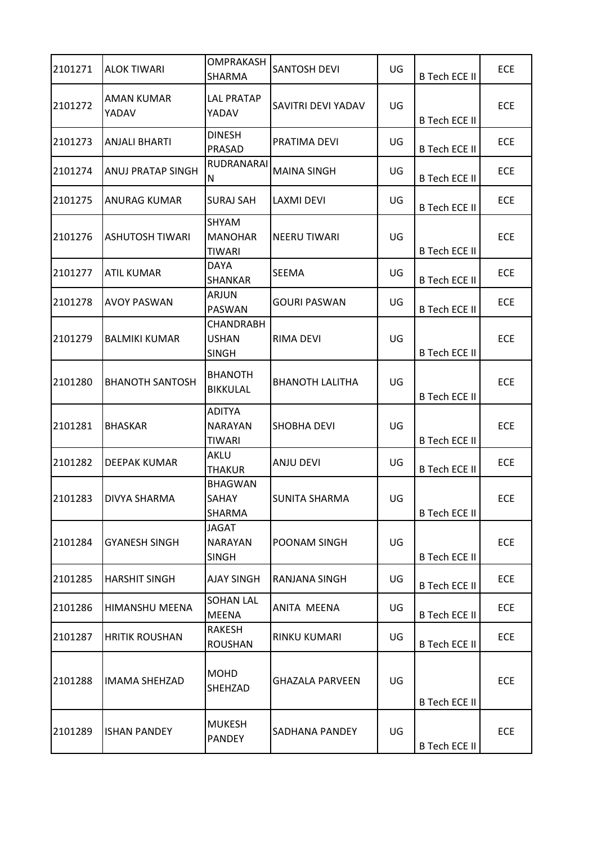| 2101271 | <b>ALOK TIWARI</b>     | <b>OMPRAKASH</b><br>SHARMA                       | <b>SANTOSH DEVI</b>    | UG | <b>B Tech ECE II</b> | ECE        |
|---------|------------------------|--------------------------------------------------|------------------------|----|----------------------|------------|
| 2101272 | AMAN KUMAR<br>YADAV    | <b>LAL PRATAP</b><br>YADAV                       | SAVITRI DEVI YADAV     | UG | <b>B Tech ECE II</b> | ECE        |
| 2101273 | <b>ANJALI BHARTI</b>   | <b>DINESH</b><br>PRASAD                          | PRATIMA DEVI           | UG | <b>B Tech ECE II</b> | ECE        |
| 2101274 | ANUJ PRATAP SINGH      | RUDRANARAI<br>N                                  | <b>MAINA SINGH</b>     | UG | <b>B Tech ECE II</b> | ECE        |
| 2101275 | <b>ANURAG KUMAR</b>    | <b>SURAJ SAH</b>                                 | LAXMI DEVI             | UG | <b>B Tech ECE II</b> | ECE        |
| 2101276 | <b>ASHUTOSH TIWARI</b> | SHYAM<br><b>MANOHAR</b><br><b>TIWARI</b>         | <b>NEERU TIWARI</b>    | UG | <b>B Tech ECE II</b> | ECE        |
| 2101277 | <b>ATIL KUMAR</b>      | <b>DAYA</b><br><b>SHANKAR</b>                    | <b>SEEMA</b>           | UG | <b>B Tech ECE II</b> | ECE        |
| 2101278 | <b>AVOY PASWAN</b>     | ARJUN<br><b>PASWAN</b>                           | GOURI PASWAN           | UG | <b>B Tech ECE II</b> | ECE        |
| 2101279 | <b>BALMIKI KUMAR</b>   | <b>CHANDRABH</b><br><b>USHAN</b><br><b>SINGH</b> | RIMA DEVI              | UG | <b>B Tech ECE II</b> | ECE        |
| 2101280 | <b>BHANOTH SANTOSH</b> | <b>BHANOTH</b><br><b>BIKKULAL</b>                | <b>BHANOTH LALITHA</b> | UG | <b>B Tech ECE II</b> | ECE        |
| 2101281 | <b>BHASKAR</b>         | <b>ADITYA</b><br><b>NARAYAN</b><br>TIWARI        | SHOBHA DEVI            | UG | <b>B Tech ECE II</b> | ECE        |
| 2101282 | <b>DEEPAK KUMAR</b>    | AKLU<br><b>THAKUR</b>                            | <b>ANJU DEVI</b>       | UG | <b>B Tech ECE II</b> | ECE        |
| 2101283 | <b>DIVYA SHARMA</b>    | <b>BHAGWAN</b><br><b>SAHAY</b><br>SHARMA         | <b>SUNITA SHARMA</b>   | UG | <b>B Tech ECE II</b> | ECE        |
| 2101284 | <b>GYANESH SINGH</b>   | <b>JAGAT</b><br><b>NARAYAN</b><br><b>SINGH</b>   | POONAM SINGH           | UG | <b>B Tech ECE II</b> | ECE        |
| 2101285 | <b>HARSHIT SINGH</b>   | <b>AJAY SINGH</b>                                | RANJANA SINGH          | UG | <b>B Tech ECE II</b> | <b>ECE</b> |
| 2101286 | HIMANSHU MEENA         | <b>SOHAN LAL</b><br><b>MEENA</b>                 | ANITA MEENA            | UG | <b>B Tech ECE II</b> | <b>ECE</b> |
| 2101287 | <b>HRITIK ROUSHAN</b>  | <b>RAKESH</b><br><b>ROUSHAN</b>                  | RINKU KUMARI           | UG | <b>B Tech ECE II</b> | <b>ECE</b> |
| 2101288 | <b>IMAMA SHEHZAD</b>   | <b>MOHD</b><br><b>SHEHZAD</b>                    | GHAZALA PARVEEN        | UG | <b>B Tech ECE II</b> | ECE        |
| 2101289 | <b>ISHAN PANDEY</b>    | <b>MUKESH</b><br><b>PANDEY</b>                   | SADHANA PANDEY         | UG | <b>B Tech ECE II</b> | <b>ECE</b> |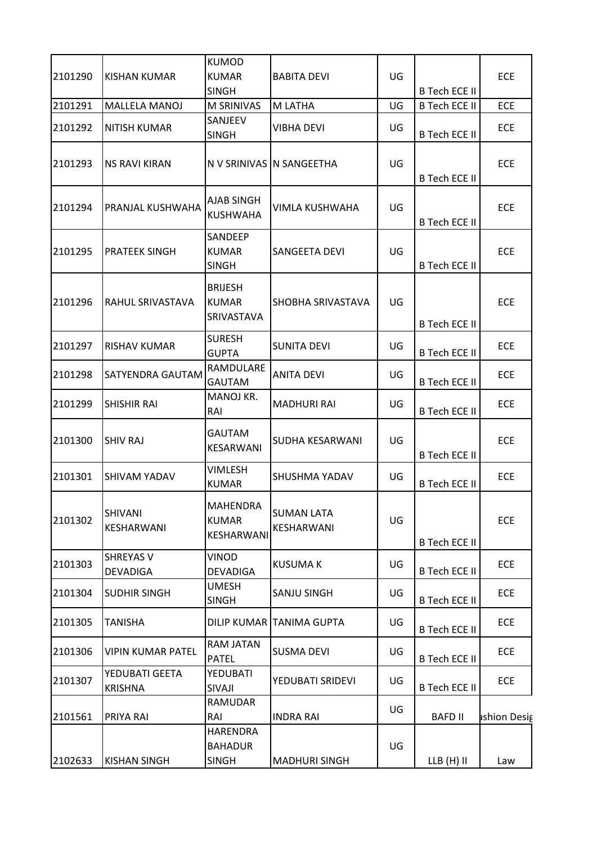|         |                                     | <b>KUMOD</b>                                      |                                 |    |                      |             |
|---------|-------------------------------------|---------------------------------------------------|---------------------------------|----|----------------------|-------------|
| 2101290 | <b>KISHAN KUMAR</b>                 | <b>KUMAR</b><br><b>SINGH</b>                      | <b>BABITA DEVI</b>              | UG | <b>B Tech ECE II</b> | ECE         |
| 2101291 | <b>MALLELA MANOJ</b>                | M SRINIVAS                                        | M LATHA                         | UG | <b>B Tech ECE II</b> | ECE         |
| 2101292 | <b>NITISH KUMAR</b>                 | SANJEEV<br><b>SINGH</b>                           | VIBHA DEVI                      | UG | <b>B Tech ECE II</b> | ECE         |
| 2101293 | <b>NS RAVI KIRAN</b>                |                                                   | N V SRINIVAS N SANGEETHA        | UG | <b>B Tech ECE II</b> | ECE         |
| 2101294 | PRANJAL KUSHWAHA                    | AJAB SINGH<br><b>KUSHWAHA</b>                     | VIMLA KUSHWAHA                  | UG | <b>B Tech ECE II</b> | ECE         |
| 2101295 | <b>PRATEEK SINGH</b>                | SANDEEP<br><b>KUMAR</b><br><b>SINGH</b>           | SANGEETA DEVI                   | UG | <b>B Tech ECE II</b> | ECE         |
| 2101296 | RAHUL SRIVASTAVA                    | <b>BRIJESH</b><br><b>KUMAR</b><br>SRIVASTAVA      | SHOBHA SRIVASTAVA               | UG | <b>B Tech ECE II</b> | ECE         |
| 2101297 | <b>RISHAV KUMAR</b>                 | <b>SURESH</b><br><b>GUPTA</b>                     | <b>SUNITA DEVI</b>              | UG | <b>B Tech ECE II</b> | ECE         |
| 2101298 | <b>SATYENDRA GAUTAM</b>             | RAMDULARE<br><b>GAUTAM</b>                        | <b>ANITA DEVI</b>               | UG | <b>B Tech ECE II</b> | <b>ECE</b>  |
| 2101299 | <b>SHISHIR RAI</b>                  | MANOJ KR.<br>RAI                                  | <b>MADHURI RAI</b>              | UG | <b>B Tech ECE II</b> | ECE         |
| 2101300 | <b>SHIV RAJ</b>                     | GAUTAM<br>KESARWANI                               | SUDHA KESARWANI                 | UG | <b>B Tech ECE II</b> | ECE         |
| 2101301 | <b>SHIVAM YADAV</b>                 | <b>VIMLESH</b><br><b>KUMAR</b>                    | SHUSHMA YADAV                   | UG | <b>B Tech ECE II</b> | ECE         |
| 2101302 | SHIVANI<br>KESHARWANI               | MAHENDRA<br><b>KUMAR</b><br>KESHARWANI            | <b>SUMAN LATA</b><br>KESHARWANI | UG | <b>B Tech ECE II</b> | ECE         |
| 2101303 | <b>SHREYAS V</b><br><b>DEVADIGA</b> | VINOD<br><b>DEVADIGA</b>                          | <b>KUSUMAK</b>                  | UG | <b>B Tech ECE II</b> | ECE         |
| 2101304 | <b>SUDHIR SINGH</b>                 | <b>UMESH</b><br><b>SINGH</b>                      | SANJU SINGH                     | UG | <b>B Tech ECE II</b> | ECE         |
| 2101305 | <b>TANISHA</b>                      |                                                   | DILIP KUMAR TANIMA GUPTA        | UG | <b>B Tech ECE II</b> | ECE         |
| 2101306 | <b>VIPIN KUMAR PATEL</b>            | RAM JATAN<br><b>PATEL</b>                         | <b>SUSMA DEVI</b>               | UG | <b>B Tech ECE II</b> | ECE         |
| 2101307 | YEDUBATI GEETA<br><b>KRISHNA</b>    | YEDUBATI<br>SIVAJI                                | YEDUBATI SRIDEVI                | UG | <b>B Tech ECE II</b> | <b>ECE</b>  |
| 2101561 | PRIYA RAI                           | <b>RAMUDAR</b><br>RAI                             | <b>INDRA RAI</b>                | UG | <b>BAFD II</b>       | shion Desig |
| 2102633 | <b>KISHAN SINGH</b>                 | <b>HARENDRA</b><br><b>BAHADUR</b><br><b>SINGH</b> | <b>MADHURI SINGH</b>            | UG | $LLB(H)$ II          | Law         |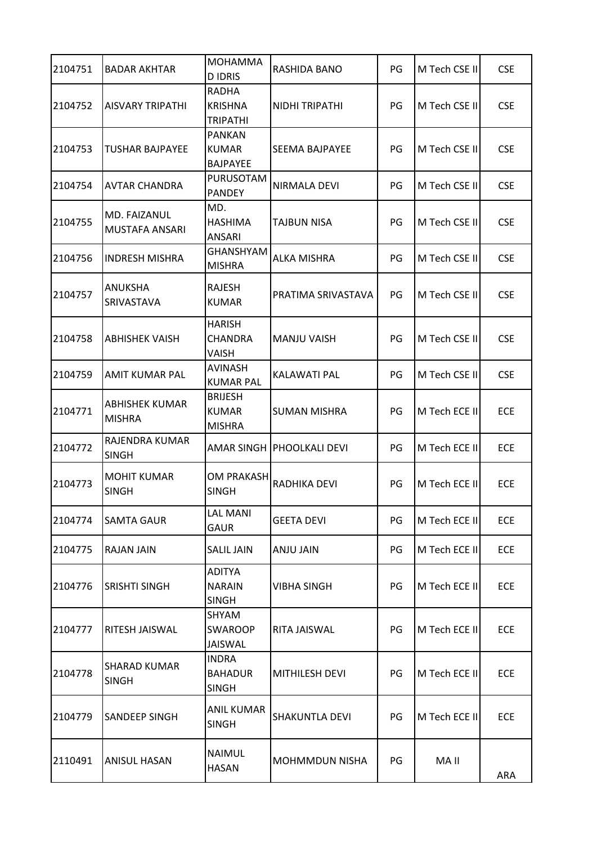| 2104751 | <b>BADAR AKHTAR</b>                   | <b>MOHAMMA</b><br><b>DIDRIS</b>                  | RASHIDA BANO                | PG | M Tech CSE II | <b>CSE</b> |
|---------|---------------------------------------|--------------------------------------------------|-----------------------------|----|---------------|------------|
| 2104752 | <b>AISVARY TRIPATHI</b>               | <b>RADHA</b><br><b>KRISHNA</b><br>TRIPATHI       | NIDHI TRIPATHI              | PG | M Tech CSE II | <b>CSE</b> |
| 2104753 | ITUSHAR BAJPAYEE                      | <b>PANKAN</b><br><b>KUMAR</b><br><b>BAJPAYEE</b> | <b>SEEMA BAJPAYEE</b>       | PG | M Tech CSE II | <b>CSE</b> |
| 2104754 | AVTAR CHANDRA                         | PURUSOTAM<br><b>PANDEY</b>                       | <b>NIRMALA DEVI</b>         | PG | M Tech CSE II | <b>CSE</b> |
| 2104755 | MD. FAIZANUL<br><b>MUSTAFA ANSARI</b> | MD.<br><b>HASHIMA</b><br><b>ANSARI</b>           | TAJBUN NISA                 | PG | M Tech CSE II | <b>CSE</b> |
| 2104756 | <b>INDRESH MISHRA</b>                 | <b>GHANSHYAM</b><br><b>MISHRA</b>                | <b>ALKA MISHRA</b>          | PG | M Tech CSE II | <b>CSE</b> |
| 2104757 | ANUKSHA<br>SRIVASTAVA                 | <b>RAJESH</b><br><b>KUMAR</b>                    | PRATIMA SRIVASTAVA          | PG | M Tech CSE II | <b>CSE</b> |
| 2104758 | ABHISHEK VAISH                        | <b>HARISH</b><br><b>CHANDRA</b><br>VAISH         | <b>MANJU VAISH</b>          | PG | M Tech CSE II | <b>CSE</b> |
| 2104759 | AMIT KUMAR PAL                        | <b>AVINASH</b><br><b>KUMAR PAL</b>               | KALAWATI PAL                | PG | M Tech CSE II | <b>CSE</b> |
| 2104771 | ABHISHEK KUMAR<br><b>MISHRA</b>       | <b>BRIJESH</b><br><b>KUMAR</b><br><b>MISHRA</b>  | <b>SUMAN MISHRA</b>         | PG | M Tech ECE II | <b>ECE</b> |
| 2104772 | RAJENDRA KUMAR<br><b>SINGH</b>        |                                                  | AMAR SINGH   PHOOLKALI DEVI | PG | M Tech ECE II | ECE        |
| 2104773 | <b>MOHIT KUMAR</b><br><b>SINGH</b>    | OM PRAKASH<br><b>SINGH</b>                       | RADHIKA DEVI                | PG | M Tech ECE II | <b>ECE</b> |
| 2104774 | SAMTA GAUR                            | <b>LAL MANI</b><br><b>GAUR</b>                   | <b>GEETA DEVI</b>           | PG | M Tech ECE II | ECE        |
| 2104775 | RAJAN JAIN                            | <b>SALIL JAIN</b>                                | ANJU JAIN                   | PG | M Tech ECE II | ECE        |
| 2104776 | SRISHTI SINGH                         | <b>ADITYA</b><br><b>NARAIN</b><br><b>SINGH</b>   | VIBHA SINGH                 | PG | M Tech ECE II | ECE        |
| 2104777 | RITESH JAISWAL                        | SHYAM<br><b>SWAROOP</b><br><b>JAISWAL</b>        | RITA JAISWAL                | PG | M Tech ECE II | ECE        |
| 2104778 | <b>SHARAD KUMAR</b><br><b>SINGH</b>   | <b>INDRA</b><br><b>BAHADUR</b><br><b>SINGH</b>   | <b>MITHILESH DEVI</b>       | PG | M Tech ECE II | ECE        |
| 2104779 | SANDEEP SINGH                         | <b>ANIL KUMAR</b><br><b>SINGH</b>                | <b>SHAKUNTLA DEVI</b>       | PG | M Tech ECE II | ECE        |
| 2110491 | <b>ANISUL HASAN</b>                   | <b>NAIMUL</b><br><b>HASAN</b>                    | MOHMMDUN NISHA              | PG | MA II         | ARA        |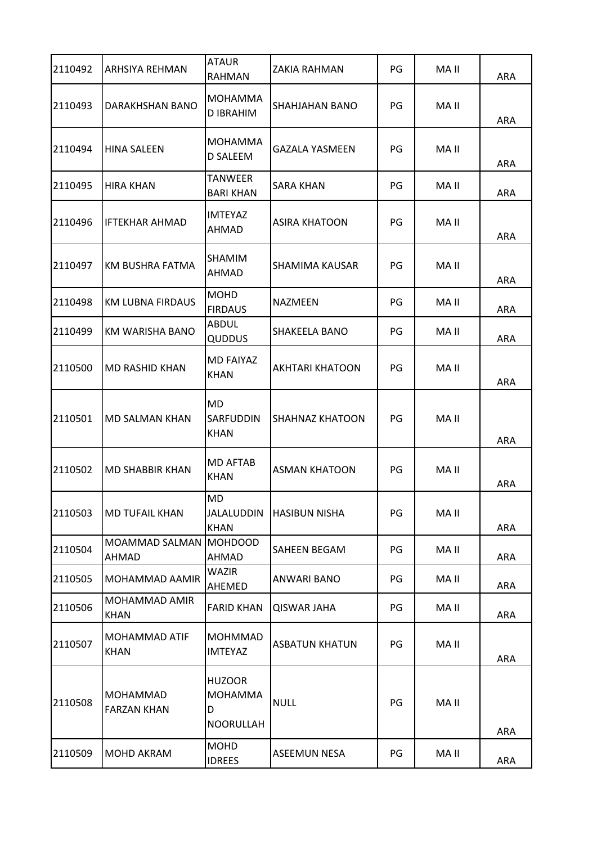| 2110492 | ARHSIYA REHMAN                 | <b>ATAUR</b><br><b>RAHMAN</b>                            | <b>ZAKIA RAHMAN</b>    | PG | MA II | ARA        |
|---------|--------------------------------|----------------------------------------------------------|------------------------|----|-------|------------|
| 2110493 | DARAKHSHAN BANO                | <b>MOHAMMA</b><br><b>D IBRAHIM</b>                       | <b>SHAHJAHAN BANO</b>  | PG | MA II | ARA        |
| 2110494 | <b>HINA SALEEN</b>             | <b>MOHAMMA</b><br>D SALEEM                               | <b>GAZALA YASMEEN</b>  | PG | MA II | ARA        |
| 2110495 | <b>HIRA KHAN</b>               | <b>TANWEER</b><br><b>BARI KHAN</b>                       | <b>SARA KHAN</b>       | PG | MA II | ARA        |
| 2110496 | IFTEKHAR AHMAD                 | <b>IMTEYAZ</b><br>AHMAD                                  | <b>ASIRA KHATOON</b>   | PG | MA II | ARA        |
| 2110497 | KM BUSHRA FATMA                | <b>SHAMIM</b><br><b>AHMAD</b>                            | SHAMIMA KAUSAR         | PG | MA II | ARA        |
| 2110498 | <b>KM LUBNA FIRDAUS</b>        | <b>MOHD</b><br><b>FIRDAUS</b>                            | NAZMEEN                | PG | MA II | ARA        |
| 2110499 | KM WARISHA BANO                | <b>ABDUL</b><br>QUDDUS                                   | SHAKEELA BANO          | PG | MA II | ARA        |
| 2110500 | <b>MD RASHID KHAN</b>          | <b>MD FAIYAZ</b><br><b>KHAN</b>                          | <b>AKHTARI KHATOON</b> | PG | MA II | ARA        |
| 2110501 | MD SALMAN KHAN                 | <b>MD</b><br><b>SARFUDDIN</b><br><b>KHAN</b>             | <b>SHAHNAZ KHATOON</b> | PG | MA II | <b>ARA</b> |
| 2110502 | MD SHABBIR KHAN                | <b>MD AFTAB</b><br><b>KHAN</b>                           | <b>ASMAN KHATOON</b>   | PG | MA II | ARA        |
| 2110503 | <b>MD TUFAIL KHAN</b>          | <b>MD</b><br><b>JALALUDDIN</b><br><b>KHAN</b>            | <b>HASIBUN NISHA</b>   | PG | MA II | ARA        |
| 2110504 | MOAMMAD SALMAN<br>AHMAD        | <b>MOHDOOD</b><br><b>AHMAD</b>                           | SAHEEN BEGAM           | PG | MA II | ARA        |
| 2110505 | MOHAMMAD AAMIR                 | WAZIR<br>AHEMED                                          | ANWARI BANO            | PG | MA II | ARA        |
| 2110506 | MOHAMMAD AMIR<br>KHAN          | <b>FARID KHAN</b>                                        | <b>QISWAR JAHA</b>     | PG | MA II | ARA        |
| 2110507 | MOHAMMAD ATIF<br>KHAN          | <b>MOHMMAD</b><br><b>IMTEYAZ</b>                         | <b>ASBATUN KHATUN</b>  | PG | MA II | ARA        |
| 2110508 | MOHAMMAD<br><b>FARZAN KHAN</b> | <b>HUZOOR</b><br><b>MOHAMMA</b><br>D<br><b>NOORULLAH</b> | <b>NULL</b>            | PG | MA II | ARA        |
| 2110509 | MOHD AKRAM                     | <b>MOHD</b><br><b>IDREES</b>                             | <b>ASEEMUN NESA</b>    | PG | MA II | ARA        |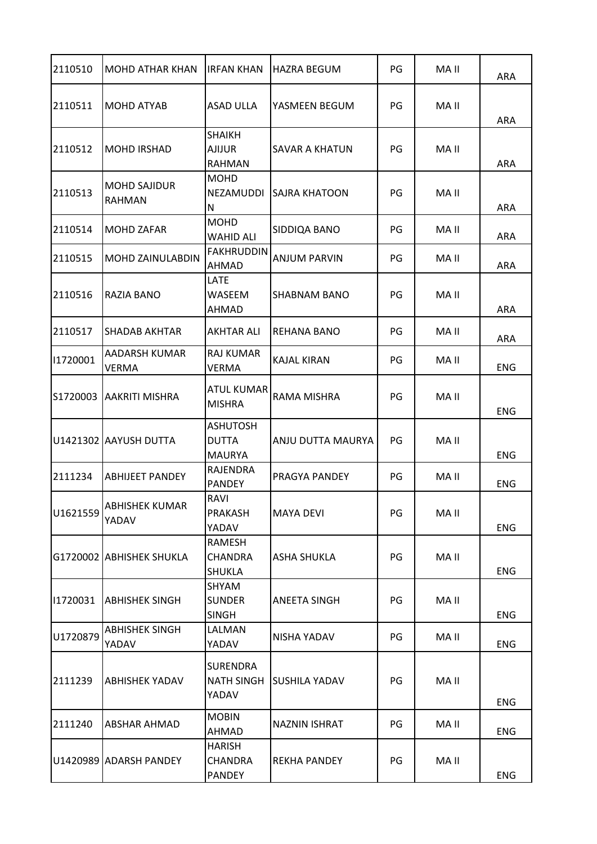| 2110510  | <b>MOHD ATHAR KHAN</b>               | <b>IRFAN KHAN</b>                                | <b>HAZRA BEGUM</b>   | PG | MA II | <b>ARA</b> |
|----------|--------------------------------------|--------------------------------------------------|----------------------|----|-------|------------|
| 2110511  | <b>MOHD ATYAB</b>                    | <b>ASAD ULLA</b>                                 | YASMEEN BEGUM        | PG | MA II | ARA        |
| 2110512  | IMOHD IRSHAD                         | <b>SHAIKH</b><br><b>AJIJUR</b><br><b>RAHMAN</b>  | SAVAR A KHATUN       | PG | MA II | ARA        |
| 2110513  | <b>MOHD SAJIDUR</b><br><b>RAHMAN</b> | <b>MOHD</b><br>NEZAMUDDI<br>N                    | SAJRA KHATOON        | PG | MA II | ARA        |
| 2110514  | MOHD ZAFAR                           | <b>MOHD</b><br><b>WAHID ALI</b>                  | SIDDIQA BANO         | PG | MA II | ARA        |
| 2110515  | <b>MOHD ZAINULABDIN</b>              | <b>FAKHRUDDIN</b><br>AHMAD                       | <b>ANJUM PARVIN</b>  | PG | MA II | ARA        |
| 2110516  | <b>RAZIA BANO</b>                    | LATE<br><b>WASEEM</b><br>AHMAD                   | SHABNAM BANO         | PG | MA II | ARA        |
| 2110517  | <b>SHADAB AKHTAR</b>                 | <b>AKHTAR ALI</b>                                | REHANA BANO          | PG | MA II | ARA        |
| 11720001 | AADARSH KUMAR<br>VERMA               | <b>RAJ KUMAR</b><br><b>VERMA</b>                 | <b>KAJAL KIRAN</b>   | PG | MA II | <b>ENG</b> |
| S1720003 | <b>AAKRITI MISHRA</b>                | <b>ATUL KUMAR</b><br><b>MISHRA</b>               | RAMA MISHRA          | PG | MA II | <b>ENG</b> |
|          | U1421302 AAYUSH DUTTA                | <b>ASHUTOSH</b><br><b>DUTTA</b><br><b>MAURYA</b> | ANJU DUTTA MAURYA    | PG | MA II | <b>ENG</b> |
| 2111234  | <b>ABHIJEET PANDEY</b>               | RAJENDRA<br><b>PANDEY</b>                        | PRAGYA PANDEY        | PG | MA II | <b>ENG</b> |
| U1621559 | <b>ABHISHEK KUMAR</b><br>YADAV       | RAVI<br><b>PRAKASH</b><br>YADAV                  | <b>MAYA DEVI</b>     | PG | MA II | <b>ENG</b> |
|          | G1720002 ABHISHEK SHUKLA             | RAMESH<br><b>CHANDRA</b><br><b>SHUKLA</b>        | <b>ASHA SHUKLA</b>   | PG | MA II | <b>ENG</b> |
| 11720031 | <b>ABHISHEK SINGH</b>                | SHYAM<br><b>SUNDER</b><br><b>SINGH</b>           | <b>ANEETA SINGH</b>  | PG | MA II | <b>ENG</b> |
| U1720879 | <b>ABHISHEK SINGH</b><br>YADAV       | LALMAN<br>YADAV                                  | NISHA YADAV          | PG | MA II | <b>ENG</b> |
| 2111239  | <b>ABHISHEK YADAV</b>                | <b>SURENDRA</b><br><b>NATH SINGH</b><br>YADAV    | SUSHILA YADAV        | PG | MA II | <b>ENG</b> |
| 2111240  | <b>ABSHAR AHMAD</b>                  | <b>MOBIN</b><br>AHMAD                            | <b>NAZNIN ISHRAT</b> | PG | MA II | <b>ENG</b> |
|          | U1420989 ADARSH PANDEY               | <b>HARISH</b><br><b>CHANDRA</b><br>PANDEY        | <b>REKHA PANDEY</b>  | PG | MA II | <b>ENG</b> |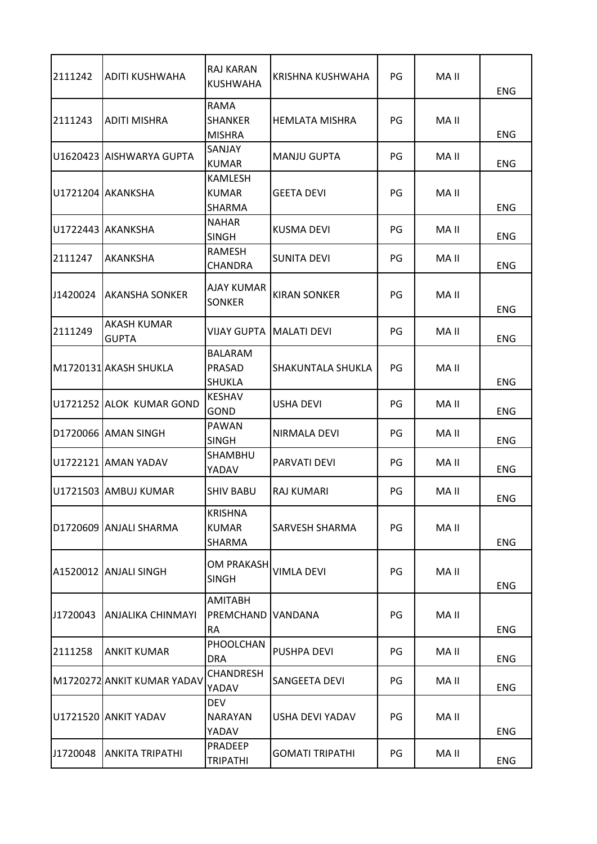| 2111242  | <b>ADITI KUSHWAHA</b>       | RAJ KARAN<br><b>KUSHWAHA</b>                     | KRISHNA KUSHWAHA       | PG | MA II | <b>ENG</b> |
|----------|-----------------------------|--------------------------------------------------|------------------------|----|-------|------------|
| 2111243  | <b>ADITI MISHRA</b>         | RAMA<br><b>SHANKER</b><br><b>MISHRA</b>          | <b>HEMLATA MISHRA</b>  | PG | MA II | <b>ENG</b> |
|          | IU1620423 IAISHWARYA GUPTA  | SANJAY<br><b>KUMAR</b>                           | <b>MANJU GUPTA</b>     | PG | MA II | <b>ENG</b> |
|          | U1721204 AKANKSHA           | <b>KAMLESH</b><br><b>KUMAR</b><br><b>SHARMA</b>  | <b>GEETA DEVI</b>      | PG | MA II | ENG        |
|          | U1722443   AKANKSHA         | <b>NAHAR</b><br><b>SINGH</b>                     | KUSMA DEVI             | PG | MA II | <b>ENG</b> |
| 2111247  | AKANKSHA                    | RAMESH<br>CHANDRA                                | SUNITA DEVI            | PG | MA II | <b>ENG</b> |
| J1420024 | <b>AKANSHA SONKER</b>       | AJAY KUMAR<br><b>SONKER</b>                      | <b>KIRAN SONKER</b>    | PG | MA II | <b>ENG</b> |
| 2111249  | AKASH KUMAR<br><b>GUPTA</b> | <b>VIJAY GUPTA</b>                               | <b>MALATI DEVI</b>     | PG | MA II | <b>ENG</b> |
|          | M1720131 AKASH SHUKLA       | <b>BALARAM</b><br><b>PRASAD</b><br><b>SHUKLA</b> | SHAKUNTALA SHUKLA      | PG | MA II | <b>ENG</b> |
|          | U1721252 ALOK KUMAR GOND    | <b>KESHAV</b><br><b>GOND</b>                     | <b>USHA DEVI</b>       | PG | MA II | <b>ENG</b> |
|          | D1720066 AMAN SINGH         | <b>PAWAN</b><br><b>SINGH</b>                     | NIRMALA DEVI           | PG | MA II | ENG        |
|          | U1722121 AMAN YADAV         | SHAMBHU<br>YADAV                                 | PARVATI DEVI           | PG | MA II | <b>ENG</b> |
|          | U1721503 AMBUJ KUMAR        | <b>SHIV BABU</b>                                 | RAJ KUMARI             | PG | MA II | <b>ENG</b> |
|          | D1720609 ANJALI SHARMA      | <b>KRISHNA</b><br><b>KUMAR</b><br>SHARMA         | SARVESH SHARMA         | PG | MA II | <b>ENG</b> |
|          | A1520012 ANJALI SINGH       | OM PRAKASH<br><b>SINGH</b>                       | VIMLA DEVI             | PG | MA II | <b>ENG</b> |
| J1720043 | ANJALIKA CHINMAYI           | <b>AMITABH</b><br>PREMCHAND<br><b>RA</b>         | VANDANA                | PG | MA II | <b>ENG</b> |
| 2111258  | <b>ANKIT KUMAR</b>          | PHOOLCHAN<br><b>DRA</b>                          | <b>PUSHPA DEVI</b>     | PG | MA II | <b>ENG</b> |
|          | M1720272 ANKIT KUMAR YADAV  | <b>CHANDRESH</b><br>YADAV                        | SANGEETA DEVI          | PG | MA II | <b>ENG</b> |
|          | U1721520 ANKIT YADAV        | <b>DEV</b><br><b>NARAYAN</b><br>YADAV            | USHA DEVI YADAV        | PG | MA II | <b>ENG</b> |
| J1720048 | ANKITA TRIPATHI             | PRADEEP<br><b>TRIPATHI</b>                       | <b>GOMATI TRIPATHI</b> | PG | MA II | ENG        |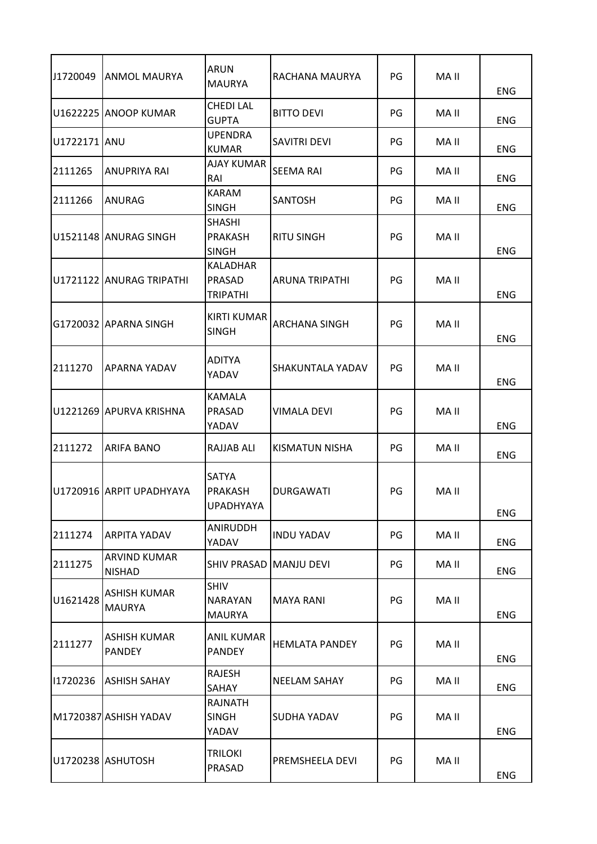| J1720049     | <b>ANMOL MAURYA</b>                  | <b>ARUN</b><br><b>MAURYA</b>                   | RACHANA MAURYA          | PG | MA II | <b>ENG</b> |
|--------------|--------------------------------------|------------------------------------------------|-------------------------|----|-------|------------|
|              | U1622225 ANOOP KUMAR                 | <b>CHEDI LAL</b><br><b>GUPTA</b>               | <b>BITTO DEVI</b>       | PG | MA II | <b>ENG</b> |
| U1722171 ANU |                                      | <b>UPENDRA</b><br><b>KUMAR</b>                 | SAVITRI DEVI            | PG | MA II | <b>ENG</b> |
| 2111265      | <b>ANUPRIYA RAI</b>                  | AJAY KUMAR<br>RAI                              | <b>SEEMA RAI</b>        | PG | MA II | <b>ENG</b> |
| 2111266      | ANURAG                               | KARAM<br><b>SINGH</b>                          | SANTOSH                 | PG | MA II | <b>ENG</b> |
|              | U1521148 ANURAG SINGH                | <b>SHASHI</b><br>PRAKASH<br><b>SINGH</b>       | <b>RITU SINGH</b>       | PG | MA II | <b>ENG</b> |
|              | U1721122 ANURAG TRIPATHI             | KALADHAR<br>PRASAD<br>TRIPATHI                 | <b>ARUNA TRIPATHI</b>   | PG | MA II | <b>ENG</b> |
|              | G1720032 APARNA SINGH                | <b>KIRTI KUMAR</b><br><b>SINGH</b>             | <b>ARCHANA SINGH</b>    | PG | MA II | <b>ENG</b> |
| 2111270      | <b>APARNA YADAV</b>                  | <b>ADITYA</b><br>YADAV                         | <b>SHAKUNTALA YADAV</b> | PG | MA II | <b>ENG</b> |
|              | U1221269 APURVA KRISHNA              | <b>KAMALA</b><br>PRASAD<br>YADAV               | <b>VIMALA DEVI</b>      | PG | MA II | <b>ENG</b> |
| 2111272      | <b>ARIFA BANO</b>                    | RAJJAB ALI                                     | KISMATUN NISHA          | PG | MA II | <b>ENG</b> |
|              | U1720916 ARPIT UPADHYAYA             | SATYA<br>PRAKASH<br><b>UPADHYAYA</b>           | <b>DURGAWATI</b>        | PG | MA II | <b>ENG</b> |
| 2111274      | ARPITA YADAV                         | ANIRUDDH<br>YADAV                              | <b>INDU YADAV</b>       | PG | MA II | ENG        |
| 2111275      | <b>ARVIND KUMAR</b><br><b>NISHAD</b> | SHIV PRASAD MANJU DEVI                         |                         | PG | MA II | ENG        |
| U1621428     | <b>ASHISH KUMAR</b><br><b>MAURYA</b> | <b>SHIV</b><br><b>NARAYAN</b><br><b>MAURYA</b> | <b>MAYA RANI</b>        | PG | MA II | <b>ENG</b> |
| 2111277      | <b>ASHISH KUMAR</b><br><b>PANDEY</b> | ANIL KUMAR<br><b>PANDEY</b>                    | <b>HEMLATA PANDEY</b>   | PG | MA II | <b>ENG</b> |
| 11720236     | <b>ASHISH SAHAY</b>                  | RAJESH<br>SAHAY                                | <b>NEELAM SAHAY</b>     | PG | MA II | <b>ENG</b> |
|              | M1720387 ASHISH YADAV                | <b>RAJNATH</b><br><b>SINGH</b><br>YADAV        | SUDHA YADAV             | PG | MA II | <b>ENG</b> |
|              | U1720238 ASHUTOSH                    | <b>TRILOKI</b><br>PRASAD                       | PREMSHEELA DEVI         | PG | MA II | ENG        |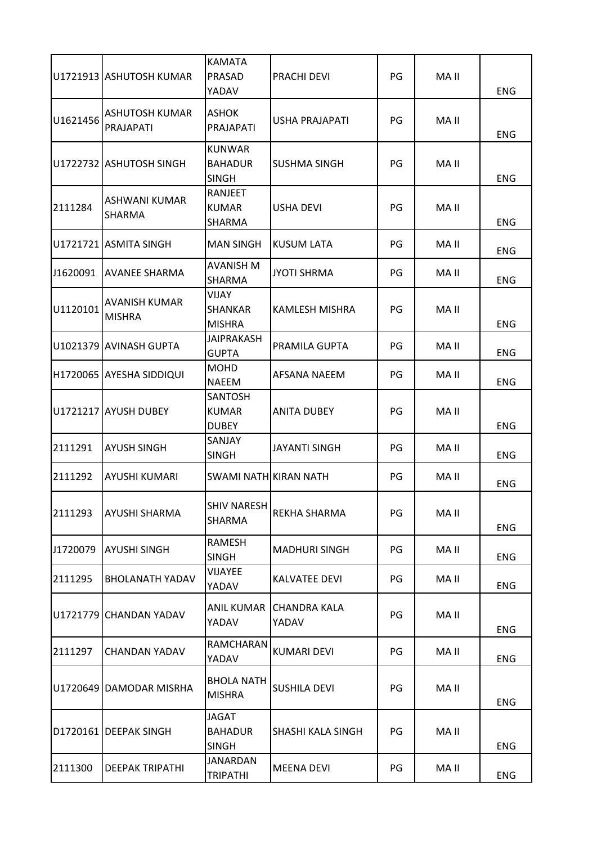|          | U1721913 ASHUTOSH KUMAR               | <b>KAMATA</b><br>PRASAD<br>YADAV                | PRACHI DEVI                  | PG | MA II | <b>ENG</b> |
|----------|---------------------------------------|-------------------------------------------------|------------------------------|----|-------|------------|
| U1621456 | ASHUTOSH KUMAR<br>PRAJAPATI           | <b>ASHOK</b><br>PRAJAPATI                       | USHA PRAJAPATI               | PG | MA II | ENG        |
|          | U1722732 ASHUTOSH SINGH               | <b>KUNWAR</b><br><b>BAHADUR</b><br><b>SINGH</b> | <b>SUSHMA SINGH</b>          | PG | MA II | <b>ENG</b> |
| 2111284  | <b>ASHWANI KUMAR</b><br><b>SHARMA</b> | RANJEET<br><b>KUMAR</b><br>SHARMA               | <b>USHA DEVI</b>             | PG | MA II | <b>ENG</b> |
|          | U1721721 ASMITA SINGH                 | <b>MAN SINGH</b>                                | KUSUM LATA                   | PG | MA II | <b>ENG</b> |
| J1620091 | <b>AVANEE SHARMA</b>                  | <b>AVANISH M</b><br>SHARMA                      | <b>JYOTI SHRMA</b>           | PG | MA II | <b>ENG</b> |
| U1120101 | <b>AVANISH KUMAR</b><br><b>MISHRA</b> | <b>VIJAY</b><br><b>SHANKAR</b><br><b>MISHRA</b> | <b>KAMLESH MISHRA</b>        | PG | MA II | <b>ENG</b> |
|          | U1021379 AVINASH GUPTA                | <b>JAIPRAKASH</b><br><b>GUPTA</b>               | PRAMILA GUPTA                | PG | MA II | <b>ENG</b> |
|          | H1720065   AYESHA SIDDIQUI            | <b>MOHD</b><br><b>NAEEM</b>                     | AFSANA NAEEM                 | PG | MA II | <b>ENG</b> |
|          | U1721217 AYUSH DUBEY                  | <b>SANTOSH</b><br><b>KUMAR</b><br><b>DUBEY</b>  | <b>ANITA DUBEY</b>           | PG | MA II | <b>ENG</b> |
| 2111291  | <b>AYUSH SINGH</b>                    | SANJAY<br><b>SINGH</b>                          | JAYANTI SINGH                | PG | MA II | ENG        |
| 2111292  | <b>AYUSHI KUMARI</b>                  | SWAMI NATH KIRAN NATH                           |                              | PG | MA II | <b>ENG</b> |
| 2111293  | <b>AYUSHI SHARMA</b>                  | SHIV NARESH<br><b>SHARMA</b>                    | REKHA SHARMA                 | PG | MA II | <b>ENG</b> |
| J1720079 | <b>AYUSHI SINGH</b>                   | RAMESH<br><b>SINGH</b>                          | <b>MADHURI SINGH</b>         | PG | MA II | <b>ENG</b> |
| 2111295  | <b>BHOLANATH YADAV</b>                | <b>VIJAYEE</b><br>YADAV                         | <b>KALVATEE DEVI</b>         | PG | MA II | <b>ENG</b> |
| U1721779 | <b>CHANDAN YADAV</b>                  | <b>ANIL KUMAR</b><br>YADAV                      | <b>CHANDRA KALA</b><br>YADAV | PG | MA II | <b>ENG</b> |
| 2111297  | <b>CHANDAN YADAV</b>                  | RAMCHARAN<br>YADAV                              | <b>KUMARI DEVI</b>           | PG | MA II | <b>ENG</b> |
|          | U1720649 DAMODAR MISRHA               | <b>BHOLA NATH</b><br><b>MISHRA</b>              | <b>SUSHILA DEVI</b>          | PG | MA II | <b>ENG</b> |
|          | D1720161 DEEPAK SINGH                 | <b>JAGAT</b><br><b>BAHADUR</b><br><b>SINGH</b>  | SHASHI KALA SINGH            | PG | MA II | <b>ENG</b> |
| 2111300  | <b>DEEPAK TRIPATHI</b>                | <b>JANARDAN</b><br><b>TRIPATHI</b>              | <b>MEENA DEVI</b>            | PG | MA II | <b>ENG</b> |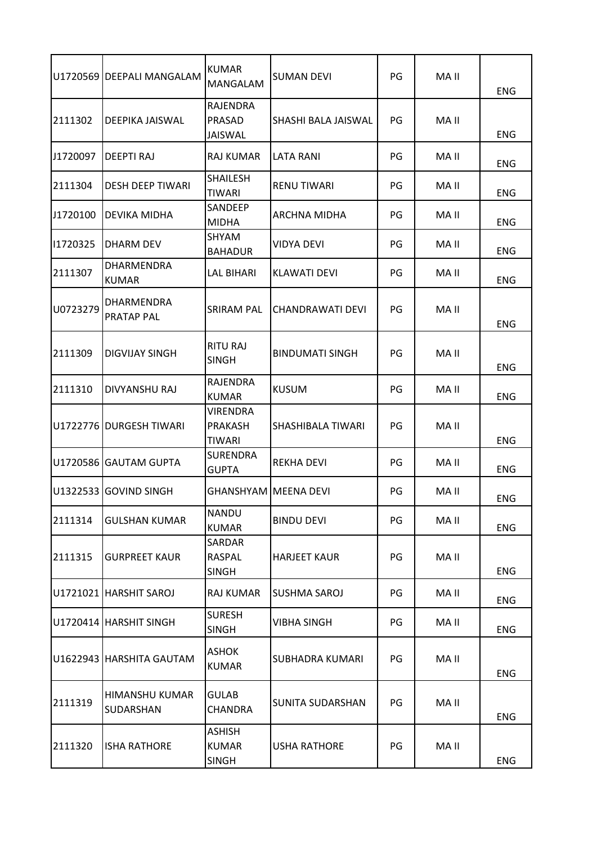|          | U1720569 DEEPALI MANGALAM          | <b>KUMAR</b><br>MANGALAM                      | <b>SUMAN DEVI</b>       | PG | MA II | <b>ENG</b> |
|----------|------------------------------------|-----------------------------------------------|-------------------------|----|-------|------------|
| 2111302  | DEEPIKA JAISWAL                    | <b>RAJENDRA</b><br>PRASAD<br>JAISWAL          | SHASHI BALA JAISWAL     | PG | MA II | <b>ENG</b> |
| J1720097 | <b>DEEPTI RAJ</b>                  | <b>RAJ KUMAR</b>                              | <b>LATA RANI</b>        | PG | MA II | <b>ENG</b> |
| 2111304  | <b>DESH DEEP TIWARI</b>            | <b>SHAILESH</b><br><b>TIWARI</b>              | <b>RENU TIWARI</b>      | PG | MA II | <b>ENG</b> |
| J1720100 | DEVIKA MIDHA                       | SANDEEP<br><b>MIDHA</b>                       | ARCHNA MIDHA            | PG | MA II | <b>ENG</b> |
| 11720325 | DHARM DEV                          | SHYAM<br><b>BAHADUR</b>                       | VIDYA DEVI              | PG | MA II | <b>ENG</b> |
| 2111307  | DHARMENDRA<br><b>KUMAR</b>         | <b>LAL BIHARI</b>                             | KLAWATI DEVI            | PG | MA II | <b>ENG</b> |
| U0723279 | DHARMENDRA<br><b>PRATAP PAL</b>    | <b>SRIRAM PAL</b>                             | CHANDRAWATI DEVI        | PG | MA II | <b>ENG</b> |
| 2111309  | <b>DIGVIJAY SINGH</b>              | <b>RITU RAJ</b><br><b>SINGH</b>               | <b>BINDUMATI SINGH</b>  | PG | MA II | <b>ENG</b> |
| 2111310  | DIVYANSHU RAJ                      | RAJENDRA<br><b>KUMAR</b>                      | <b>KUSUM</b>            | PG | MA II | <b>ENG</b> |
|          | U1722776 DURGESH TIWARI            | <b>VIRENDRA</b><br><b>PRAKASH</b><br>TIWARI   | SHASHIBALA TIWARI       | PG | MA II | <b>ENG</b> |
|          | U1720586 GAUTAM GUPTA              | <b>SURENDRA</b><br><b>GUPTA</b>               | REKHA DEVI              | PG | MA II | ENG        |
| U1322533 | <b>GOVIND SINGH</b>                | <b>GHANSHYAM MEENA DEVI</b>                   |                         | PG | MA II | <b>ENG</b> |
| 2111314  | <b>GULSHAN KUMAR</b>               | <b>NANDU</b><br><b>KUMAR</b>                  | <b>BINDU DEVI</b>       | PG | MA II | <b>ENG</b> |
| 2111315  | <b>GURPREET KAUR</b>               | SARDAR<br><b>RASPAL</b><br><b>SINGH</b>       | <b>HARJEET KAUR</b>     | PG | MA II | <b>ENG</b> |
|          | U1721021 HARSHIT SAROJ             | <b>RAJ KUMAR</b>                              | SUSHMA SAROJ            | PG | MA II | <b>ENG</b> |
|          | U1720414 HARSHIT SINGH             | <b>SURESH</b><br><b>SINGH</b>                 | <b>VIBHA SINGH</b>      | PG | MA II | <b>ENG</b> |
|          | U1622943 HARSHITA GAUTAM           | <b>ASHOK</b><br><b>KUMAR</b>                  | SUBHADRA KUMARI         | PG | MA II | <b>ENG</b> |
| 2111319  | <b>HIMANSHU KUMAR</b><br>SUDARSHAN | <b>GULAB</b><br><b>CHANDRA</b>                | <b>SUNITA SUDARSHAN</b> | PG | MA II | <b>ENG</b> |
| 2111320  | <b>ISHA RATHORE</b>                | <b>ASHISH</b><br><b>KUMAR</b><br><b>SINGH</b> | <b>USHA RATHORE</b>     | PG | MA II | <b>ENG</b> |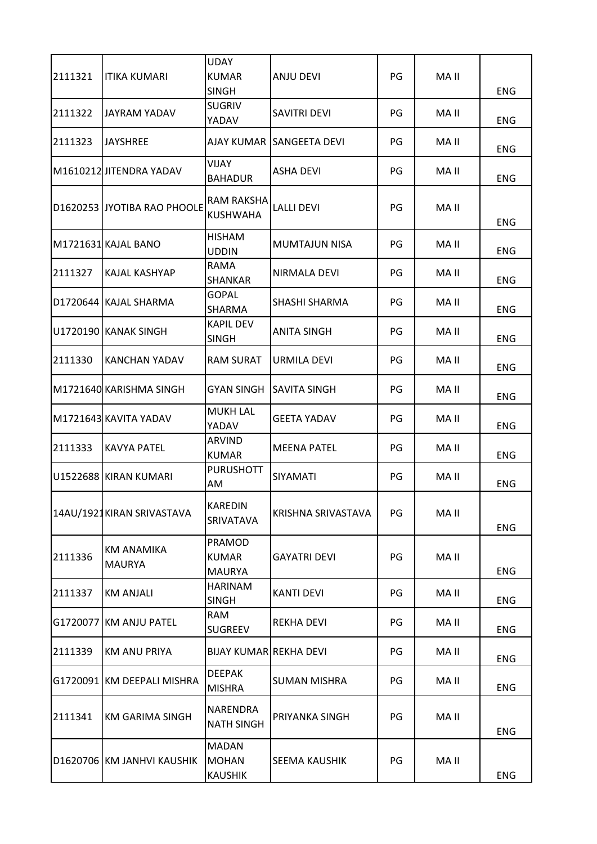| 2111321 | ITIKA KUMARI                       | <b>UDAY</b><br><b>KUMAR</b><br><b>SINGH</b>    | <b>ANJU DEVI</b>         | PG | MA II | <b>ENG</b> |
|---------|------------------------------------|------------------------------------------------|--------------------------|----|-------|------------|
| 2111322 | JAYRAM YADAV                       | <b>SUGRIV</b><br>YADAV                         | <b>SAVITRI DEVI</b>      | PG | MA II | ENG        |
| 2111323 | <b>JAYSHREE</b>                    |                                                | AJAY KUMAR SANGEETA DEVI | PG | MA II | <b>ENG</b> |
|         | M1610212 JITENDRA YADAV            | VIJAY<br><b>BAHADUR</b>                        | <b>ASHA DEVI</b>         | PG | MA II | ENG        |
|         | D1620253 JYOTIBA RAO PHOOLE        | RAM RAKSHA<br><b>KUSHWAHA</b>                  | <b>LALLI DEVI</b>        | PG | MA II | <b>ENG</b> |
|         | M1721631 KAJAL BANO                | <b>HISHAM</b><br><b>UDDIN</b>                  | <b>MUMTAJUN NISA</b>     | PG | MA II | <b>ENG</b> |
| 2111327 | KAJAL KASHYAP                      | RAMA<br>SHANKAR                                | NIRMALA DEVI             | PG | MA II | <b>ENG</b> |
|         | D1720644 KAJAL SHARMA              | <b>GOPAL</b><br>SHARMA                         | SHASHI SHARMA            | PG | MA II | ENG        |
|         | U1720190 KANAK SINGH               | <b>KAPIL DEV</b><br><b>SINGH</b>               | <b>ANITA SINGH</b>       | PG | MA II | ENG        |
| 2111330 | IKANCHAN YADAV                     | <b>RAM SURAT</b>                               | URMILA DEVI              | PG | MA II | <b>ENG</b> |
|         | M1721640 KARISHMA SINGH            | <b>GYAN SINGH</b>                              | <b>SAVITA SINGH</b>      | PG | MA II | ENG        |
|         | M1721643 KAVITA YADAV              | <b>MUKH LAL</b><br>YADAV                       | <b>GEETA YADAV</b>       | PG | MA II | <b>ENG</b> |
| 2111333 | <b>KAVYA PATEL</b>                 | <b>ARVIND</b><br><b>KUMAR</b>                  | <b>MEENA PATEL</b>       | PG | MA II | ENG        |
|         | U1522688 KIRAN KUMARI              | <b>PURUSHOTT</b><br>AM                         | <b>SIYAMATI</b>          | PG | MA II | <b>ENG</b> |
|         | 14AU/1921KIRAN SRIVASTAVA          | KAREDIN<br>SRIVATAVA                           | KRISHNA SRIVASTAVA       | PG | MA II | <b>ENG</b> |
| 2111336 | <b>KM ANAMIKA</b><br><b>MAURYA</b> | PRAMOD<br><b>KUMAR</b><br><b>MAURYA</b>        | <b>GAYATRI DEVI</b>      | PG | MA II | ENG        |
| 2111337 | <b>KM ANJALI</b>                   | <b>HARINAM</b><br><b>SINGH</b>                 | <b>KANTI DEVI</b>        | PG | MA II | <b>ENG</b> |
|         | G1720077 KM ANJU PATEL             | RAM<br><b>SUGREEV</b>                          | REKHA DEVI               | PG | MA II | ENG        |
| 2111339 | <b>KM ANU PRIYA</b>                | <b>BIJAY KUMAR REKHA DEVI</b>                  |                          | PG | MA II | <b>ENG</b> |
|         | G1720091 KM DEEPALI MISHRA         | <b>DEEPAK</b><br><b>MISHRA</b>                 | <b>SUMAN MISHRA</b>      | PG | MA II | <b>ENG</b> |
| 2111341 | <b>KM GARIMA SINGH</b>             | NARENDRA<br><b>NATH SINGH</b>                  | PRIYANKA SINGH           | PG | MA II | <b>ENG</b> |
|         | D1620706 KM JANHVI KAUSHIK         | <b>MADAN</b><br><b>MOHAN</b><br><b>KAUSHIK</b> | SEEMA KAUSHIK            | PG | MA II | <b>ENG</b> |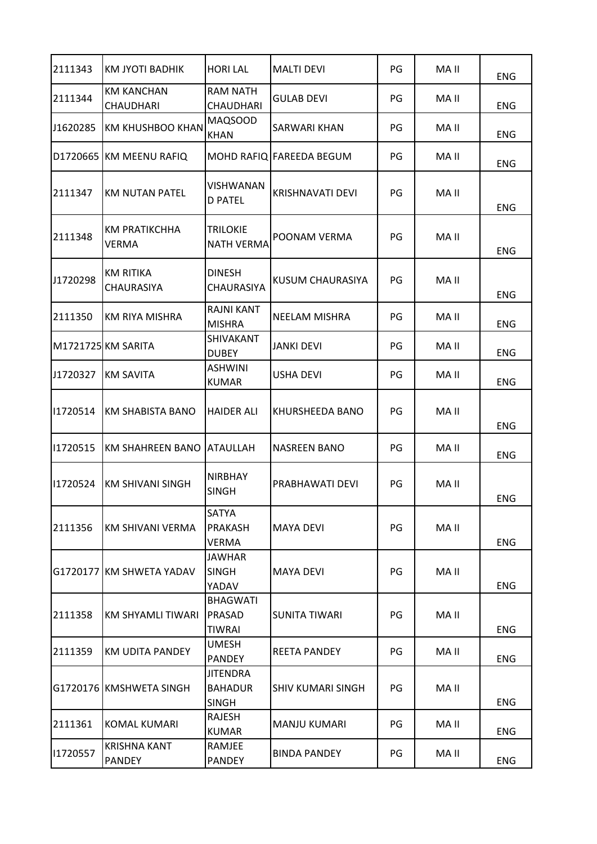| 2111343  | KM JYOTI BADHIK                       | <b>HORI LAL</b>                                   | <b>MALTI DEVI</b>        | PG | MA II | <b>ENG</b> |
|----------|---------------------------------------|---------------------------------------------------|--------------------------|----|-------|------------|
| 2111344  | <b>KM KANCHAN</b><br><b>CHAUDHARI</b> | <b>RAM NATH</b><br><b>CHAUDHARI</b>               | GULAB DEVI               | PG | MA II | <b>ENG</b> |
| J1620285 | <b>KM KHUSHBOO KHAN</b>               | <b>MAQSOOD</b><br><b>KHAN</b>                     | SARWARI KHAN             | PG | MA II | ENG        |
|          | D1720665 KM MEENU RAFIQ               |                                                   | MOHD RAFIQ FAREEDA BEGUM | PG | MA II | <b>ENG</b> |
| 2111347  | <b>KM NUTAN PATEL</b>                 | <b>VISHWANAN</b><br><b>D PATEL</b>                | <b>KRISHNAVATI DEVI</b>  | PG | MA II | <b>ENG</b> |
| 2111348  | <b>KM PRATIKCHHA</b><br><b>VERMA</b>  | TRILOKIE<br><b>NATH VERMA</b>                     | POONAM VERMA             | PG | MA II | <b>ENG</b> |
| J1720298 | <b>KM RITIKA</b><br>CHAURASIYA        | <b>DINESH</b><br><b>CHAURASIYA</b>                | KUSUM CHAURASIYA         | PG | MA II | <b>ENG</b> |
| 2111350  | <b>KM RIYA MISHRA</b>                 | <b>RAJNI KANT</b><br><b>MISHRA</b>                | NEELAM MISHRA            | PG | MA II | ENG        |
|          | M1721725 KM SARITA                    | <b>SHIVAKANT</b><br><b>DUBEY</b>                  | JANKI DEVI               | PG | MA II | <b>ENG</b> |
| J1720327 | <b>KM SAVITA</b>                      | <b>ASHWINI</b><br><b>KUMAR</b>                    | USHA DEVI                | PG | MA II | <b>ENG</b> |
| 11720514 | KM SHABISTA BANO                      | <b>HAIDER ALI</b>                                 | KHURSHEEDA BANO          | PG | MA II | <b>ENG</b> |
| 11720515 | KM SHAHREEN BANO                      | <b>ATAULLAH</b>                                   | <b>NASREEN BANO</b>      | PG | MA II | ENG        |
| 11720524 | <b>KM SHIVANI SINGH</b>               | <b>NIRBHAY</b><br><b>SINGH</b>                    | PRABHAWATI DEVI          | PG | MA II | <b>ENG</b> |
| 2111356  | IKM SHIVANI VERMA                     | SATYA<br><b>PRAKASH</b><br><b>VERMA</b>           | <b>MAYA DEVI</b>         | PG | MA II | <b>ENG</b> |
|          | G1720177 KM SHWETA YADAV              | <b>JAWHAR</b><br><b>SINGH</b><br>YADAV            | <b>MAYA DEVI</b>         | PG | MA II | <b>ENG</b> |
| 2111358  | <b>KM SHYAMLI TIWARI</b>              | <b>BHAGWATI</b><br>PRASAD<br><b>TIWRAI</b>        | SUNITA TIWARI            | PG | MA II | <b>ENG</b> |
| 2111359  | <b>KM UDITA PANDEY</b>                | <b>UMESH</b><br><b>PANDEY</b>                     | <b>REETA PANDEY</b>      | PG | MA II | <b>ENG</b> |
|          | G1720176 KMSHWETA SINGH               | <b>JITENDRA</b><br><b>BAHADUR</b><br><b>SINGH</b> | <b>SHIV KUMARI SINGH</b> | PG | MA II | <b>ENG</b> |
| 2111361  | <b>KOMAL KUMARI</b>                   | RAJESH<br><b>KUMAR</b>                            | <b>MANJU KUMARI</b>      | PG | MA II | <b>ENG</b> |
| 11720557 | <b>KRISHNA KANT</b><br><b>PANDEY</b>  | RAMJEE<br><b>PANDEY</b>                           | <b>BINDA PANDEY</b>      | PG | MA II | <b>ENG</b> |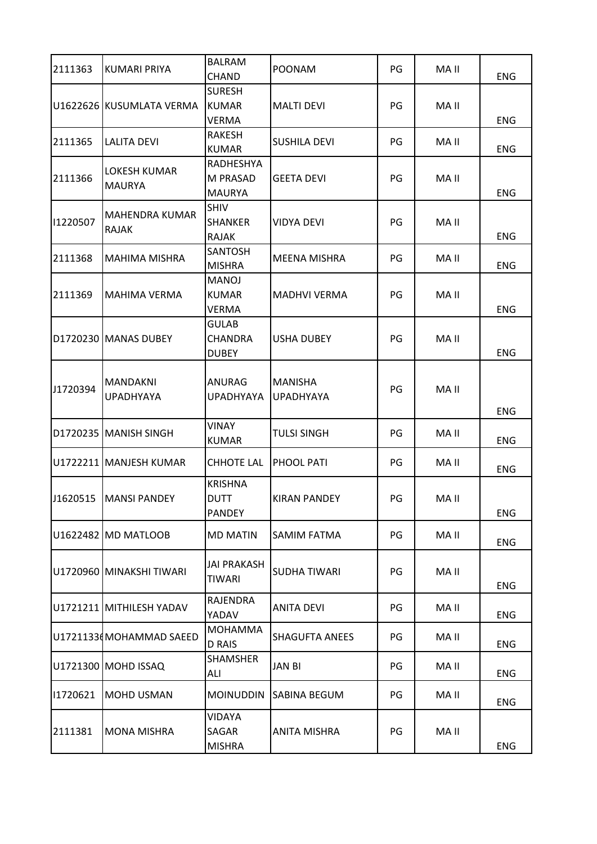| 2111363  | <b>KUMARI PRIYA</b>                  | <b>BALRAM</b><br>CHAND                         | POONAM                             | PG | MA II | <b>ENG</b> |
|----------|--------------------------------------|------------------------------------------------|------------------------------------|----|-------|------------|
|          | U1622626 KUSUMLATA VERMA             | <b>SURESH</b><br><b>KUMAR</b><br>VERMA         | <b>MALTI DEVI</b>                  | PG | MA II | ENG        |
| 2111365  | <b>LALITA DEVI</b>                   | <b>RAKESH</b><br><b>KUMAR</b>                  | <b>SUSHILA DEVI</b>                | PG | MA II | <b>ENG</b> |
| 2111366  | <b>LOKESH KUMAR</b><br><b>MAURYA</b> | <b>RADHESHYA</b><br>M PRASAD<br><b>MAURYA</b>  | <b>GEETA DEVI</b>                  | PG | MA II | ENG        |
| 11220507 | MAHENDRA KUMAR<br>RAJAK              | <b>SHIV</b><br><b>SHANKER</b><br><b>RAJAK</b>  | <b>VIDYA DEVI</b>                  | PG | MA II | <b>ENG</b> |
| 2111368  | <b>MAHIMA MISHRA</b>                 | <b>SANTOSH</b><br><b>MISHRA</b>                | MEENA MISHRA                       | PG | MA II | <b>ENG</b> |
| 2111369  | <b>MAHIMA VERMA</b>                  | <b>MANOJ</b><br><b>KUMAR</b><br><b>VERMA</b>   | <b>MADHVI VERMA</b>                | PG | MA II | <b>ENG</b> |
|          | D1720230 MANAS DUBEY                 | <b>GULAB</b><br><b>CHANDRA</b><br><b>DUBEY</b> | <b>USHA DUBEY</b>                  | PG | MA II | <b>ENG</b> |
| J1720394 | <b>MANDAKNI</b><br><b>UPADHYAYA</b>  | ANURAG<br><b>UPADHYAYA</b>                     | <b>MANISHA</b><br><b>UPADHYAYA</b> | PG | MA II | <b>ENG</b> |
|          | D1720235 MANISH SINGH                | VINAY<br><b>KUMAR</b>                          | <b>TULSI SINGH</b>                 | PG | MA II | <b>ENG</b> |
|          | U1722211 MANJESH KUMAR               | <b>CHHOTE LAL</b>                              | <b>PHOOL PATI</b>                  | PG | MA II | <b>ENG</b> |
|          | J1620515   MANSI PANDEY              | <b>KRISHNA</b><br><b>DUTT</b><br><b>PANDEY</b> | <b>KIRAN PANDEY</b>                | PG | MA II | <b>ENG</b> |
|          | U1622482 MD MATLOOB                  | <b>MD MATIN</b>                                | SAMIM FATMA                        | PG | MA II | <b>ENG</b> |
|          | U1720960 MINAKSHI TIWARI             | <b>JAI PRAKASH</b><br><b>TIWARI</b>            | SUDHA TIWARI                       | PG | MA II | <b>ENG</b> |
|          | U1721211 MITHILESH YADAV             | RAJENDRA<br>YADAV                              | <b>ANITA DEVI</b>                  | PG | MA II | <b>ENG</b> |
|          | U1721133(MOHAMMAD SAEED              | <b>MOHAMMA</b><br><b>D RAIS</b>                | <b>SHAGUFTA ANEES</b>              | PG | MA II | ENG        |
|          | U1721300 MOHD ISSAQ                  | <b>SHAMSHER</b><br>ALI                         | <b>JAN BI</b>                      | PG | MA II | <b>ENG</b> |
| 11720621 | <b>MOHD USMAN</b>                    | <b>MOINUDDIN</b>                               | <b>SABINA BEGUM</b>                | PG | MA II | <b>ENG</b> |
| 2111381  | <b>MONA MISHRA</b>                   | VIDAYA<br>SAGAR<br><b>MISHRA</b>               | <b>ANITA MISHRA</b>                | PG | MA II | <b>ENG</b> |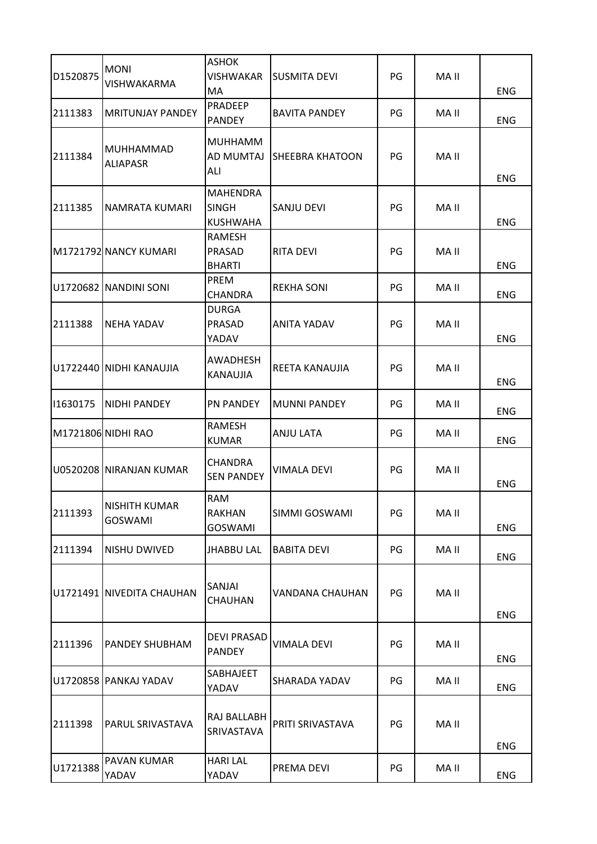| D1520875 | <b>MONI</b><br>VISHWAKARMA       | <b>ASHOK</b><br>VISHWAKAR<br>MA                    | <b>SUSMITA DEVI</b>    | PG | MA II | ENG        |
|----------|----------------------------------|----------------------------------------------------|------------------------|----|-------|------------|
| 2111383  | IMRITUNJAY PANDEY                | PRADEEP<br><b>PANDEY</b>                           | <b>BAVITA PANDEY</b>   | PG | MA II | <b>ENG</b> |
| 2111384  | MUHHAMMAD<br><b>ALIAPASR</b>     | MUHHAMM<br>AD MUMTAJ<br>ALI                        | <b>SHEEBRA KHATOON</b> | PG | MA II | <b>ENG</b> |
| 2111385  | NAMRATA KUMARI                   | <b>MAHENDRA</b><br><b>SINGH</b><br><b>KUSHWAHA</b> | <b>SANJU DEVI</b>      | PG | MA II | <b>ENG</b> |
|          | M1721792 NANCY KUMARI            | RAMESH<br>PRASAD<br><b>BHARTI</b>                  | <b>RITA DEVI</b>       | PG | MA II | ENG        |
|          | U1720682 NANDINI SONI            | PREM<br><b>CHANDRA</b>                             | <b>REKHA SONI</b>      | PG | MA II | <b>ENG</b> |
| 2111388  | <b>NEHA YADAV</b>                | <b>DURGA</b><br><b>PRASAD</b><br>YADAV             | <b>ANITA YADAV</b>     | PG | MA II | <b>ENG</b> |
|          | U1722440 NIDHI KANAUJIA          | AWADHESH<br>KANAUJIA                               | REETA KANAUJIA         | PG | MA II | <b>ENG</b> |
| 11630175 | <b>NIDHI PANDEY</b>              | <b>PN PANDEY</b>                                   | <b>MUNNI PANDEY</b>    | PG | MA II | <b>ENG</b> |
|          | M1721806 NIDHI RAO               | RAMESH<br><b>KUMAR</b>                             | <b>ANJU LATA</b>       | PG | MA II | <b>ENG</b> |
|          | U0520208 NIRANJAN KUMAR          | CHANDRA<br><b>SEN PANDEY</b>                       | VIMALA DEVI            | PG | MA II | <b>ENG</b> |
| 2111393  | INISHITH KUMAR<br><b>GOSWAMI</b> | RAM<br>RAKHAN<br><b>GOSWAMI</b>                    | SIMMI GOSWAMI          | PG | MA II | <b>ENG</b> |
| 2111394  | NISHU DWIVED                     | <b>JHABBU LAL</b>                                  | <b>BABITA DEVI</b>     | PG | MA II | ENG        |
|          | U1721491 NIVEDITA CHAUHAN        | SANJAI<br>CHAUHAN                                  | VANDANA CHAUHAN        | PG | MA II | <b>ENG</b> |
| 2111396  | <b>PANDEY SHUBHAM</b>            | <b>DEVI PRASAD</b><br><b>PANDEY</b>                | VIMALA DEVI            | PG | MA II | <b>ENG</b> |
|          | U1720858 PANKAJ YADAV            | SABHAJEET<br>YADAV                                 | SHARADA YADAV          | PG | MA II | <b>ENG</b> |
| 2111398  | PARUL SRIVASTAVA                 | RAJ BALLABH<br>SRIVASTAVA                          | PRITI SRIVASTAVA       | PG | MA II | <b>ENG</b> |
| U1721388 | <b>PAVAN KUMAR</b><br>YADAV      | <b>HARI LAL</b><br>YADAV                           | PREMA DEVI             | PG | MA II | ENG        |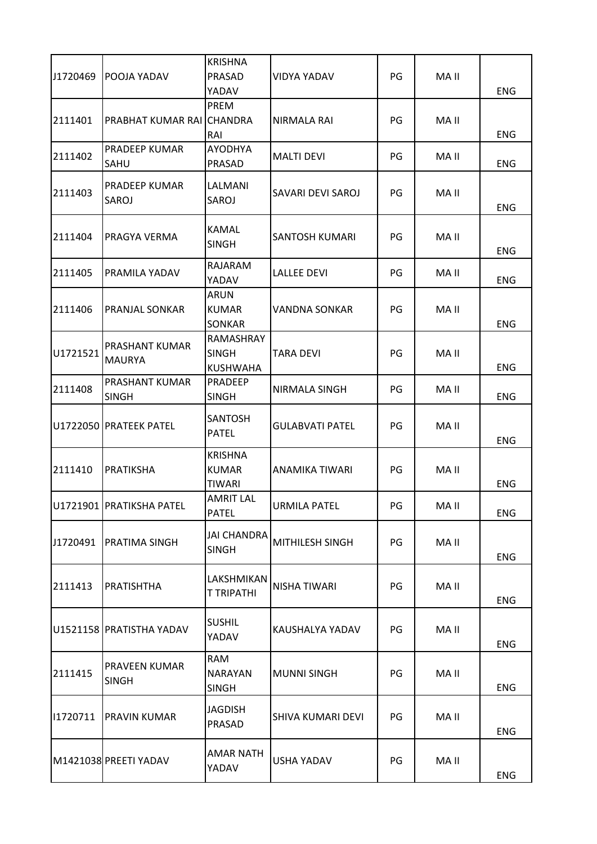| J1720469 | POOJA YADAV                            | <b>KRISHNA</b><br>PRASAD<br>YADAV               | VIDYA YADAV            | PG | MA II | <b>ENG</b> |
|----------|----------------------------------------|-------------------------------------------------|------------------------|----|-------|------------|
| 2111401  | PRABHAT KUMAR RAI CHANDRA              | PREM<br>RAI                                     | NIRMALA RAI            | PG | MA II | <b>ENG</b> |
| 2111402  | <b>PRADEEP KUMAR</b><br>SAHU           | <b>AYODHYA</b><br>PRASAD                        | <b>MALTI DEVI</b>      | PG | MA II | <b>ENG</b> |
| 2111403  | <b>PRADEEP KUMAR</b><br>SAROJ          | LALMANI<br>SAROJ                                | SAVARI DEVI SAROJ      | PG | MA II | <b>ENG</b> |
| 2111404  | PRAGYA VERMA                           | KAMAL<br><b>SINGH</b>                           | <b>SANTOSH KUMARI</b>  | PG | MA II | <b>ENG</b> |
| 2111405  | PRAMILA YADAV                          | RAJARAM<br>YADAV                                | <b>LALLEE DEVI</b>     | PG | MA II | <b>ENG</b> |
| 2111406  | <b>PRANJAL SONKAR</b>                  | <b>ARUN</b><br><b>KUMAR</b><br>SONKAR           | <b>VANDNA SONKAR</b>   | PG | MA II | <b>ENG</b> |
| U1721521 | <b>PRASHANT KUMAR</b><br><b>MAURYA</b> | RAMASHRAY<br><b>SINGH</b><br><b>KUSHWAHA</b>    | TARA DEVI              | PG | MA II | <b>ENG</b> |
| 2111408  | PRASHANT KUMAR<br><b>SINGH</b>         | PRADEEP<br><b>SINGH</b>                         | NIRMALA SINGH          | PG | MA II | <b>ENG</b> |
|          | U1722050 PRATEEK PATEL                 | <b>SANTOSH</b><br><b>PATEL</b>                  | <b>GULABVATI PATEL</b> | PG | MA II | <b>ENG</b> |
| 2111410  | <b>PRATIKSHA</b>                       | <b>KRISHNA</b><br><b>KUMAR</b><br><b>TIWARI</b> | ANAMIKA TIWARI         | PG | MA II | <b>ENG</b> |
|          | U1721901 PRATIKSHA PATEL               | <b>AMRIT LAL</b><br><b>PATEL</b>                | <b>URMILA PATEL</b>    | PG | MA II | <b>ENG</b> |
| J1720491 | <b>PRATIMA SINGH</b>                   | <b>JAI CHANDRA</b><br><b>SINGH</b>              | MITHILESH SINGH        | PG | MA II | <b>ENG</b> |
| 2111413  | PRATISHTHA                             | LAKSHMIKAN<br><b>T TRIPATHI</b>                 | NISHA TIWARI           | PG | MA II | <b>ENG</b> |
|          | U1521158 PRATISTHA YADAV               | <b>SUSHIL</b><br>YADAV                          | KAUSHALYA YADAV        | PG | MA II | <b>ENG</b> |
| 2111415  | <b>PRAVEEN KUMAR</b><br><b>SINGH</b>   | <b>RAM</b><br><b>NARAYAN</b><br><b>SINGH</b>    | <b>MUNNI SINGH</b>     | PG | MA II | <b>ENG</b> |
| 11720711 | PRAVIN KUMAR                           | <b>JAGDISH</b><br><b>PRASAD</b>                 | SHIVA KUMARI DEVI      | PG | MA II | <b>ENG</b> |
|          | M1421038 PREETI YADAV                  | AMAR NATH<br>YADAV                              | <b>USHA YADAV</b>      | PG | MA II | ENG        |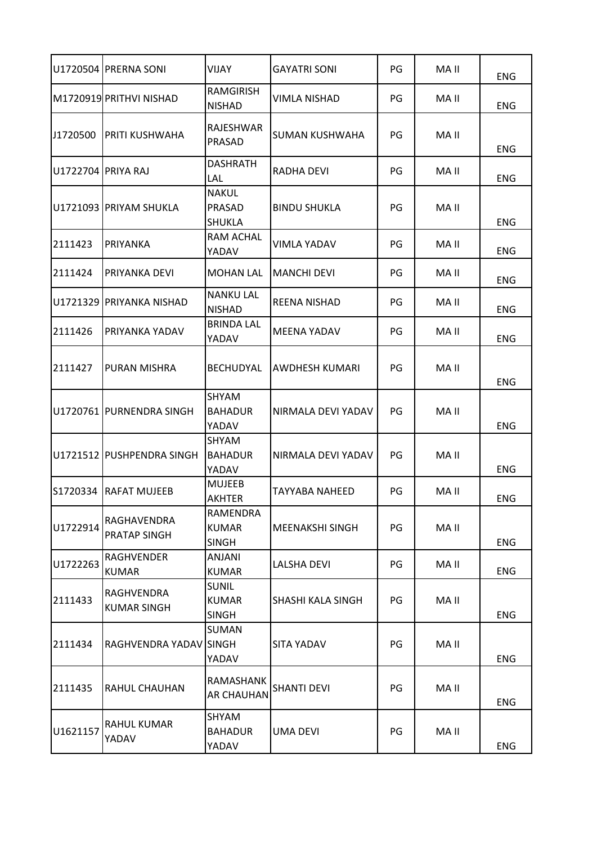|                     | U1720504 PRERNA SONI               | VIJAY                                        | <b>GAYATRI SONI</b>      | PG | MA II | <b>ENG</b> |
|---------------------|------------------------------------|----------------------------------------------|--------------------------|----|-------|------------|
|                     | M1720919 PRITHVI NISHAD            | <b>RAMGIRISH</b><br><b>NISHAD</b>            | VIMLA NISHAD             | PG | MA II | <b>ENG</b> |
| J1720500            | PRITI KUSHWAHA                     | RAJESHWAR<br>PRASAD                          | SUMAN KUSHWAHA           | PG | MA II | <b>ENG</b> |
| U1722704  PRIYA RAJ |                                    | <b>DASHRATH</b><br>LAL                       | RADHA DEVI               | PG | MA II | <b>ENG</b> |
|                     | U1721093 PRIYAM SHUKLA             | <b>NAKUL</b><br>PRASAD<br><b>SHUKLA</b>      | <b>BINDU SHUKLA</b>      | PG | MA II | <b>ENG</b> |
| 2111423             | PRIYANKA                           | <b>RAM ACHAL</b><br>YADAV                    | VIMLA YADAV              | PG | MA II | <b>ENG</b> |
| 2111424             | PRIYANKA DEVI                      | <b>MOHAN LAL</b>                             | <b>MANCHI DEVI</b>       | PG | MA II | <b>ENG</b> |
|                     | lU1721329 IPRIYANKA NISHAD         | <b>NANKU LAL</b><br><b>NISHAD</b>            | <b>REENA NISHAD</b>      | PG | MA II | <b>ENG</b> |
| 2111426             | PRIYANKA YADAV                     | <b>BRINDA LAL</b><br>YADAV                   | <b>MEENA YADAV</b>       | PG | MA II | <b>ENG</b> |
| 2111427             | <b>PURAN MISHRA</b>                | <b>BECHUDYAL</b>                             | AWDHESH KUMARI           | PG | MA II | <b>ENG</b> |
|                     | U1720761 PURNENDRA SINGH           | SHYAM<br><b>BAHADUR</b><br>YADAV             | NIRMALA DEVI YADAV       | PG | MA II | <b>ENG</b> |
|                     | U1721512 PUSHPENDRA SINGH          | <b>SHYAM</b><br><b>BAHADUR</b><br>YADAV      | NIRMALA DEVI YADAV       | PG | MA II | ENG        |
| S1720334            | <b>RAFAT MUJEEB</b>                | <b>MUJEEB</b><br>AKHTER                      | TAYYABA NAHEED           | PG | MA II | <b>ENG</b> |
| U1722914            | RAGHAVENDRA<br><b>PRATAP SINGH</b> | RAMENDRA<br><b>KUMAR</b><br><b>SINGH</b>     | <b>MEENAKSHI SINGH</b>   | PG | MA II | <b>ENG</b> |
| U1722263            | <b>RAGHVENDER</b><br><b>KUMAR</b>  | <b>ANJANI</b><br><b>KUMAR</b>                | LALSHA DEVI              | PG | MA II | ENG        |
| 2111433             | RAGHVENDRA<br><b>KUMAR SINGH</b>   | <b>SUNIL</b><br><b>KUMAR</b><br><b>SINGH</b> | <b>SHASHI KALA SINGH</b> | PG | MA II | <b>ENG</b> |
| 2111434             | RAGHVENDRA YADAV SINGH             | SUMAN<br>YADAV                               | SITA YADAV               | PG | MA II | <b>ENG</b> |
| 2111435             | <b>RAHUL CHAUHAN</b>               | RAMASHANK<br><b>AR CHAUHAN</b>               | <b>SHANTI DEVI</b>       | PG | MA II | <b>ENG</b> |
| U1621157            | RAHUL KUMAR<br>YADAV               | SHYAM<br><b>BAHADUR</b><br>YADAV             | UMA DEVI                 | PG | MA II | <b>ENG</b> |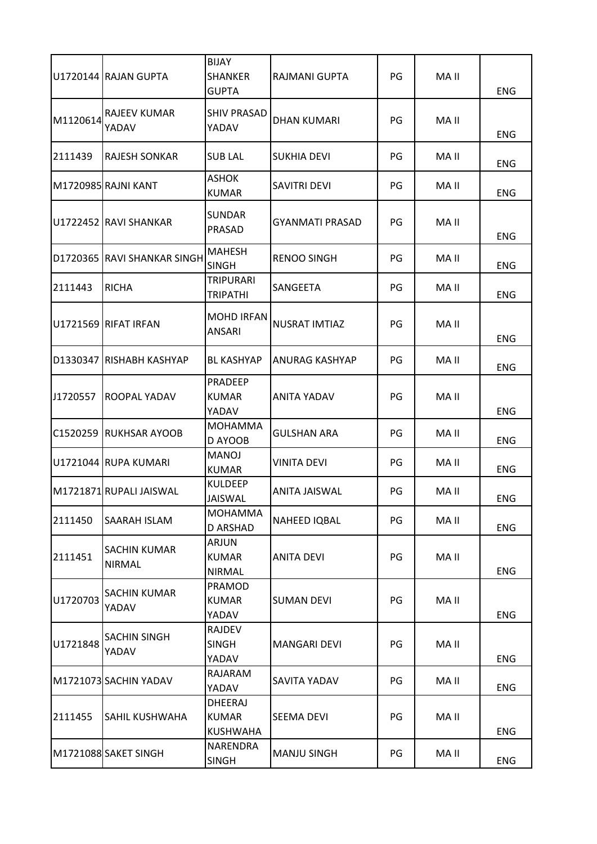|          | U1720144 RAJAN GUPTA                 | <b>BIJAY</b><br><b>SHANKER</b><br><b>GUPTA</b> | RAJMANI GUPTA          | PG | MA II | <b>ENG</b> |
|----------|--------------------------------------|------------------------------------------------|------------------------|----|-------|------------|
| M1120614 | <b>RAJEEV KUMAR</b><br>YADAV         | <b>SHIV PRASAD</b><br>YADAV                    | DHAN KUMARI            | PG | MA II | ENG        |
| 2111439  | <b>RAJESH SONKAR</b>                 | <b>SUB LAL</b>                                 | <b>SUKHIA DEVI</b>     | PG | MA II | ENG        |
|          | M1720985 RAJNI KANT                  | <b>ASHOK</b><br><b>KUMAR</b>                   | <b>SAVITRI DEVI</b>    | PG | MA II | ENG        |
|          | U1722452 RAVI SHANKAR                | <b>SUNDAR</b><br><b>PRASAD</b>                 | <b>GYANMATI PRASAD</b> | PG | MA II | <b>ENG</b> |
|          | D1720365 RAVI SHANKAR SINGH          | <b>MAHESH</b><br><b>SINGH</b>                  | <b>RENOO SINGH</b>     | PG | MA II | <b>ENG</b> |
| 2111443  | <b>RICHA</b>                         | <b>TRIPURARI</b><br>TRIPATHI                   | SANGEETA               | PG | MA II | <b>ENG</b> |
|          | U1721569 RIFAT IRFAN                 | <b>MOHD IRFAN</b><br>ANSARI                    | <b>NUSRAT IMTIAZ</b>   | PG | MA II | <b>ENG</b> |
|          | D1330347 RISHABH KASHYAP             | <b>BL KASHYAP</b>                              | ANURAG KASHYAP         | PG | MA II | <b>ENG</b> |
| J1720557 | ROOPAL YADAV                         | PRADEEP<br><b>KUMAR</b><br>YADAV               | ANITA YADAV            | PG | MA II | <b>ENG</b> |
|          | C1520259 RUKHSAR AYOOB               | <b>MOHAMMA</b><br>D AYOOB                      | <b>GULSHAN ARA</b>     | PG | MA II | ENG        |
|          | U1721044 RUPA KUMARI                 | <b>MANOJ</b><br><b>KUMAR</b>                   | <b>VINITA DEVI</b>     | PG | MA II | ENG        |
|          | M1721871 RUPALI JAISWAL              | <b>KULDEEP</b><br>JAISWAL                      | ANITA JAISWAL          | PG | MA II | <b>ENG</b> |
| 2111450  | SAARAH ISLAM                         | <b>MOHAMMA</b><br><b>D ARSHAD</b>              | NAHEED IQBAL           | PG | MA II | ENG        |
| 2111451  | <b>SACHIN KUMAR</b><br><b>NIRMAL</b> | ARJUN<br><b>KUMAR</b><br><b>NIRMAL</b>         | <b>ANITA DEVI</b>      | PG | MA II | <b>ENG</b> |
| U1720703 | <b>SACHIN KUMAR</b><br>YADAV         | PRAMOD<br><b>KUMAR</b><br>YADAV                | <b>SUMAN DEVI</b>      | PG | MA II | <b>ENG</b> |
| U1721848 | <b>SACHIN SINGH</b><br>YADAV         | RAJDEV<br><b>SINGH</b><br>YADAV                | <b>MANGARI DEVI</b>    | PG | MA II | <b>ENG</b> |
|          | M1721073 SACHIN YADAV                | RAJARAM<br>YADAV                               | SAVITA YADAV           | PG | MA II | <b>ENG</b> |
| 2111455  | <b>SAHIL KUSHWAHA</b>                | DHEERAJ<br>KUMAR<br><b>KUSHWAHA</b>            | SEEMA DEVI             | PG | MA II | <b>ENG</b> |
|          | M1721088 SAKET SINGH                 | NARENDRA<br><b>SINGH</b>                       | <b>MANJU SINGH</b>     | PG | MA II | ENG        |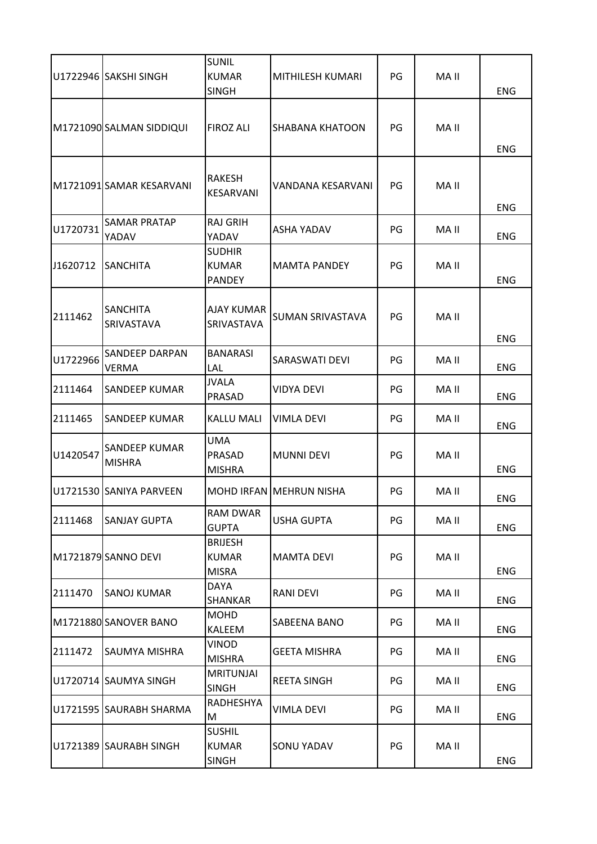|          |                                       | <b>SUNIL</b>                                   |                         |    |       |            |
|----------|---------------------------------------|------------------------------------------------|-------------------------|----|-------|------------|
|          | U1722946 SAKSHI SINGH                 | <b>KUMAR</b><br><b>SINGH</b>                   | MITHILESH KUMARI        | PG | MA II | <b>ENG</b> |
|          | M1721090 SALMAN SIDDIQUI              | <b>FIROZ ALI</b>                               | <b>SHABANA KHATOON</b>  | PG | MA II | <b>ENG</b> |
|          | M1721091 SAMAR KESARVANI              | RAKESH<br><b>KESARVANI</b>                     | VANDANA KESARVANI       | PG | MA II | <b>ENG</b> |
| U1720731 | <b>SAMAR PRATAP</b><br>YADAV          | <b>RAJ GRIH</b><br>YADAV                       | <b>ASHA YADAV</b>       | PG | MA II | <b>ENG</b> |
| J1620712 | <b>SANCHITA</b>                       | <b>SUDHIR</b><br><b>KUMAR</b><br><b>PANDEY</b> | <b>MAMTA PANDEY</b>     | PG | MA II | <b>ENG</b> |
| 2111462  | <b>SANCHITA</b><br>SRIVASTAVA         | <b>AJAY KUMAR</b><br>SRIVASTAVA                | <b>SUMAN SRIVASTAVA</b> | PG | MA II | <b>ENG</b> |
| U1722966 | <b>SANDEEP DARPAN</b><br><b>VERMA</b> | <b>BANARASI</b><br>LAL                         | SARASWATI DEVI          | PG | MA II | <b>ENG</b> |
| 2111464  | <b>SANDEEP KUMAR</b>                  | <b>JVALA</b><br>PRASAD                         | <b>VIDYA DEVI</b>       | PG | MA II | ENG        |
| 2111465  | <b>SANDEEP KUMAR</b>                  | <b>KALLU MALI</b>                              | VIMLA DEVI              | PG | MA II | <b>ENG</b> |
| U1420547 | <b>SANDEEP KUMAR</b><br><b>MISHRA</b> | UMA<br>PRASAD<br><b>MISHRA</b>                 | <b>MUNNI DEVI</b>       | PG | MA II | ENG        |
|          | U1721530 SANIYA PARVEEN               |                                                | MOHD IRFAN MEHRUN NISHA | PG | MA II | <b>ENG</b> |
| 2111468  | <b>SANJAY GUPTA</b>                   | <b>RAM DWAR</b><br><b>GUPTA</b>                | <b>USHA GUPTA</b>       | PG | MA II | <b>ENG</b> |
|          | M1721879 SANNO DEVI                   | <b>BRIJESH</b><br><b>KUMAR</b><br><b>MISRA</b> | <b>MAMTA DEVI</b>       | PG | MA II | <b>ENG</b> |
| 2111470  | <b>SANOJ KUMAR</b>                    | DAYA<br>SHANKAR                                | <b>RANI DEVI</b>        | PG | MA II | <b>ENG</b> |
|          | M1721880 SANOVER BANO                 | <b>MOHD</b><br>KALEEM                          | SABEENA BANO            | PG | MA II | <b>ENG</b> |
| 2111472  | <b>SAUMYA MISHRA</b>                  | VINOD<br><b>MISHRA</b>                         | <b>GEETA MISHRA</b>     | PG | MA II | <b>ENG</b> |
|          | U1720714 SAUMYA SINGH                 | <b>MRITUNJAI</b><br><b>SINGH</b>               | <b>REETA SINGH</b>      | PG | MA II | <b>ENG</b> |
|          | U1721595 SAURABH SHARMA               | RADHESHYA<br>M                                 | VIMLA DEVI              | PG | MA II | <b>ENG</b> |
|          | U1721389 SAURABH SINGH                | <b>SUSHIL</b><br><b>KUMAR</b><br><b>SINGH</b>  | <b>SONU YADAV</b>       | PG | MA II | <b>ENG</b> |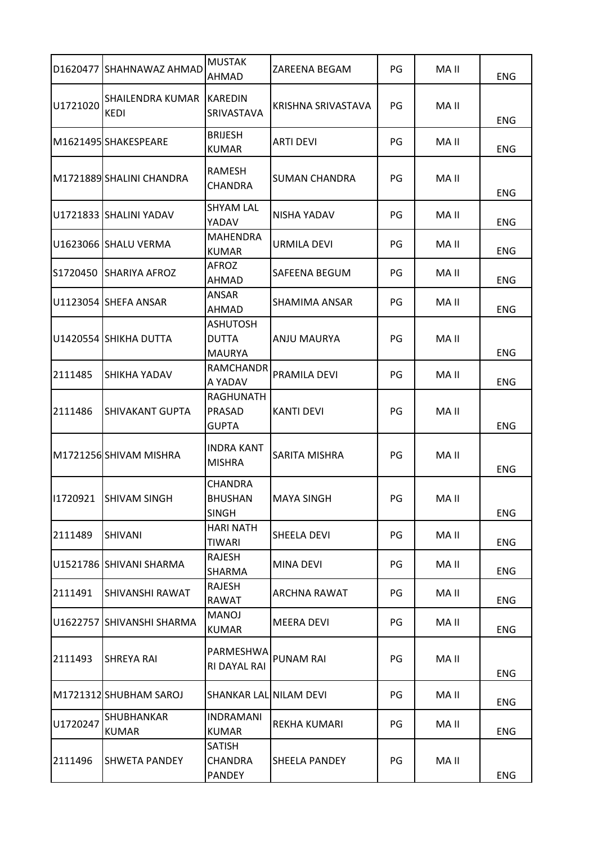|          | D1620477 SHAHNAWAZ AHMAD        | <b>MUSTAK</b><br>AHMAD                           | ZAREENA BEGAM        | PG | MA II | <b>ENG</b> |
|----------|---------------------------------|--------------------------------------------------|----------------------|----|-------|------------|
| U1721020 | SHAILENDRA KUMAR<br><b>KEDI</b> | <b>KAREDIN</b><br>SRIVASTAVA                     | KRISHNA SRIVASTAVA   | PG | MA II | ENG        |
|          | M1621495 SHAKESPEARE            | <b>BRIJESH</b><br><b>KUMAR</b>                   | <b>ARTI DEVI</b>     | PG | MA II | <b>ENG</b> |
|          | M1721889 SHALINI CHANDRA        | RAMESH<br><b>CHANDRA</b>                         | <b>SUMAN CHANDRA</b> | PG | MA II | <b>ENG</b> |
|          | U1721833 SHALINI YADAV          | <b>SHYAM LAL</b><br>YADAV                        | <b>NISHA YADAV</b>   | PG | MA II | <b>ENG</b> |
|          | U1623066 SHALU VERMA            | <b>MAHENDRA</b><br><b>KUMAR</b>                  | URMILA DEVI          | PG | MA II | <b>ENG</b> |
| S1720450 | <b>SHARIYA AFROZ</b>            | AFROZ<br>AHMAD                                   | SAFEENA BEGUM        | PG | MA II | <b>ENG</b> |
|          | U1123054  SHEFA ANSAR           | <b>ANSAR</b><br>AHMAD                            | SHAMIMA ANSAR        | PG | MA II | <b>ENG</b> |
|          | U1420554 SHIKHA DUTTA           | <b>ASHUTOSH</b><br><b>DUTTA</b><br><b>MAURYA</b> | ANJU MAURYA          | PG | MA II | <b>ENG</b> |
| 2111485  | SHIKHA YADAV                    | RAMCHANDR<br>A YADAV                             | PRAMILA DEVI         | PG | MA II | <b>ENG</b> |
| 2111486  | SHIVAKANT GUPTA                 | RAGHUNATH<br>PRASAD<br><b>GUPTA</b>              | <b>KANTI DEVI</b>    | PG | MA II | <b>ENG</b> |
|          | M1721256 SHIVAM MISHRA          | <b>INDRA KANT</b><br><b>MISHRA</b>               | SARITA MISHRA        | PG | MA II | <b>ENG</b> |
|          | 11720921 SHIVAM SINGH           | <b>CHANDRA</b><br><b>BHUSHAN</b><br><b>SINGH</b> | <b>MAYA SINGH</b>    | PG | MA II | <b>ENG</b> |
| 2111489  | <b>SHIVANI</b>                  | <b>HARI NATH</b><br><b>TIWARI</b>                | SHEELA DEVI          | PG | MA II | ENG        |
|          | U1521786 SHIVANI SHARMA         | RAJESH<br>SHARMA                                 | <b>MINA DEVI</b>     | PG | MA II | ENG        |
| 2111491  | SHIVANSHI RAWAT                 | <b>RAJESH</b><br>RAWAT                           | ARCHNA RAWAT         | PG | MA II | ENG        |
|          | U1622757 SHIVANSHI SHARMA       | <b>MANOJ</b><br><b>KUMAR</b>                     | <b>MEERA DEVI</b>    | PG | MA II | <b>ENG</b> |
| 2111493  | <b>SHREYA RAI</b>               | PARMESHWA<br>RI DAYAL RAI                        | <b>PUNAM RAI</b>     | PG | MA II | <b>ENG</b> |
|          | M1721312 SHUBHAM SAROJ          | SHANKAR LAL NILAM DEVI                           |                      | PG | MA II | <b>ENG</b> |
| U1720247 | SHUBHANKAR<br><b>KUMAR</b>      | <b>INDRAMANI</b><br><b>KUMAR</b>                 | REKHA KUMARI         | PG | MA II | <b>ENG</b> |
| 2111496  | <b>SHWETA PANDEY</b>            | SATISH<br><b>CHANDRA</b><br><b>PANDEY</b>        | <b>SHEELA PANDEY</b> | PG | MA II | <b>ENG</b> |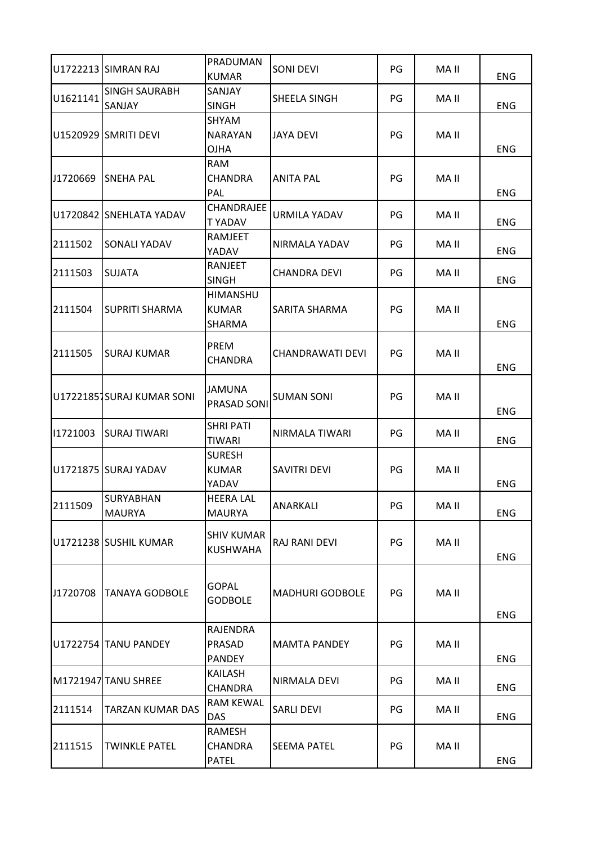|          | U1722213 SIMRAN RAJ               | PRADUMAN<br><b>KUMAR</b>                          | <b>SONI DEVI</b>       | PG | MA II | <b>ENG</b> |
|----------|-----------------------------------|---------------------------------------------------|------------------------|----|-------|------------|
| U1621141 | <b>SINGH SAURABH</b><br>SANJAY    | SANJAY<br><b>SINGH</b>                            | SHEELA SINGH           | PG | MA II | <b>ENG</b> |
|          | U1520929 SMRITI DEVI              | SHYAM<br><b>NARAYAN</b><br><b>OJHA</b>            | IJAYA DEVI             | PG | MA II | <b>ENG</b> |
| J1720669 | <b>SNEHA PAL</b>                  | <b>RAM</b><br><b>CHANDRA</b><br>PAL               | <b>ANITA PAL</b>       | PG | MA II | <b>ENG</b> |
|          | U1720842 SNEHLATA YADAV           | CHANDRAJEE<br>T YADAV                             | <b>URMILA YADAV</b>    | PG | MA II | <b>ENG</b> |
| 2111502  | SONALI YADAV                      | RAMJEET<br>YADAV                                  | NIRMALA YADAV          | PG | MA II | <b>ENG</b> |
| 2111503  | <b>SUJATA</b>                     | RANJEET<br><b>SINGH</b>                           | <b>CHANDRA DEVI</b>    | PG | MA II | <b>ENG</b> |
| 2111504  | <b>SUPRITI SHARMA</b>             | <b>HIMANSHU</b><br><b>KUMAR</b><br>SHARMA         | SARITA SHARMA          | PG | MA II | ENG        |
| 2111505  | <b>SURAJ KUMAR</b>                | <b>PREM</b><br><b>CHANDRA</b>                     | CHANDRAWATI DEVI       | PG | MA II | <b>ENG</b> |
|          | U17221851SURAJ KUMAR SONI         | <b>JAMUNA</b><br>PRASAD SONI                      | <b>SUMAN SONI</b>      | PG | MA II | <b>ENG</b> |
| 11721003 | <b>SURAJ TIWARI</b>               | <b>SHRI PATI</b><br><b>TIWARI</b>                 | NIRMALA TIWARI         | PG | MA II | <b>ENG</b> |
|          | U1721875 SURAJ YADAV              | <b>SURESH</b><br><b>KUMAR</b><br>YADAV            | <b>SAVITRI DEVI</b>    | PG | MA II | <b>ENG</b> |
| 2111509  | <b>SURYABHAN</b><br><b>MAURYA</b> | <b>HEERA LAL</b><br><b>MAURYA</b>                 | ANARKALI               | PG | MA II | <b>ENG</b> |
|          | U1721238 SUSHIL KUMAR             | <b>SHIV KUMAR</b><br><b>KUSHWAHA</b>              | RAJ RANI DEVI          | PG | MA II | <b>ENG</b> |
| J1720708 | <b>TANAYA GODBOLE</b>             | <b>GOPAL</b><br><b>GODBOLE</b>                    | <b>MADHURI GODBOLE</b> | PG | MA II | <b>ENG</b> |
|          | U1722754 TANU PANDEY              | <b>RAJENDRA</b><br><b>PRASAD</b><br><b>PANDEY</b> | <b>MAMTA PANDEY</b>    | PG | MA II | <b>ENG</b> |
|          | M1721947 TANU SHREE               | KAILASH<br><b>CHANDRA</b>                         | NIRMALA DEVI           | PG | MA II | <b>ENG</b> |
| 2111514  | <b>TARZAN KUMAR DAS</b>           | <b>RAM KEWAL</b><br><b>DAS</b>                    | <b>SARLI DEVI</b>      | PG | MA II | <b>ENG</b> |
| 2111515  | <b>TWINKLE PATEL</b>              | RAMESH<br><b>CHANDRA</b><br><b>PATEL</b>          | <b>SEEMA PATEL</b>     | PG | MA II | ENG        |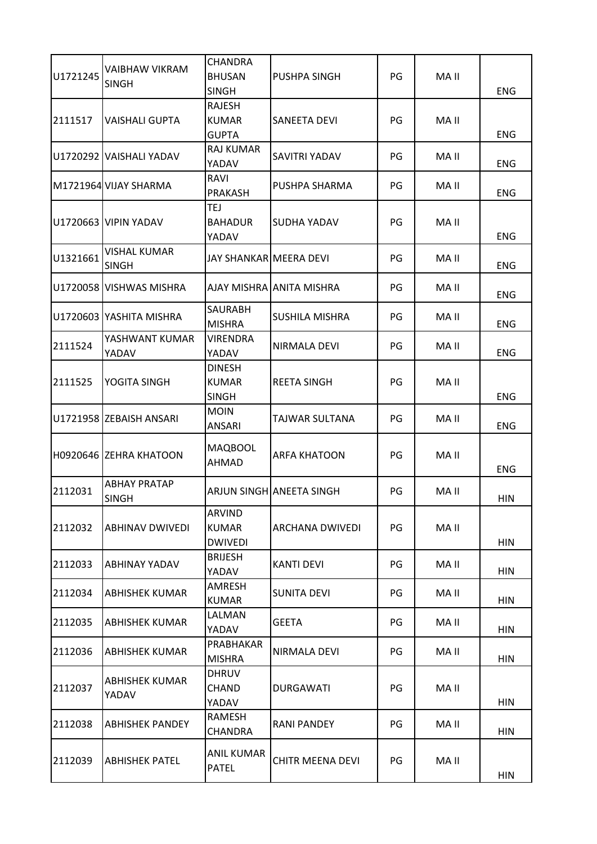| U1721245 | <b>VAIBHAW VIKRAM</b><br><b>SINGH</b> | <b>CHANDRA</b><br><b>BHUSAN</b>                 | PUSHPA SINGH             | PG | MA II |            |
|----------|---------------------------------------|-------------------------------------------------|--------------------------|----|-------|------------|
| 2111517  | <b>VAISHALI GUPTA</b>                 | <b>SINGH</b><br><b>RAJESH</b><br><b>KUMAR</b>   | SANEETA DEVI             | PG | MA II | <b>ENG</b> |
|          |                                       | <b>GUPTA</b>                                    |                          |    |       | <b>ENG</b> |
|          | U1720292 VAISHALI YADAV               | <b>RAJ KUMAR</b><br>YADAV                       | SAVITRI YADAV            | PG | MA II | <b>ENG</b> |
|          | M1721964 VIJAY SHARMA                 | RAVI<br><b>PRAKASH</b>                          | PUSHPA SHARMA            | PG | MA II | <b>ENG</b> |
|          | U1720663 VIPIN YADAV                  | TEJ<br><b>BAHADUR</b><br>YADAV                  | SUDHA YADAV              | PG | MA II | <b>ENG</b> |
| U1321661 | <b>VISHAL KUMAR</b><br><b>SINGH</b>   | JAY SHANKARIMEERA DEVI                          |                          | PG | MA II | <b>ENG</b> |
|          | U1720058 VISHWAS MISHRA               |                                                 | AJAY MISHRA ANITA MISHRA | PG | MA II | <b>ENG</b> |
|          | U1720603 YASHITA MISHRA               | <b>SAURABH</b><br><b>MISHRA</b>                 | SUSHILA MISHRA           | PG | MA II | <b>ENG</b> |
| 2111524  | YASHWANT KUMAR<br>YADAV               | VIRENDRA<br>YADAV                               | NIRMALA DEVI             | PG | MA II | <b>ENG</b> |
| 2111525  | YOGITA SINGH                          | <b>DINESH</b><br><b>KUMAR</b><br><b>SINGH</b>   | <b>REETA SINGH</b>       | PG | MA II | <b>ENG</b> |
|          | U1721958 ZEBAISH ANSARI               | <b>MOIN</b><br><b>ANSARI</b>                    | TAJWAR SULTANA           | PG | MA II | <b>ENG</b> |
|          | H0920646 ZEHRA KHATOON                | <b>MAQBOOL</b><br>AHMAD                         | <b>ARFA KHATOON</b>      | PG | MA II | ENG        |
| 2112031  | <b>ABHAY PRATAP</b><br><b>SINGH</b>   |                                                 | ARJUN SINGH ANEETA SINGH | PG | MA II | <b>HIN</b> |
| 2112032  | <b>ABHINAV DWIVEDI</b>                | <b>ARVIND</b><br><b>KUMAR</b><br><b>DWIVEDI</b> | ARCHANA DWIVEDI          | PG | MA II | <b>HIN</b> |
| 2112033  | ABHINAY YADAV                         | <b>BRIJESH</b><br>YADAV                         | <b>KANTI DEVI</b>        | PG | MA II | <b>HIN</b> |
| 2112034  | <b>ABHISHEK KUMAR</b>                 | AMRESH<br><b>KUMAR</b>                          | <b>SUNITA DEVI</b>       | PG | MA II | <b>HIN</b> |
| 2112035  | <b>ABHISHEK KUMAR</b>                 | LALMAN<br>YADAV                                 | <b>GEETA</b>             | PG | MA II | <b>HIN</b> |
| 2112036  | <b>ABHISHEK KUMAR</b>                 | PRABHAKAR<br><b>MISHRA</b>                      | NIRMALA DEVI             | PG | MA II | <b>HIN</b> |
| 2112037  | <b>ABHISHEK KUMAR</b><br>YADAV        | <b>DHRUV</b><br><b>CHAND</b><br>YADAV           | <b>DURGAWATI</b>         | PG | MA II | <b>HIN</b> |
| 2112038  | <b>ABHISHEK PANDEY</b>                | RAMESH<br><b>CHANDRA</b>                        | <b>RANI PANDEY</b>       | PG | MA II | <b>HIN</b> |
| 2112039  | <b>ABHISHEK PATEL</b>                 | ANIL KUMAR<br><b>PATEL</b>                      | <b>CHITR MEENA DEVI</b>  | PG | MA II | <b>HIN</b> |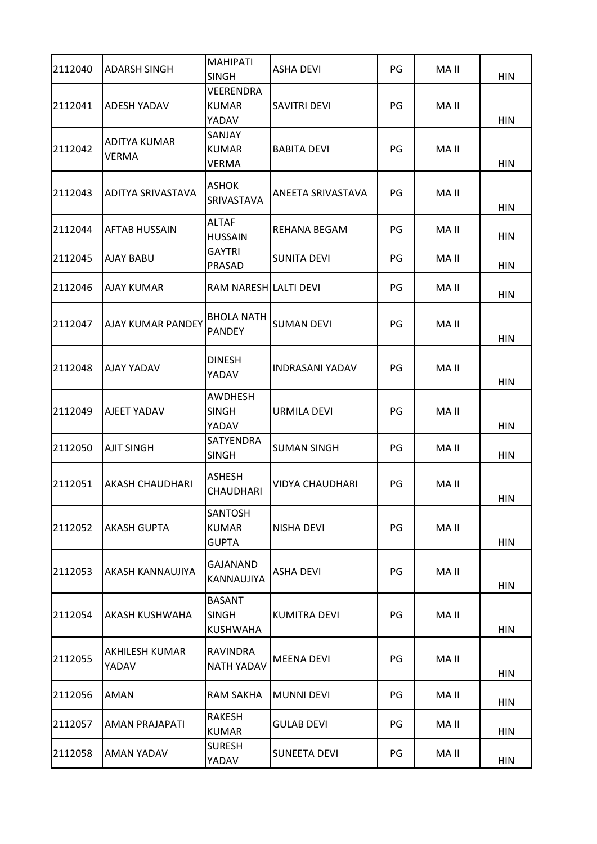| 2112040 | <b>ADARSH SINGH</b>     | <b>MAHIPATI</b><br><b>SINGH</b>                  | ASHA DEVI              | PG | MA II | <b>HIN</b> |
|---------|-------------------------|--------------------------------------------------|------------------------|----|-------|------------|
| 2112041 | <b>ADESH YADAV</b>      | <b>VEERENDRA</b><br><b>KUMAR</b><br>YADAV        | <b>SAVITRI DEVI</b>    | PG | MA II | <b>HIN</b> |
| 2112042 | ADITYA KUMAR<br>VERMA   | <b>SANJAY</b><br><b>KUMAR</b><br><b>VERMA</b>    | <b>BABITA DEVI</b>     | PG | MA II | <b>HIN</b> |
| 2112043 | ADITYA SRIVASTAVA       | <b>ASHOK</b><br><b>SRIVASTAVA</b>                | ANEETA SRIVASTAVA      | PG | MA II | <b>HIN</b> |
| 2112044 | AFTAB HUSSAIN           | <b>ALTAF</b><br><b>HUSSAIN</b>                   | REHANA BEGAM           | PG | MA II | HIN        |
| 2112045 | <b>AJAY BABU</b>        | <b>GAYTRI</b><br>PRASAD                          | <b>SUNITA DEVI</b>     | PG | MA II | <b>HIN</b> |
| 2112046 | AJAY KUMAR              | RAM NARESH LALTI DEVI                            |                        | PG | MA II | <b>HIN</b> |
| 2112047 | AJAY KUMAR PANDEY       | <b>BHOLA NATH</b><br><b>PANDEY</b>               | <b>SUMAN DEVI</b>      | PG | MA II | <b>HIN</b> |
| 2112048 | <b>AJAY YADAV</b>       | <b>DINESH</b><br>YADAV                           | <b>INDRASANI YADAV</b> | PG | MA II | <b>HIN</b> |
| 2112049 | AJEET YADAV             | <b>AWDHESH</b><br><b>SINGH</b><br>YADAV          | URMILA DEVI            | PG | MA II | <b>HIN</b> |
| 2112050 | AJIT SINGH              | <b>SATYENDRA</b><br><b>SINGH</b>                 | <b>SUMAN SINGH</b>     | PG | MA II | <b>HIN</b> |
| 2112051 | AKASH CHAUDHARI         | <b>ASHESH</b><br><b>CHAUDHARI</b>                | <b>VIDYA CHAUDHARI</b> | PG | MA II | <b>HIN</b> |
| 2112052 | <b>AKASH GUPTA</b>      | <b>SANTOSH</b><br><b>KUMAR</b><br><b>GUPTA</b>   | NISHA DEVI             | PG | MA II | <b>HIN</b> |
| 2112053 | AKASH KANNAUJIYA        | GAJANAND<br>KANNAUJIYA                           | ASHA DEVI              | PG | MA II | <b>HIN</b> |
| 2112054 | AKASH KUSHWAHA          | <b>BASANT</b><br><b>SINGH</b><br><b>KUSHWAHA</b> | <b>KUMITRA DEVI</b>    | PG | MA II | <b>HIN</b> |
| 2112055 | AKHILESH KUMAR<br>YADAV | <b>RAVINDRA</b><br><b>NATH YADAV</b>             | <b>MEENA DEVI</b>      | PG | MA II | <b>HIN</b> |
| 2112056 | AMAN                    | <b>RAM SAKHA</b>                                 | <b>MUNNI DEVI</b>      | PG | MA II | <b>HIN</b> |
| 2112057 | AMAN PRAJAPATI          | RAKESH<br><b>KUMAR</b>                           | <b>GULAB DEVI</b>      | PG | MA II | <b>HIN</b> |
| 2112058 | AMAN YADAV              | <b>SURESH</b><br>YADAV                           | <b>SUNEETA DEVI</b>    | PG | MA II | <b>HIN</b> |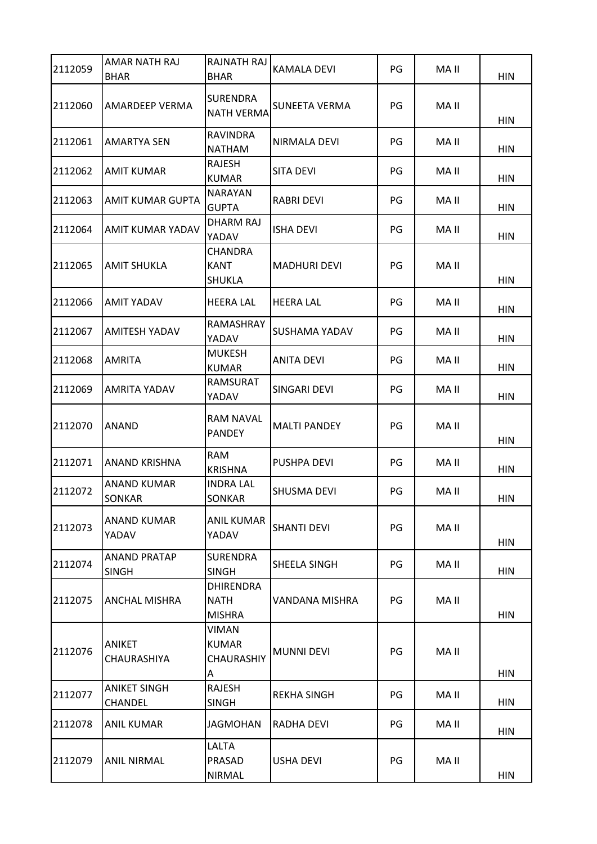| 2112059 | <b>AMAR NATH RAJ</b><br><b>BHAR</b>   | <b>RAJNATH RAJ</b><br><b>BHAR</b>                      | KAMALA DEVI         | PG | MA II | <b>HIN</b> |
|---------|---------------------------------------|--------------------------------------------------------|---------------------|----|-------|------------|
| 2112060 | <b>AMARDEEP VERMA</b>                 | <b>SURENDRA</b><br><b>NATH VERMA</b>                   | SUNEETA VERMA       | PG | MA II | <b>HIN</b> |
| 2112061 | <b>AMARTYA SEN</b>                    | <b>RAVINDRA</b><br><b>NATHAM</b>                       | NIRMALA DEVI        | PG | MA II | <b>HIN</b> |
| 2112062 | <b>AMIT KUMAR</b>                     | RAJESH<br><b>KUMAR</b>                                 | <b>SITA DEVI</b>    | PG | MA II | <b>HIN</b> |
| 2112063 | <b>AMIT KUMAR GUPTA</b>               | <b>NARAYAN</b><br><b>GUPTA</b>                         | RABRI DEVI          | PG | MA II | <b>HIN</b> |
| 2112064 | <b>AMIT KUMAR YADAV</b>               | <b>DHARM RAJ</b><br>YADAV                              | ISHA DEVI           | PG | MA II | <b>HIN</b> |
| 2112065 | <b>AMIT SHUKLA</b>                    | <b>CHANDRA</b><br><b>KANT</b><br><b>SHUKLA</b>         | <b>MADHURI DEVI</b> | PG | MA II | <b>HIN</b> |
| 2112066 | <b>AMIT YADAV</b>                     | <b>HEERA LAL</b>                                       | <b>HEERA LAL</b>    | PG | MA II | <b>HIN</b> |
| 2112067 | <b>AMITESH YADAV</b>                  | RAMASHRAY<br>YADAV                                     | SUSHAMA YADAV       | PG | MA II | <b>HIN</b> |
| 2112068 | <b>AMRITA</b>                         | <b>MUKESH</b><br><b>KUMAR</b>                          | ANITA DEVI          | PG | MA II | <b>HIN</b> |
| 2112069 | <b>AMRITA YADAV</b>                   | <b>RAMSURAT</b><br>YADAV                               | SINGARI DEVI        | PG | MA II | <b>HIN</b> |
| 2112070 | <b>ANAND</b>                          | RAM NAVAL<br><b>PANDEY</b>                             | <b>MALTI PANDEY</b> | PG | MA II | <b>HIN</b> |
| 2112071 | <b>ANAND KRISHNA</b>                  | <b>RAM</b><br><b>KRISHNA</b>                           | PUSHPA DEVI         | PG | MA II | <b>HIN</b> |
| 2112072 | <b>ANAND KUMAR</b><br><b>SONKAR</b>   | <b>INDRA LAL</b><br>SONKAR                             | <b>SHUSMA DEVI</b>  | PG | MA II | <b>HIN</b> |
| 2112073 | ANAND KUMAR<br>YADAV                  | ANIL KUMAR<br>YADAV                                    | <b>SHANTI DEVI</b>  | PG | MA II | <b>HIN</b> |
| 2112074 | <b>ANAND PRATAP</b><br><b>SINGH</b>   | <b>SURENDRA</b><br><b>SINGH</b>                        | SHEELA SINGH        | PG | MA II | <b>HIN</b> |
| 2112075 | ANCHAL MISHRA                         | <b>DHIRENDRA</b><br><b>NATH</b><br><b>MISHRA</b>       | VANDANA MISHRA      | PG | MA II | <b>HIN</b> |
| 2112076 | <b>ANIKET</b><br>CHAURASHIYA          | <b>VIMAN</b><br><b>KUMAR</b><br><b>CHAURASHIY</b><br>A | <b>MUNNI DEVI</b>   | PG | MA II | <b>HIN</b> |
| 2112077 | <b>ANIKET SINGH</b><br><b>CHANDEL</b> | RAJESH<br><b>SINGH</b>                                 | <b>REKHA SINGH</b>  | PG | MA II | <b>HIN</b> |
| 2112078 | <b>ANIL KUMAR</b>                     | <b>JAGMOHAN</b>                                        | RADHA DEVI          | PG | MA II | <b>HIN</b> |
| 2112079 | <b>ANIL NIRMAL</b>                    | LALTA<br>PRASAD<br><b>NIRMAL</b>                       | <b>USHA DEVI</b>    | PG | MA II | <b>HIN</b> |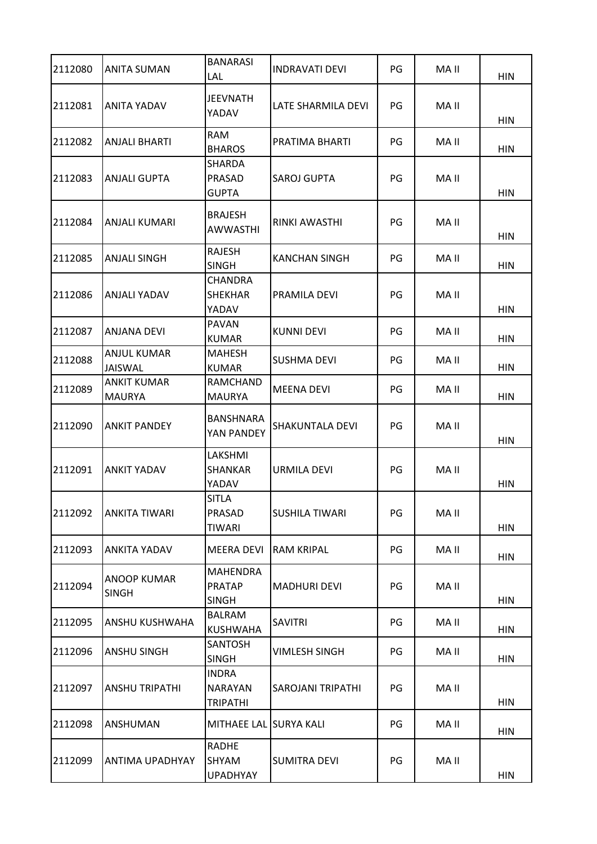| 2112080 | <b>ANITA SUMAN</b>                  | <b>BANARASI</b><br>LAL                            | <b>INDRAVATI DEVI</b>    | PG | MA II | <b>HIN</b> |
|---------|-------------------------------------|---------------------------------------------------|--------------------------|----|-------|------------|
| 2112081 | ANITA YADAV                         | <b>JEEVNATH</b><br>YADAV                          | LATE SHARMILA DEVI       | PG | MA II | <b>HIN</b> |
| 2112082 | ANJALI BHARTI                       | <b>RAM</b><br><b>BHAROS</b>                       | PRATIMA BHARTI           | PG | MA II | <b>HIN</b> |
| 2112083 | ANJALI GUPTA                        | <b>SHARDA</b><br><b>PRASAD</b><br><b>GUPTA</b>    | <b>SAROJ GUPTA</b>       | PG | MA II | <b>HIN</b> |
| 2112084 | ANJALI KUMARI                       | <b>BRAJESH</b><br><b>AWWASTHI</b>                 | RINKI AWASTHI            | PG | MA II | <b>HIN</b> |
| 2112085 | <b>ANJALI SINGH</b>                 | <b>RAJESH</b><br><b>SINGH</b>                     | <b>KANCHAN SINGH</b>     | PG | MA II | <b>HIN</b> |
| 2112086 | ANJALI YADAV                        | <b>CHANDRA</b><br><b>SHEKHAR</b><br>YADAV         | PRAMILA DEVI             | PG | MA II | <b>HIN</b> |
| 2112087 | ANJANA DEVI                         | <b>PAVAN</b><br><b>KUMAR</b>                      | <b>KUNNI DEVI</b>        | PG | MA II | <b>HIN</b> |
| 2112088 | <b>ANJUL KUMAR</b><br>JAISWAL       | <b>MAHESH</b><br><b>KUMAR</b>                     | <b>SUSHMA DEVI</b>       | PG | MA II | <b>HIN</b> |
| 2112089 | <b>ANKIT KUMAR</b><br><b>MAURYA</b> | <b>RAMCHAND</b><br><b>MAURYA</b>                  | <b>MEENA DEVI</b>        | PG | MA II | <b>HIN</b> |
| 2112090 | <b>ANKIT PANDEY</b>                 | BANSHNARA<br>YAN PANDEY                           | <b>SHAKUNTALA DEVI</b>   | PG | MA II | <b>HIN</b> |
| 2112091 | ANKIT YADAV                         | LAKSHMI<br><b>SHANKAR</b><br>YADAV                | <b>URMILA DEVI</b>       | PG | MA II | <b>HIN</b> |
| 2112092 | <b>ANKITA TIWARI</b>                | <b>SITLA</b><br>PRASAD<br><b>TIWARI</b>           | <b>SUSHILA TIWARI</b>    | PG | MA II | <b>HIN</b> |
| 2112093 | ANKITA YADAV                        | <b>MEERA DEVI</b>                                 | <b>RAM KRIPAL</b>        | PG | MA II | <b>HIN</b> |
| 2112094 | <b>ANOOP KUMAR</b><br><b>SINGH</b>  | <b>MAHENDRA</b><br><b>PRATAP</b><br><b>SINGH</b>  | <b>MADHURI DEVI</b>      | PG | MA II | <b>HIN</b> |
| 2112095 | ANSHU KUSHWAHA                      | <b>BALRAM</b><br><b>KUSHWAHA</b>                  | <b>SAVITRI</b>           | PG | MA II | <b>HIN</b> |
| 2112096 | <b>ANSHU SINGH</b>                  | <b>SANTOSH</b><br><b>SINGH</b>                    | <b>VIMLESH SINGH</b>     | PG | MA II | <b>HIN</b> |
| 2112097 | <b>ANSHU TRIPATHI</b>               | <b>INDRA</b><br><b>NARAYAN</b><br><b>TRIPATHI</b> | <b>SAROJANI TRIPATHI</b> | PG | MA II | <b>HIN</b> |
| 2112098 | ANSHUMAN                            | MITHAEE LAL SURYA KALI                            |                          | PG | MA II | <b>HIN</b> |
| 2112099 | <b>ANTIMA UPADHYAY</b>              | <b>RADHE</b><br>SHYAM<br><b>UPADHYAY</b>          | <b>SUMITRA DEVI</b>      | PG | MA II | <b>HIN</b> |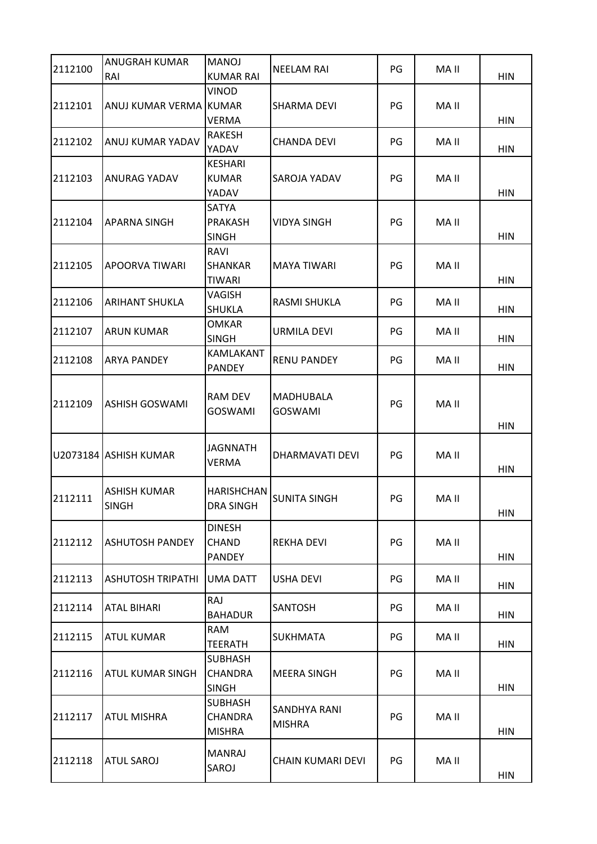| 2112100 | <b>ANUGRAH KUMAR</b><br>RAI         | <b>MANOJ</b><br><b>KUMAR RAI</b>                  | <b>NEELAM RAI</b>             | PG | MA II | <b>HIN</b> |
|---------|-------------------------------------|---------------------------------------------------|-------------------------------|----|-------|------------|
| 2112101 | ANUJ KUMAR VERMA KUMAR              | <b>VINOD</b><br><b>VERMA</b>                      | <b>SHARMA DEVI</b>            | PG | MA II | <b>HIN</b> |
| 2112102 | ANUJ KUMAR YADAV                    | RAKESH<br>YADAV                                   | <b>CHANDA DEVI</b>            | PG | MA II | <b>HIN</b> |
| 2112103 | <b>ANURAG YADAV</b>                 | <b>KESHARI</b><br><b>KUMAR</b><br>YADAV           | SAROJA YADAV                  | PG | MA II | <b>HIN</b> |
| 2112104 | <b>APARNA SINGH</b>                 | SATYA<br><b>PRAKASH</b><br><b>SINGH</b>           | <b>VIDYA SINGH</b>            | PG | MA II | <b>HIN</b> |
| 2112105 | <b>APOORVA TIWARI</b>               | RAVI<br><b>SHANKAR</b><br><b>TIWARI</b>           | <b>MAYA TIWARI</b>            | PG | MA II | <b>HIN</b> |
| 2112106 | <b>ARIHANT SHUKLA</b>               | VAGISH<br><b>SHUKLA</b>                           | RASMI SHUKLA                  | PG | MA II | <b>HIN</b> |
| 2112107 | <b>ARUN KUMAR</b>                   | <b>OMKAR</b><br><b>SINGH</b>                      | <b>URMILA DEVI</b>            | PG | MA II | <b>HIN</b> |
| 2112108 | <b>ARYA PANDEY</b>                  | KAMLAKANT<br><b>PANDEY</b>                        | <b>RENU PANDEY</b>            | PG | MA II | <b>HIN</b> |
| 2112109 | <b>ASHISH GOSWAMI</b>               | <b>RAM DEV</b><br><b>GOSWAMI</b>                  | MADHUBALA<br><b>GOSWAMI</b>   | PG | MA II | <b>HIN</b> |
|         | U2073184 ASHISH KUMAR               | <b>JAGNNATH</b><br><b>VERMA</b>                   | DHARMAVATI DEVI               | PG | MA II | HIN        |
| 2112111 | <b>ASHISH KUMAR</b><br><b>SINGH</b> | <b>HARISHCHAN</b><br>DRA SINGH                    | <b>SUNITA SINGH</b>           | PG | MA II | <b>HIN</b> |
| 2112112 | <b>ASHUTOSH PANDEY</b>              | <b>DINESH</b><br><b>CHAND</b><br><b>PANDEY</b>    | <b>REKHA DEVI</b>             | PG | MA II | <b>HIN</b> |
| 2112113 | <b>ASHUTOSH TRIPATHI</b>            | <b>UMA DATT</b>                                   | <b>USHA DEVI</b>              | PG | MA II | <b>HIN</b> |
| 2112114 | <b>ATAL BIHARI</b>                  | RAJ<br><b>BAHADUR</b>                             | SANTOSH                       | PG | MA II | <b>HIN</b> |
| 2112115 | <b>ATUL KUMAR</b>                   | <b>RAM</b><br><b>TEERATH</b>                      | <b>SUKHMATA</b>               | PG | MA II | <b>HIN</b> |
| 2112116 | <b>ATUL KUMAR SINGH</b>             | <b>SUBHASH</b><br><b>CHANDRA</b><br><b>SINGH</b>  | <b>MEERA SINGH</b>            | PG | MA II | <b>HIN</b> |
| 2112117 | <b>ATUL MISHRA</b>                  | <b>SUBHASH</b><br><b>CHANDRA</b><br><b>MISHRA</b> | SANDHYA RANI<br><b>MISHRA</b> | PG | MA II | <b>HIN</b> |
| 2112118 | <b>ATUL SAROJ</b>                   | MANRAJ<br>SAROJ                                   | CHAIN KUMARI DEVI             | PG | MA II | HIN        |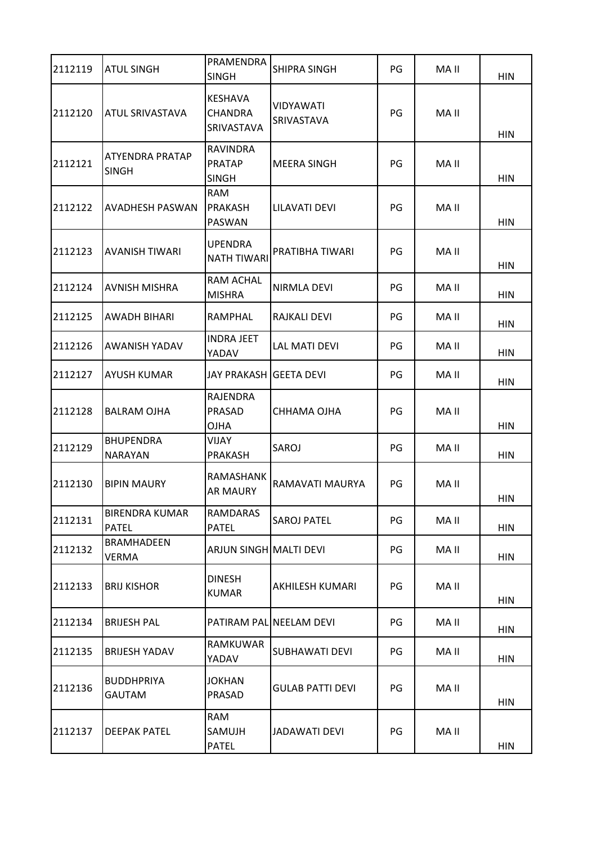| 2112119 | <b>ATUL SINGH</b>                     | PRAMENDRA<br><b>SINGH</b>                      | <b>SHIPRA SINGH</b>     | PG | MA II | <b>HIN</b> |
|---------|---------------------------------------|------------------------------------------------|-------------------------|----|-------|------------|
| 2112120 | ATUL SRIVASTAVA                       | <b>KESHAVA</b><br><b>CHANDRA</b><br>SRIVASTAVA | VIDYAWATI<br>SRIVASTAVA | PG | MA II | <b>HIN</b> |
| 2112121 | ATYENDRA PRATAP<br><b>SINGH</b>       | <b>RAVINDRA</b><br><b>PRATAP</b><br>SINGH      | <b>MEERA SINGH</b>      | PG | MA II | <b>HIN</b> |
| 2112122 | AVADHESH PASWAN                       | <b>RAM</b><br><b>PRAKASH</b><br>PASWAN         | LILAVATI DEVI           | PG | MA II | <b>HIN</b> |
| 2112123 | AVANISH TIWARI                        | <b>UPENDRA</b><br><b>NATH TIWARI</b>           | PRATIBHA TIWARI         | PG | MA II | <b>HIN</b> |
| 2112124 | <b>AVNISH MISHRA</b>                  | <b>RAM ACHAL</b><br><b>MISHRA</b>              | <b>NIRMLA DEVI</b>      | PG | MA II | <b>HIN</b> |
| 2112125 | AWADH BIHARI                          | RAMPHAL                                        | RAJKALI DEVI            | PG | MA II | <b>HIN</b> |
| 2112126 | AWANISH YADAV                         | <b>INDRA JEET</b><br>YADAV                     | <b>LAL MATI DEVI</b>    | PG | MA II | <b>HIN</b> |
| 2112127 | AYUSH KUMAR                           | JAY PRAKASH                                    | <b>GEETA DEVI</b>       | PG | MA II | <b>HIN</b> |
| 2112128 | <b>BALRAM OJHA</b>                    | RAJENDRA<br>PRASAD<br><b>OJHA</b>              | CHHAMA OJHA             | PG | MA II | <b>HIN</b> |
| 2112129 | <b>BHUPENDRA</b><br><b>NARAYAN</b>    | VIJAY<br>PRAKASH                               | SAROJ                   | PG | MA II | <b>HIN</b> |
| 2112130 | <b>BIPIN MAURY</b>                    | RAMASHANK<br><b>AR MAURY</b>                   | RAMAVATI MAURYA         | PG | MA II | <b>HIN</b> |
| 2112131 | <b>BIRENDRA KUMAR</b><br><b>PATEL</b> | RAMDARAS<br><b>PATEL</b>                       | <b>SAROJ PATEL</b>      | PG | MA II | <b>HIN</b> |
| 2112132 | BRAMHADEEN<br><b>VERMA</b>            | ARJUN SINGH MALTI DEVI                         |                         | PG | MA II | <b>HIN</b> |
| 2112133 | <b>BRIJ KISHOR</b>                    | <b>DINESH</b><br><b>KUMAR</b>                  | AKHILESH KUMARI         | PG | MA II | <b>HIN</b> |
| 2112134 | <b>BRIJESH PAL</b>                    |                                                | PATIRAM PAL NEELAM DEVI | PG | MA II | <b>HIN</b> |
| 2112135 | <b>BRIJESH YADAV</b>                  | RAMKUWAR<br>YADAV                              | <b>SUBHAWATI DEVI</b>   | PG | MA II | <b>HIN</b> |
| 2112136 | <b>BUDDHPRIYA</b><br><b>GAUTAM</b>    | <b>JOKHAN</b><br>PRASAD                        | <b>GULAB PATTI DEVI</b> | PG | MA II | <b>HIN</b> |
| 2112137 | <b>DEEPAK PATEL</b>                   | <b>RAM</b><br>SAMUJH<br><b>PATEL</b>           | JADAWATI DEVI           | PG | MA II | <b>HIN</b> |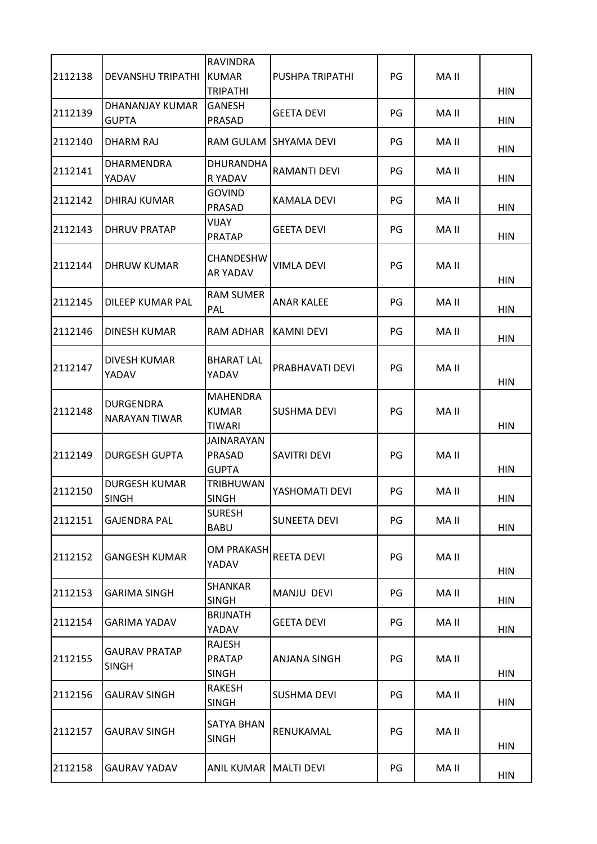| 2112138 | <b>DEVANSHU TRIPATHI</b>             | RAVINDRA<br><b>KUMAR</b>                         | PUSHPA TRIPATHI     | PG | MA II |                          |
|---------|--------------------------------------|--------------------------------------------------|---------------------|----|-------|--------------------------|
| 2112139 | DHANANJAY KUMAR<br><b>GUPTA</b>      | <b>TRIPATHI</b><br><b>GANESH</b><br>PRASAD       | GEETA DEVI          | PG | MA II | <b>HIN</b><br><b>HIN</b> |
| 2112140 | DHARM RAJ                            | RAM GULAM                                        | ISHYAMA DEVI        | PG | MA II | <b>HIN</b>               |
| 2112141 | <b>DHARMENDRA</b><br>YADAV           | <b>DHURANDHA</b><br>R YADAV                      | RAMANTI DEVI        | PG | MA II | <b>HIN</b>               |
| 2112142 | DHIRAJ KUMAR                         | <b>GOVIND</b><br>PRASAD                          | KAMALA DEVI         | PG | MA II | <b>HIN</b>               |
| 2112143 | <b>DHRUV PRATAP</b>                  | <b>VIJAY</b><br><b>PRATAP</b>                    | <b>GEETA DEVI</b>   | PG | MA II | <b>HIN</b>               |
| 2112144 | DHRUW KUMAR                          | CHANDESHW<br><b>AR YADAV</b>                     | VIMLA DEVI          | PG | MA II | <b>HIN</b>               |
| 2112145 | DILEEP KUMAR PAL                     | <b>RAM SUMER</b><br>PAL                          | ANAR KALEE          | PG | MA II | HIN                      |
| 2112146 | DINESH KUMAR                         | RAM ADHAR                                        | KAMNI DEVI          | PG | MA II | <b>HIN</b>               |
| 2112147 | DIVESH KUMAR<br>YADAV                | <b>BHARAT LAL</b><br>YADAV                       | PRABHAVATI DEVI     | PG | MA II | <b>HIN</b>               |
| 2112148 | <b>DURGENDRA</b><br>NARAYAN TIWAR    | <b>MAHENDRA</b><br><b>KUMAR</b><br><b>TIWARI</b> | SUSHMA DEVI         | PG | MA II | <b>HIN</b>               |
| 2112149 | <b>DURGESH GUPTA</b>                 | JAINARAYAN<br>PRASAD<br><b>GUPTA</b>             | SAVITRI DEVI        | PG | MA II | <b>HIN</b>               |
| 2112150 | <b>DURGESH KUMAR</b><br><b>SINGH</b> | <b>TRIBHUWAN</b><br><b>SINGH</b>                 | YASHOMATI DEVI      | PG | MA II | <b>HIN</b>               |
| 2112151 | <b>GAJENDRA PAL</b>                  | <b>SURESH</b><br><b>BABU</b>                     | <b>SUNEETA DEVI</b> | PG | MA II | <b>HIN</b>               |
| 2112152 | <b>GANGESH KUMAR</b>                 | <b>OM PRAKASH</b><br>YADAV                       | <b>REETA DEVI</b>   | PG | MA II | <b>HIN</b>               |
| 2112153 | <b>GARIMA SINGH</b>                  | SHANKAR<br><b>SINGH</b>                          | MANJU DEVI          | PG | MA II | HIN                      |
| 2112154 | GARIMA YADAV                         | <b>BRIJNATH</b><br>YADAV                         | <b>GEETA DEVI</b>   | PG | MA II | <b>HIN</b>               |
| 2112155 | <b>GAURAV PRATAP</b><br><b>SINGH</b> | RAJESH<br><b>PRATAP</b><br><b>SINGH</b>          | ANJANA SINGH        | PG | MA II | <b>HIN</b>               |
| 2112156 | GAURAV SINGH                         | RAKESH<br><b>SINGH</b>                           | SUSHMA DEVI         | PG | MA II | <b>HIN</b>               |
| 2112157 | <b>GAURAV SINGH</b>                  | <b>SATYA BHAN</b><br><b>SINGH</b>                | RENUKAMAL           | PG | MA II | <b>HIN</b>               |
| 2112158 | GAURAV YADAV                         | ANIL KUMAR   MALTI DEVI                          |                     | PG | MA II | <b>HIN</b>               |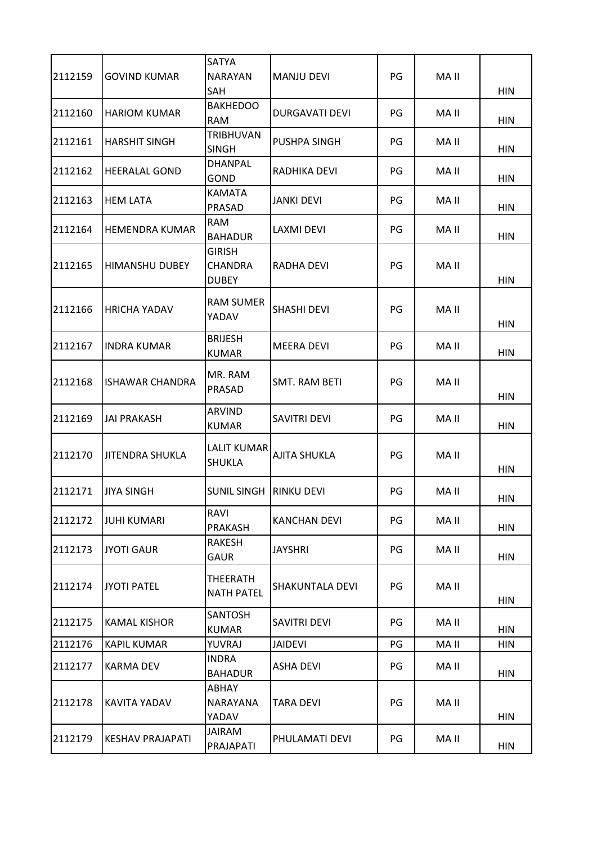| 2112159 | <b>GOVIND KUMAR</b>     | <b>SATYA</b><br><b>NARAYAN</b><br><b>SAH</b>    | <b>MANJU DEVI</b>    | PG | MA II | <b>HIN</b> |
|---------|-------------------------|-------------------------------------------------|----------------------|----|-------|------------|
| 2112160 | <b>HARIOM KUMAR</b>     | <b>BAKHEDOO</b><br><b>RAM</b>                   | DURGAVATI DEVI       | PG | MA II | <b>HIN</b> |
| 2112161 | <b>HARSHIT SINGH</b>    | <b>TRIBHUVAN</b><br><b>SINGH</b>                | PUSHPA SINGH         | PG | MA II | <b>HIN</b> |
| 2112162 | <b>HEERALAL GOND</b>    | <b>DHANPAL</b><br>GOND                          | RADHIKA DEVI         | PG | MA II | <b>HIN</b> |
| 2112163 | <b>HEM LATA</b>         | <b>KAMATA</b><br>PRASAD                         | JANKI DEVI           | PG | MA II | <b>HIN</b> |
| 2112164 | <b>HEMENDRA KUMAR</b>   | <b>RAM</b><br><b>BAHADUR</b>                    | LAXMI DEVI           | PG | MA II | <b>HIN</b> |
| 2112165 | <b>HIMANSHU DUBEY</b>   | <b>GIRISH</b><br><b>CHANDRA</b><br><b>DUBEY</b> | RADHA DEVI           | PG | MA II | <b>HIN</b> |
| 2112166 | <b>HRICHA YADAV</b>     | <b>RAM SUMER</b><br>YADAV                       | <b>SHASHI DEVI</b>   | PG | MA II | <b>HIN</b> |
| 2112167 | <b>INDRA KUMAR</b>      | <b>BRIJESH</b><br><b>KUMAR</b>                  | <b>MEERA DEVI</b>    | PG | MA II | <b>HIN</b> |
| 2112168 | <b>ISHAWAR CHANDRA</b>  | MR. RAM<br>PRASAD                               | <b>SMT. RAM BETI</b> | PG | MA II | HIN        |
| 2112169 | <b>JAI PRAKASH</b>      | <b>ARVIND</b><br><b>KUMAR</b>                   | <b>SAVITRI DEVI</b>  | PG | MA II | <b>HIN</b> |
| 2112170 | <b>JITENDRA SHUKLA</b>  | LALIT KUMAR<br><b>SHUKLA</b>                    | <b>AJITA SHUKLA</b>  | PG | MA II | HIN        |
| 2112171 | <b>JIYA SINGH</b>       | <b>SUNIL SINGH RINKU DEVI</b>                   |                      | PG | MA II | <b>HIN</b> |
| 2112172 | <b>JUHI KUMARI</b>      | RAVI<br>PRAKASH                                 | <b>KANCHAN DEVI</b>  | PG | MA II | <b>HIN</b> |
| 2112173 | <b>JYOTI GAUR</b>       | RAKESH<br><b>GAUR</b>                           | JAYSHRI              | PG | MA II | <b>HIN</b> |
| 2112174 | <b>JYOTI PATEL</b>      | <b>THEERATH</b><br><b>NATH PATEL</b>            | SHAKUNTALA DEVI      | PG | MA II | <b>HIN</b> |
| 2112175 | <b>KAMAL KISHOR</b>     | <b>SANTOSH</b><br><b>KUMAR</b>                  | SAVITRI DEVI         | PG | MA II | <b>HIN</b> |
| 2112176 | <b>KAPIL KUMAR</b>      | YUVRAJ                                          | <b>JAIDEVI</b>       | PG | MA II | <b>HIN</b> |
| 2112177 | <b>KARMA DEV</b>        | <b>INDRA</b><br><b>BAHADUR</b>                  | ASHA DEVI            | PG | MA II | <b>HIN</b> |
| 2112178 | <b>KAVITA YADAV</b>     | <b>ABHAY</b><br>NARAYANA<br>YADAV               | <b>TARA DEVI</b>     | PG | MA II | <b>HIN</b> |
| 2112179 | <b>KESHAV PRAJAPATI</b> | JAIRAM<br>PRAJAPATI                             | PHULAMATI DEVI       | PG | MA II | <b>HIN</b> |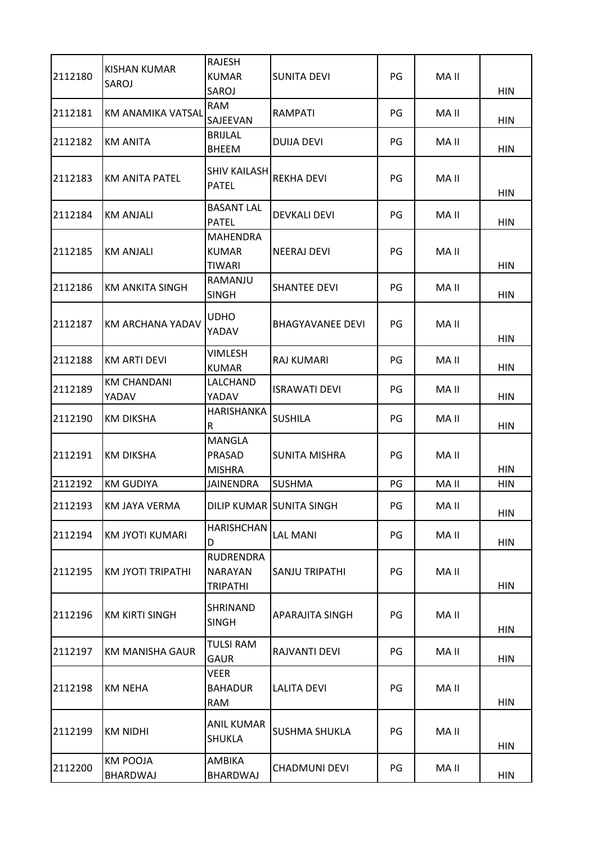| 2112180 | <b>KISHAN KUMAR</b><br>SAROJ       | <b>RAJESH</b><br><b>KUMAR</b><br>SAROJ                | <b>SUNITA DEVI</b>       | PG | MA II | <b>HIN</b> |
|---------|------------------------------------|-------------------------------------------------------|--------------------------|----|-------|------------|
| 2112181 | <b>KM ANAMIKA VATSAL</b>           | <b>RAM</b><br>SAJEEVAN                                | <b>RAMPATI</b>           | PG | MA II | <b>HIN</b> |
| 2112182 | <b>KM ANITA</b>                    | <b>BRIJLAL</b><br><b>BHEEM</b>                        | DUIJA DEVI               | PG | MA II | <b>HIN</b> |
| 2112183 | <b>KM ANITA PATEL</b>              | <b>SHIV KAILASH</b><br><b>PATEL</b>                   | <b>REKHA DEVI</b>        | PG | MA II | <b>HIN</b> |
| 2112184 | <b>KM ANJALI</b>                   | <b>BASANT LAL</b><br><b>PATEL</b>                     | <b>DEVKALI DEVI</b>      | PG | MA II | <b>HIN</b> |
| 2112185 | <b>KM ANJALI</b>                   | <b>MAHENDRA</b><br><b>KUMAR</b><br>TIWARI             | <b>NEERAJ DEVI</b>       | PG | MA II | <b>HIN</b> |
| 2112186 | <b>KM ANKITA SINGH</b>             | RAMANJU<br><b>SINGH</b>                               | <b>SHANTEE DEVI</b>      | PG | MA II | <b>HIN</b> |
| 2112187 | <b>KM ARCHANA YADAV</b>            | UDHO<br>YADAV                                         | <b>BHAGYAVANEE DEVI</b>  | PG | MA II | <b>HIN</b> |
| 2112188 | <b>KM ARTI DEVI</b>                | <b>VIMLESH</b><br><b>KUMAR</b>                        | <b>RAJ KUMARI</b>        | PG | MA II | <b>HIN</b> |
| 2112189 | <b>KM CHANDANI</b><br>YADAV        | LALCHAND<br>YADAV                                     | <b>ISRAWATI DEVI</b>     | PG | MA II | <b>HIN</b> |
| 2112190 | KM DIKSHA                          | <b>HARISHANKA</b><br>R                                | <b>SUSHILA</b>           | PG | MA II | <b>HIN</b> |
| 2112191 | <b>KM DIKSHA</b>                   | <b>MANGLA</b><br>PRASAD<br><b>MISHRA</b>              | <b>SUNITA MISHRA</b>     | PG | MA II | <b>HIN</b> |
| 2112192 | <b>KM GUDIYA</b>                   | <b>JAINENDRA</b>                                      | <b>SUSHMA</b>            | PG | MA II | <b>HIN</b> |
| 2112193 | <b>KM JAYA VERMA</b>               |                                                       | DILIP KUMAR SUNITA SINGH | PG | MA II | <b>HIN</b> |
| 2112194 | <b>KM JYOTI KUMARI</b>             | <b>HARISHCHAN</b><br>D                                | <b>LAL MANI</b>          | PG | MA II | <b>HIN</b> |
| 2112195 | <b>KM JYOTI TRIPATHI</b>           | <b>RUDRENDRA</b><br><b>NARAYAN</b><br><b>TRIPATHI</b> | SANJU TRIPATHI           | PG | MA II | <b>HIN</b> |
| 2112196 | <b>KM KIRTI SINGH</b>              | SHRINAND<br><b>SINGH</b>                              | APARAJITA SINGH          | PG | MA II | <b>HIN</b> |
| 2112197 | <b>KM MANISHA GAUR</b>             | <b>TULSI RAM</b><br><b>GAUR</b>                       | RAJVANTI DEVI            | PG | MA II | HIN        |
| 2112198 | <b>KM NEHA</b>                     | <b>VEER</b><br><b>BAHADUR</b><br><b>RAM</b>           | <b>LALITA DEVI</b>       | PG | MA II | <b>HIN</b> |
| 2112199 | <b>KM NIDHI</b>                    | <b>ANIL KUMAR</b><br><b>SHUKLA</b>                    | <b>SUSHMA SHUKLA</b>     | PG | MA II | <b>HIN</b> |
| 2112200 | <b>KM POOJA</b><br><b>BHARDWAJ</b> | AMBIKA<br>BHARDWAJ                                    | <b>CHADMUNI DEVI</b>     | PG | MA II | HIN        |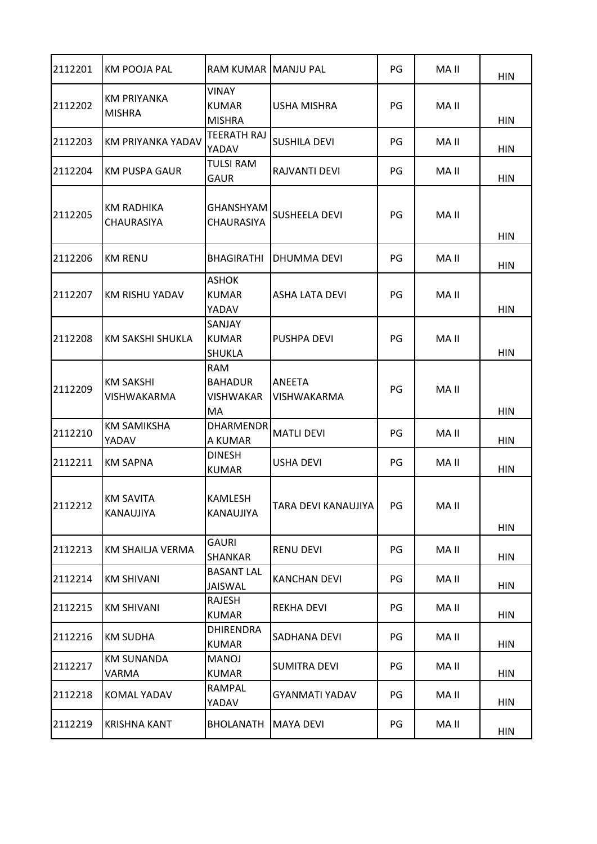| 2112201 | <b>KM POOJA PAL</b>                    | <b>RAM KUMAR</b>                                        | <b>MANJU PAL</b>      | PG  | MA II | <b>HIN</b> |
|---------|----------------------------------------|---------------------------------------------------------|-----------------------|-----|-------|------------|
| 2112202 | <b>KM PRIYANKA</b><br><b>MISHRA</b>    | <b>VINAY</b><br><b>KUMAR</b><br><b>MISHRA</b>           | <b>USHA MISHRA</b>    | PG  | MA II | <b>HIN</b> |
| 2112203 | KM PRIYANKA YADAV                      | <b>TEERATH RAJ</b><br>YADAV                             | <b>SUSHILA DEVI</b>   | PG  | MA II | <b>HIN</b> |
| 2112204 | KM PUSPA GAUR                          | <b>TULSI RAM</b><br><b>GAUR</b>                         | RAJVANTI DEVI         | PG  | MA II | <b>HIN</b> |
| 2112205 | KM RADHIKA<br><b>CHAURASIYA</b>        | GHANSHYAM<br><b>CHAURASIYA</b>                          | <b>SUSHEELA DEVI</b>  | PG  | MA II | HIN        |
| 2112206 | <b>KM RENU</b>                         | <b>BHAGIRATHI</b>                                       | DHUMMA DEVI           | PG  | MA II | <b>HIN</b> |
| 2112207 | <b>KM RISHU YADAV</b>                  | <b>ASHOK</b><br><b>KUMAR</b><br>YADAV                   | <b>ASHA LATA DEVI</b> | PG  | MA II | <b>HIN</b> |
| 2112208 | <b>KM SAKSHI SHUKLA</b>                | SANJAY<br><b>KUMAR</b><br><b>SHUKLA</b>                 | <b>PUSHPA DEVI</b>    | PG  | MA II | <b>HIN</b> |
| 2112209 | <b>KM SAKSHI</b><br><b>VISHWAKARMA</b> | <b>RAM</b><br><b>BAHADUR</b><br><b>VISHWAKAR</b><br>MA. | ANEETA<br>VISHWAKARMA | PG  | MA II | <b>HIN</b> |
| 2112210 | <b>KM SAMIKSHA</b><br>YADAV            | <b>DHARMENDR</b><br>A KUMAR                             | <b>MATLI DEVI</b>     | PG  | MA II | HIN        |
| 2112211 | <b>KM SAPNA</b>                        | <b>DINESH</b><br><b>KUMAR</b>                           | <b>USHA DEVI</b>      | PG  | MA II | <b>HIN</b> |
| 2112212 | KM SAVITA<br>KANAUJIYA                 | <b>KAMLESH</b><br>KANAUJIYA                             | TARA DEVI KANAUJIYA   | PG. | MA II | <b>HIN</b> |
| 2112213 | KM SHAILJA VERMA                       | <b>GAURI</b><br><b>SHANKAR</b>                          | RENU DEVI             | PG  | MA II | <b>HIN</b> |
| 2112214 | <b>KM SHIVANI</b>                      | <b>BASANT LAL</b><br><b>JAISWAL</b>                     | <b>KANCHAN DEVI</b>   | PG  | MA II | <b>HIN</b> |
| 2112215 | <b>KM SHIVANI</b>                      | RAJESH<br><b>KUMAR</b>                                  | REKHA DEVI            | PG  | MA II | <b>HIN</b> |
| 2112216 | <b>KM SUDHA</b>                        | <b>DHIRENDRA</b><br>KUMAR                               | SADHANA DEVI          | PG  | MA II | HIN        |
| 2112217 | <b>KM SUNANDA</b><br>VARMA             | MANOJ<br><b>KUMAR</b>                                   | <b>SUMITRA DEVI</b>   | PG  | MA II | <b>HIN</b> |
| 2112218 | KOMAL YADAV                            | RAMPAL<br>YADAV                                         | GYANMATI YADAV        | PG  | MA II | HIN        |
| 2112219 | <b>KRISHNA KANT</b>                    | <b>BHOLANATH</b>                                        | MAYA DEVI             | PG  | MA II | HIN        |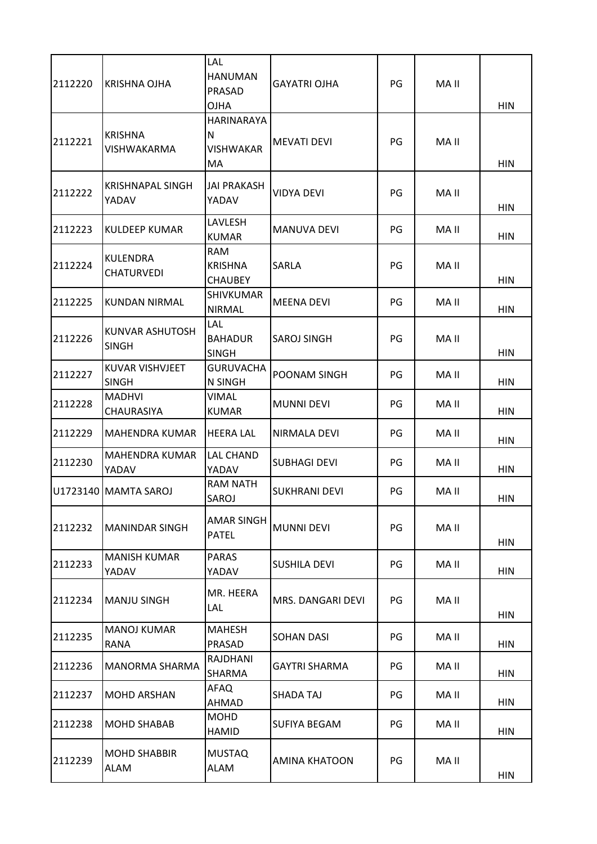| 2112220 | KRISHNA OJHA                    | LAL<br><b>HANUMAN</b><br>PRASAD<br><b>OJHA</b>    | <b>GAYATRI OJHA</b>  | PG | MA II | <b>HIN</b> |
|---------|---------------------------------|---------------------------------------------------|----------------------|----|-------|------------|
| 2112221 | <b>KRISHNA</b><br>VISHWAKARMA   | <b>HARINARAYA</b><br>N<br><b>VISHWAKAR</b><br>MA. | <b>MEVATI DEVI</b>   | PG | MA II | <b>HIN</b> |
| 2112222 | KRISHNAPAL SINGH<br>YADAV       | <b>JAI PRAKASH</b><br>YADAV                       | <b>VIDYA DEVI</b>    | PG | MA II | <b>HIN</b> |
| 2112223 | <b>KULDEEP KUMAR</b>            | LAVLESH<br><b>KUMAR</b>                           | <b>MANUVA DEVI</b>   | PG | MA II | HIN        |
| 2112224 | KULENDRA<br><b>CHATURVEDI</b>   | <b>RAM</b><br><b>KRISHNA</b><br><b>CHAUBEY</b>    | SARLA                | PG | MA II | <b>HIN</b> |
| 2112225 | <b>KUNDAN NIRMAL</b>            | <b>SHIVKUMAR</b><br><b>NIRMAL</b>                 | <b>MEENA DEVI</b>    | PG | MA II | <b>HIN</b> |
| 2112226 | KUNVAR ASHUTOSH<br>SINGH        | <b>LAL</b><br><b>BAHADUR</b><br><b>SINGH</b>      | <b>SAROJ SINGH</b>   | PG | MA II | <b>HIN</b> |
| 2112227 | KUVAR VISHVJEET<br><b>SINGH</b> | <b>GURUVACHA</b><br>N SINGH                       | POONAM SINGH         | PG | MA II | <b>HIN</b> |
| 2112228 | <b>MADHVI</b><br>CHAURASIYA     | <b>VIMAL</b><br><b>KUMAR</b>                      | <b>MUNNI DEVI</b>    | PG | MA II | <b>HIN</b> |
| 2112229 | MAHENDRA KUMAR                  | <b>HEERA LAL</b>                                  | NIRMALA DEVI         | PG | MA II | <b>HIN</b> |
| 2112230 | MAHENDRA KUMAR<br>YADAV         | <b>LAL CHAND</b><br>YADAV                         | <b>SUBHAGI DEVI</b>  | PG | MA II | HIN        |
|         | U1723140 MAMTA SAROJ            | <b>RAM NATH</b><br>SAROJ                          | <b>SUKHRANI DEVI</b> | PG | MA II | HIN        |
| 2112232 | <b>MANINDAR SINGH</b>           | AMAR SINGH<br><b>PATEL</b>                        | <b>MUNNI DEVI</b>    | PG | MA II | HIN        |
| 2112233 | <b>MANISH KUMAR</b><br>YADAV    | <b>PARAS</b><br>YADAV                             | <b>SUSHILA DEVI</b>  | PG | MA II | HIN        |
| 2112234 | MANJU SINGH                     | MR. HEERA<br>LAL                                  | MRS. DANGARI DEVI    | PG | MA II | HIN        |
| 2112235 | <b>MANOJ KUMAR</b><br>RANA      | <b>MAHESH</b><br>PRASAD                           | <b>SOHAN DASI</b>    | PG | MA II | HIN        |
| 2112236 | MANORMA SHARMA                  | RAJDHANI<br>SHARMA                                | <b>GAYTRI SHARMA</b> | PG | MA II | HIN        |
| 2112237 | <b>MOHD ARSHAN</b>              | AFAQ<br>AHMAD                                     | SHADA TAJ            | PG | MA II | HIN        |
| 2112238 | <b>MOHD SHABAB</b>              | <b>MOHD</b><br><b>HAMID</b>                       | SUFIYA BEGAM         | PG | MA II | <b>HIN</b> |
| 2112239 | <b>MOHD SHABBIR</b><br>ALAM     | <b>MUSTAQ</b><br>ALAM                             | <b>AMINA KHATOON</b> | PG | MA II | <b>HIN</b> |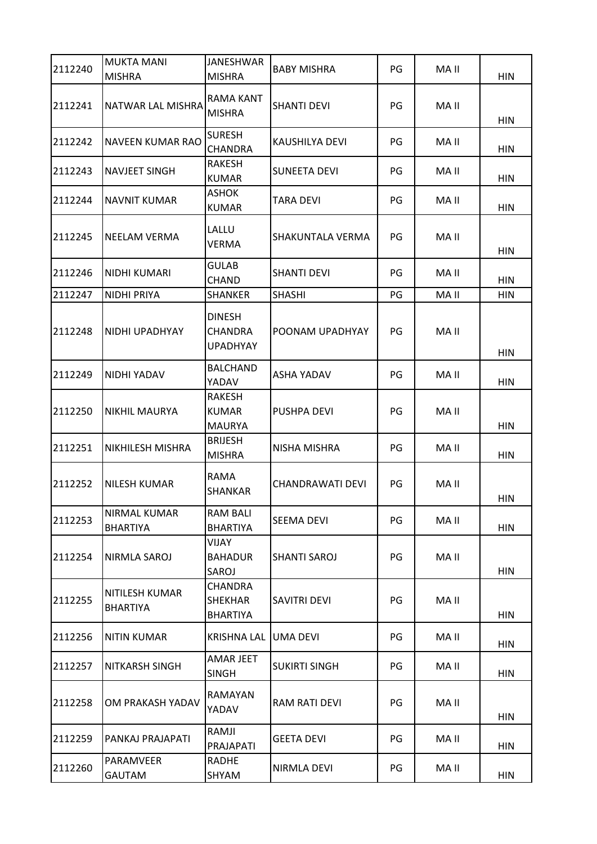| 2112240 | <b>MUKTA MANI</b><br><b>MISHRA</b>     | <b>JANESHWAR</b><br><b>MISHRA</b>                   | <b>BABY MISHRA</b>   | PG | MA II | <b>HIN</b> |
|---------|----------------------------------------|-----------------------------------------------------|----------------------|----|-------|------------|
| 2112241 | <b>NATWAR LAL MISHRA</b>               | <b>RAMA KANT</b><br><b>MISHRA</b>                   | <b>SHANTI DEVI</b>   | PG | MA II | <b>HIN</b> |
| 2112242 | <b>NAVEEN KUMAR RAO</b>                | <b>SURESH</b><br><b>CHANDRA</b>                     | KAUSHILYA DEVI       | PG | MA II | <b>HIN</b> |
| 2112243 | <b>NAVJEET SINGH</b>                   | RAKESH<br><b>KUMAR</b>                              | <b>SUNEETA DEVI</b>  | PG | MA II | <b>HIN</b> |
| 2112244 | NAVNIT KUMAR                           | <b>ASHOK</b><br><b>KUMAR</b>                        | TARA DEVI            | PG | MA II | <b>HIN</b> |
| 2112245 | <b>NEELAM VERMA</b>                    | LALLU<br>VERMA                                      | SHAKUNTALA VERMA     | PG | MA II | <b>HIN</b> |
| 2112246 | NIDHI KUMARI                           | <b>GULAB</b><br><b>CHAND</b>                        | <b>SHANTI DEVI</b>   | PG | MA II | <b>HIN</b> |
| 2112247 | <b>NIDHI PRIYA</b>                     | <b>SHANKER</b>                                      | <b>SHASHI</b>        | PG | MA II | <b>HIN</b> |
| 2112248 | NIDHI UPADHYAY                         | <b>DINESH</b><br><b>CHANDRA</b><br><b>UPADHYAY</b>  | POONAM UPADHYAY      | PG | MA II | <b>HIN</b> |
| 2112249 | NIDHI YADAV                            | <b>BALCHAND</b><br>YADAV                            | ASHA YADAV           | PG | MA II | <b>HIN</b> |
| 2112250 | INIKHIL MAURYA                         | RAKESH<br><b>KUMAR</b><br><b>MAURYA</b>             | <b>PUSHPA DEVI</b>   | PG | MA II | <b>HIN</b> |
| 2112251 | <b>NIKHILESH MISHRA</b>                | <b>BRIJESH</b><br><b>MISHRA</b>                     | NISHA MISHRA         | PG | MA II | <b>HIN</b> |
| 2112252 | <b>NILESH KUMAR</b>                    | RAMA<br>SHANKAR                                     | CHANDRAWATI DEVI     | PG | MA II | HIN        |
| 2112253 | <b>NIRMAL KUMAR</b><br><b>BHARTIYA</b> | <b>RAM BALI</b><br><b>BHARTIYA</b>                  | <b>SEEMA DEVI</b>    | PG | MA II | <b>HIN</b> |
| 2112254 | NIRMLA SAROJ                           | VIJAY<br><b>BAHADUR</b><br>SAROJ                    | <b>SHANTI SAROJ</b>  | PG | MA II | HIN        |
| 2112255 | NITILESH KUMAR<br><b>BHARTIYA</b>      | <b>CHANDRA</b><br><b>SHEKHAR</b><br><b>BHARTIYA</b> | SAVITRI DEVI         | PG | MA II | <b>HIN</b> |
| 2112256 | <b>NITIN KUMAR</b>                     | <b>KRISHNA LAL</b>                                  | <b>UMA DEVI</b>      | PG | MA II | HIN        |
| 2112257 | <b>NITKARSH SINGH</b>                  | AMAR JEET<br><b>SINGH</b>                           | <b>SUKIRTI SINGH</b> | PG | MA II | <b>HIN</b> |
| 2112258 | OM PRAKASH YADAV                       | RAMAYAN<br>YADAV                                    | <b>RAM RATI DEVI</b> | PG | MA II | HIN        |
| 2112259 | PANKAJ PRAJAPATI                       | RAMJI<br>PRAJAPATI                                  | <b>GEETA DEVI</b>    | PG | MA II | HIN        |
| 2112260 | PARAMVEER<br>GAUTAM                    | <b>RADHE</b><br>SHYAM                               | NIRMLA DEVI          | PG | MA II | <b>HIN</b> |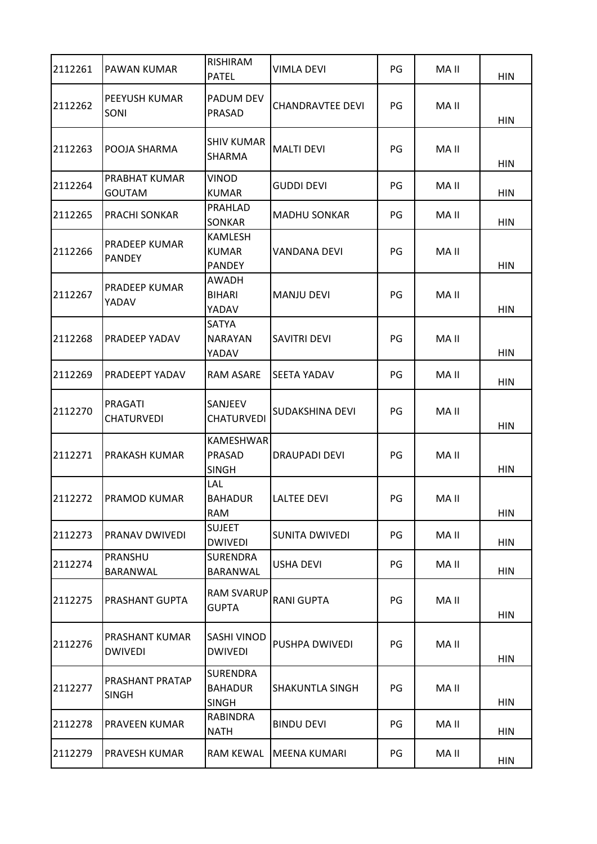| 2112261 | PAWAN KUMAR                      | RISHIRAM<br><b>PATEL</b>                          | VIMLA DEVI              | PG | MA II | <b>HIN</b> |
|---------|----------------------------------|---------------------------------------------------|-------------------------|----|-------|------------|
| 2112262 | PEEYUSH KUMAR<br>SONI            | <b>PADUM DEV</b><br>PRASAD                        | <b>CHANDRAVTEE DEVI</b> | PG | MA II | <b>HIN</b> |
| 2112263 | POOJA SHARMA                     | <b>SHIV KUMAR</b><br>SHARMA                       | <b>MALTI DEVI</b>       | PG | MA II | <b>HIN</b> |
| 2112264 | PRABHAT KUMAR<br>GOUTAM          | <b>VINOD</b><br><b>KUMAR</b>                      | <b>GUDDI DEVI</b>       | PG | MA II | <b>HIN</b> |
| 2112265 | PRACHI SONKAR                    | <b>PRAHLAD</b><br>SONKAR                          | <b>MADHU SONKAR</b>     | PG | MA II | <b>HIN</b> |
| 2112266 | PRADEEP KUMAR<br><b>PANDEY</b>   | <b>KAMLESH</b><br><b>KUMAR</b><br><b>PANDEY</b>   | VANDANA DEVI            | PG | MA II | <b>HIN</b> |
| 2112267 | PRADEEP KUMAR<br>YADAV           | <b>AWADH</b><br><b>BIHARI</b><br>YADAV            | <b>MANJU DEVI</b>       | PG | MA II | <b>HIN</b> |
| 2112268 | PRADEEP YADAV                    | <b>SATYA</b><br><b>NARAYAN</b><br>YADAV           | SAVITRI DEVI            | PG | MA II | <b>HIN</b> |
| 2112269 | PRADEEPT YADAV                   | <b>RAM ASARE</b>                                  | SEETA YADAV             | PG | MA II | <b>HIN</b> |
| 2112270 | PRAGATI<br><b>CHATURVEDI</b>     | <b>SANJEEV</b><br><b>CHATURVEDI</b>               | SUDAKSHINA DEVI         | PG | MA II | <b>HIN</b> |
| 2112271 | PRAKASH KUMAR                    | <b>KAMESHWAR</b><br><b>PRASAD</b><br><b>SINGH</b> | <b>DRAUPADI DEVI</b>    | PG | MA II | <b>HIN</b> |
| 2112272 | PRAMOD KUMAR                     | LAL<br><b>BAHADUR</b><br><b>RAM</b>               | <b>LALTEE DEVI</b>      | PG | MA II | <b>HIN</b> |
| 2112273 | PRANAV DWIVEDI                   | <b>SUJEET</b><br><b>DWIVEDI</b>                   | SUNITA DWIVEDI          | PG | MA II | HIN        |
| 2112274 | PRANSHU<br>BARANWAL              | <b>SURENDRA</b><br>BARANWAL                       | <b>USHA DEVI</b>        | PG | MA II | HIN        |
| 2112275 | PRASHANT GUPTA                   | <b>RAM SVARUP</b><br><b>GUPTA</b>                 | <b>RANI GUPTA</b>       | PG | MA II | <b>HIN</b> |
| 2112276 | PRASHANT KUMAR<br><b>DWIVEDI</b> | <b>SASHI VINOD</b><br><b>DWIVEDI</b>              | PUSHPA DWIVEDI          | PG | MA II | <b>HIN</b> |
| 2112277 | PRASHANT PRATAP<br><b>SINGH</b>  | <b>SURENDRA</b><br><b>BAHADUR</b><br><b>SINGH</b> | <b>SHAKUNTLA SINGH</b>  | PG | MA II | <b>HIN</b> |
| 2112278 | PRAVEEN KUMAR                    | <b>RABINDRA</b><br><b>NATH</b>                    | <b>BINDU DEVI</b>       | PG | MA II | HIN        |
| 2112279 | PRAVESH KUMAR                    | <b>RAM KEWAL</b>                                  | MEENA KUMARI            | PG | MA II | <b>HIN</b> |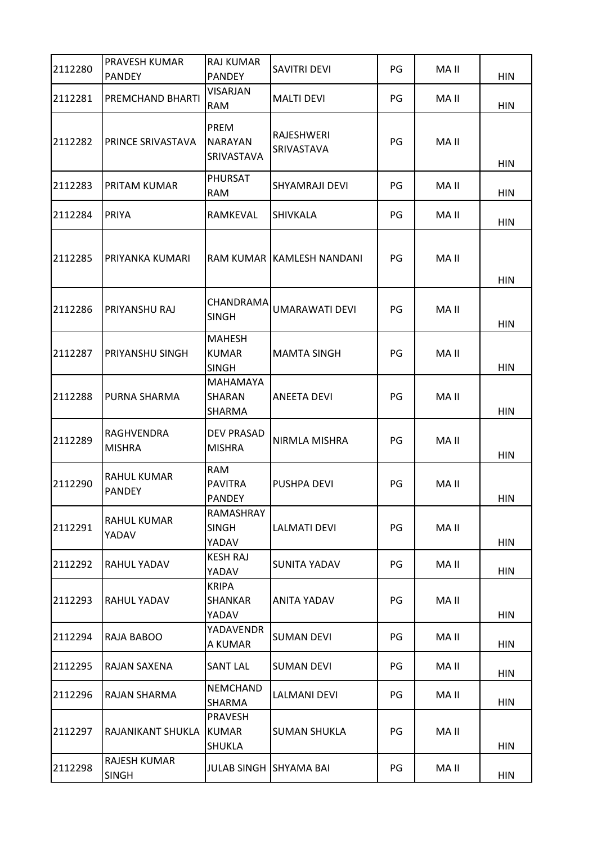| 2112280 | PRAVESH KUMAR<br><b>PANDEY</b> | <b>RAJ KUMAR</b><br><b>PANDEY</b>                 | <b>SAVITRI DEVI</b>       | PG | MA II | <b>HIN</b> |
|---------|--------------------------------|---------------------------------------------------|---------------------------|----|-------|------------|
| 2112281 | PREMCHAND BHARTI               | <b>VISARJAN</b><br><b>RAM</b>                     | <b>MALTI DEVI</b>         | PG | MA II | <b>HIN</b> |
| 2112282 | PRINCE SRIVASTAVA              | <b>PREM</b><br><b>INARAYAN</b><br>SRIVASTAVA      | RAJESHWERI<br>SRIVASTAVA  | PG | MA II | <b>HIN</b> |
| 2112283 | PRITAM KUMAR                   | PHURSAT<br><b>RAM</b>                             | <b>SHYAMRAJI DEVI</b>     | PG | MA II | HIN        |
| 2112284 | PRIYA                          | RAMKEVAL                                          | <b>SHIVKALA</b>           | PG | MA II | <b>HIN</b> |
| 2112285 | PRIYANKA KUMARI                |                                                   | RAM KUMAR KAMLESH NANDANI | PG | MA II | <b>HIN</b> |
| 2112286 | PRIYANSHU RAJ                  | CHANDRAMA<br><b>SINGH</b>                         | <b>UMARAWATI DEVI</b>     | PG | MA II | <b>HIN</b> |
| 2112287 | PRIYANSHU SINGH                | <b>MAHESH</b><br><b>KUMAR</b><br><b>SINGH</b>     | <b>MAMTA SINGH</b>        | PG | MA II | <b>HIN</b> |
| 2112288 | PURNA SHARMA                   | <b>MAHAMAYA</b><br><b>SHARAN</b><br><b>SHARMA</b> | ANEETA DEVI               | PG | MA II | <b>HIN</b> |
| 2112289 | RAGHVENDRA<br><b>MISHRA</b>    | <b>DEV PRASAD</b><br><b>MISHRA</b>                | NIRMLA MISHRA             | PG | MA II | <b>HIN</b> |
| 2112290 | RAHUL KUMAR<br><b>PANDEY</b>   | <b>RAM</b><br><b>PAVITRA</b><br><b>PANDEY</b>     | PUSHPA DEVI               | PG | MA II | HIN        |
| 2112291 | RAHUL KUMAR<br>YADAV           | RAMASHRAY<br><b>SINGH</b><br>YADAV                | LALMATI DEVI              | PG | MA II | HIN        |
| 2112292 | RAHUL YADAV                    | <b>KESH RAJ</b><br>YADAV                          | SUNITA YADAV              | PG | MA II | HIN        |
| 2112293 | RAHUL YADAV                    | <b>KRIPA</b><br><b>SHANKAR</b><br>YADAV           | ANITA YADAV               | PG | MA II | HIN        |
| 2112294 | RAJA BABOO                     | YADAVENDR<br>A KUMAR                              | <b>SUMAN DEVI</b>         | PG | MA II | HIN        |
| 2112295 | RAJAN SAXENA                   | <b>SANT LAL</b>                                   | <b>SUMAN DEVI</b>         | PG | MA II | HIN        |
| 2112296 | RAJAN SHARMA                   | <b>NEMCHAND</b><br>SHARMA                         | <b>LALMANI DEVI</b>       | PG | MA II | <b>HIN</b> |
| 2112297 | RAJANIKANT SHUKLA              | <b>PRAVESH</b><br><b>KUMAR</b><br><b>SHUKLA</b>   | <b>SUMAN SHUKLA</b>       | PG | MA II | HIN        |
| 2112298 | RAJESH KUMAR<br><b>SINGH</b>   | <b>JULAB SINGH SHYAMA BAI</b>                     |                           | PG | MA II | <b>HIN</b> |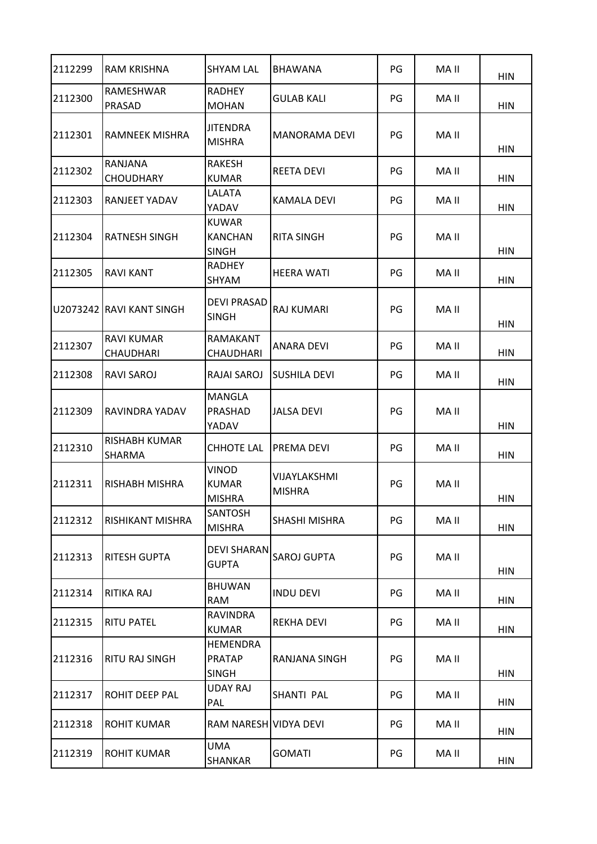| 2112299 | RAM KRISHNA                           | <b>SHYAM LAL</b>                                 | <b>BHAWANA</b>                | PG | MA II | <b>HIN</b> |
|---------|---------------------------------------|--------------------------------------------------|-------------------------------|----|-------|------------|
| 2112300 | <b>RAMESHWAR</b><br>PRASAD            | <b>RADHEY</b><br><b>MOHAN</b>                    | <b>GULAB KALI</b>             | PG | MA II | <b>HIN</b> |
| 2112301 | RAMNEEK MISHRA                        | <b>JITENDRA</b><br><b>MISHRA</b>                 | <b>MANORAMA DEVI</b>          | PG | MA II | <b>HIN</b> |
| 2112302 | RANJANA<br><b>CHOUDHARY</b>           | RAKESH<br><b>KUMAR</b>                           | REETA DEVI                    | PG | MA II | <b>HIN</b> |
| 2112303 | <b>RANJEET YADAV</b>                  | LALATA<br>YADAV                                  | <b>KAMALA DEVI</b>            | PG | MA II | <b>HIN</b> |
| 2112304 | <b>RATNESH SINGH</b>                  | <b>KUWAR</b><br><b>KANCHAN</b><br><b>SINGH</b>   | <b>RITA SINGH</b>             | PG | MA II | <b>HIN</b> |
| 2112305 | <b>RAVI KANT</b>                      | <b>RADHEY</b><br>SHYAM                           | <b>HEERA WATI</b>             | PG | MA II | <b>HIN</b> |
|         | U2073242 RAVI KANT SINGH              | <b>DEVI PRASAD</b><br><b>SINGH</b>               | <b>RAJ KUMARI</b>             | PG | MA II | HIN        |
| 2112307 | <b>RAVI KUMAR</b><br><b>CHAUDHARI</b> | RAMAKANT<br>CHAUDHARI                            | <b>ANARA DEVI</b>             | PG | MA II | <b>HIN</b> |
| 2112308 | RAVI SAROJ                            | RAJAI SAROJ                                      | SUSHILA DEVI                  | PG | MA II | <b>HIN</b> |
| 2112309 | RAVINDRA YADAV                        | MANGLA<br>PRASHAD<br>YADAV                       | JALSA DEVI                    | PG | MA II | <b>HIN</b> |
| 2112310 | RISHABH KUMAR<br><b>SHARMA</b>        | <b>CHHOTE LAL</b>                                | PREMA DEVI                    | PG | MA II | <b>HIN</b> |
| 2112311 | RISHABH MISHRA                        | <b>VINOD</b><br><b>KUMAR</b><br><b>MISHRA</b>    | VIJAYLAKSHMI<br><b>MISHRA</b> | PG | MA II | <b>HIN</b> |
| 2112312 | RISHIKANT MISHRA                      | <b>SANTOSH</b><br><b>MISHRA</b>                  | SHASHI MISHRA                 | PG | MA II | <b>HIN</b> |
| 2112313 | <b>RITESH GUPTA</b>                   | <b>DEVI SHARAN</b><br><b>GUPTA</b>               | <b>SAROJ GUPTA</b>            | PG | MA II | <b>HIN</b> |
| 2112314 | RITIKA RAJ                            | <b>BHUWAN</b><br><b>RAM</b>                      | <b>INDU DEVI</b>              | PG | MA II | <b>HIN</b> |
| 2112315 | <b>RITU PATEL</b>                     | <b>RAVINDRA</b><br><b>KUMAR</b>                  | REKHA DEVI                    | PG | MA II | <b>HIN</b> |
| 2112316 | <b>RITU RAJ SINGH</b>                 | <b>HEMENDRA</b><br><b>PRATAP</b><br><b>SINGH</b> | RANJANA SINGH                 | PG | MA II | <b>HIN</b> |
| 2112317 | ROHIT DEEP PAL                        | <b>UDAY RAJ</b><br>PAL                           | SHANTI PAL                    | PG | MA II | <b>HIN</b> |
| 2112318 | <b>ROHIT KUMAR</b>                    | RAM NARESH VIDYA DEVI                            |                               | PG | MA II | <b>HIN</b> |
| 2112319 | <b>ROHIT KUMAR</b>                    | <b>UMA</b><br>SHANKAR                            | <b>GOMATI</b>                 | PG | MA II | <b>HIN</b> |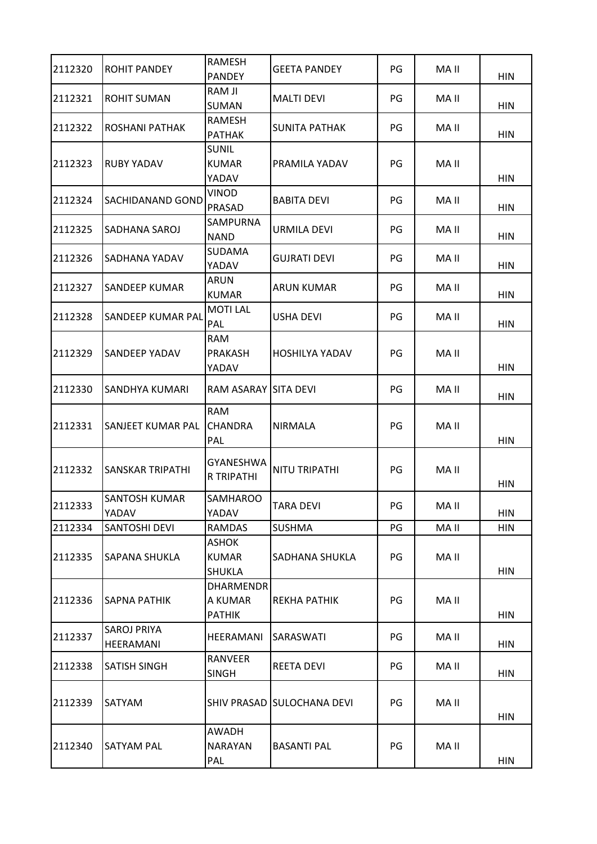| 2112320 | <b>ROHIT PANDEY</b>             | <b>RAMESH</b><br><b>PANDEY</b>                | <b>GEETA PANDEY</b>        | PG | MA II | <b>HIN</b> |
|---------|---------------------------------|-----------------------------------------------|----------------------------|----|-------|------------|
| 2112321 | ROHIT SUMAN                     | RAM JI<br><b>SUMAN</b>                        | <b>MALTI DEVI</b>          | PG | MA II | <b>HIN</b> |
| 2112322 | ROSHANI PATHAK                  | RAMESH<br><b>PATHAK</b>                       | <b>SUNITA PATHAK</b>       | PG | MA II | <b>HIN</b> |
| 2112323 | <b>RUBY YADAV</b>               | <b>SUNIL</b><br><b>KUMAR</b><br>YADAV         | PRAMILA YADAV              | PG | MA II | <b>HIN</b> |
| 2112324 | <b>SACHIDANAND GOND</b>         | <b>VINOD</b><br>PRASAD                        | <b>BABITA DEVI</b>         | PG | MA II | <b>HIN</b> |
| 2112325 | SADHANA SAROJ                   | SAMPURNA<br><b>NAND</b>                       | URMILA DEVI                | PG | MA II | <b>HIN</b> |
| 2112326 | SADHANA YADAV                   | <b>SUDAMA</b><br>YADAV                        | <b>GUJRATI DEVI</b>        | PG | MA II | <b>HIN</b> |
| 2112327 | <b>SANDEEP KUMAR</b>            | <b>ARUN</b><br><b>KUMAR</b>                   | <b>ARUN KUMAR</b>          | PG | MA II | <b>HIN</b> |
| 2112328 | <b>SANDEEP KUMAR PAL</b>        | <b>MOTI LAL</b><br>PAL                        | <b>USHA DEVI</b>           | PG | MA II | <b>HIN</b> |
| 2112329 | <b>SANDEEP YADAV</b>            | <b>RAM</b><br><b>PRAKASH</b><br>YADAV         | HOSHILYA YADAV             | PG | MA II | <b>HIN</b> |
| 2112330 | ISANDHYA KUMARI                 | RAM ASARAY SITA DEVI                          |                            | PG | MA II | HIN        |
| 2112331 | <b>SANJEET KUMAR PAL</b>        | <b>RAM</b><br><b>CHANDRA</b><br>PAL           | <b>NIRMALA</b>             | PG | MA II | <b>HIN</b> |
| 2112332 | <b>SANSKAR TRIPATHI</b>         | <b>GYANESHWA</b><br>R TRIPATHI                | <b>NITU TRIPATHI</b>       | PG | MA II | <b>HIN</b> |
| 2112333 | <b>SANTOSH KUMAR</b><br>YADAV   | <b>SAMHAROO</b><br>YADAV                      | TARA DEVI                  | PG | MA II | <b>HIN</b> |
| 2112334 | <b>SANTOSHI DEVI</b>            | <b>RAMDAS</b>                                 | <b>SUSHMA</b>              | PG | MA II | <b>HIN</b> |
| 2112335 | <b>SAPANA SHUKLA</b>            | <b>ASHOK</b><br><b>KUMAR</b><br><b>SHUKLA</b> | SADHANA SHUKLA             | PG | MA II | <b>HIN</b> |
| 2112336 | <b>SAPNA PATHIK</b>             | <b>DHARMENDR</b><br>A KUMAR<br><b>PATHIK</b>  | REKHA PATHIK               | PG | MA II | <b>HIN</b> |
| 2112337 | <b>SAROJ PRIYA</b><br>HEERAMANI | HEERAMANI                                     | SARASWATI                  | PG | MA II | <b>HIN</b> |
| 2112338 | <b>SATISH SINGH</b>             | RANVEER<br><b>SINGH</b>                       | <b>REETA DEVI</b>          | PG | MA II | <b>HIN</b> |
| 2112339 | SATYAM                          |                                               | SHIV PRASAD SULOCHANA DEVI | PG | MA II | <b>HIN</b> |
| 2112340 | <b>SATYAM PAL</b>               | AWADH<br><b>NARAYAN</b><br>PAL                | <b>BASANTI PAL</b>         | PG | MA II | <b>HIN</b> |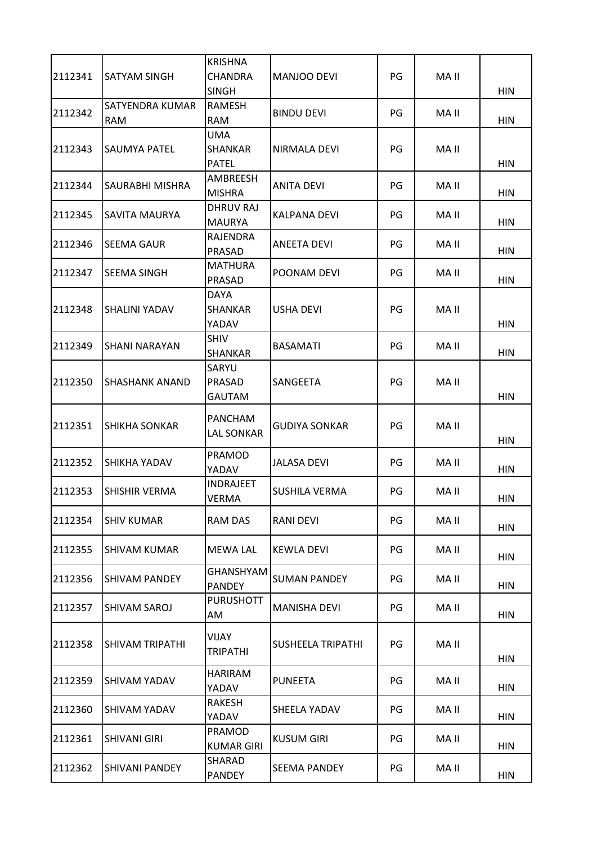| 2112341 | SATYAM SINGH                  | <b>KRISHNA</b><br><b>CHANDRA</b>             | MANJOO DEVI          | PG | MA II |            |
|---------|-------------------------------|----------------------------------------------|----------------------|----|-------|------------|
|         |                               | <b>SINGH</b>                                 |                      |    |       | <b>HIN</b> |
| 2112342 | SATYENDRA KUMAR<br><b>RAM</b> | <b>RAMESH</b><br><b>RAM</b>                  | <b>BINDU DEVI</b>    | PG | MA II | <b>HIN</b> |
| 2112343 | SAUMYA PATEL                  | <b>UMA</b><br><b>SHANKAR</b><br><b>PATEL</b> | NIRMALA DEVI         | PG | MA II | <b>HIN</b> |
| 2112344 | SAURABHI MISHRA               | AMBREESH<br><b>MISHRA</b>                    | <b>ANITA DEVI</b>    | PG | MA II | <b>HIN</b> |
| 2112345 | SAVITA MAURYA                 | <b>DHRUV RAJ</b><br><b>MAURYA</b>            | KALPANA DEVI         | PG | MA II | <b>HIN</b> |
| 2112346 | SEEMA GAUR                    | <b>RAJENDRA</b><br>PRASAD                    | <b>ANEETA DEVI</b>   | PG | MA II | <b>HIN</b> |
| 2112347 | <b>SEEMA SINGH</b>            | <b>MATHURA</b><br>PRASAD                     | POONAM DEVI          | PG | MA II | <b>HIN</b> |
| 2112348 | <b>SHALINI YADAV</b>          | <b>DAYA</b><br><b>SHANKAR</b><br>YADAV       | <b>USHA DEVI</b>     | PG | MA II | <b>HIN</b> |
| 2112349 | SHANI NARAYAN                 | <b>SHIV</b><br><b>SHANKAR</b>                | <b>BASAMATI</b>      | PG | MA II | <b>HIN</b> |
| 2112350 | SHASHANK ANAND                | SARYU<br>PRASAD<br><b>GAUTAM</b>             | SANGEETA             | PG | MA II | <b>HIN</b> |
| 2112351 | <b>SHIKHA SONKAR</b>          | <b>PANCHAM</b><br><b>LAL SONKAR</b>          | <b>GUDIYA SONKAR</b> | PG | MA II | <b>HIN</b> |
| 2112352 | <b>SHIKHA YADAV</b>           | PRAMOD<br>YADAV                              | <b>JALASA DEVI</b>   | PG | MA II | <b>HIN</b> |
| 2112353 | SHISHIR VERMA                 | <b>INDRAJEET</b><br><b>VERMA</b>             | <b>SUSHILA VERMA</b> | PG | MA II | HIN        |
| 2112354 | <b>SHIV KUMAR</b>             | RAM DAS                                      | RANI DEVI            | PG | MA II | <b>HIN</b> |
| 2112355 | <b>SHIVAM KUMAR</b>           | <b>MEWA LAL</b>                              | <b>KEWLA DEVI</b>    | PG | MA II | HIN        |
| 2112356 | SHIVAM PANDEY                 | GHANSHYAM<br><b>PANDEY</b>                   | <b>SUMAN PANDEY</b>  | PG | MA II | <b>HIN</b> |
| 2112357 | SHIVAM SAROJ                  | <b>PURUSHOTT</b><br>AM                       | <b>MANISHA DEVI</b>  | PG | MA II | HIN        |
| 2112358 | SHIVAM TRIPATHI               | <b>VIJAY</b><br><b>TRIPATHI</b>              | SUSHEELA TRIPATHI    | PG | MA II | <b>HIN</b> |
| 2112359 | SHIVAM YADAV                  | <b>HARIRAM</b><br>YADAV                      | <b>PUNEETA</b>       | PG | MA II | HIN        |
| 2112360 | SHIVAM YADAV                  | RAKESH<br>YADAV                              | SHEELA YADAV         | PG | MA II | <b>HIN</b> |
| 2112361 | <b>SHIVANI GIRI</b>           | <b>PRAMOD</b><br><b>KUMAR GIRI</b>           | <b>KUSUM GIRI</b>    | PG | MA II | HIN        |
| 2112362 | SHIVANI PANDEY                | SHARAD<br><b>PANDEY</b>                      | <b>SEEMA PANDEY</b>  | PG | MA II | <b>HIN</b> |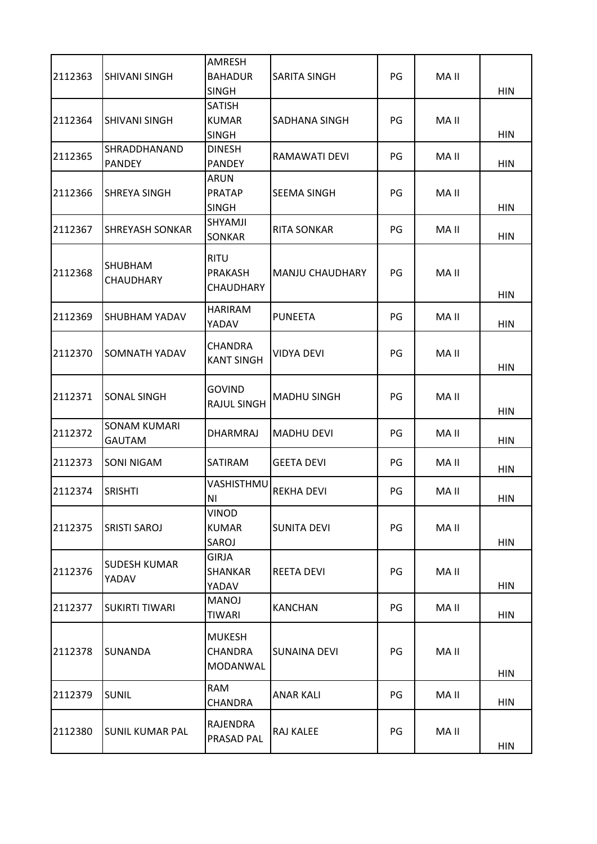| 2112363 | <b>SHIVANI SINGH</b>               | AMRESH<br><b>BAHADUR</b><br><b>SINGH</b>          | SARITA SINGH           | PG | MA II | <b>HIN</b> |
|---------|------------------------------------|---------------------------------------------------|------------------------|----|-------|------------|
| 2112364 | <b>SHIVANI SINGH</b>               | <b>SATISH</b><br><b>KUMAR</b><br><b>SINGH</b>     | SADHANA SINGH          | PG | MA II | <b>HIN</b> |
| 2112365 | SHRADDHANAND<br><b>PANDEY</b>      | <b>DINESH</b><br><b>PANDEY</b>                    | RAMAWATI DEVI          | PG | MA II | <b>HIN</b> |
| 2112366 | <b>SHREYA SINGH</b>                | <b>ARUN</b><br><b>PRATAP</b><br><b>SINGH</b>      | SEEMA SINGH            | PG | MA II | <b>HIN</b> |
| 2112367 | <b>SHREYASH SONKAR</b>             | SHYAMJI<br>SONKAR                                 | <b>RITA SONKAR</b>     | PG | MA II | <b>HIN</b> |
| 2112368 | <b>SHUBHAM</b><br><b>CHAUDHARY</b> | <b>RITU</b><br><b>PRAKASH</b><br><b>CHAUDHARY</b> | <b>MANJU CHAUDHARY</b> | PG | MA II | <b>HIN</b> |
| 2112369 | SHUBHAM YADAV                      | <b>HARIRAM</b><br>YADAV                           | <b>PUNEETA</b>         | PG | MA II | <b>HIN</b> |
| 2112370 | <b>SOMNATH YADAV</b>               | <b>CHANDRA</b><br><b>KANT SINGH</b>               | VIDYA DEVI             | PG | MA II | <b>HIN</b> |
| 2112371 | <b>SONAL SINGH</b>                 | <b>GOVIND</b><br><b>RAJUL SINGH</b>               | <b>MADHU SINGH</b>     | PG | MA II | <b>HIN</b> |
| 2112372 | <b>SONAM KUMARI</b><br>GAUTAM      | DHARMRAJ                                          | <b>MADHU DEVI</b>      | PG | MA II | <b>HIN</b> |
| 2112373 | <b>SONI NIGAM</b>                  | SATIRAM                                           | <b>GEETA DEVI</b>      | PG | MA II | <b>HIN</b> |
| 2112374 | <b>SRISHTI</b>                     | VASHISTHMU<br>N <sub>1</sub>                      | <b>REKHA DEVI</b>      | PG | MA II | <b>HIN</b> |
| 2112375 | <b>SRISTI SAROJ</b>                | VINOD<br><b>KUMAR</b><br>SAROJ                    | <b>SUNITA DEVI</b>     | PG | MA II | <b>HIN</b> |
| 2112376 | <b>SUDESH KUMAR</b><br>YADAV       | <b>GIRJA</b><br>SHANKAR<br>YADAV                  | <b>REETA DEVI</b>      | PG | MA II | <b>HIN</b> |
| 2112377 | <b>SUKIRTI TIWARI</b>              | <b>MANOJ</b><br><b>TIWARI</b>                     | <b>KANCHAN</b>         | PG | MA II | HIN        |
| 2112378 | <b>SUNANDA</b>                     | <b>MUKESH</b><br><b>CHANDRA</b><br>MODANWAL       | SUNAINA DEVI           | PG | MA II | <b>HIN</b> |
| 2112379 | <b>SUNIL</b>                       | <b>RAM</b><br><b>CHANDRA</b>                      | <b>ANAR KALI</b>       | PG | MA II | <b>HIN</b> |
| 2112380 | <b>SUNIL KUMAR PAL</b>             | RAJENDRA<br>PRASAD PAL                            | RAJ KALEE              | PG | MA II | <b>HIN</b> |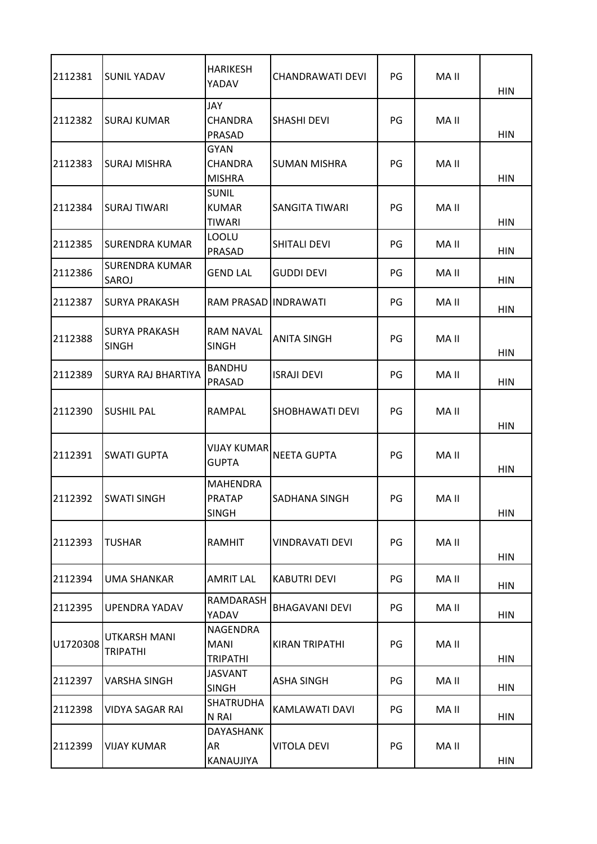| 2112381  | <b>SUNIL YADAV</b>                   | <b>HARIKESH</b><br>YADAV                         | CHANDRAWATI DEVI      | PG | MA II | <b>HIN</b> |
|----------|--------------------------------------|--------------------------------------------------|-----------------------|----|-------|------------|
| 2112382  | <b>SURAJ KUMAR</b>                   | JAY<br><b>CHANDRA</b><br>PRASAD                  | <b>SHASHI DEVI</b>    | PG | MA II | <b>HIN</b> |
| 2112383  | <b>SURAJ MISHRA</b>                  | <b>GYAN</b><br><b>CHANDRA</b><br><b>MISHRA</b>   | <b>SUMAN MISHRA</b>   | PG | MA II | <b>HIN</b> |
| 2112384  | <b>SURAJ TIWARI</b>                  | <b>SUNIL</b><br><b>KUMAR</b><br><b>TIWARI</b>    | SANGITA TIWARI        | PG | MA II | <b>HIN</b> |
| 2112385  | SURENDRA KUMAR                       | <b>LOOLU</b><br>PRASAD                           | SHITALI DEVI          | PG | MA II | <b>HIN</b> |
| 2112386  | <b>SURENDRA KUMAR</b><br>SAROJ       | <b>GEND LAL</b>                                  | <b>GUDDI DEVI</b>     | PG | MA II | <b>HIN</b> |
| 2112387  | <b>SURYA PRAKASH</b>                 | RAM PRASAD INDRAWATI                             |                       | PG | MA II | <b>HIN</b> |
| 2112388  | <b>SURYA PRAKASH</b><br><b>SINGH</b> | <b>RAM NAVAL</b><br><b>SINGH</b>                 | ANITA SINGH           | PG | MA II | <b>HIN</b> |
| 2112389  | <b>SURYA RAJ BHARTIYA</b>            | <b>BANDHU</b><br><b>PRASAD</b>                   | <b>ISRAJI DEVI</b>    | PG | MA II | <b>HIN</b> |
| 2112390  | <b>SUSHIL PAL</b>                    | RAMPAL                                           | SHOBHAWATI DEVI       | PG | MA II | <b>HIN</b> |
| 2112391  | <b>SWATI GUPTA</b>                   | <b>VIJAY KUMAR</b><br><b>GUPTA</b>               | <b>NEETA GUPTA</b>    | PG | MA II | HIN        |
| 2112392  | <b>SWATI SINGH</b>                   | <b>MAHENDRA</b><br><b>PRATAP</b><br><b>SINGH</b> | SADHANA SINGH         | PG | MA II | <b>HIN</b> |
| 2112393  | <b>TUSHAR</b>                        | RAMHIT                                           | VINDRAVATI DEVI       | PG | MA II | <b>HIN</b> |
| 2112394  | <b>UMA SHANKAR</b>                   | AMRIT LAL                                        | <b>KABUTRI DEVI</b>   | PG | MA II | <b>HIN</b> |
| 2112395  | <b>UPENDRA YADAV</b>                 | RAMDARASH<br>YADAV                               | <b>BHAGAVANI DEVI</b> | PG | MA II | <b>HIN</b> |
| U1720308 | UTKARSH MANI<br><b>TRIPATHI</b>      | NAGENDRA<br><b>MANI</b><br><b>TRIPATHI</b>       | KIRAN TRIPATHI        | PG | MA II | <b>HIN</b> |
| 2112397  | VARSHA SINGH                         | <b>JASVANT</b><br><b>SINGH</b>                   | ASHA SINGH            | PG | MA II | <b>HIN</b> |
| 2112398  | <b>VIDYA SAGAR RAI</b>               | <b>SHATRUDHA</b><br>N RAI                        | KAMLAWATI DAVI        | PG | MA II | <b>HIN</b> |
| 2112399  | <b>VIJAY KUMAR</b>                   | DAYASHANK<br>AR<br>KANAUJIYA                     | <b>VITOLA DEVI</b>    | PG | MA II | <b>HIN</b> |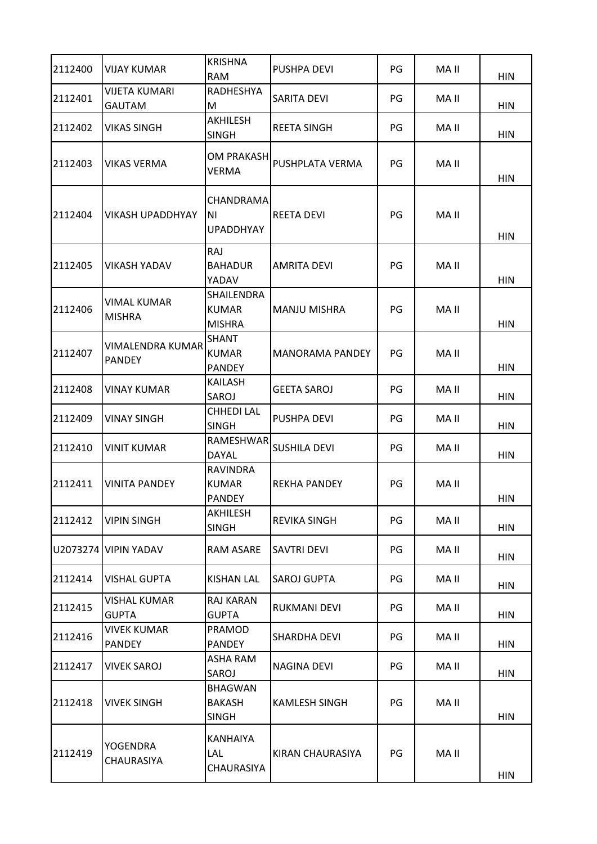| 2112400  | <b>VIJAY KUMAR</b>                       | <b>KRISHNA</b><br><b>RAM</b>                     | <b>PUSHPA DEVI</b>     | PG | MA II | <b>HIN</b> |
|----------|------------------------------------------|--------------------------------------------------|------------------------|----|-------|------------|
| 2112401  | <b>VIJETA KUMARI</b><br><b>GAUTAM</b>    | <b>RADHESHYA</b><br>M                            | SARITA DEVI            | PG | MA II | <b>HIN</b> |
| 2112402  | VIKAS SINGH                              | AKHILESH<br><b>SINGH</b>                         | <b>REETA SINGH</b>     | PG | MA II | <b>HIN</b> |
| 2112403  | <b>VIKAS VERMA</b>                       | <b>OM PRAKASH</b><br><b>VERMA</b>                | PUSHPLATA VERMA        | PG | MA II | <b>HIN</b> |
| 2112404  | <b>VIKASH UPADDHYAY</b>                  | CHANDRAMA<br>ΝI<br><b>UPADDHYAY</b>              | <b>REETA DEVI</b>      | PG | MA II | <b>HIN</b> |
| 2112405  | VIKASH YADAV                             | RAJ<br><b>BAHADUR</b><br>YADAV                   | AMRITA DEVI            | PG | MA II | <b>HIN</b> |
| 2112406  | VIMAL KUMAR<br><b>MISHRA</b>             | SHAILENDRA<br><b>KUMAR</b><br><b>MISHRA</b>      | <b>MANJU MISHRA</b>    | PG | MA II | <b>HIN</b> |
| 2112407  | <b>VIMALENDRA KUMAR</b><br><b>PANDEY</b> | <b>SHANT</b><br><b>KUMAR</b><br><b>PANDEY</b>    | <b>MANORAMA PANDEY</b> | PG | MA II | <b>HIN</b> |
| 2112408  | <b>VINAY KUMAR</b>                       | <b>KAILASH</b><br>SAROJ                          | <b>GEETA SAROJ</b>     | PG | MA II | <b>HIN</b> |
| 2112409  | <b>VINAY SINGH</b>                       | <b>CHHEDI LAL</b><br><b>SINGH</b>                | PUSHPA DEVI            | PG | MA II | <b>HIN</b> |
| 2112410  | <b>VINIT KUMAR</b>                       | RAMESHWAR<br><b>DAYAL</b>                        | <b>SUSHILA DEVI</b>    | PG | MA II | <b>HIN</b> |
| 2112411  | <b>VINITA PANDEY</b>                     | <b>RAVINDRA</b><br><b>KUMAR</b><br><b>PANDEY</b> | <b>REKHA PANDEY</b>    | PG | MA II | <b>HIN</b> |
| 2112412  | <b>VIPIN SINGH</b>                       | AKHILESH<br><b>SINGH</b>                         | <b>REVIKA SINGH</b>    | PG | MA II | <b>HIN</b> |
| U2073274 | <b>VIPIN YADAV</b>                       | RAM ASARE                                        | SAVTRI DEVI            | PG | MA II | <b>HIN</b> |
| 2112414  | <b>VISHAL GUPTA</b>                      | <b>KISHAN LAL</b>                                | <b>SAROJ GUPTA</b>     | PG | MA II | <b>HIN</b> |
| 2112415  | <b>VISHAL KUMAR</b><br><b>GUPTA</b>      | <b>RAJ KARAN</b><br><b>GUPTA</b>                 | RUKMANI DEVI           | PG | MA II | HIN        |
| 2112416  | VIVEK KUMAR<br><b>PANDEY</b>             | PRAMOD<br>PANDEY                                 | SHARDHA DEVI           | PG | MA II | <b>HIN</b> |
| 2112417  | <b>VIVEK SAROJ</b>                       | <b>ASHA RAM</b><br>SAROJ                         | <b>NAGINA DEVI</b>     | PG | MA II | <b>HIN</b> |
| 2112418  | <b>VIVEK SINGH</b>                       | <b>BHAGWAN</b><br><b>BAKASH</b><br><b>SINGH</b>  | <b>KAMLESH SINGH</b>   | PG | MA II | HIN        |
| 2112419  | YOGENDRA<br><b>CHAURASIYA</b>            | KANHAIYA<br>Lal<br><b>CHAURASIYA</b>             | KIRAN CHAURASIYA       | PG | MA II | <b>HIN</b> |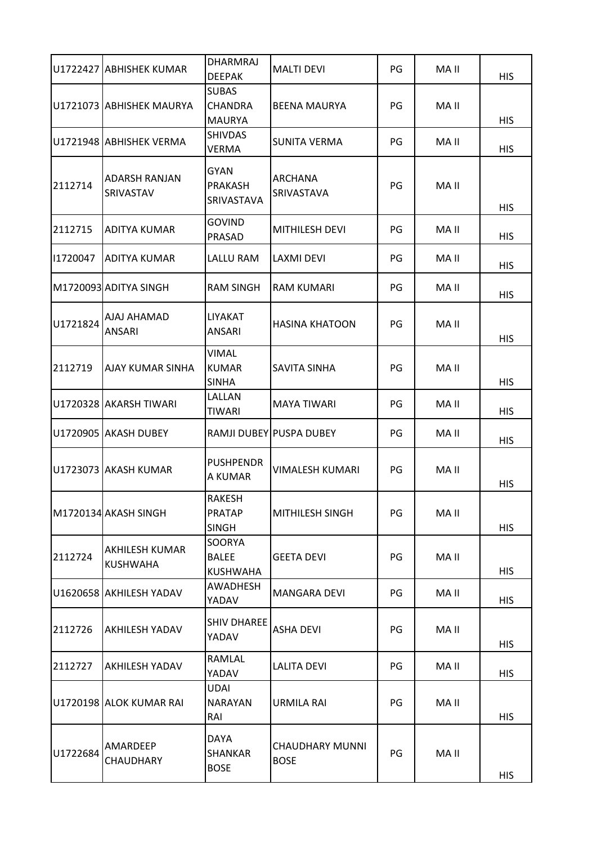|          | U1722427 ABHISHEK KUMAR                  | <b>DHARMRAJ</b>                                                  | <b>MALTI DEVI</b>                     | PG | MA II |                          |
|----------|------------------------------------------|------------------------------------------------------------------|---------------------------------------|----|-------|--------------------------|
|          | U1721073 ABHISHEK MAURYA                 | <b>DEEPAK</b><br><b>SUBAS</b><br><b>CHANDRA</b><br><b>MAURYA</b> | <b>BEENA MAURYA</b>                   | PG | MA II | <b>HIS</b><br><b>HIS</b> |
|          | U1721948 ABHISHEK VERMA                  | <b>SHIVDAS</b><br>VERMA                                          | <b>SUNITA VERMA</b>                   | PG | MA II | <b>HIS</b>               |
| 2112714  | <b>ADARSH RANJAN</b><br><b>SRIVASTAV</b> | <b>GYAN</b><br><b>PRAKASH</b><br>SRIVASTAVA                      | ARCHANA<br>SRIVASTAVA                 | PG | MA II | <b>HIS</b>               |
| 2112715  | <b>ADITYA KUMAR</b>                      | <b>GOVIND</b><br>PRASAD                                          | <b>MITHILESH DEVI</b>                 | PG | MA II | <b>HIS</b>               |
| 11720047 | <b>ADITYA KUMAR</b>                      | LALLU RAM                                                        | <b>LAXMI DEVI</b>                     | PG | MA II | <b>HIS</b>               |
|          | M1720093 ADITYA SINGH                    | <b>RAM SINGH</b>                                                 | RAM KUMARI                            | PG | MA II | <b>HIS</b>               |
| U1721824 | AJAJ AHAMAD<br><b>ANSARI</b>             | <b>LIYAKAT</b><br>ANSARI                                         | <b>HASINA KHATOON</b>                 | PG | MA II | <b>HIS</b>               |
| 2112719  | <b>AJAY KUMAR SINHA</b>                  | <b>VIMAL</b><br><b>KUMAR</b><br><b>SINHA</b>                     | SAVITA SINHA                          | PG | MA II | <b>HIS</b>               |
|          | U1720328 AKARSH TIWARI                   | LALLAN<br><b>TIWARI</b>                                          | <b>MAYA TIWARI</b>                    | PG | MA II | <b>HIS</b>               |
|          | U1720905 AKASH DUBEY                     |                                                                  | RAMJI DUBEY PUSPA DUBEY               | PG | MA II | <b>HIS</b>               |
|          | U1723073 AKASH KUMAR                     | <b>PUSHPENDR</b><br>A KUMAR                                      | VIMALESH KUMARI                       | PG | MA II | <b>HIS</b>               |
|          | M1720134 AKASH SINGH                     | RAKESH<br><b>PRATAP</b><br><b>SINGH</b>                          | MITHILESH SINGH                       | PG | MA II | <b>HIS</b>               |
| 2112724  | <b>AKHILESH KUMAR</b><br><b>KUSHWAHA</b> | SOORYA<br><b>BALEE</b><br><b>KUSHWAHA</b>                        | <b>GEETA DEVI</b>                     | PG | MA II | <b>HIS</b>               |
|          | U1620658 AKHILESH YADAV                  | AWADHESH<br>YADAV                                                | <b>MANGARA DEVI</b>                   | PG | MA II | <b>HIS</b>               |
| 2112726  | <b>AKHILESH YADAV</b>                    | <b>SHIV DHAREE</b><br>YADAV                                      | <b>ASHA DEVI</b>                      | PG | MA II | <b>HIS</b>               |
| 2112727  | <b>AKHILESH YADAV</b>                    | RAMLAL<br>YADAV                                                  | <b>LALITA DEVI</b>                    | PG | MA II | <b>HIS</b>               |
|          | U1720198 ALOK KUMAR RAI                  | UDAI<br><b>NARAYAN</b><br>RAI                                    | <b>URMILA RAI</b>                     | PG | MA II | <b>HIS</b>               |
| U1722684 | AMARDEEP<br>CHAUDHARY                    | <b>DAYA</b><br><b>SHANKAR</b><br><b>BOSE</b>                     | <b>CHAUDHARY MUNNI</b><br><b>BOSE</b> | PG | MA II | <b>HIS</b>               |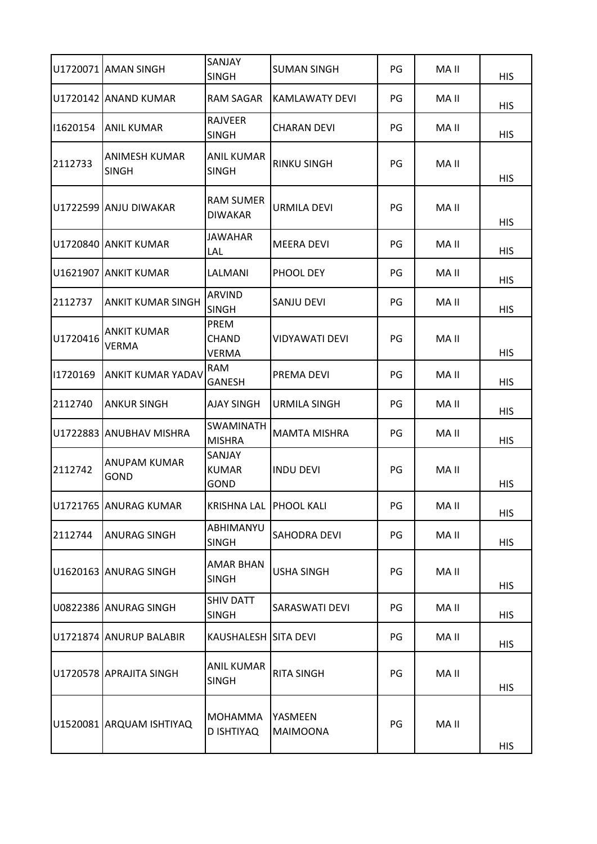|          | U1720071 AMAN SINGH                | SANJAY<br><b>SINGH</b>             | <b>SUMAN SINGH</b>         | PG | MA II | <b>HIS</b> |
|----------|------------------------------------|------------------------------------|----------------------------|----|-------|------------|
|          | U1720142 ANAND KUMAR               | RAM SAGAR                          | KAMLAWATY DEVI             | PG | MA II | <b>HIS</b> |
| 11620154 | <b>ANIL KUMAR</b>                  | <b>RAJVEER</b><br><b>SINGH</b>     | <b>CHARAN DEVI</b>         | PG | MA II | <b>HIS</b> |
| 2112733  | ANIMESH KUMAR<br><b>SINGH</b>      | ANIL KUMAR<br><b>SINGH</b>         | <b>RINKU SINGH</b>         | PG | MA II | <b>HIS</b> |
|          | U1722599 ANJU DIWAKAR              | <b>RAM SUMER</b><br><b>DIWAKAR</b> | URMILA DEVI                | PG | MA II | <b>HIS</b> |
|          | U1720840 ANKIT KUMAR               | JAWAHAR<br>LAL                     | <b>MEERA DEVI</b>          | PG | MA II | <b>HIS</b> |
|          | U1621907 ANKIT KUMAR               | LALMANI                            | PHOOL DEY                  | PG | MA II | <b>HIS</b> |
| 2112737  | <b>ANKIT KUMAR SINGH</b>           | <b>ARVIND</b><br><b>SINGH</b>      | SANJU DEVI                 | PG | MA II | <b>HIS</b> |
| U1720416 | <b>ANKIT KUMAR</b><br><b>VERMA</b> | PREM<br>CHAND<br>VERMA             | <b>VIDYAWATI DEVI</b>      | PG | MA II | <b>HIS</b> |
| 11720169 | <b>ANKIT KUMAR YADAV</b>           | RAM<br><b>GANESH</b>               | PREMA DEVI                 | PG | MA II | <b>HIS</b> |
| 2112740  | <b>ANKUR SINGH</b>                 | <b>AJAY SINGH</b>                  | <b>URMILA SINGH</b>        | PG | MA II | <b>HIS</b> |
|          | U1722883 ANUBHAV MISHRA            | <b>SWAMINATH</b><br><b>MISHRA</b>  | <b>MAMTA MISHRA</b>        | PG | MA II | <b>HIS</b> |
| 2112742  | ANUPAM KUMAR<br><b>GOND</b>        | SANJAY<br><b>KUMAR</b><br>GOND     | <b>INDU DEVI</b>           | PG | MA II | <b>HIS</b> |
|          | U1721765 JANURAG KUMAR             | KRISHNA LAL IPHOOL KALI            |                            | PG | MA II | <b>HIS</b> |
| 2112744  | <b>ANURAG SINGH</b>                | ABHIMANYU<br><b>SINGH</b>          | <b>SAHODRA DEVI</b>        | PG | MA II | <b>HIS</b> |
|          | U1620163 ANURAG SINGH              | AMAR BHAN<br><b>SINGH</b>          | <b>USHA SINGH</b>          | PG | MA II | <b>HIS</b> |
|          | U0822386 ANURAG SINGH              | <b>SHIV DATT</b><br><b>SINGH</b>   | SARASWATI DEVI             | PG | MA II | <b>HIS</b> |
|          | U1721874 ANURUP BALABIR            | KAUSHALESH SITA DEVI               |                            | PG | MA II | <b>HIS</b> |
|          | U1720578 APRAJITA SINGH            | <b>ANIL KUMAR</b><br><b>SINGH</b>  | <b>RITA SINGH</b>          | PG | MA II | <b>HIS</b> |
|          | U1520081 ARQUAM ISHTIYAQ           | MOHAMMA<br>D ISHTIYAQ              | YASMEEN<br><b>MAIMOONA</b> | PG | MA II | <b>HIS</b> |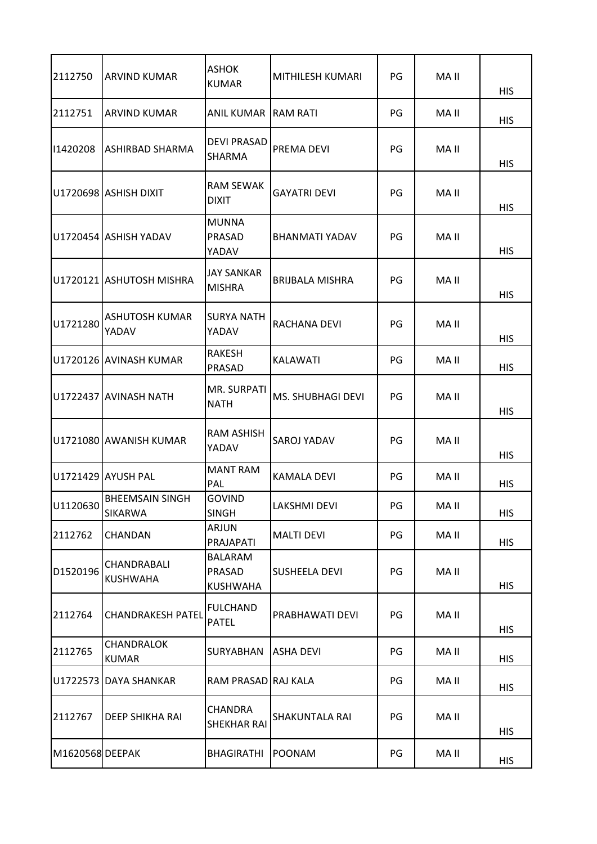| 2112750         | <b>ARVIND KUMAR</b>               | <b>ASHOK</b><br><b>KUMAR</b>                | MITHILESH KUMARI       | PG | MA II | <b>HIS</b> |
|-----------------|-----------------------------------|---------------------------------------------|------------------------|----|-------|------------|
| 2112751         | <b>ARVIND KUMAR</b>               | ANIL KUMAR RAM RATI                         |                        | PG | MA II | <b>HIS</b> |
| 11420208        | <b>ASHIRBAD SHARMA</b>            | <b>DEVI PRASAD</b><br>SHARMA                | PREMA DEVI             | PG | MA II | <b>HIS</b> |
|                 | U1720698 ASHISH DIXIT             | <b>RAM SEWAK</b><br><b>DIXIT</b>            | <b>GAYATRI DEVI</b>    | PG | MA II | <b>HIS</b> |
|                 | U1720454 ASHISH YADAV             | <b>MUNNA</b><br>PRASAD<br>YADAV             | BHANMATI YADAV         | PG | MA II | <b>HIS</b> |
|                 | U1720121 ASHUTOSH MISHRA          | JAY SANKAR<br><b>MISHRA</b>                 | <b>BRIJBALA MISHRA</b> | PG | MA II | <b>HIS</b> |
| U1721280        | ASHUTOSH KUMAR<br>YADAV           | <b>SURYA NATH</b><br>YADAV                  | RACHANA DEVI           | PG | MA II | <b>HIS</b> |
|                 | U1720126 AVINASH KUMAR            | RAKESH<br>PRASAD                            | <b>KALAWATI</b>        | PG | MA II | <b>HIS</b> |
|                 | U1722437 AVINASH NATH             | MR. SURPATI<br><b>NATH</b>                  | MS. SHUBHAGI DEVI      | PG | MA II | <b>HIS</b> |
|                 | U1721080 AWANISH KUMAR            | <b>RAM ASHISH</b><br>YADAV                  | SAROJ YADAV            | PG | MA II | <b>HIS</b> |
|                 | U1721429 AYUSH PAL                | <b>MANT RAM</b><br>PAL                      | <b>KAMALA DEVI</b>     | PG | MA II | <b>HIS</b> |
| U1120630        | <b>BHEEMSAIN SINGH</b><br>SIKARWA | <b>GOVIND</b><br><b>SINGH</b>               | LAKSHMI DEVI           | PG | MA II | <b>HIS</b> |
| 2112762         | <b>CHANDAN</b>                    | <b>ARJUN</b><br>PRAJAPATI                   | <b>MALTI DEVI</b>      | PG | MA II | <b>HIS</b> |
| D1520196        | CHANDRABALI<br><b>KUSHWAHA</b>    | <b>BALARAM</b><br>PRASAD<br><b>KUSHWAHA</b> | <b>SUSHEELA DEVI</b>   | PG | MA II | <b>HIS</b> |
| 2112764         | <b>CHANDRAKESH PATEL</b>          | <b>FULCHAND</b><br><b>PATEL</b>             | PRABHAWATI DEVI        | PG | MA II | <b>HIS</b> |
| 2112765         | <b>CHANDRALOK</b><br><b>KUMAR</b> | SURYABHAN                                   | <b>ASHA DEVI</b>       | PG | MA II | <b>HIS</b> |
|                 | U1722573 DAYA SHANKAR             | RAM PRASAD RAJ KALA                         |                        | PG | MA II | <b>HIS</b> |
| 2112767         | <b>DEEP SHIKHA RAI</b>            | CHANDRA<br>SHEKHAR RAI                      | SHAKUNTALA RAI         | PG | MA II | <b>HIS</b> |
| M1620568 DEEPAK |                                   | <b>BHAGIRATHI</b>                           | <b>POONAM</b>          | PG | MA II | <b>HIS</b> |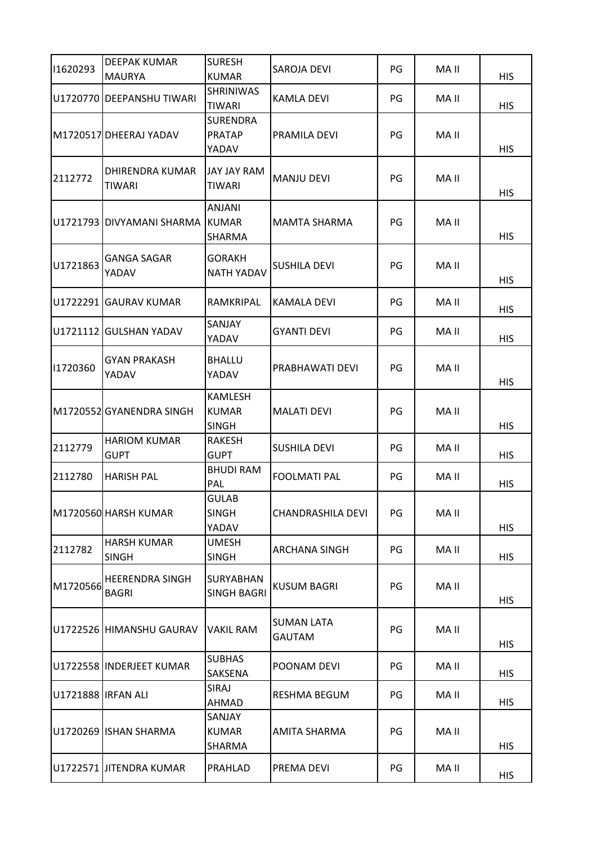| 11620293           | <b>DEEPAK KUMAR</b><br><b>MAURYA</b>   | <b>SURESH</b><br><b>KUMAR</b>                  | <b>SAROJA DEVI</b>                 | PG | MA II | <b>HIS</b> |
|--------------------|----------------------------------------|------------------------------------------------|------------------------------------|----|-------|------------|
|                    | U1720770 DEEPANSHU TIWARI              | <b>SHRINIWAS</b><br><b>TIWARI</b>              | <b>KAMLA DEVI</b>                  | PG | MA II | <b>HIS</b> |
|                    | M1720517 DHEERAJ YADAV                 | <b>SURENDRA</b><br><b>PRATAP</b><br>YADAV      | PRAMILA DEVI                       | PG | MA II | <b>HIS</b> |
| 2112772            | DHIRENDRA KUMAR<br><b>TIWARI</b>       | JAY JAY RAM<br><b>TIWARI</b>                   | <b>MANJU DEVI</b>                  | PG | MA II | <b>HIS</b> |
|                    | U1721793 DIVYAMANI SHARMA KUMAR        | ANJANI<br>SHARMA                               | <b>MAMTA SHARMA</b>                | PG | MA II | <b>HIS</b> |
| U1721863           | <b>GANGA SAGAR</b><br>YADAV            | GORAKH<br><b>NATH YADAV</b>                    | SUSHILA DEVI                       | PG | MA II | <b>HIS</b> |
|                    | U1722291 GAURAV KUMAR                  | RAMKRIPAL                                      | KAMALA DEVI                        | PG | MA II | <b>HIS</b> |
| U1721112           | <b>GULSHAN YADAV</b>                   | SANJAY<br>YADAV                                | <b>GYANTI DEVI</b>                 | PG | MA II | <b>HIS</b> |
| 11720360           | <b>GYAN PRAKASH</b><br>YADAV           | <b>BHALLU</b><br>YADAV                         | PRABHAWATI DEVI                    | PG | MA II | <b>HIS</b> |
|                    | M1720552 GYANENDRA SINGH               | <b>KAMLESH</b><br><b>KUMAR</b><br><b>SINGH</b> | <b>MALATI DEVI</b>                 | PG | MA II | <b>HIS</b> |
| 2112779            | <b>HARIOM KUMAR</b><br><b>GUPT</b>     | RAKESH<br><b>GUPT</b>                          | <b>SUSHILA DEVI</b>                | PG | MA II | <b>HIS</b> |
| 2112780            | <b>HARISH PAL</b>                      | <b>BHUDI RAM</b><br>PAL                        | <b>FOOLMATI PAL</b>                | PG | MA II | <b>HIS</b> |
|                    | M1720560 HARSH KUMAR                   | <b>GULAB</b><br><b>SINGH</b><br>YADAV          | CHANDRASHILA DEVI                  | PG | MA II | <b>HIS</b> |
| 2112782            | <b>HARSH KUMAR</b><br><b>SINGH</b>     | <b>UMESH</b><br><b>SINGH</b>                   | ARCHANA SINGH                      | PG | MA II | <b>HIS</b> |
| M1720566           | <b>HEERENDRA SINGH</b><br><b>BAGRI</b> | SURYABHAN<br><b>SINGH BAGRI</b>                | <b>KUSUM BAGRI</b>                 | PG | MA II | <b>HIS</b> |
|                    | U1722526 HIMANSHU GAURAV               | <b>VAKIL RAM</b>                               | <b>SUMAN LATA</b><br><b>GAUTAM</b> | PG | MA II | <b>HIS</b> |
|                    | U1722558 INDERJEET KUMAR               | <b>SUBHAS</b><br>SAKSENA                       | POONAM DEVI                        | PG | MA II | <b>HIS</b> |
| U1721888 IRFAN ALI |                                        | SIRAJ<br>AHMAD                                 | RESHMA BEGUM                       | PG | MA II | <b>HIS</b> |
|                    | U1720269 ISHAN SHARMA                  | SANJAY<br><b>KUMAR</b><br>SHARMA               | AMITA SHARMA                       | PG | MA II | <b>HIS</b> |
|                    | U1722571 JITENDRA KUMAR                | PRAHLAD                                        | PREMA DEVI                         | PG | MA II | <b>HIS</b> |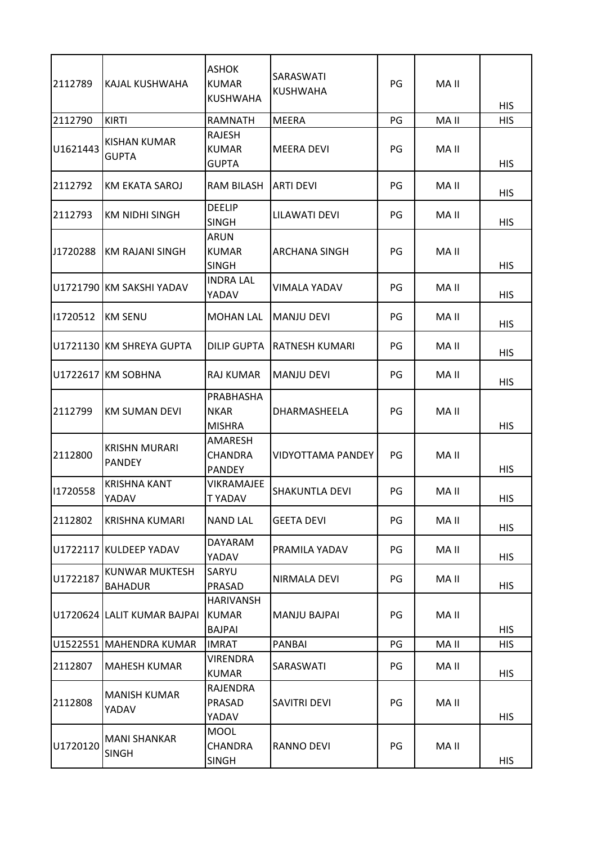| 2112789  | IKAJAL KUSHWAHA                     | <b>ASHOK</b><br><b>KUMAR</b><br><b>KUSHWAHA</b>   | SARASWATI<br><b>KUSHWAHA</b> | PG | MA II | <b>HIS</b> |
|----------|-------------------------------------|---------------------------------------------------|------------------------------|----|-------|------------|
| 2112790  | <b>KIRTI</b>                        | <b>RAMNATH</b>                                    | <b>MEERA</b>                 | PG | MA II | <b>HIS</b> |
| U1621443 | KISHAN KUMAR<br><b>GUPTA</b>        | RAJESH<br><b>KUMAR</b><br><b>GUPTA</b>            | <b>MEERA DEVI</b>            | PG | MA II | <b>HIS</b> |
| 2112792  | KM EKATA SAROJ                      | RAM BILASH                                        | <b>ARTI DEVI</b>             | PG | MA II | HIS        |
| 2112793  | KM NIDHI SINGH                      | <b>DEELIP</b><br><b>SINGH</b>                     | LILAWATI DEVI                | PG | MA II | <b>HIS</b> |
| J1720288 | <b>KM RAJANI SINGH</b>              | <b>ARUN</b><br><b>KUMAR</b><br><b>SINGH</b>       | ARCHANA SINGH                | PG | MA II | HIS        |
|          | U1721790 KM SAKSHI YADAV            | <b>INDRA LAL</b><br>YADAV                         | VIMALA YADAV                 | PG | MA II | <b>HIS</b> |
| 11720512 | <b>KM SENU</b>                      | <b>MOHAN LAL</b>                                  | <b>MANJU DEVI</b>            | PG | MA II | <b>HIS</b> |
|          | U1721130 KM SHREYA GUPTA            | <b>DILIP GUPTA</b>                                | RATNESH KUMARI               | PG | MA II | <b>HIS</b> |
|          | U1722617 KM SOBHNA                  | RAJ KUMAR                                         | <b>MANJU DEVI</b>            | PG | MA II | <b>HIS</b> |
| 2112799  | <b>KM SUMAN DEVI</b>                | PRABHASHA<br><b>NKAR</b><br><b>MISHRA</b>         | DHARMASHEELA                 | PG | MA II | <b>HIS</b> |
| 2112800  | KRISHN MURARI<br><b>PANDEY</b>      | AMARESH<br><b>CHANDRA</b><br><b>PANDEY</b>        | <b>VIDYOTTAMA PANDEY</b>     | PG | MA II | HIS        |
| 11720558 | <b>KRISHNA KANT</b><br>YADAV        | <b><i>VIKRAMAJEE</i></b><br><b>TYADAV</b>         | SHAKUNTLA DEVI               | PG | MA II | <b>HIS</b> |
| 2112802  | KRISHNA KUMARI                      | <b>NAND LAL</b>                                   | <b>GEETA DEVI</b>            | PG | MA II | <b>HIS</b> |
|          | U1722117 KULDEEP YADAV              | <b>DAYARAM</b><br><b>YADAV</b>                    | PRAMILA YADAV                | PG | MA II | <b>HIS</b> |
| U1722187 | <b>KUNWAR MUKTESH</b><br>BAHADUR    | SARYU<br>PRASAD                                   | NIRMALA DEVI                 | PG | MA II | <b>HIS</b> |
|          | U1720624 LALIT KUMAR BAJPAI         | <b>HARIVANSH</b><br><b>KUMAR</b><br><b>BAJPAI</b> | <b>MANJU BAJPAI</b>          | PG | MA II | <b>HIS</b> |
|          | U1522551 MAHENDRA KUMAR             | <b>IMRAT</b>                                      | PANBAI                       | PG | MA II | <b>HIS</b> |
| 2112807  | <b>MAHESH KUMAR</b>                 | <b>VIRENDRA</b><br><b>KUMAR</b>                   | SARASWATI                    | PG | MA II | <b>HIS</b> |
| 2112808  | <b>MANISH KUMAR</b><br>YADAV        | <b>RAJENDRA</b><br>PRASAD<br>YADAV                | SAVITRI DEVI                 | PG | MA II | <b>HIS</b> |
| U1720120 | <b>MANI SHANKAR</b><br><b>SINGH</b> | <b>MOOL</b><br><b>CHANDRA</b><br><b>SINGH</b>     | RANNO DEVI                   | PG | MA II | <b>HIS</b> |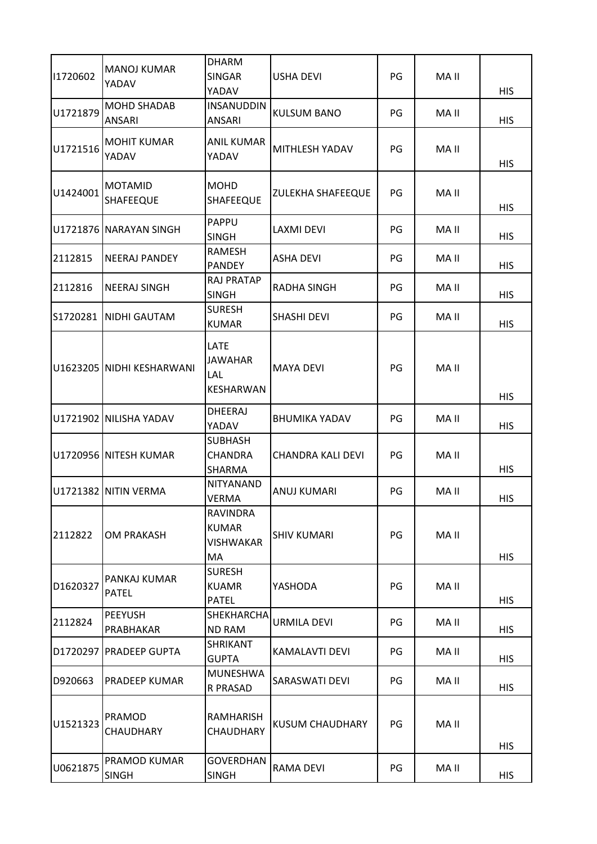| 11720602 | <b>MANOJ KUMAR</b><br>YADAV         | <b>DHARM</b><br><b>SINGAR</b><br>YADAV             | <b>USHA DEVI</b>         | PG | MA II | <b>HIS</b> |
|----------|-------------------------------------|----------------------------------------------------|--------------------------|----|-------|------------|
| U1721879 | <b>MOHD SHADAB</b><br>ANSARI        | <b>INSANUDDIN</b><br>ANSARI                        | <b>KULSUM BANO</b>       | PG | MA II | <b>HIS</b> |
| U1721516 | <b>MOHIT KUMAR</b><br>YADAV         | ANIL KUMAR<br>YADAV                                | MITHLESH YADAV           | PG | MA II | <b>HIS</b> |
| U1424001 | <b>MOTAMID</b><br><b>SHAFEEQUE</b>  | <b>MOHD</b><br><b>SHAFEEQUE</b>                    | <b>ZULEKHA SHAFEEQUE</b> | PG | MA II | <b>HIS</b> |
|          | U1721876 NARAYAN SINGH              | PAPPU<br><b>SINGH</b>                              | <b>LAXMI DEVI</b>        | PG | MA II | <b>HIS</b> |
| 2112815  | <b>NEERAJ PANDEY</b>                | RAMESH<br><b>PANDEY</b>                            | <b>ASHA DEVI</b>         | PG | MA II | <b>HIS</b> |
| 2112816  | <b>NEERAJ SINGH</b>                 | <b>RAJ PRATAP</b><br><b>SINGH</b>                  | <b>RADHA SINGH</b>       | PG | MA II | <b>HIS</b> |
| S1720281 | <b>NIDHI GAUTAM</b>                 | <b>SURESH</b><br><b>KUMAR</b>                      | SHASHI DEVI              | PG | MA II | <b>HIS</b> |
|          | U1623205 NIDHI KESHARWANI           | <b>LATE</b><br><b>JAWAHAR</b><br>LAL<br>KESHARWAN  | <b>MAYA DEVI</b>         | PG | MA II | <b>HIS</b> |
|          | U1721902 NILISHA YADAV              | <b>DHEERAJ</b><br>YADAV                            | <b>BHUMIKA YADAV</b>     | PG | MA II | <b>HIS</b> |
|          | U1720956 NITESH KUMAR               | <b>SUBHASH</b><br><b>CHANDRA</b><br>SHARMA         | <b>CHANDRA KALI DEVI</b> | PG | MA II | HIS        |
|          | U1721382 NITIN VERMA                | <b>NITYANAND</b><br><b>VERMA</b>                   | <b>ANUJ KUMARI</b>       | PG | MA II | <b>HIS</b> |
| 2112822  | <b>OM PRAKASH</b>                   | <b>RAVINDRA</b><br><b>KUMAR</b><br>VISHWAKAR<br>MA | <b>SHIV KUMARI</b>       | PG | MA II | <b>HIS</b> |
| D1620327 | PANKAJ KUMAR<br><b>PATEL</b>        | <b>SURESH</b><br><b>KUAMR</b><br><b>PATEL</b>      | YASHODA                  | PG | MA II | <b>HIS</b> |
| 2112824  | <b>PEEYUSH</b><br>PRABHAKAR         | <b>SHEKHARCHA</b><br><b>ND RAM</b>                 | URMILA DEVI              | PG | MA II | <b>HIS</b> |
|          | D1720297 PRADEEP GUPTA              | <b>SHRIKANT</b><br><b>GUPTA</b>                    | KAMALAVTI DEVI           | PG | MA II | <b>HIS</b> |
| D920663  | <b>PRADEEP KUMAR</b>                | <b>MUNESHWA</b><br>R PRASAD                        | SARASWATI DEVI           | PG | MA II | <b>HIS</b> |
| U1521323 | PRAMOD<br>CHAUDHARY                 | RAMHARISH<br>CHAUDHARY                             | <b>KUSUM CHAUDHARY</b>   | PG | MA II | <b>HIS</b> |
| U0621875 | <b>PRAMOD KUMAR</b><br><b>SINGH</b> | <b>GOVERDHAN</b><br><b>SINGH</b>                   | <b>RAMA DEVI</b>         | PG | MA II | <b>HIS</b> |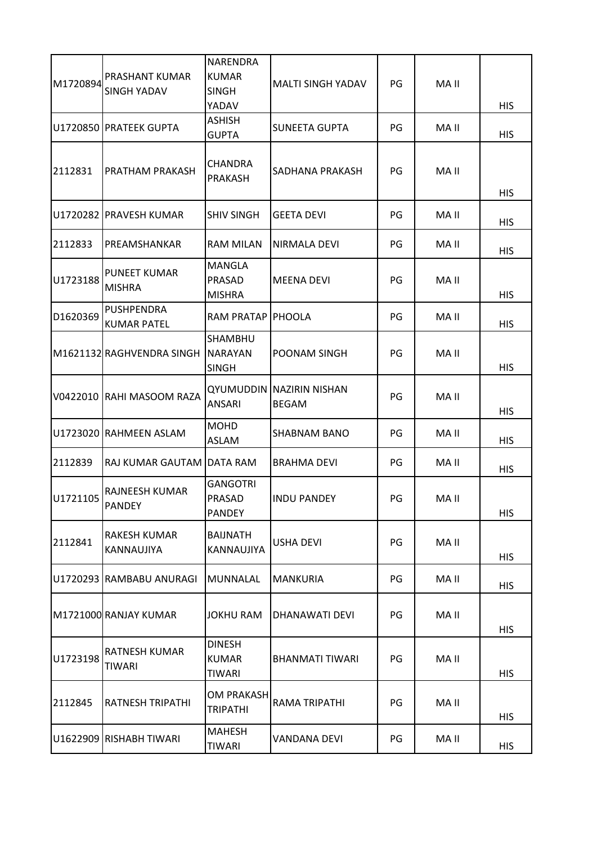|          |                                         | NARENDRA                                       |                                                 |    |       |            |
|----------|-----------------------------------------|------------------------------------------------|-------------------------------------------------|----|-------|------------|
| M1720894 | PRASHANT KUMAR                          | <b>KUMAR</b>                                   | <b>MALTI SINGH YADAV</b>                        | PG | MA II |            |
|          | <b>SINGH YADAV</b>                      | <b>SINGH</b>                                   |                                                 |    |       |            |
|          |                                         | YADAV                                          |                                                 |    |       | <b>HIS</b> |
|          | U1720850 PRATEEK GUPTA                  | <b>ASHISH</b><br><b>GUPTA</b>                  | <b>SUNEETA GUPTA</b>                            | PG | MA II | <b>HIS</b> |
| 2112831  | <b>PRATHAM PRAKASH</b>                  | <b>CHANDRA</b><br><b>PRAKASH</b>               | SADHANA PRAKASH                                 | PG | MA II | <b>HIS</b> |
|          | U1720282 PRAVESH KUMAR                  | <b>SHIV SINGH</b>                              | <b>GEETA DEVI</b>                               | PG | MA II | <b>HIS</b> |
| 2112833  | PREAMSHANKAR                            | <b>RAM MILAN</b>                               | NIRMALA DEVI                                    | PG | MA II | <b>HIS</b> |
| U1723188 | <b>PUNEET KUMAR</b><br><b>MISHRA</b>    | MANGLA<br>PRASAD<br><b>MISHRA</b>              | <b>MEENA DEVI</b>                               | PG | MA II | <b>HIS</b> |
| D1620369 | <b>PUSHPENDRA</b><br><b>KUMAR PATEL</b> | <b>RAM PRATAP</b>                              | <b>PHOOLA</b>                                   | PG | MA II | <b>HIS</b> |
|          | M1621132 RAGHVENDRA SINGH NARAYAN       | SHAMBHU<br><b>SINGH</b>                        | POONAM SINGH                                    | PG | MA II | <b>HIS</b> |
|          | V0422010 RAHI MASOOM RAZA               | ANSARI                                         | <b>QYUMUDDIN NAZIRIN NISHAN</b><br><b>BEGAM</b> | PG | MA II | <b>HIS</b> |
|          | U1723020 RAHMEEN ASLAM                  | <b>MOHD</b><br><b>ASLAM</b>                    | SHABNAM BANO                                    | PG | MA II | <b>HIS</b> |
| 2112839  | RAJ KUMAR GAUTAM DATA RAM               |                                                | <b>BRAHMA DEVI</b>                              | PG | MA II | HIS        |
| U1721105 | <b>RAJNEESH KUMAR</b><br>PANDEY         | <b>GANGOTRI</b><br>PRASAD<br><b>PANDEY</b>     | <b>INDU PANDEY</b>                              | PG | MA II | <b>HIS</b> |
| 2112841  | <b>RAKESH KUMAR</b><br>KANNAUJIYA       | <b>BAIJNATH</b><br>KANNAUJIYA                  | USHA DEVI                                       | PG | MA II | <b>HIS</b> |
|          | U1720293 RAMBABU ANURAGI                | MUNNALAL                                       | <b>MANKURIA</b>                                 | PG | MA II | <b>HIS</b> |
|          | M1721000 RANJAY KUMAR                   | JOKHU RAM                                      | DHANAWATI DEVI                                  | PG | MA II | <b>HIS</b> |
| U1723198 | RATNESH KUMAR<br>TIWARI                 | <b>DINESH</b><br><b>KUMAR</b><br><b>TIWARI</b> | <b>BHANMATI TIWARI</b>                          | PG | MA II | <b>HIS</b> |
| 2112845  | <b>RATNESH TRIPATHI</b>                 | <b>OM PRAKASH</b><br><b>TRIPATHI</b>           | RAMA TRIPATHI                                   | PG | MA II | <b>HIS</b> |
|          | U1622909 RISHABH TIWARI                 | <b>MAHESH</b><br><b>TIWARI</b>                 | <b>VANDANA DEVI</b>                             | PG | MA II | HIS        |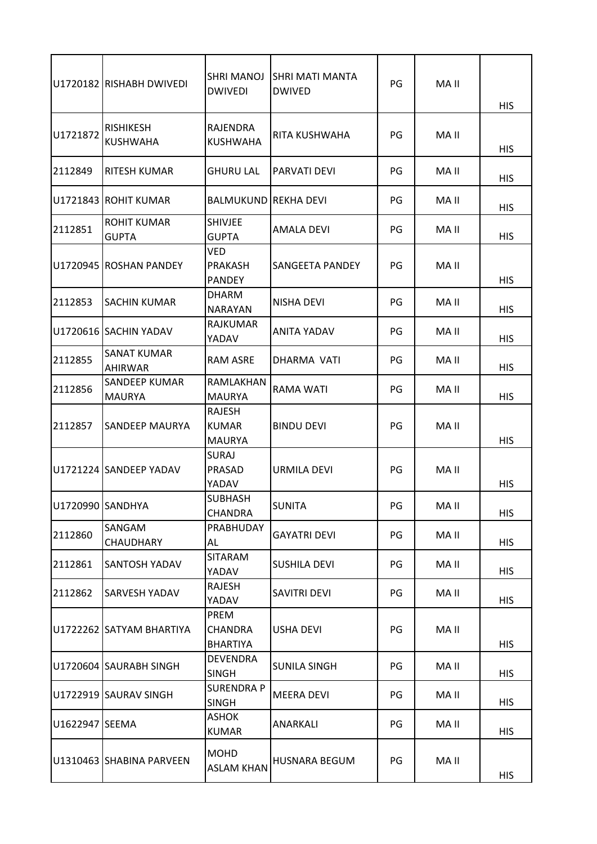|                  | U1720182 RISHABH DWIVEDI              | <b>SHRI MANOJ</b><br><b>DWIVEDI</b>           | SHRI MATI MANTA<br><b>DWIVED</b> | PG | MA II | <b>HIS</b> |
|------------------|---------------------------------------|-----------------------------------------------|----------------------------------|----|-------|------------|
| U1721872         | <b>RISHIKESH</b><br><b>KUSHWAHA</b>   | RAJENDRA<br><b>KUSHWAHA</b>                   | RITA KUSHWAHA                    | PG | MA II | <b>HIS</b> |
| 2112849          | <b>RITESH KUMAR</b>                   | <b>GHURU LAL</b>                              | PARVATI DEVI                     | PG | MA II | <b>HIS</b> |
|                  | U1721843 ROHIT KUMAR                  | BALMUKUND                                     | IREKHA DEVI                      | PG | MA II | <b>HIS</b> |
| 2112851          | <b>ROHIT KUMAR</b><br><b>GUPTA</b>    | <b>SHIVJEE</b><br><b>GUPTA</b>                | AMALA DEVI                       | PG | MA II | <b>HIS</b> |
|                  | U1720945 ROSHAN PANDEY                | <b>VED</b><br><b>PRAKASH</b><br><b>PANDEY</b> | SANGEETA PANDEY                  | PG | MA II | <b>HIS</b> |
| 2112853          | <b>SACHIN KUMAR</b>                   | <b>DHARM</b><br><b>NARAYAN</b>                | NISHA DEVI                       | PG | MA II | <b>HIS</b> |
|                  | U1720616 SACHIN YADAV                 | <b>RAJKUMAR</b><br>YADAV                      | <b>ANITA YADAV</b>               | PG | MA II | <b>HIS</b> |
| 2112855          | <b>SANAT KUMAR</b><br><b>AHIRWAR</b>  | <b>RAM ASRE</b>                               | DHARMA VATI                      | PG | MA II | <b>HIS</b> |
| 2112856          | <b>SANDEEP KUMAR</b><br><b>MAURYA</b> | RAMLAKHAN<br><b>MAURYA</b>                    | <b>RAMA WATI</b>                 | PG | MA II | <b>HIS</b> |
| 2112857          | <b>SANDEEP MAURYA</b>                 | RAJESH<br><b>KUMAR</b><br><b>MAURYA</b>       | <b>BINDU DEVI</b>                | PG | MA II | <b>HIS</b> |
|                  | U1721224 SANDEEP YADAV                | <b>SURAJ</b><br>PRASAD<br>YADAV               | URMILA DEVI                      | PG | MA II | <b>HIS</b> |
| U1720990 SANDHYA |                                       | <b>SUBHASH</b><br><b>CHANDRA</b>              | <b>SUNITA</b>                    | PG | MA II | <b>HIS</b> |
| 2112860          | SANGAM<br><b>CHAUDHARY</b>            | PRABHUDAY<br>AL                               | <b>GAYATRI DEVI</b>              | PG | MA II | <b>HIS</b> |
| 2112861          | <b>SANTOSH YADAV</b>                  | <b>SITARAM</b><br>YADAV                       | SUSHILA DEVI                     | PG | MA II | <b>HIS</b> |
| 2112862          | <b>SARVESH YADAV</b>                  | RAJESH<br>YADAV                               | SAVITRI DEVI                     | PG | MA II | <b>HIS</b> |
|                  | U1722262 SATYAM BHARTIYA              | PREM<br><b>CHANDRA</b><br><b>BHARTIYA</b>     | <b>USHA DEVI</b>                 | PG | MA II | <b>HIS</b> |
|                  | U1720604 SAURABH SINGH                | <b>DEVENDRA</b><br><b>SINGH</b>               | <b>SUNILA SINGH</b>              | PG | MA II | <b>HIS</b> |
|                  | U1722919 SAURAV SINGH                 | SURENDRA P<br><b>SINGH</b>                    | MEERA DEVI                       | PG | MA II | <b>HIS</b> |
| U1622947 SEEMA   |                                       | ASHOK<br><b>KUMAR</b>                         | ANARKALI                         | PG | MA II | <b>HIS</b> |
|                  | U1310463 SHABINA PARVEEN              | <b>MOHD</b><br><b>ASLAM KHAN</b>              | <b>HUSNARA BEGUM</b>             | PG | MA II | <b>HIS</b> |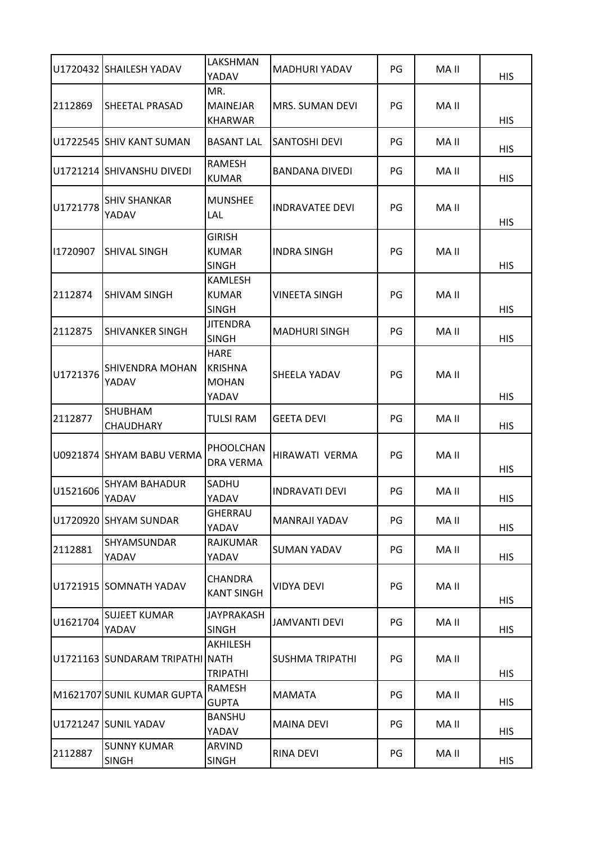|          | U1720432 SHAILESH YADAV            | LAKSHMAN<br>YADAV                                      | MADHURI YADAV          | PG | MA II | <b>HIS</b> |
|----------|------------------------------------|--------------------------------------------------------|------------------------|----|-------|------------|
| 2112869  | <b>SHEETAL PRASAD</b>              | MR.<br><b>MAINEJAR</b><br>KHARWAR                      | <b>MRS. SUMAN DEVI</b> | PG | MA II | <b>HIS</b> |
|          | U1722545 SHIV KANT SUMAN           | <b>BASANT LAL</b>                                      | <b>SANTOSHI DEVI</b>   | PG | MA II | <b>HIS</b> |
|          | U1721214 SHIVANSHU DIVEDI          | <b>RAMESH</b><br><b>KUMAR</b>                          | <b>BANDANA DIVEDI</b>  | PG | MA II | <b>HIS</b> |
| U1721778 | <b>SHIV SHANKAR</b><br>YADAV       | <b>MUNSHEE</b><br>LAL                                  | <b>INDRAVATEE DEVI</b> | PG | MA II | <b>HIS</b> |
| 11720907 | <b>SHIVAL SINGH</b>                | <b>GIRISH</b><br><b>KUMAR</b><br><b>SINGH</b>          | <b>INDRA SINGH</b>     | PG | MA II | <b>HIS</b> |
| 2112874  | <b>SHIVAM SINGH</b>                | <b>KAMLESH</b><br><b>KUMAR</b><br><b>SINGH</b>         | <b>VINEETA SINGH</b>   | PG | MA II | <b>HIS</b> |
| 2112875  | <b>SHIVANKER SINGH</b>             | <b>JITENDRA</b><br><b>SINGH</b>                        | <b>MADHURI SINGH</b>   | PG | MA II | <b>HIS</b> |
| U1721376 | SHIVENDRA MOHAN<br>YADAV           | <b>HARE</b><br><b>KRISHNA</b><br><b>MOHAN</b><br>YADAV | <b>SHEELA YADAV</b>    | PG | MA II | <b>HIS</b> |
| 2112877  | <b>SHUBHAM</b><br><b>CHAUDHARY</b> | <b>TULSI RAM</b>                                       | <b>GEETA DEVI</b>      | PG | MA II | <b>HIS</b> |
|          | U0921874 SHYAM BABU VERMA          | PHOOLCHAN<br><b>DRA VERMA</b>                          | HIRAWATI VERMA         | PG | MA II | <b>HIS</b> |
| U1521606 | <b>SHYAM BAHADUR</b><br>YADAV      | SADHU<br>YADAV                                         | <b>INDRAVATI DEVI</b>  | PG | MA II | <b>HIS</b> |
|          | U1720920 SHYAM SUNDAR              | <b>GHERRAU</b><br>YADAV                                | MANRAJI YADAV          | PG | MA II | <b>HIS</b> |
| 2112881  | SHYAMSUNDAR<br>YADAV               | <b>RAJKUMAR</b><br>YADAV                               | <b>SUMAN YADAV</b>     | PG | MA II | <b>HIS</b> |
|          | U1721915 SOMNATH YADAV             | <b>CHANDRA</b><br><b>KANT SINGH</b>                    | <b>VIDYA DEVI</b>      | PG | MA II | <b>HIS</b> |
| U1621704 | <b>SUJEET KUMAR</b><br>YADAV       | <b>JAYPRAKASH</b><br><b>SINGH</b>                      | <b>JAMVANTI DEVI</b>   | PG | MA II | <b>HIS</b> |
|          | U1721163 SUNDARAM TRIPATHI NATH    | AKHILESH<br><b>TRIPATHI</b>                            | <b>SUSHMA TRIPATHI</b> | PG | MA II | <b>HIS</b> |
|          | M1621707 SUNIL KUMAR GUPTA         | RAMESH<br><b>GUPTA</b>                                 | <b>MAMATA</b>          | PG | MA II | <b>HIS</b> |
|          | U1721247 SUNIL YADAV               | <b>BANSHU</b><br>YADAV                                 | <b>MAINA DEVI</b>      | PG | MA II | <b>HIS</b> |
| 2112887  | <b>SUNNY KUMAR</b><br><b>SINGH</b> | ARVIND<br><b>SINGH</b>                                 | RINA DEVI              | PG | MA II | <b>HIS</b> |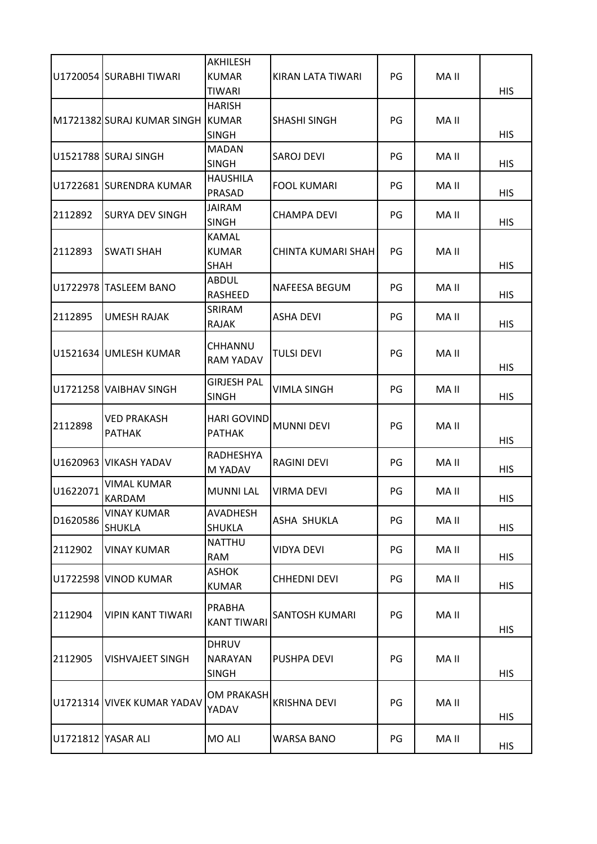| U1720054 SURABHI TIWARI<br><b>KUMAR</b><br>PG<br>MA II<br>KIRAN LATA TIWARI<br><b>TIWARI</b><br><b>HIS</b><br><b>HARISH</b><br>M1721382 SURAJ KUMAR SINGH KUMAR<br>PG<br>MA II<br><b>SHASHI SINGH</b><br><b>SINGH</b><br><b>HIS</b><br><b>MADAN</b><br>U1521788 SURAJ SINGH<br>PG<br>MA II<br>SAROJ DEVI<br><b>SINGH</b><br><b>HIS</b><br><b>HAUSHILA</b><br>U1722681 SURENDRA KUMAR<br><b>FOOL KUMARI</b><br>PG<br>MA II<br>PRASAD<br><b>HIS</b><br><b>JAIRAM</b><br>2112892<br><b>SURYA DEV SINGH</b><br><b>CHAMPA DEVI</b><br>PG<br>MA II<br><b>SINGH</b><br><b>HIS</b><br><b>KAMAL</b><br><b>SWATI SHAH</b><br><b>CHINTA KUMARI SHAH</b><br>PG<br>MA II<br>2112893<br><b>KUMAR</b><br><b>SHAH</b><br><b>HIS</b><br><b>ABDUL</b><br>U1722978 TASLEEM BANO<br>PG<br>MA II<br>NAFEESA BEGUM<br><b>HIS</b><br>RASHEED<br>SRIRAM<br>PG<br>2112895<br><b>UMESH RAJAK</b><br><b>ASHA DEVI</b><br>MA II<br><b>RAJAK</b><br><b>HIS</b><br><b>CHHANNU</b><br>U1521634 UMLESH KUMAR<br><b>TULSI DEVI</b><br>PG<br>MA II<br><b>RAM YADAV</b><br><b>HIS</b><br><b>GIRJESH PAL</b><br>U1721258 VAIBHAV SINGH<br><b>VIMLA SINGH</b><br>PG<br>MA II<br><b>HIS</b><br><b>SINGH</b><br><b>VED PRAKASH</b><br><b>HARI GOVIND</b><br>MA II<br>2112898<br><b>MUNNI DEVI</b><br>PG<br><b>PATHAK</b><br><b>PATHAK</b><br><b>HIS</b><br>RADHESHYA<br>U1620963 VIKASH YADAV<br><b>RAGINI DEVI</b><br>PG<br>MA II<br>M YADAV<br><b>HIS</b><br><b>VIMAL KUMAR</b><br>U1622071<br><b>MUNNI LAL</b><br><b>VIRMA DEVI</b><br>PG<br>MA II<br>KARDAM<br><b>HIS</b><br><b>VINAY KUMAR</b><br>AVADHESH<br>D1620586<br>PG<br>MA II<br>ASHA SHUKLA<br><b>SHUKLA</b><br><b>HIS</b><br><b>SHUKLA</b><br><b>NATTHU</b><br>PG<br>MA II<br>2112902<br><b>VINAY KUMAR</b><br>VIDYA DEVI<br><b>RAM</b><br><b>HIS</b><br><b>ASHOK</b><br>U1722598 VINOD KUMAR<br><b>CHHEDNI DEVI</b><br>PG<br>MA II<br><b>KUMAR</b><br><b>HIS</b><br>PRABHA<br>2112904<br><b>VIPIN KANT TIWARI</b><br>SANTOSH KUMARI<br>PG<br>MA II<br><b>KANT TIWARI</b><br><b>HIS</b><br><b>DHRUV</b><br>PG<br>MA II<br>2112905<br><b>VISHVAJEET SINGH</b><br><b>NARAYAN</b><br>PUSHPA DEVI<br><b>HIS</b><br><b>SINGH</b><br>OM PRAKASH<br>U1721314 VIVEK KUMAR YADAV<br><b>KRISHNA DEVI</b><br>PG<br>MA II<br>YADAV<br><b>HIS</b><br>U1721812 YASAR ALI<br>MO ALI<br><b>WARSA BANO</b><br>PG<br>MA II<br><b>HIS</b> |  | AKHILESH |  |  |
|------------------------------------------------------------------------------------------------------------------------------------------------------------------------------------------------------------------------------------------------------------------------------------------------------------------------------------------------------------------------------------------------------------------------------------------------------------------------------------------------------------------------------------------------------------------------------------------------------------------------------------------------------------------------------------------------------------------------------------------------------------------------------------------------------------------------------------------------------------------------------------------------------------------------------------------------------------------------------------------------------------------------------------------------------------------------------------------------------------------------------------------------------------------------------------------------------------------------------------------------------------------------------------------------------------------------------------------------------------------------------------------------------------------------------------------------------------------------------------------------------------------------------------------------------------------------------------------------------------------------------------------------------------------------------------------------------------------------------------------------------------------------------------------------------------------------------------------------------------------------------------------------------------------------------------------------------------------------------------------------------------------------------------------------------------------------------------------------------------------------------------------------------------------------------------------------------------------------------------------------------------------------------------------------------------------------------------------------|--|----------|--|--|
|                                                                                                                                                                                                                                                                                                                                                                                                                                                                                                                                                                                                                                                                                                                                                                                                                                                                                                                                                                                                                                                                                                                                                                                                                                                                                                                                                                                                                                                                                                                                                                                                                                                                                                                                                                                                                                                                                                                                                                                                                                                                                                                                                                                                                                                                                                                                                |  |          |  |  |
|                                                                                                                                                                                                                                                                                                                                                                                                                                                                                                                                                                                                                                                                                                                                                                                                                                                                                                                                                                                                                                                                                                                                                                                                                                                                                                                                                                                                                                                                                                                                                                                                                                                                                                                                                                                                                                                                                                                                                                                                                                                                                                                                                                                                                                                                                                                                                |  |          |  |  |
|                                                                                                                                                                                                                                                                                                                                                                                                                                                                                                                                                                                                                                                                                                                                                                                                                                                                                                                                                                                                                                                                                                                                                                                                                                                                                                                                                                                                                                                                                                                                                                                                                                                                                                                                                                                                                                                                                                                                                                                                                                                                                                                                                                                                                                                                                                                                                |  |          |  |  |
|                                                                                                                                                                                                                                                                                                                                                                                                                                                                                                                                                                                                                                                                                                                                                                                                                                                                                                                                                                                                                                                                                                                                                                                                                                                                                                                                                                                                                                                                                                                                                                                                                                                                                                                                                                                                                                                                                                                                                                                                                                                                                                                                                                                                                                                                                                                                                |  |          |  |  |
|                                                                                                                                                                                                                                                                                                                                                                                                                                                                                                                                                                                                                                                                                                                                                                                                                                                                                                                                                                                                                                                                                                                                                                                                                                                                                                                                                                                                                                                                                                                                                                                                                                                                                                                                                                                                                                                                                                                                                                                                                                                                                                                                                                                                                                                                                                                                                |  |          |  |  |
|                                                                                                                                                                                                                                                                                                                                                                                                                                                                                                                                                                                                                                                                                                                                                                                                                                                                                                                                                                                                                                                                                                                                                                                                                                                                                                                                                                                                                                                                                                                                                                                                                                                                                                                                                                                                                                                                                                                                                                                                                                                                                                                                                                                                                                                                                                                                                |  |          |  |  |
|                                                                                                                                                                                                                                                                                                                                                                                                                                                                                                                                                                                                                                                                                                                                                                                                                                                                                                                                                                                                                                                                                                                                                                                                                                                                                                                                                                                                                                                                                                                                                                                                                                                                                                                                                                                                                                                                                                                                                                                                                                                                                                                                                                                                                                                                                                                                                |  |          |  |  |
|                                                                                                                                                                                                                                                                                                                                                                                                                                                                                                                                                                                                                                                                                                                                                                                                                                                                                                                                                                                                                                                                                                                                                                                                                                                                                                                                                                                                                                                                                                                                                                                                                                                                                                                                                                                                                                                                                                                                                                                                                                                                                                                                                                                                                                                                                                                                                |  |          |  |  |
|                                                                                                                                                                                                                                                                                                                                                                                                                                                                                                                                                                                                                                                                                                                                                                                                                                                                                                                                                                                                                                                                                                                                                                                                                                                                                                                                                                                                                                                                                                                                                                                                                                                                                                                                                                                                                                                                                                                                                                                                                                                                                                                                                                                                                                                                                                                                                |  |          |  |  |
|                                                                                                                                                                                                                                                                                                                                                                                                                                                                                                                                                                                                                                                                                                                                                                                                                                                                                                                                                                                                                                                                                                                                                                                                                                                                                                                                                                                                                                                                                                                                                                                                                                                                                                                                                                                                                                                                                                                                                                                                                                                                                                                                                                                                                                                                                                                                                |  |          |  |  |
|                                                                                                                                                                                                                                                                                                                                                                                                                                                                                                                                                                                                                                                                                                                                                                                                                                                                                                                                                                                                                                                                                                                                                                                                                                                                                                                                                                                                                                                                                                                                                                                                                                                                                                                                                                                                                                                                                                                                                                                                                                                                                                                                                                                                                                                                                                                                                |  |          |  |  |
|                                                                                                                                                                                                                                                                                                                                                                                                                                                                                                                                                                                                                                                                                                                                                                                                                                                                                                                                                                                                                                                                                                                                                                                                                                                                                                                                                                                                                                                                                                                                                                                                                                                                                                                                                                                                                                                                                                                                                                                                                                                                                                                                                                                                                                                                                                                                                |  |          |  |  |
|                                                                                                                                                                                                                                                                                                                                                                                                                                                                                                                                                                                                                                                                                                                                                                                                                                                                                                                                                                                                                                                                                                                                                                                                                                                                                                                                                                                                                                                                                                                                                                                                                                                                                                                                                                                                                                                                                                                                                                                                                                                                                                                                                                                                                                                                                                                                                |  |          |  |  |
|                                                                                                                                                                                                                                                                                                                                                                                                                                                                                                                                                                                                                                                                                                                                                                                                                                                                                                                                                                                                                                                                                                                                                                                                                                                                                                                                                                                                                                                                                                                                                                                                                                                                                                                                                                                                                                                                                                                                                                                                                                                                                                                                                                                                                                                                                                                                                |  |          |  |  |
|                                                                                                                                                                                                                                                                                                                                                                                                                                                                                                                                                                                                                                                                                                                                                                                                                                                                                                                                                                                                                                                                                                                                                                                                                                                                                                                                                                                                                                                                                                                                                                                                                                                                                                                                                                                                                                                                                                                                                                                                                                                                                                                                                                                                                                                                                                                                                |  |          |  |  |
|                                                                                                                                                                                                                                                                                                                                                                                                                                                                                                                                                                                                                                                                                                                                                                                                                                                                                                                                                                                                                                                                                                                                                                                                                                                                                                                                                                                                                                                                                                                                                                                                                                                                                                                                                                                                                                                                                                                                                                                                                                                                                                                                                                                                                                                                                                                                                |  |          |  |  |
|                                                                                                                                                                                                                                                                                                                                                                                                                                                                                                                                                                                                                                                                                                                                                                                                                                                                                                                                                                                                                                                                                                                                                                                                                                                                                                                                                                                                                                                                                                                                                                                                                                                                                                                                                                                                                                                                                                                                                                                                                                                                                                                                                                                                                                                                                                                                                |  |          |  |  |
|                                                                                                                                                                                                                                                                                                                                                                                                                                                                                                                                                                                                                                                                                                                                                                                                                                                                                                                                                                                                                                                                                                                                                                                                                                                                                                                                                                                                                                                                                                                                                                                                                                                                                                                                                                                                                                                                                                                                                                                                                                                                                                                                                                                                                                                                                                                                                |  |          |  |  |
|                                                                                                                                                                                                                                                                                                                                                                                                                                                                                                                                                                                                                                                                                                                                                                                                                                                                                                                                                                                                                                                                                                                                                                                                                                                                                                                                                                                                                                                                                                                                                                                                                                                                                                                                                                                                                                                                                                                                                                                                                                                                                                                                                                                                                                                                                                                                                |  |          |  |  |
|                                                                                                                                                                                                                                                                                                                                                                                                                                                                                                                                                                                                                                                                                                                                                                                                                                                                                                                                                                                                                                                                                                                                                                                                                                                                                                                                                                                                                                                                                                                                                                                                                                                                                                                                                                                                                                                                                                                                                                                                                                                                                                                                                                                                                                                                                                                                                |  |          |  |  |
|                                                                                                                                                                                                                                                                                                                                                                                                                                                                                                                                                                                                                                                                                                                                                                                                                                                                                                                                                                                                                                                                                                                                                                                                                                                                                                                                                                                                                                                                                                                                                                                                                                                                                                                                                                                                                                                                                                                                                                                                                                                                                                                                                                                                                                                                                                                                                |  |          |  |  |
|                                                                                                                                                                                                                                                                                                                                                                                                                                                                                                                                                                                                                                                                                                                                                                                                                                                                                                                                                                                                                                                                                                                                                                                                                                                                                                                                                                                                                                                                                                                                                                                                                                                                                                                                                                                                                                                                                                                                                                                                                                                                                                                                                                                                                                                                                                                                                |  |          |  |  |
|                                                                                                                                                                                                                                                                                                                                                                                                                                                                                                                                                                                                                                                                                                                                                                                                                                                                                                                                                                                                                                                                                                                                                                                                                                                                                                                                                                                                                                                                                                                                                                                                                                                                                                                                                                                                                                                                                                                                                                                                                                                                                                                                                                                                                                                                                                                                                |  |          |  |  |
|                                                                                                                                                                                                                                                                                                                                                                                                                                                                                                                                                                                                                                                                                                                                                                                                                                                                                                                                                                                                                                                                                                                                                                                                                                                                                                                                                                                                                                                                                                                                                                                                                                                                                                                                                                                                                                                                                                                                                                                                                                                                                                                                                                                                                                                                                                                                                |  |          |  |  |
|                                                                                                                                                                                                                                                                                                                                                                                                                                                                                                                                                                                                                                                                                                                                                                                                                                                                                                                                                                                                                                                                                                                                                                                                                                                                                                                                                                                                                                                                                                                                                                                                                                                                                                                                                                                                                                                                                                                                                                                                                                                                                                                                                                                                                                                                                                                                                |  |          |  |  |
|                                                                                                                                                                                                                                                                                                                                                                                                                                                                                                                                                                                                                                                                                                                                                                                                                                                                                                                                                                                                                                                                                                                                                                                                                                                                                                                                                                                                                                                                                                                                                                                                                                                                                                                                                                                                                                                                                                                                                                                                                                                                                                                                                                                                                                                                                                                                                |  |          |  |  |
|                                                                                                                                                                                                                                                                                                                                                                                                                                                                                                                                                                                                                                                                                                                                                                                                                                                                                                                                                                                                                                                                                                                                                                                                                                                                                                                                                                                                                                                                                                                                                                                                                                                                                                                                                                                                                                                                                                                                                                                                                                                                                                                                                                                                                                                                                                                                                |  |          |  |  |
|                                                                                                                                                                                                                                                                                                                                                                                                                                                                                                                                                                                                                                                                                                                                                                                                                                                                                                                                                                                                                                                                                                                                                                                                                                                                                                                                                                                                                                                                                                                                                                                                                                                                                                                                                                                                                                                                                                                                                                                                                                                                                                                                                                                                                                                                                                                                                |  |          |  |  |
|                                                                                                                                                                                                                                                                                                                                                                                                                                                                                                                                                                                                                                                                                                                                                                                                                                                                                                                                                                                                                                                                                                                                                                                                                                                                                                                                                                                                                                                                                                                                                                                                                                                                                                                                                                                                                                                                                                                                                                                                                                                                                                                                                                                                                                                                                                                                                |  |          |  |  |
|                                                                                                                                                                                                                                                                                                                                                                                                                                                                                                                                                                                                                                                                                                                                                                                                                                                                                                                                                                                                                                                                                                                                                                                                                                                                                                                                                                                                                                                                                                                                                                                                                                                                                                                                                                                                                                                                                                                                                                                                                                                                                                                                                                                                                                                                                                                                                |  |          |  |  |
|                                                                                                                                                                                                                                                                                                                                                                                                                                                                                                                                                                                                                                                                                                                                                                                                                                                                                                                                                                                                                                                                                                                                                                                                                                                                                                                                                                                                                                                                                                                                                                                                                                                                                                                                                                                                                                                                                                                                                                                                                                                                                                                                                                                                                                                                                                                                                |  |          |  |  |
|                                                                                                                                                                                                                                                                                                                                                                                                                                                                                                                                                                                                                                                                                                                                                                                                                                                                                                                                                                                                                                                                                                                                                                                                                                                                                                                                                                                                                                                                                                                                                                                                                                                                                                                                                                                                                                                                                                                                                                                                                                                                                                                                                                                                                                                                                                                                                |  |          |  |  |
|                                                                                                                                                                                                                                                                                                                                                                                                                                                                                                                                                                                                                                                                                                                                                                                                                                                                                                                                                                                                                                                                                                                                                                                                                                                                                                                                                                                                                                                                                                                                                                                                                                                                                                                                                                                                                                                                                                                                                                                                                                                                                                                                                                                                                                                                                                                                                |  |          |  |  |
|                                                                                                                                                                                                                                                                                                                                                                                                                                                                                                                                                                                                                                                                                                                                                                                                                                                                                                                                                                                                                                                                                                                                                                                                                                                                                                                                                                                                                                                                                                                                                                                                                                                                                                                                                                                                                                                                                                                                                                                                                                                                                                                                                                                                                                                                                                                                                |  |          |  |  |
|                                                                                                                                                                                                                                                                                                                                                                                                                                                                                                                                                                                                                                                                                                                                                                                                                                                                                                                                                                                                                                                                                                                                                                                                                                                                                                                                                                                                                                                                                                                                                                                                                                                                                                                                                                                                                                                                                                                                                                                                                                                                                                                                                                                                                                                                                                                                                |  |          |  |  |
|                                                                                                                                                                                                                                                                                                                                                                                                                                                                                                                                                                                                                                                                                                                                                                                                                                                                                                                                                                                                                                                                                                                                                                                                                                                                                                                                                                                                                                                                                                                                                                                                                                                                                                                                                                                                                                                                                                                                                                                                                                                                                                                                                                                                                                                                                                                                                |  |          |  |  |
|                                                                                                                                                                                                                                                                                                                                                                                                                                                                                                                                                                                                                                                                                                                                                                                                                                                                                                                                                                                                                                                                                                                                                                                                                                                                                                                                                                                                                                                                                                                                                                                                                                                                                                                                                                                                                                                                                                                                                                                                                                                                                                                                                                                                                                                                                                                                                |  |          |  |  |
|                                                                                                                                                                                                                                                                                                                                                                                                                                                                                                                                                                                                                                                                                                                                                                                                                                                                                                                                                                                                                                                                                                                                                                                                                                                                                                                                                                                                                                                                                                                                                                                                                                                                                                                                                                                                                                                                                                                                                                                                                                                                                                                                                                                                                                                                                                                                                |  |          |  |  |
|                                                                                                                                                                                                                                                                                                                                                                                                                                                                                                                                                                                                                                                                                                                                                                                                                                                                                                                                                                                                                                                                                                                                                                                                                                                                                                                                                                                                                                                                                                                                                                                                                                                                                                                                                                                                                                                                                                                                                                                                                                                                                                                                                                                                                                                                                                                                                |  |          |  |  |
|                                                                                                                                                                                                                                                                                                                                                                                                                                                                                                                                                                                                                                                                                                                                                                                                                                                                                                                                                                                                                                                                                                                                                                                                                                                                                                                                                                                                                                                                                                                                                                                                                                                                                                                                                                                                                                                                                                                                                                                                                                                                                                                                                                                                                                                                                                                                                |  |          |  |  |
|                                                                                                                                                                                                                                                                                                                                                                                                                                                                                                                                                                                                                                                                                                                                                                                                                                                                                                                                                                                                                                                                                                                                                                                                                                                                                                                                                                                                                                                                                                                                                                                                                                                                                                                                                                                                                                                                                                                                                                                                                                                                                                                                                                                                                                                                                                                                                |  |          |  |  |
|                                                                                                                                                                                                                                                                                                                                                                                                                                                                                                                                                                                                                                                                                                                                                                                                                                                                                                                                                                                                                                                                                                                                                                                                                                                                                                                                                                                                                                                                                                                                                                                                                                                                                                                                                                                                                                                                                                                                                                                                                                                                                                                                                                                                                                                                                                                                                |  |          |  |  |
|                                                                                                                                                                                                                                                                                                                                                                                                                                                                                                                                                                                                                                                                                                                                                                                                                                                                                                                                                                                                                                                                                                                                                                                                                                                                                                                                                                                                                                                                                                                                                                                                                                                                                                                                                                                                                                                                                                                                                                                                                                                                                                                                                                                                                                                                                                                                                |  |          |  |  |
|                                                                                                                                                                                                                                                                                                                                                                                                                                                                                                                                                                                                                                                                                                                                                                                                                                                                                                                                                                                                                                                                                                                                                                                                                                                                                                                                                                                                                                                                                                                                                                                                                                                                                                                                                                                                                                                                                                                                                                                                                                                                                                                                                                                                                                                                                                                                                |  |          |  |  |
|                                                                                                                                                                                                                                                                                                                                                                                                                                                                                                                                                                                                                                                                                                                                                                                                                                                                                                                                                                                                                                                                                                                                                                                                                                                                                                                                                                                                                                                                                                                                                                                                                                                                                                                                                                                                                                                                                                                                                                                                                                                                                                                                                                                                                                                                                                                                                |  |          |  |  |
|                                                                                                                                                                                                                                                                                                                                                                                                                                                                                                                                                                                                                                                                                                                                                                                                                                                                                                                                                                                                                                                                                                                                                                                                                                                                                                                                                                                                                                                                                                                                                                                                                                                                                                                                                                                                                                                                                                                                                                                                                                                                                                                                                                                                                                                                                                                                                |  |          |  |  |
|                                                                                                                                                                                                                                                                                                                                                                                                                                                                                                                                                                                                                                                                                                                                                                                                                                                                                                                                                                                                                                                                                                                                                                                                                                                                                                                                                                                                                                                                                                                                                                                                                                                                                                                                                                                                                                                                                                                                                                                                                                                                                                                                                                                                                                                                                                                                                |  |          |  |  |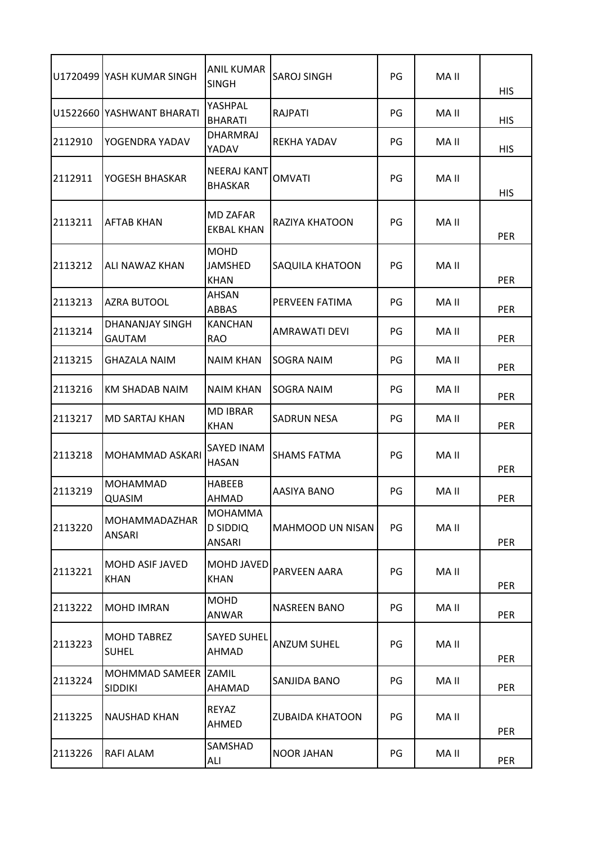|         | U1720499 YASH KUMAR SINGH              | <b>ANIL KUMAR</b><br><b>SINGH</b>    | <b>SAROJ SINGH</b>      | PG | MA II | <b>HIS</b> |
|---------|----------------------------------------|--------------------------------------|-------------------------|----|-------|------------|
|         | U1522660 YASHWANT BHARATI              | YASHPAL<br><b>BHARATI</b>            | <b>RAJPATI</b>          | PG | MA II | <b>HIS</b> |
| 2112910 | YOGENDRA YADAV                         | <b>DHARMRAJ</b><br>YADAV             | REKHA YADAV             | PG | MA II | <b>HIS</b> |
| 2112911 | YOGESH BHASKAR                         | <b>NEERAJ KANT</b><br><b>BHASKAR</b> | <b>OMVATI</b>           | PG | MA II | <b>HIS</b> |
| 2113211 | <b>AFTAB KHAN</b>                      | MD ZAFAR<br><b>EKBAL KHAN</b>        | RAZIYA KHATOON          | PG | MA II | <b>PER</b> |
| 2113212 | ALI NAWAZ KHAN                         | <b>MOHD</b><br>JAMSHED<br>KHAN       | SAQUILA KHATOON         | PG | MA II | <b>PER</b> |
| 2113213 | <b>AZRA BUTOOL</b>                     | AHSAN<br>ABBAS                       | PERVEEN FATIMA          | PG | MA II | <b>PER</b> |
| 2113214 | DHANANJAY SINGH<br><b>GAUTAM</b>       | <b>KANCHAN</b><br><b>RAO</b>         | AMRAWATI DEVI           | PG | MA II | <b>PER</b> |
| 2113215 | <b>GHAZALA NAIM</b>                    | <b>NAIM KHAN</b>                     | <b>SOGRA NAIM</b>       | PG | MA II | PER        |
| 2113216 | KM SHADAB NAIM                         | <b>NAIM KHAN</b>                     | <b>SOGRA NAIM</b>       | PG | MA II | PER        |
| 2113217 | <b>MD SARTAJ KHAN</b>                  | <b>MD IBRAR</b><br><b>KHAN</b>       | <b>SADRUN NESA</b>      | PG | MA II | <b>PER</b> |
| 2113218 | <b>MOHAMMAD ASKARI</b>                 | SAYED INAM<br><b>HASAN</b>           | <b>SHAMS FATMA</b>      | PG | MA II | PER        |
| 2113219 | <b>MOHAMMAD</b><br><b>QUASIM</b>       | <b>HABEEB</b><br>AHMAD               | AASIYA BANO             | PG | MA II | <b>PER</b> |
| 2113220 | <b>MOHAMMADAZHAR</b><br>ANSARI         | <b>MOHAMMA</b><br>D SIDDIQ<br>ANSARI | <b>MAHMOOD UN NISAN</b> | PG | MA II | <b>PER</b> |
| 2113221 | <b>MOHD ASIF JAVED</b><br><b>KHAN</b>  | MOHD JAVED<br><b>KHAN</b>            | PARVEEN AARA            | PG | MA II | <b>PER</b> |
| 2113222 | <b>MOHD IMRAN</b>                      | <b>MOHD</b><br>ANWAR                 | <b>NASREEN BANO</b>     | PG | MA II | <b>PER</b> |
| 2113223 | <b>MOHD TABREZ</b><br><b>SUHEL</b>     | <b>SAYED SUHEL</b><br>AHMAD          | <b>ANZUM SUHEL</b>      | PG | MA II | <b>PER</b> |
| 2113224 | MOHMMAD SAMEER ZAMIL<br><b>SIDDIKI</b> | AHAMAD                               | SANJIDA BANO            | PG | MA II | <b>PER</b> |
| 2113225 | <b>NAUSHAD KHAN</b>                    | REYAZ<br>AHMED                       | <b>ZUBAIDA KHATOON</b>  | PG | MA II | <b>PER</b> |
| 2113226 | RAFI ALAM                              | SAMSHAD<br>ALI                       | NOOR JAHAN              | PG | MA II | <b>PER</b> |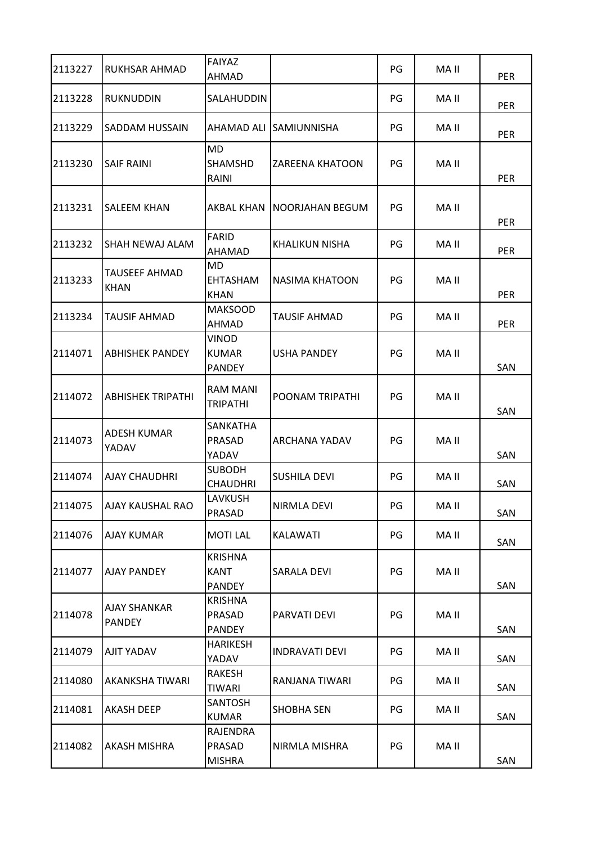| 2113227 | RUKHSAR AHMAD                       | FAIYAZ<br>AHMAD                                |                        | PG | MA II | <b>PER</b> |
|---------|-------------------------------------|------------------------------------------------|------------------------|----|-------|------------|
| 2113228 | RUKNUDDIN                           | <b>SALAHUDDIN</b>                              |                        | PG | MA II | PER        |
| 2113229 | SADDAM HUSSAIN                      | AHAMAD ALI                                     | <b>SAMIUNNISHA</b>     | PG | MA II | <b>PER</b> |
| 2113230 | <b>SAIF RAINI</b>                   | <b>MD</b><br><b>SHAMSHD</b><br>RAINI           | <b>ZAREENA KHATOON</b> | PG | MA II | <b>PER</b> |
| 2113231 | SALEEM KHAN                         | AKBAL KHAN                                     | NOORJAHAN BEGUM        | PG | MA II | <b>PER</b> |
| 2113232 | SHAH NEWAJ ALAM                     | FARID<br>AHAMAD                                | KHALIKUN NISHA         | PG | MA II | PER        |
| 2113233 | <b>TAUSEEF AHMAD</b><br><b>KHAN</b> | MD<br><b>EHTASHAM</b><br><b>KHAN</b>           | NASIMA KHATOON         | PG | MA II | <b>PER</b> |
| 2113234 | <b>TAUSIF AHMAD</b>                 | <b>MAKSOOD</b><br>AHMAD                        | TAUSIF AHMAD           | PG | MA II | <b>PER</b> |
| 2114071 | <b>ABHISHEK PANDEY</b>              | VINOD<br><b>KUMAR</b><br><b>PANDEY</b>         | USHA PANDEY            | PG | MA II | SAN        |
| 2114072 | ABHISHEK TRIPATHI                   | <b>RAM MANI</b><br><b>TRIPATHI</b>             | POONAM TRIPATHI        | PG | MA II | SAN        |
| 2114073 | ADESH KUMAR<br>YADAV                | <b>SANKATHA</b><br>PRASAD<br>YADAV             | ARCHANA YADAV          | PG | MA II | SAN        |
| 2114074 | <b>AJAY CHAUDHRI</b>                | <b>SUBODH</b><br>CHAUDHRI                      | <b>SUSHILA DEVI</b>    | PG | MA II | SAN        |
| 2114075 | AJAY KAUSHAL RAO                    | LAVKUSH<br>PRASAD                              | <b>NIRMLA DEVI</b>     | PG | MA II | SAN        |
| 2114076 | AJAY KUMAR                          | <b>MOTILAL</b>                                 | KALAWATI               | PG | MA II | SAN        |
| 2114077 | <b>AJAY PANDEY</b>                  | <b>KRISHNA</b><br><b>KANT</b><br><b>PANDEY</b> | SARALA DEVI            | PG | MA II | SAN        |
| 2114078 | AJAY SHANKAR<br>PANDEY              | <b>KRISHNA</b><br>PRASAD<br><b>PANDEY</b>      | PARVATI DEVI           | PG | MA II | SAN        |
| 2114079 | AJIT YADAV                          | <b>HARIKESH</b><br>YADAV                       | <b>INDRAVATI DEVI</b>  | PG | MA II | SAN        |
| 2114080 | AKANKSHA TIWARI                     | RAKESH<br><b>TIWARI</b>                        | RANJANA TIWARI         | PG | MA II | SAN        |
| 2114081 | <b>AKASH DEEP</b>                   | <b>SANTOSH</b><br><b>KUMAR</b>                 | SHOBHA SEN             | PG | MA II | SAN        |
| 2114082 | AKASH MISHRA                        | RAJENDRA<br>PRASAD<br><b>MISHRA</b>            | NIRMLA MISHRA          | PG | MA II | SAN        |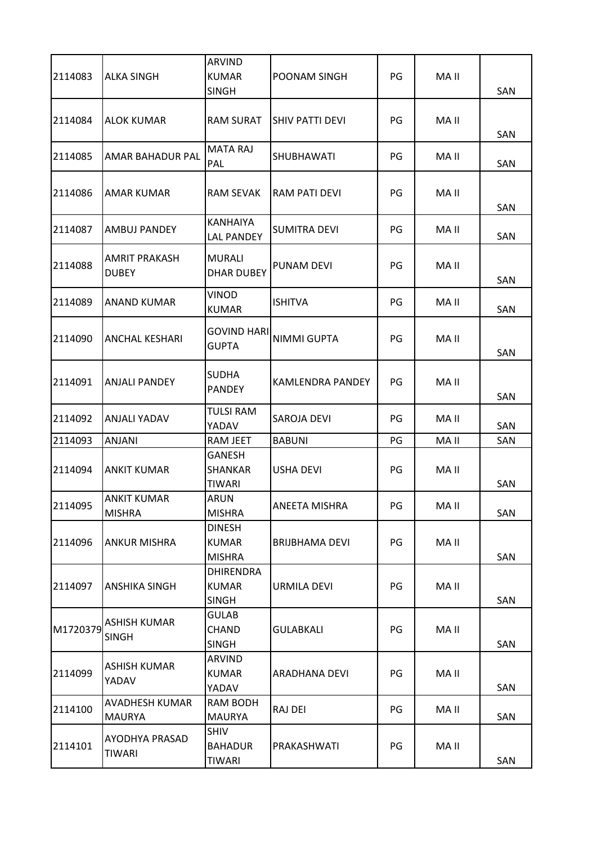|          |                                        | <b>ARVIND</b>                                    |                         |    |       |     |
|----------|----------------------------------------|--------------------------------------------------|-------------------------|----|-------|-----|
| 2114083  | <b>ALKA SINGH</b>                      | <b>KUMAR</b><br><b>SINGH</b>                     | POONAM SINGH            | PG | MA II | SAN |
| 2114084  | <b>ALOK KUMAR</b>                      | <b>RAM SURAT</b>                                 | SHIV PATTI DEVI         | PG | MA II | SAN |
| 2114085  | <b>AMAR BAHADUR PAL</b>                | <b>MATA RAJ</b><br>PAL                           | SHUBHAWATI              | PG | MA II | SAN |
| 2114086  | <b>AMAR KUMAR</b>                      | <b>RAM SEVAK</b>                                 | <b>RAM PATI DEVI</b>    | PG | MA II | SAN |
| 2114087  | <b>AMBUJ PANDEY</b>                    | <b>KANHAIYA</b><br><b>LAL PANDEY</b>             | <b>SUMITRA DEVI</b>     | PG | MA II | SAN |
| 2114088  | <b>AMRIT PRAKASH</b><br><b>DUBEY</b>   | <b>MURALI</b><br><b>DHAR DUBEY</b>               | <b>PUNAM DEVI</b>       | PG | MA II | SAN |
| 2114089  | <b>ANAND KUMAR</b>                     | <b>VINOD</b><br><b>KUMAR</b>                     | <b>ISHITVA</b>          | PG | MA II | SAN |
| 2114090  | <b>ANCHAL KESHARI</b>                  | <b>GOVIND HARI</b><br><b>GUPTA</b>               | <b>NIMMI GUPTA</b>      | PG | MA II | SAN |
| 2114091  | <b>ANJALI PANDEY</b>                   | <b>SUDHA</b><br><b>PANDEY</b>                    | <b>KAMLENDRA PANDEY</b> | PG | MA II | SAN |
| 2114092  | <b>ANJALI YADAV</b>                    | <b>TULSI RAM</b><br>YADAV                        | SAROJA DEVI             | PG | MA II | SAN |
| 2114093  | ANJANI                                 | <b>RAM JEET</b>                                  | <b>BABUNI</b>           | PG | MA II | SAN |
| 2114094  | <b>ANKIT KUMAR</b>                     | <b>GANESH</b><br><b>SHANKAR</b><br><b>TIWARI</b> | <b>USHA DEVI</b>        | PG | MA II | SAN |
| 2114095  | <b>ANKIT KUMAR</b><br><b>MISHRA</b>    | <b>ARUN</b><br><b>MISHRA</b>                     | ANEETA MISHRA           | PG | MA II | SAN |
| 2114096  | <b>ANKUR MISHRA</b>                    | <b>DINESH</b><br><b>KUMAR</b><br><b>MISHRA</b>   | BRIJBHAMA DEVI          | PG | MA II | SAN |
| 2114097  | <b>ANSHIKA SINGH</b>                   | <b>DHIRENDRA</b><br><b>KUMAR</b><br><b>SINGH</b> | URMILA DEVI             | PG | MA II | SAN |
| M1720379 | <b>ASHISH KUMAR</b><br><b>SINGH</b>    | <b>GULAB</b><br>CHAND<br><b>SINGH</b>            | <b>GULABKALI</b>        | PG | MA II | SAN |
| 2114099  | <b>ASHISH KUMAR</b><br>YADAV           | <b>ARVIND</b><br><b>KUMAR</b><br>YADAV           | ARADHANA DEVI           | PG | MA II | SAN |
| 2114100  | <b>AVADHESH KUMAR</b><br><b>MAURYA</b> | <b>RAM BODH</b><br><b>MAURYA</b>                 | RAJ DEI                 | PG | MA II | SAN |
| 2114101  | <b>AYODHYA PRASAD</b><br>TIWARI        | <b>SHIV</b><br><b>BAHADUR</b><br><b>TIWARI</b>   | PRAKASHWATI             | PG | MA II | SAN |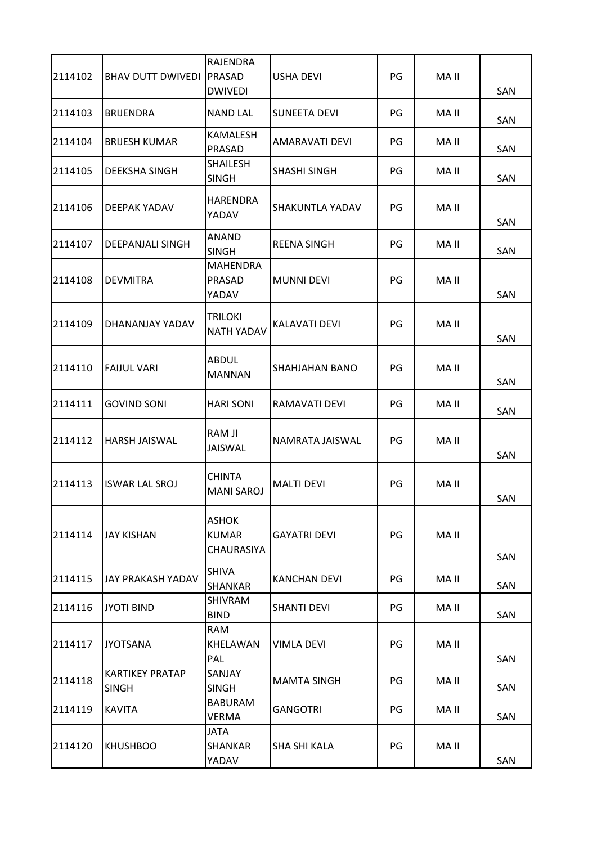| 2114102 | <b>BHAV DUTT DWIVEDI   PRASAD</b>      | RAJENDRA<br><b>DWIVEDI</b>                 | USHA DEVI            | PG | MA II | SAN |
|---------|----------------------------------------|--------------------------------------------|----------------------|----|-------|-----|
| 2114103 | <b>BRIJENDRA</b>                       | <b>NAND LAL</b>                            | <b>SUNEETA DEVI</b>  | PG | MA II | SAN |
| 2114104 | <b>BRIJESH KUMAR</b>                   | <b>KAMALESH</b><br>PRASAD                  | AMARAVATI DEVI       | PG | MA II | SAN |
| 2114105 | DEEKSHA SINGH                          | <b>SHAILESH</b><br><b>SINGH</b>            | SHASHI SINGH         | PG | MA II | SAN |
| 2114106 | DEEPAK YADAV                           | <b>HARENDRA</b><br>YADAV                   | SHAKUNTLA YADAV      | PG | MA II | SAN |
| 2114107 | DEEPANJALI SINGH                       | <b>ANAND</b><br><b>SINGH</b>               | <b>REENA SINGH</b>   | PG | MA II | SAN |
| 2114108 | <b>DEVMITRA</b>                        | <b>MAHENDRA</b><br>PRASAD<br>YADAV         | <b>MUNNI DEVI</b>    | PG | MA II | SAN |
| 2114109 | DHANANJAY YADAV                        | <b>TRILOKI</b><br><b>NATH YADAV</b>        | <b>KALAVATI DEVI</b> | PG | MA II | SAN |
| 2114110 | <b>FAIJUL VARI</b>                     | <b>ABDUL</b><br><b>MANNAN</b>              | SHAHJAHAN BANO       | PG | MA II | SAN |
| 2114111 | <b>GOVIND SONI</b>                     | <b>HARI SONI</b>                           | RAMAVATI DEVI        | PG | MA II | SAN |
| 2114112 | <b>HARSH JAISWAL</b>                   | RAM JI<br><b>JAISWAL</b>                   | NAMRATA JAISWAL      | PG | MA II | SAN |
| 2114113 | <b>ISWAR LAL SROJ</b>                  | <b>CHINTA</b><br><b>MANI SAROJ</b>         | <b>MALTI DEVI</b>    | PG | MA II | SAN |
| 2114114 | <b>JAY KISHAN</b>                      | <b>ASHOK</b><br><b>KUMAR</b><br>CHAURASIYA | <b>GAYATRI DEVI</b>  | PG | MA II | SAN |
| 2114115 | <b>JAY PRAKASH YADAV</b>               | <b>SHIVA</b><br><b>SHANKAR</b>             | <b>KANCHAN DEVI</b>  | PG | MA II | SAN |
| 2114116 | <b>JYOTI BIND</b>                      | <b>SHIVRAM</b><br><b>BIND</b>              | SHANTI DEVI          | PG | MA II | SAN |
| 2114117 | <b>JYOTSANA</b>                        | <b>RAM</b><br>KHELAWAN<br>PAL              | VIMLA DEVI           | PG | MA II | SAN |
| 2114118 | <b>KARTIKEY PRATAP</b><br><b>SINGH</b> | SANJAY<br><b>SINGH</b>                     | <b>MAMTA SINGH</b>   | PG | MA II | SAN |
| 2114119 | <b>KAVITA</b>                          | <b>BABURAM</b><br><b>VERMA</b>             | <b>GANGOTRI</b>      | PG | MA II | SAN |
| 2114120 | <b>KHUSHBOO</b>                        | <b>JATA</b><br><b>SHANKAR</b><br>YADAV     | SHA SHI KALA         | PG | MA II | SAN |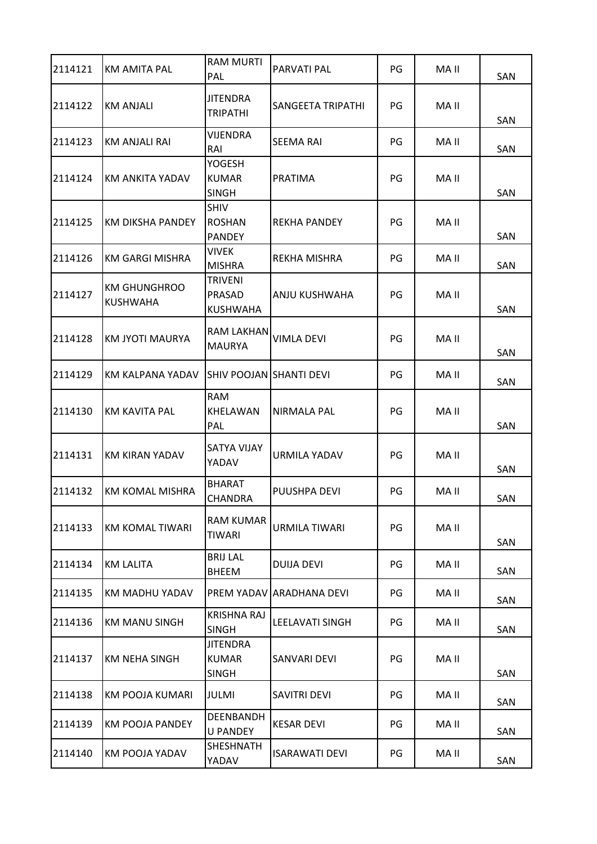| 2114121 | <b>KM AMITA PAL</b>                    | <b>RAM MURTI</b><br>PAL                         | PARVATI PAL              | PG | MA II | SAN |
|---------|----------------------------------------|-------------------------------------------------|--------------------------|----|-------|-----|
| 2114122 | <b>KM ANJALI</b>                       | <b>JITENDRA</b><br><b>TRIPATHI</b>              | <b>SANGEETA TRIPATHI</b> | PG | MA II | SAN |
| 2114123 | <b>KM ANJALI RAI</b>                   | <b>VIJENDRA</b><br>RAI                          | SEEMA RAI                | PG | MA II | SAN |
| 2114124 | <b>KM ANKITA YADAV</b>                 | <b>YOGESH</b><br><b>KUMAR</b><br><b>SINGH</b>   | PRATIMA                  | PG | MA II | SAN |
| 2114125 | <b>KM DIKSHA PANDEY</b>                | <b>SHIV</b><br><b>ROSHAN</b><br><b>PANDEY</b>   | <b>REKHA PANDEY</b>      | PG | MA II | SAN |
| 2114126 | <b>KM GARGI MISHRA</b>                 | <b>VIVEK</b><br><b>MISHRA</b>                   | REKHA MISHRA             | PG | MA II | SAN |
| 2114127 | <b>KM GHUNGHROO</b><br><b>KUSHWAHA</b> | <b>TRIVENI</b><br>PRASAD<br><b>KUSHWAHA</b>     | ANJU KUSHWAHA            | PG | MA II | SAN |
| 2114128 | KM JYOTI MAURYA                        | <b>RAM LAKHAN</b><br><b>MAURYA</b>              | VIMLA DEVI               | PG | MA II | SAN |
| 2114129 | KM KALPANA YADAV                       | SHIV POOJAN SHANTI DEVI                         |                          | PG | MA II | SAN |
| 2114130 | <b>KM KAVITA PAL</b>                   | <b>RAM</b><br>KHELAWAN<br>PAL                   | NIRMALA PAL              | PG | MA II | SAN |
| 2114131 | <b>KM KIRAN YADAV</b>                  | <b>SATYA VIJAY</b><br>YADAV                     | <b>URMILA YADAV</b>      | PG | MA II | SAN |
| 2114132 | <b>KM KOMAL MISHRA</b>                 | <b>BHARAT</b><br><b>CHANDRA</b>                 | PUUSHPA DEVI             | PG | MA II | SAN |
| 2114133 | KM KOMAL TIWARI                        | <b>RAM KUMAR</b><br><b>TIWARI</b>               | <b>URMILA TIWARI</b>     | PG | MA II | SAN |
| 2114134 | <b>KM LALITA</b>                       | <b>BRIJ LAL</b><br><b>BHEEM</b>                 | DUIJA DEVI               | PG | MA II | SAN |
| 2114135 | KM MADHU YADAV                         | PREM YADAV                                      | <b>ARADHANA DEVI</b>     | PG | MA II | SAN |
| 2114136 | <b>KM MANU SINGH</b>                   | <b>KRISHNA RAJ</b><br><b>SINGH</b>              | LEELAVATI SINGH          | PG | MA II | SAN |
| 2114137 | <b>KM NEHA SINGH</b>                   | <b>JITENDRA</b><br><b>KUMAR</b><br><b>SINGH</b> | SANVARI DEVI             | PG | MA II | SAN |
| 2114138 | KM POOJA KUMARI                        | JULMI                                           | SAVITRI DEVI             | PG | MA II | SAN |
| 2114139 | KM POOJA PANDEY                        | DEENBANDH<br><b>U PANDEY</b>                    | <b>KESAR DEVI</b>        | PG | MA II | SAN |
| 2114140 | KM POOJA YADAV                         | <b>SHESHNATH</b><br>YADAV                       | ISARAWATI DEVI           | PG | MA II | SAN |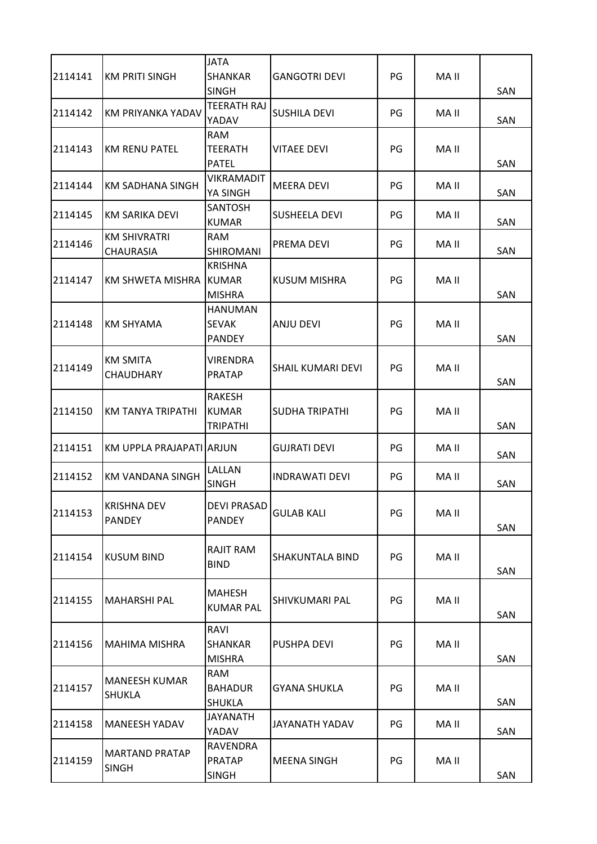| 2114141 | <b>KM PRITI SINGH</b>                   | <b>JATA</b><br><b>SHANKAR</b><br><b>SINGH</b>    | <b>GANGOTRI DEVI</b>  | PG | MA II | SAN |
|---------|-----------------------------------------|--------------------------------------------------|-----------------------|----|-------|-----|
| 2114142 | KM PRIYANKA YADAV                       | TEERATH RAJ<br>YADAV                             | <b>SUSHILA DEVI</b>   | PG | MA II | SAN |
| 2114143 | <b>KM RENU PATEL</b>                    | <b>RAM</b><br><b>TEERATH</b><br><b>PATEL</b>     | <b>VITAEE DEVI</b>    | PG | MA II | SAN |
| 2114144 | <b>KM SADHANA SINGH</b>                 | <b>VIKRAMADIT</b><br>YA SINGH                    | <b>MEERA DEVI</b>     | PG | MA II | SAN |
| 2114145 | <b>KM SARIKA DEVI</b>                   | <b>SANTOSH</b><br><b>KUMAR</b>                   | <b>SUSHEELA DEVI</b>  | PG | MA II | SAN |
| 2114146 | <b>KM SHIVRATRI</b><br><b>CHAURASIA</b> | <b>RAM</b><br>SHIROMANI                          | PREMA DEVI            | PG | MA II | SAN |
| 2114147 | KM SHWETA MISHRA                        | <b>KRISHNA</b><br><b>KUMAR</b><br><b>MISHRA</b>  | KUSUM MISHRA          | PG | MA II | SAN |
| 2114148 | <b>KM SHYAMA</b>                        | <b>HANUMAN</b><br><b>SEVAK</b><br><b>PANDEY</b>  | ANJU DEVI             | PG | MA II | SAN |
| 2114149 | <b>KM SMITA</b><br><b>CHAUDHARY</b>     | <b>VIRENDRA</b><br><b>PRATAP</b>                 | SHAIL KUMARI DEVI     | PG | MA II | SAN |
| 2114150 | <b>KM TANYA TRIPATHI</b>                | <b>RAKESH</b><br><b>KUMAR</b><br><b>TRIPATHI</b> | <b>SUDHA TRIPATHI</b> | PG | MA II | SAN |
| 2114151 | KM UPPLA PRAJAPATI ARJUN                |                                                  | <b>GUJRATI DEVI</b>   | PG | MA II | SAN |
| 2114152 | KM VANDANA SINGH                        | LALLAN<br><b>SINGH</b>                           | <b>INDRAWATI DEVI</b> | PG | MA II | SAN |
| 2114153 | <b>KRISHNA DEV</b><br><b>PANDEY</b>     | <b>DEVI PRASAD</b><br><b>PANDEY</b>              | <b>GULAB KALI</b>     | PG | MA II | SAN |
| 2114154 | <b>KUSUM BIND</b>                       | <b>RAJIT RAM</b><br><b>BIND</b>                  | SHAKUNTALA BIND       | PG | MA II | SAN |
| 2114155 | <b>MAHARSHI PAL</b>                     | MAHESH<br><b>KUMAR PAL</b>                       | SHIVKUMARI PAL        | PG | MA II | SAN |
| 2114156 | <b>MAHIMA MISHRA</b>                    | RAVI<br>SHANKAR<br><b>MISHRA</b>                 | PUSHPA DEVI           | PG | MA II | SAN |
| 2114157 | <b>MANEESH KUMAR</b><br><b>SHUKLA</b>   | <b>RAM</b><br><b>BAHADUR</b><br><b>SHUKLA</b>    | <b>GYANA SHUKLA</b>   | PG | MA II | SAN |
| 2114158 | <b>MANEESH YADAV</b>                    | <b>JAYANATH</b><br>YADAV                         | JAYANATH YADAV        | PG | MA II | SAN |
| 2114159 | <b>MARTAND PRATAP</b><br><b>SINGH</b>   | RAVENDRA<br><b>PRATAP</b><br><b>SINGH</b>        | <b>MEENA SINGH</b>    | PG | MA II | SAN |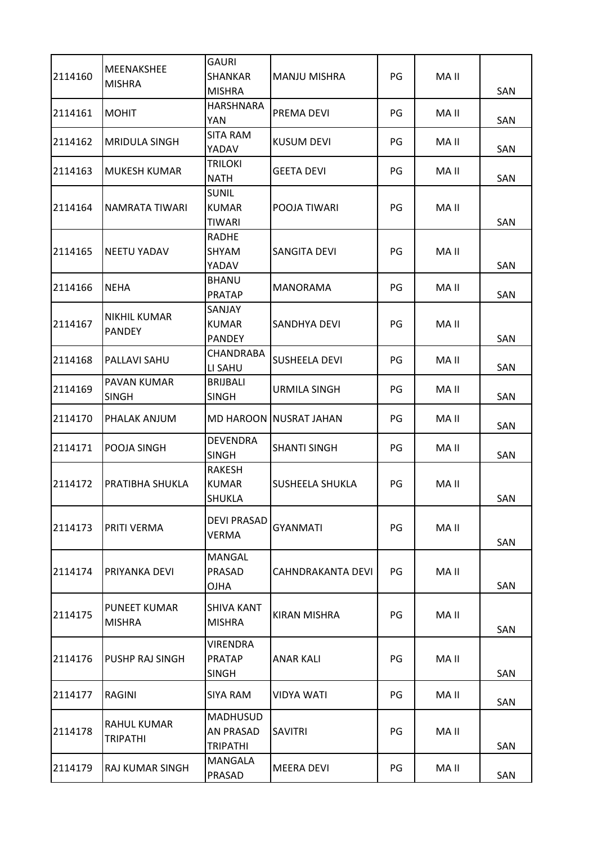| 2114160 | <b>MEENAKSHEE</b>              | <b>GAURI</b><br><b>SHANKAR</b>                         | <b>MANJU MISHRA</b>           | PG | MA II |            |
|---------|--------------------------------|--------------------------------------------------------|-------------------------------|----|-------|------------|
|         | <b>MISHRA</b>                  | <b>MISHRA</b><br><b>HARSHNARA</b>                      |                               |    |       | <b>SAN</b> |
| 2114161 | <b>MOHIT</b>                   | <b>YAN</b>                                             | PREMA DEVI                    | PG | MA II | SAN        |
| 2114162 | <b>MRIDULA SINGH</b>           | <b>SITA RAM</b><br>YADAV                               | <b>KUSUM DEVI</b>             | PG | MA II | SAN        |
| 2114163 | <b>MUKESH KUMAR</b>            | <b>TRILOKI</b><br><b>NATH</b>                          | <b>GEETA DEVI</b>             | PG | MA II | SAN        |
| 2114164 | NAMRATA TIWARI                 | <b>SUNIL</b><br><b>KUMAR</b><br><b>TIWARI</b>          | POOJA TIWARI                  | PG | MA II | SAN        |
| 2114165 | <b>NEETU YADAV</b>             | <b>RADHE</b><br><b>SHYAM</b><br>YADAV                  | <b>SANGITA DEVI</b>           | PG | MA II | SAN        |
| 2114166 | <b>NEHA</b>                    | <b>BHANU</b><br><b>PRATAP</b>                          | MANORAMA                      | PG | MA II | SAN        |
| 2114167 | NIKHIL KUMAR<br><b>PANDEY</b>  | SANJAY<br><b>KUMAR</b><br><b>PANDEY</b>                | SANDHYA DEVI                  | PG | MA II | SAN        |
| 2114168 | PALLAVI SAHU                   | CHANDRABA<br>LI SAHU                                   | <b>SUSHEELA DEVI</b>          | PG | MA II | SAN        |
| 2114169 | PAVAN KUMAR<br>SINGH           | <b>BRIJBALI</b><br><b>SINGH</b>                        | <b>URMILA SINGH</b>           | PG | MA II | SAN        |
| 2114170 | PHALAK ANJUM                   |                                                        | <b>MD HAROON NUSRAT JAHAN</b> | PG | MA II | SAN        |
| 2114171 | POOJA SINGH                    | <b>DEVENDRA</b><br><b>SINGH</b>                        | <b>SHANTI SINGH</b>           | PG | MA II | SAN        |
| 2114172 | PRATIBHA SHUKLA                | <b>RAKESH</b><br><b>KUMAR</b><br><b>SHUKLA</b>         | <b>SUSHEELA SHUKLA</b>        | PG | MA II | <b>SAN</b> |
| 2114173 | PRITI VERMA                    | <b>DEVI PRASAD</b><br><b>VERMA</b>                     | <b>GYANMATI</b>               | PG | MA II | SAN        |
| 2114174 | PRIYANKA DEVI                  | <b>MANGAL</b><br>PRASAD<br><b>OJHA</b>                 | CAHNDRAKANTA DEVI             | PG | MA II | SAN        |
| 2114175 | PUNEET KUMAR<br><b>MISHRA</b>  | <b>SHIVA KANT</b><br><b>MISHRA</b>                     | <b>KIRAN MISHRA</b>           | PG | MA II | SAN        |
| 2114176 | PUSHP RAJ SINGH                | <b>VIRENDRA</b><br><b>PRATAP</b><br><b>SINGH</b>       | <b>ANAR KALI</b>              | PG | MA II | SAN        |
| 2114177 | RAGINI                         | <b>SIYA RAM</b>                                        | VIDYA WATI                    | PG | MA II | SAN        |
| 2114178 | RAHUL KUMAR<br><b>TRIPATHI</b> | <b>MADHUSUD</b><br><b>AN PRASAD</b><br><b>TRIPATHI</b> | SAVITRI                       | PG | MA II | SAN        |
| 2114179 | RAJ KUMAR SINGH                | <b>MANGALA</b><br>PRASAD                               | <b>MEERA DEVI</b>             | PG | MA II | SAN        |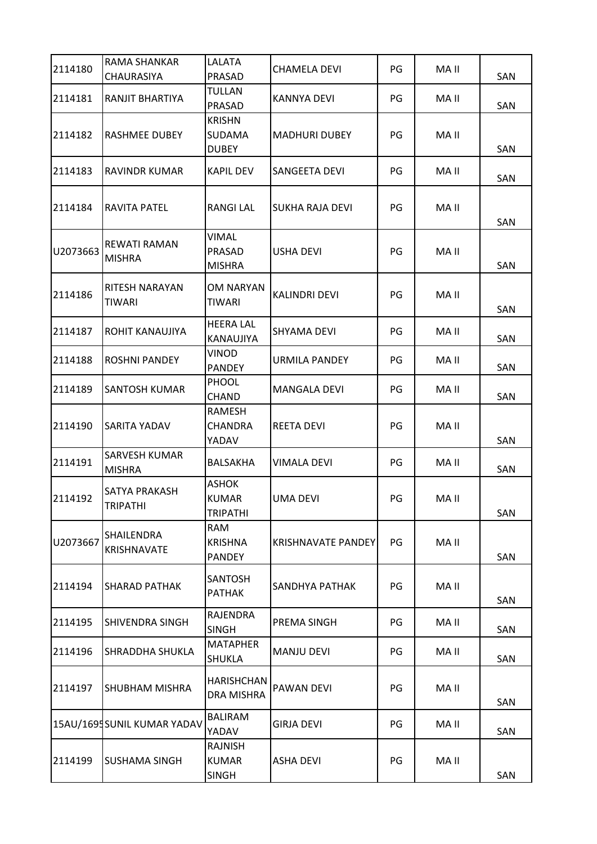| 2114180  | RAMA SHANKAR<br><b>CHAURASIYA</b> | LALATA<br><b>PRASAD</b>                         | <b>CHAMELA DEVI</b>       | PG | MA II | SAN |
|----------|-----------------------------------|-------------------------------------------------|---------------------------|----|-------|-----|
| 2114181  | RANJIT BHARTIYA                   | TULLAN<br>PRASAD                                | KANNYA DEVI               | PG | MA II | SAN |
| 2114182  | RASHMEE DUBEY                     | <b>KRISHN</b><br><b>SUDAMA</b><br><b>DUBEY</b>  | <b>MADHURI DUBEY</b>      | PG | MA II | SAN |
| 2114183  | RAVINDR KUMAR                     | <b>KAPIL DEV</b>                                | SANGEETA DEVI             | PG | MA II | SAN |
| 2114184  | RAVITA PATEL                      | <b>RANGI LAL</b>                                | SUKHA RAJA DEVI           | PG | MA II | SAN |
| U2073663 | REWATI RAMAN<br><b>MISHRA</b>     | <b>VIMAL</b><br>PRASAD<br><b>MISHRA</b>         | <b>USHA DEVI</b>          | PG | MA II | SAN |
| 2114186  | RITESH NARAYAN<br>TIWARI          | OM NARYAN<br><b>TIWARI</b>                      | <b>KALINDRI DEVI</b>      | PG | MA II | SAN |
| 2114187  | ROHIT KANAUJIYA                   | <b>HEERA LAL</b><br>KANAUJIYA                   | <b>SHYAMA DEVI</b>        | PG | MA II | SAN |
| 2114188  | ROSHNI PANDEY                     | <b>VINOD</b><br><b>PANDEY</b>                   | URMILA PANDEY             | PG | MA II | SAN |
| 2114189  | SANTOSH KUMAR                     | <b>PHOOL</b><br><b>CHAND</b>                    | <b>MANGALA DEVI</b>       | PG | MA II | SAN |
| 2114190  | SARITA YADAV                      | RAMESH<br><b>CHANDRA</b><br>YADAV               | <b>REETA DEVI</b>         | PG | MA II | SAN |
| 2114191  | SARVESH KUMAR<br><b>MISHRA</b>    | BALSAKHA                                        | <b>VIMALA DEVI</b>        | PG | MA II | SAN |
| 2114192  | SATYA PRAKASH<br>TRIPATHI         | <b>ASHOK</b><br><b>KUMAR</b><br><b>TRIPATHI</b> | <b>UMA DEVI</b>           | PG | MA II | SAN |
| U2073667 | SHAILENDRA<br>KRISHNAVATE         | <b>RAM</b><br><b>KRISHNA</b><br><b>PANDEY</b>   | <b>KRISHNAVATE PANDEY</b> | PG | MA II | SAN |
| 2114194  | SHARAD PATHAK                     | <b>SANTOSH</b><br><b>PATHAK</b>                 | SANDHYA PATHAK            | PG | MA II | SAN |
| 2114195  | SHIVENDRA SINGH                   | <b>RAJENDRA</b><br><b>SINGH</b>                 | PREMA SINGH               | PG | MA II | SAN |
| 2114196  | SHRADDHA SHUKLA                   | <b>MATAPHER</b><br><b>SHUKLA</b>                | <b>MANJU DEVI</b>         | PG | MA II | SAN |
| 2114197  | SHUBHAM MISHRA                    | <b>HARISHCHAN</b><br><b>DRA MISHRA</b>          | PAWAN DEVI                | PG | MA II | SAN |
|          | 15AU/1695SUNIL KUMAR YADAV        | <b>BALIRAM</b><br>YADAV                         | <b>GIRJA DEVI</b>         | PG | MA II | SAN |
| 2114199  | <b>SUSHAMA SINGH</b>              | RAJNISH<br><b>KUMAR</b><br><b>SINGH</b>         | <b>ASHA DEVI</b>          | PG | MA II | SAN |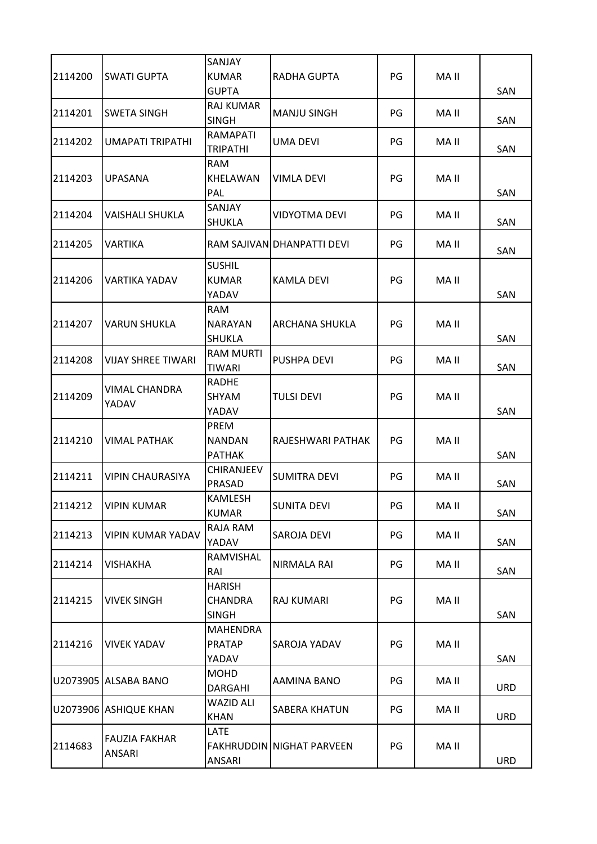| 2114200 | SWATI GUPTA               | <b>SANJAY</b><br><b>KUMAR</b><br><b>GUPTA</b>   | RADHA GUPTA                      | PG | MA II |                   |
|---------|---------------------------|-------------------------------------------------|----------------------------------|----|-------|-------------------|
| 2114201 | <b>SWETA SINGH</b>        | <b>RAJ KUMAR</b><br><b>SINGH</b>                | <b>MANJU SINGH</b>               | PG | MA II | <b>SAN</b><br>SAN |
| 2114202 | UMAPATI TRIPATHI          | RAMAPATI<br><b>TRIPATHI</b>                     | UMA DEVI                         | PG | MA II | SAN               |
| 2114203 | <b>UPASANA</b>            | <b>RAM</b><br><b>KHELAWAN</b><br>PAL            | <b>VIMLA DEVI</b>                | PG | MA II | SAN               |
| 2114204 | VAISHALI SHUKLA           | <b>SANJAY</b><br><b>SHUKLA</b>                  | <b>VIDYOTMA DEVI</b>             | PG | MA II | SAN               |
| 2114205 | VARTIKA                   |                                                 | RAM SAJIVAN DHANPATTI DEVI       | PG | MA II | SAN               |
| 2114206 | VARTIKA YADAV             | <b>SUSHIL</b><br><b>KUMAR</b><br>YADAV          | <b>KAMLA DEVI</b>                | PG | MA II | SAN               |
| 2114207 | <b>VARUN SHUKLA</b>       | <b>RAM</b><br><b>NARAYAN</b><br><b>SHUKLA</b>   | <b>ARCHANA SHUKLA</b>            | PG | MA II | SAN               |
| 2114208 | <b>VIJAY SHREE TIWARI</b> | <b>RAM MURTI</b><br>TIWARI                      | PUSHPA DEVI                      | PG | MA II | SAN               |
| 2114209 | VIMAL CHANDRA<br>YADAV    | <b>RADHE</b><br><b>SHYAM</b><br>YADAV           | <b>TULSI DEVI</b>                | PG | MA II | SAN               |
| 2114210 | <b>VIMAL PATHAK</b>       | PREM<br><b>NANDAN</b><br><b>PATHAK</b>          | RAJESHWARI PATHAK                | PG | MA II | SAN               |
| 2114211 | <b>VIPIN CHAURASIYA</b>   | <b>CHIRANJEEV</b><br>PRASAD                     | <b>SUMITRA DEVI</b>              | PG | MA II | SAN               |
| 2114212 | VIPIN KUMAR               | <b>KAMLESH</b><br><b>KUMAR</b>                  | SUNITA DEVI                      | PG | MA II | SAN               |
| 2114213 | <b>VIPIN KUMAR YADAV</b>  | RAJA RAM<br>YADAV                               | SAROJA DEVI                      | PG | MA II | SAN               |
| 2114214 | VISHAKHA                  | RAMVISHAL<br>RAI                                | <b>NIRMALA RAI</b>               | PG | MA II | SAN               |
| 2114215 | <b>VIVEK SINGH</b>        | <b>HARISH</b><br><b>CHANDRA</b><br><b>SINGH</b> | RAJ KUMARI                       | PG | MA II | SAN               |
| 2114216 | <b>VIVEK YADAV</b>        | <b>MAHENDRA</b><br><b>PRATAP</b><br>YADAV       | SAROJA YADAV                     | PG | MA II | SAN               |
|         | U2073905 ALSABA BANO      | <b>MOHD</b><br><b>DARGAHI</b>                   | AAMINA BANO                      | PG | MA II | <b>URD</b>        |
|         | U2073906 ASHIQUE KHAN     | <b>WAZID ALI</b><br><b>KHAN</b>                 | <b>SABERA KHATUN</b>             | PG | MA II | <b>URD</b>        |
| 2114683 | FAUZIA FAKHAR<br>ANSARI   | LATE<br>ANSARI                                  | <b>FAKHRUDDIN NIGHAT PARVEEN</b> | PG | MA II | <b>URD</b>        |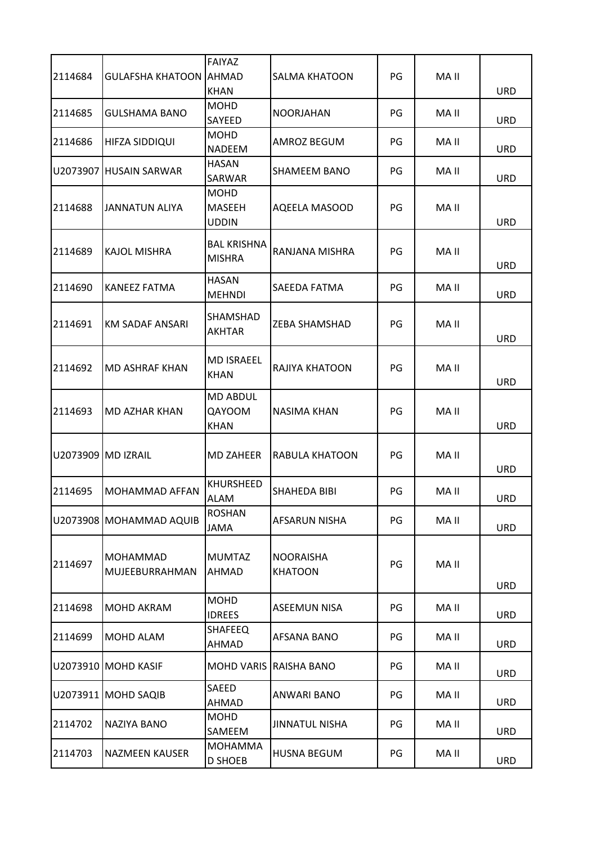| 2114684            | <b>GULAFSHA KHATOON AHMAD</b>     | <b>FAIYAZ</b>                            | SALMA KHATOON                      | PG | MA II |            |
|--------------------|-----------------------------------|------------------------------------------|------------------------------------|----|-------|------------|
|                    |                                   | <b>KHAN</b>                              |                                    |    |       | <b>URD</b> |
| 2114685            | <b>GULSHAMA BANO</b>              | <b>MOHD</b><br>SAYEED                    | <b>NOORJAHAN</b>                   | PG | MA II | <b>URD</b> |
| 2114686            | HIFZA SIDDIQUI                    | <b>MOHD</b><br><b>NADEEM</b>             | AMROZ BEGUM                        | PG | MA II | <b>URD</b> |
| U2073907           | <b>HUSAIN SARWAR</b>              | <b>HASAN</b><br><b>SARWAR</b>            | SHAMEEM BANO                       | PG | MA II | <b>URD</b> |
| 2114688            | <b>JANNATUN ALIYA</b>             | <b>MOHD</b><br>MASEEH<br><b>UDDIN</b>    | AQEELA MASOOD                      | PG | MA II | <b>URD</b> |
| 2114689            | <b>KAJOL MISHRA</b>               | <b>BAL KRISHNA</b><br><b>MISHRA</b>      | RANJANA MISHRA                     | PG | MA II | URD        |
| 2114690            | <b>KANEEZ FATMA</b>               | <b>HASAN</b><br><b>MEHNDI</b>            | SAEEDA FATMA                       | PG | MA II | <b>URD</b> |
| 2114691            | <b>KM SADAF ANSARI</b>            | SHAMSHAD<br>AKHTAR                       | ZEBA SHAMSHAD                      | PG | MA II | <b>URD</b> |
| 2114692            | <b>MD ASHRAF KHAN</b>             | <b>MD ISRAEEL</b><br>KHAN                | RAJIYA KHATOON                     | PG | MA II | <b>URD</b> |
| 2114693            | <b>MD AZHAR KHAN</b>              | <b>MD ABDUL</b><br>QAYOOM<br><b>KHAN</b> | NASIMA KHAN                        | PG | MA II | <b>URD</b> |
| U2073909 MD IZRAIL |                                   | <b>MD ZAHEER</b>                         | RABULA KHATOON                     | PG | MA II | URD        |
| 2114695            | <b>MOHAMMAD AFFAN</b>             | <b>KHURSHEED</b><br>ALAM                 | SHAHEDA BIBI                       | PG | MA II | <b>URD</b> |
|                    | U2073908 MOHAMMAD AQUIB           | <b>ROSHAN</b><br><b>JAMA</b>             | AFSARUN NISHA                      | PG | MA II | <b>URD</b> |
| 2114697            | <b>MOHAMMAD</b><br>MUJEEBURRAHMAN | <b>MUMTAZ</b><br>AHMAD                   | <b>NOORAISHA</b><br><b>KHATOON</b> | PG | MA II | <b>URD</b> |
| 2114698            | MOHD AKRAM                        | <b>MOHD</b><br><b>IDREES</b>             | <b>ASEEMUN NISA</b>                | PG | MA II | <b>URD</b> |
| 2114699            | <b>MOHD ALAM</b>                  | <b>SHAFEEQ</b><br>AHMAD                  | AFSANA BANO                        | PG | MA II | URD        |
|                    | U2073910 MOHD KASIF               |                                          | MOHD VARIS RAISHA BANO             | PG | MA II | <b>URD</b> |
|                    | U2073911 MOHD SAQIB               | <b>SAEED</b><br>AHMAD                    | <b>ANWARI BANO</b>                 | PG | MA II | <b>URD</b> |
| 2114702            | NAZIYA BANO                       | <b>MOHD</b><br>SAMEEM                    | <b>JINNATUL NISHA</b>              | PG | MA II | <b>URD</b> |
| 2114703            | <b>NAZMEEN KAUSER</b>             | <b>MOHAMMA</b><br><b>D SHOEB</b>         | <b>HUSNA BEGUM</b>                 | PG | MA II | URD        |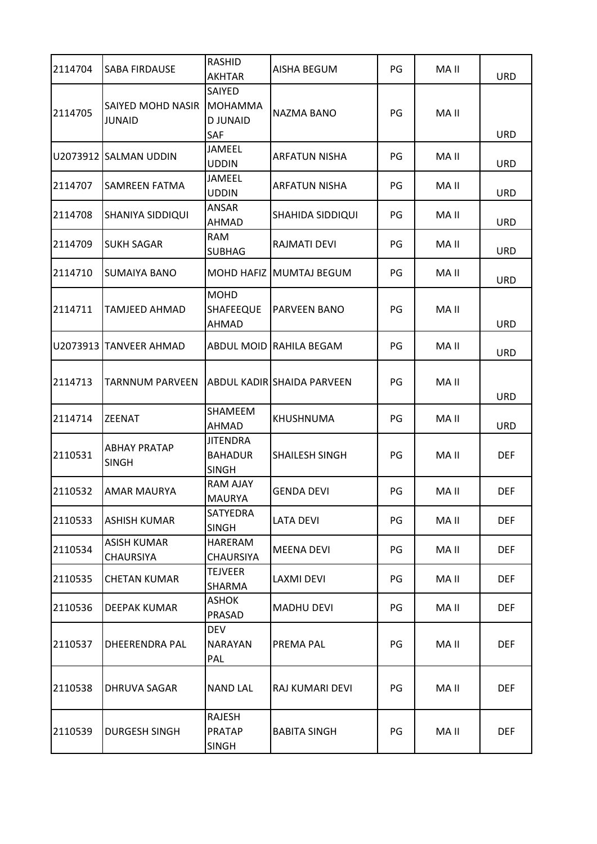| 2114704 | SABA FIRDAUSE                | <b>RASHID</b><br><b>AKHTAR</b>                           | AISHA BEGUM                       | PG | MA II | <b>URD</b> |
|---------|------------------------------|----------------------------------------------------------|-----------------------------------|----|-------|------------|
| 2114705 | SAIYED MOHD NASIR<br>JUNAID  | SAIYED<br><b>MOHAMMA</b><br><b>DJUNAID</b><br><b>SAF</b> | NAZMA BANO                        | PG | MA II | <b>URD</b> |
|         | U2073912 SALMAN UDDIN        | <b>JAMEEL</b><br><b>UDDIN</b>                            | <b>ARFATUN NISHA</b>              | PG | MA II | <b>URD</b> |
| 2114707 | SAMREEN FATMA                | <b>JAMEEL</b><br><b>UDDIN</b>                            | ARFATUN NISHA                     | PG | MA II | <b>URD</b> |
| 2114708 | SHANIYA SIDDIQUI             | <b>ANSAR</b><br>AHMAD                                    | SHAHIDA SIDDIQUI                  | PG | MA II | <b>URD</b> |
| 2114709 | <b>SUKH SAGAR</b>            | <b>RAM</b><br><b>SUBHAG</b>                              | RAJMATI DEVI                      | PG | MA II | <b>URD</b> |
| 2114710 | <b>SUMAIYA BANO</b>          | <b>MOHD HAFIZ</b>                                        | <b>MUMTAJ BEGUM</b>               | PG | MA II | <b>URD</b> |
| 2114711 | <b>TAMJEED AHMAD</b>         | <b>MOHD</b><br><b>SHAFEEQUE</b><br>AHMAD                 | PARVEEN BANO                      | PG | MA II | URD        |
|         | U2073913 TANVEER AHMAD       | ABDUL MOID                                               | RAHILA BEGAM                      | PG | MA II | <b>URD</b> |
| 2114713 | <b>TARNNUM PARVEEN</b>       |                                                          | <b>ABDUL KADIR SHAIDA PARVEEN</b> | PG | MA II | <b>URD</b> |
| 2114714 | <b>ZEENAT</b>                | <b>SHAMEEM</b><br>AHMAD                                  | KHUSHNUMA                         | PG | MA II | <b>URD</b> |
| 2110531 | ABHAY PRATAP<br><b>SINGH</b> | <b>JITENDRA</b><br><b>BAHADUR</b><br><b>SINGH</b>        | <b>SHAILESH SINGH</b>             | PG | MA II | <b>DEF</b> |
| 2110532 | AMAR MAURYA                  | <b>RAM AJAY</b><br><b>MAURYA</b>                         | GENDA DEVI                        | PG | MA II | <b>DEF</b> |
| 2110533 | <b>ASHISH KUMAR</b>          | <b>SATYEDRA</b><br><b>SINGH</b>                          | <b>LATA DEVI</b>                  | PG | MA II | <b>DEF</b> |
| 2110534 | ASISH KUMAR<br>CHAURSIYA     | HARERAM<br><b>CHAURSIYA</b>                              | <b>MEENA DEVI</b>                 | PG | MA II | <b>DEF</b> |
| 2110535 | <b>CHETAN KUMAR</b>          | <b>TEJVEER</b><br>SHARMA                                 | LAXMI DEVI                        | PG | MA II | <b>DEF</b> |
| 2110536 | DEEPAK KUMAR                 | <b>ASHOK</b><br>PRASAD                                   | MADHU DEVI                        | PG | MA II | <b>DEF</b> |
| 2110537 | DHEERENDRA PAL               | <b>DEV</b><br><b>NARAYAN</b><br>PAL                      | PREMA PAL                         | PG | MA II | <b>DEF</b> |
| 2110538 | DHRUVA SAGAR                 | <b>NAND LAL</b>                                          | RAJ KUMARI DEVI                   | PG | MA II | <b>DEF</b> |
| 2110539 | <b>DURGESH SINGH</b>         | <b>RAJESH</b><br><b>PRATAP</b><br><b>SINGH</b>           | <b>BABITA SINGH</b>               | PG | MA II | <b>DEF</b> |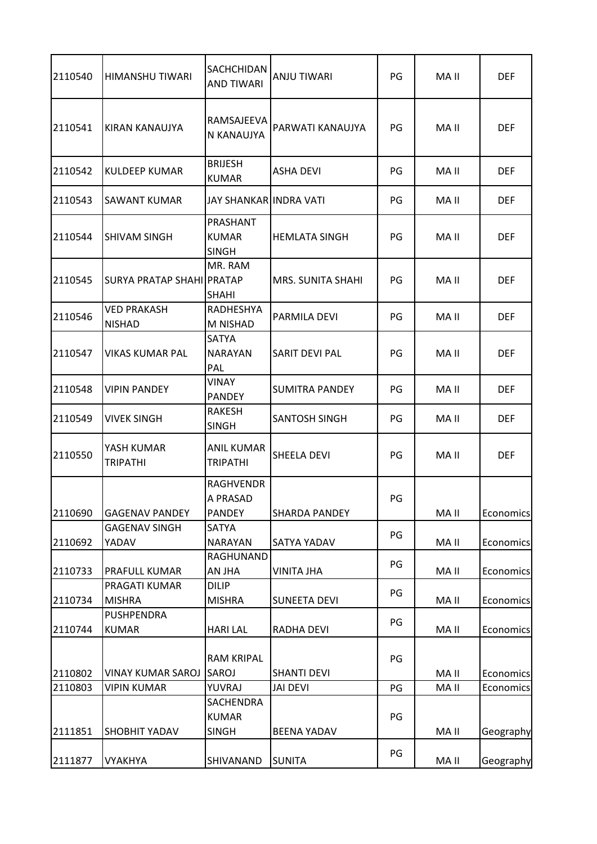| 2110540 | <b>HIMANSHU TIWARI</b>              | <b>SACHCHIDAN</b><br><b>AND TIWARI</b>        | ANJU TIWARI              | PG       | MA II | <b>DEF</b>       |
|---------|-------------------------------------|-----------------------------------------------|--------------------------|----------|-------|------------------|
| 2110541 | KIRAN KANAUJYA                      | RAMSAJEEVA<br>N KANAUJYA                      | PARWATI KANAUJYA         | PG       | MA II | <b>DEF</b>       |
| 2110542 | KULDEEP KUMAR                       | <b>BRIJESH</b><br><b>KUMAR</b>                | <b>ASHA DEVI</b>         | PG       | MA II | <b>DEF</b>       |
| 2110543 | SAWANT KUMAR                        | JAY SHANKARIINDRA VATI                        |                          | PG       | MA II | <b>DEF</b>       |
| 2110544 | ISHIVAM SINGH                       | PRASHANT<br><b>KUMAR</b><br><b>SINGH</b>      | <b>HEMLATA SINGH</b>     | PG       | MA II | <b>DEF</b>       |
| 2110545 | SURYA PRATAP SHAHI PRATAP           | MR. RAM<br><b>SHAHI</b>                       | <b>MRS. SUNITA SHAHI</b> | PG       | MA II | <b>DEF</b>       |
| 2110546 | <b>VED PRAKASH</b><br><b>NISHAD</b> | RADHESHYA<br>M NISHAD                         | PARMILA DEVI             | PG       | MA II | <b>DEF</b>       |
| 2110547 | <b>VIKAS KUMAR PAL</b>              | <b>SATYA</b><br><b>NARAYAN</b><br>PAL         | <b>SARIT DEVI PAL</b>    | PG       | MA II | <b>DEF</b>       |
| 2110548 | <b>VIPIN PANDEY</b>                 | VINAY<br><b>PANDEY</b>                        | <b>SUMITRA PANDEY</b>    | PG       | MA II | <b>DEF</b>       |
| 2110549 | <b>VIVEK SINGH</b>                  | RAKESH<br><b>SINGH</b>                        | <b>SANTOSH SINGH</b>     | PG       | MA II | <b>DEF</b>       |
| 2110550 | YASH KUMAR<br><b>TRIPATHI</b>       | <b>ANIL KUMAR</b><br><b>TRIPATHI</b>          | <b>SHEELA DEVI</b>       | PG       | MA II | <b>DEF</b>       |
| 2110690 | <b>GAGENAV PANDEY</b>               | <b>RAGHVENDR</b><br>A PRASAD<br><b>PANDEY</b> | <b>SHARDA PANDEY</b>     | PG       | MA II | Economics        |
| 2110692 | <b>GAGENAV SINGH</b><br>YADAV       | <b>SATYA</b><br><b>NARAYAN</b>                | <b>SATYA YADAV</b>       | PG       | MA II | Economics        |
| 2110733 | PRAFULL KUMAR                       | RAGHUNAND<br>AN JHA                           | <b>VINITA JHA</b>        | PG       | MA II | Economics        |
| 2110734 | PRAGATI KUMAR<br><b>MISHRA</b>      | <b>DILIP</b><br><b>MISHRA</b>                 | <b>SUNEETA DEVI</b>      | PG       | MA II | Economics        |
| 2110744 | <b>PUSHPENDRA</b><br><b>KUMAR</b>   | <b>HARI LAL</b>                               | <b>RADHA DEVI</b>        | PG       | MA II | Economics        |
| 2110802 | <b>VINAY KUMAR SAROJ</b>            | <b>RAM KRIPAL</b><br>SAROJ                    | <b>SHANTI DEVI</b>       | PG       | MA II | Economics        |
| 2110803 | <b>VIPIN KUMAR</b>                  | YUVRAJ<br>SACHENDRA<br><b>KUMAR</b>           | <b>JAI DEVI</b>          | PG<br>PG | MA II | <b>Economics</b> |
| 2111851 | <b>SHOBHIT YADAV</b>                | <b>SINGH</b>                                  | <b>BEENA YADAV</b>       |          | MA II | Geography        |
| 2111877 | <b>VYAKHYA</b>                      | SHIVANAND                                     | <b>SUNITA</b>            | PG       | MA II | Geography        |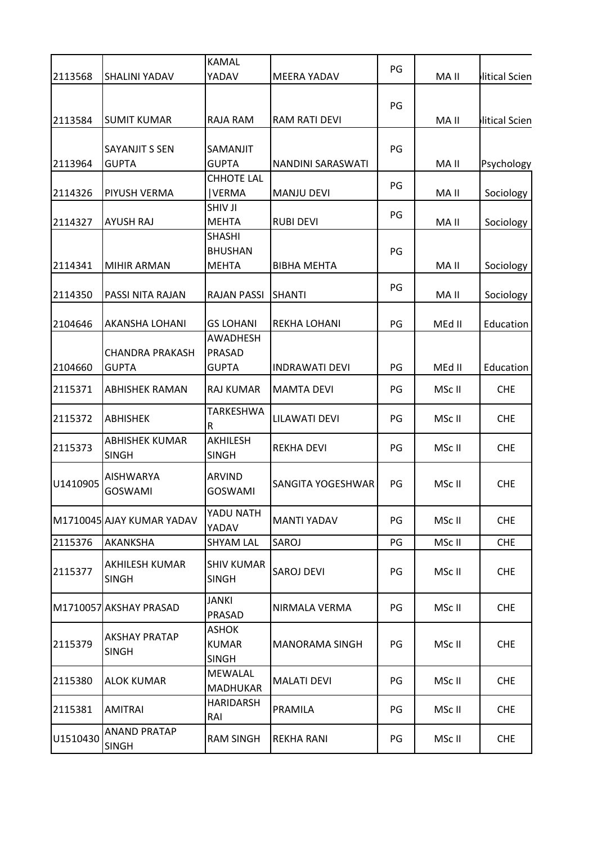|          |                           | <b>KAMAL</b>           |                          | PG |        |               |
|----------|---------------------------|------------------------|--------------------------|----|--------|---------------|
| 2113568  | SHALINI YADAV             | YADAV                  | MEERA YADAV              |    | MA II  | litical Scien |
|          |                           |                        |                          | PG |        |               |
| 2113584  | <b>SUMIT KUMAR</b>        | <b>RAJA RAM</b>        | <b>RAM RATI DEVI</b>     |    | MA II  | litical Scien |
|          |                           |                        |                          |    |        |               |
|          | <b>SAYANJIT S SEN</b>     | <b>SAMANJIT</b>        |                          | PG |        |               |
| 2113964  | <b>GUPTA</b>              | <b>GUPTA</b>           | <b>NANDINI SARASWATI</b> |    | MA II  | Psychology    |
|          |                           | <b>CHHOTE LAL</b>      |                          | PG |        |               |
| 2114326  | PIYUSH VERMA              | <b>VERMA</b>           | <b>MANJU DEVI</b>        |    | MA II  | Sociology     |
|          |                           | SHIV JI                |                          | PG |        |               |
| 2114327  | AYUSH RAJ                 | <b>MEHTA</b>           | <b>RUBI DEVI</b>         |    | MA II  | Sociology     |
|          |                           | <b>SHASHI</b>          |                          |    |        |               |
|          |                           | <b>BHUSHAN</b>         |                          | PG |        |               |
| 2114341  | <b>MIHIR ARMAN</b>        | <b>MEHTA</b>           | <b>BIBHA MEHTA</b>       |    | MA II  | Sociology     |
|          |                           |                        |                          | PG |        |               |
| 2114350  | PASSI NITA RAJAN          | <b>RAJAN PASSI</b>     | <b>SHANTI</b>            |    | MA II  | Sociology     |
| 2104646  | AKANSHA LOHANI            | <b>GS LOHANI</b>       | <b>REKHA LOHANI</b>      | PG | MEd II | Education     |
|          |                           | <b>AWADHESH</b>        |                          |    |        |               |
|          | <b>CHANDRA PRAKASH</b>    | PRASAD                 |                          |    |        |               |
| 2104660  | <b>GUPTA</b>              | <b>GUPTA</b>           | <b>INDRAWATI DEVI</b>    | PG | MEd II | Education     |
| 2115371  | <b>ABHISHEK RAMAN</b>     | <b>RAJ KUMAR</b>       | <b>MAMTA DEVI</b>        | PG | MSc II | <b>CHE</b>    |
|          |                           | TARKESHWA              |                          |    |        |               |
| 2115372  | <b>ABHISHEK</b>           | $\mathsf R$            | <b>LILAWATI DEVI</b>     | PG | MSc II | <b>CHE</b>    |
|          | <b>ABHISHEK KUMAR</b>     | <b>AKHILESH</b>        |                          |    |        |               |
| 2115373  | <b>SINGH</b>              | <b>SINGH</b>           | <b>REKHA DEVI</b>        | PG | MSc II | <b>CHE</b>    |
|          | <b>AISHWARYA</b>          | <b>ARVIND</b>          |                          |    |        |               |
| U1410905 | <b>GOSWAMI</b>            | <b>GOSWAMI</b>         | SANGITA YOGESHWAR        | PG | MSc II | <b>CHE</b>    |
|          |                           |                        |                          |    |        |               |
|          | M1710045 AJAY KUMAR YADAV | YADU NATH              | <b>MANTI YADAV</b>       | PG | MSc II | <b>CHE</b>    |
|          |                           | YADAV                  |                          |    |        |               |
| 2115376  | AKANKSHA                  | <b>SHYAM LAL</b>       | SAROJ                    | PG | MSc II | <b>CHE</b>    |
|          | AKHILESH KUMAR            | <b>SHIV KUMAR</b>      |                          |    |        |               |
| 2115377  | <b>SINGH</b>              | <b>SINGH</b>           | SAROJ DEVI               | PG | MSc II | <b>CHE</b>    |
|          |                           |                        |                          |    |        |               |
|          | M1710057 AKSHAY PRASAD    | <b>JANKI</b><br>PRASAD | NIRMALA VERMA            | PG | MSc II | <b>CHE</b>    |
|          |                           | <b>ASHOK</b>           |                          |    |        |               |
| 2115379  | <b>AKSHAY PRATAP</b>      | <b>KUMAR</b>           | <b>MANORAMA SINGH</b>    | PG | MSc II | <b>CHE</b>    |
|          | <b>SINGH</b>              | <b>SINGH</b>           |                          |    |        |               |
|          |                           | MEWALAL                |                          |    |        |               |
| 2115380  | <b>ALOK KUMAR</b>         | <b>MADHUKAR</b>        | <b>MALATI DEVI</b>       | PG | MSc II | <b>CHE</b>    |
|          |                           | <b>HARIDARSH</b>       |                          |    |        |               |
| 2115381  | <b>AMITRAI</b>            | RAI                    | PRAMILA                  | PG | MSc II | <b>CHE</b>    |
|          | ANAND PRATAP              |                        |                          |    |        |               |
| U1510430 | <b>SINGH</b>              | <b>RAM SINGH</b>       | <b>REKHA RANI</b>        | PG | MSc II | <b>CHE</b>    |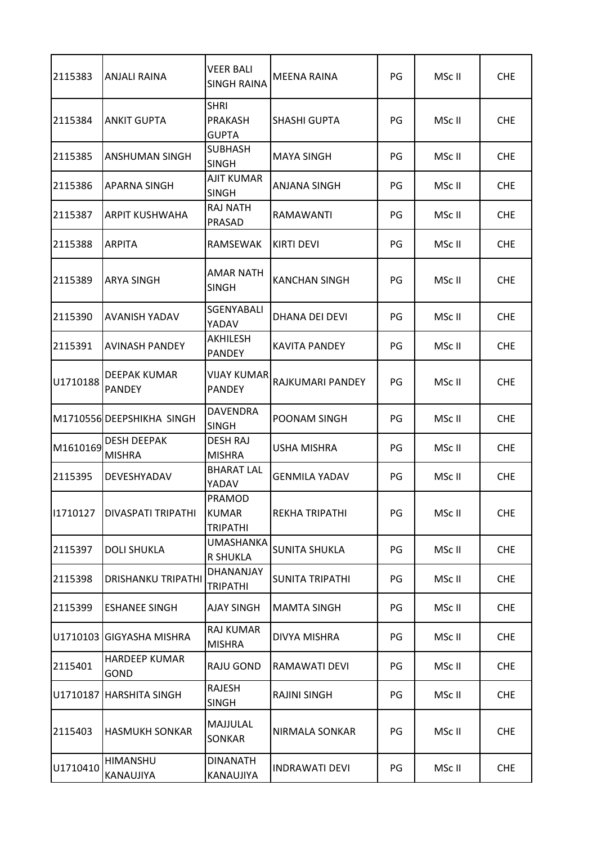| 2115383  | <b>ANJALI RAINA</b>                 | <b>VEER BALI</b><br><b>SINGH RAINA</b>        | MEENA RAINA            | PG | MSc II | <b>CHE</b> |
|----------|-------------------------------------|-----------------------------------------------|------------------------|----|--------|------------|
| 2115384  | <b>ANKIT GUPTA</b>                  | <b>SHRI</b><br><b>PRAKASH</b><br><b>GUPTA</b> | <b>SHASHI GUPTA</b>    | PG | MSc II | <b>CHE</b> |
| 2115385  | ANSHUMAN SINGH                      | <b>SUBHASH</b><br><b>SINGH</b>                | <b>MAYA SINGH</b>      | PG | MSc II | <b>CHE</b> |
| 2115386  | APARNA SINGH                        | <b>AJIT KUMAR</b><br><b>SINGH</b>             | ANJANA SINGH           | PG | MSc II | <b>CHE</b> |
| 2115387  | <b>ARPIT KUSHWAHA</b>               | <b>RAJ NATH</b><br>PRASAD                     | RAMAWANTI              | PG | MSc II | <b>CHE</b> |
| 2115388  | <b>ARPITA</b>                       | RAMSEWAK                                      | KIRTI DEVI             | PG | MSc II | <b>CHE</b> |
| 2115389  | <b>ARYA SINGH</b>                   | <b>AMAR NATH</b><br><b>SINGH</b>              | <b>KANCHAN SINGH</b>   | PG | MSc II | <b>CHE</b> |
| 2115390  | AVANISH YADAV                       | SGENYABALI<br>YADAV                           | <b>DHANA DEI DEVI</b>  | PG | MSc II | <b>CHE</b> |
| 2115391  | <b>AVINASH PANDEY</b>               | AKHILESH<br><b>PANDEY</b>                     | <b>KAVITA PANDEY</b>   | PG | MSc II | <b>CHE</b> |
| U1710188 | DEEPAK KUMAR<br><b>PANDEY</b>       | <b>VIJAY KUMAR</b><br><b>PANDEY</b>           | RAJKUMARI PANDEY       | PG | MSc II | <b>CHE</b> |
|          | M1710556 DEEPSHIKHA SINGH           | <b>DAVENDRA</b><br><b>SINGH</b>               | POONAM SINGH           | PG | MSc II | <b>CHE</b> |
| M1610169 | <b>DESH DEEPAK</b><br><b>MISHRA</b> | <b>DESH RAJ</b><br><b>MISHRA</b>              | USHA MISHRA            | PG | MSc II | <b>CHE</b> |
| 2115395  | <b>DEVESHYADAV</b>                  | <b>BHARAT LAL</b><br>YADAV                    | <b>GENMILA YADAV</b>   | PG | MSc II | <b>CHE</b> |
| 11710127 | <b>DIVASPATI TRIPATHI</b>           | PRAMOD<br><b>KUMAR</b><br><b>TRIPATHI</b>     | REKHA TRIPATHI         | PG | MSc II | <b>CHE</b> |
| 2115397  | <b>DOLI SHUKLA</b>                  | <b>UMASHANKA</b><br><b>R SHUKLA</b>           | <b>SUNITA SHUKLA</b>   | PG | MSc II | <b>CHE</b> |
| 2115398  | <b>DRISHANKU TRIPATHI</b>           | DHANANJAY<br><b>TRIPATHI</b>                  | <b>SUNITA TRIPATHI</b> | PG | MSc II | <b>CHE</b> |
| 2115399  | <b>ESHANEE SINGH</b>                | <b>AJAY SINGH</b>                             | <b>MAMTA SINGH</b>     | PG | MSc II | <b>CHE</b> |
|          | U1710103 GIGYASHA MISHRA            | <b>RAJ KUMAR</b><br><b>MISHRA</b>             | DIVYA MISHRA           | PG | MSc II | <b>CHE</b> |
| 2115401  | <b>HARDEEP KUMAR</b><br>GOND        | RAJU GOND                                     | RAMAWATI DEVI          | PG | MSc II | <b>CHE</b> |
|          | U1710187 HARSHITA SINGH             | RAJESH<br><b>SINGH</b>                        | <b>RAJINI SINGH</b>    | PG | MSc II | <b>CHE</b> |
| 2115403  | <b>HASMUKH SONKAR</b>               | MAJJULAL<br>SONKAR                            | NIRMALA SONKAR         | PG | MSc II | <b>CHE</b> |
| U1710410 | <b>HIMANSHU</b><br>KANAUJIYA        | <b>DINANATH</b><br>KANAUJIYA                  | INDRAWATI DEVI         | PG | MSc II | <b>CHE</b> |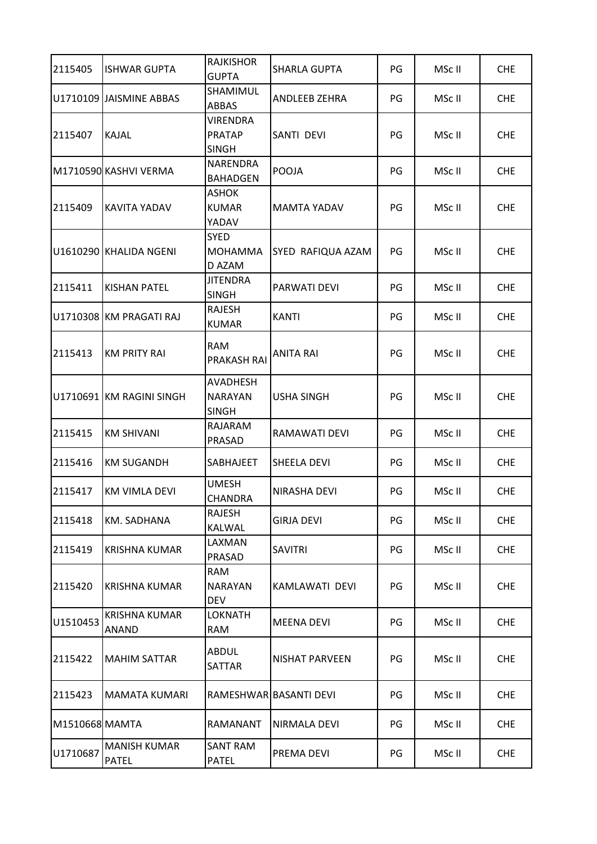| 2115405        | <b>ISHWAR GUPTA</b>                  | <b>RAJKISHOR</b><br><b>GUPTA</b>                  | <b>SHARLA GUPTA</b>      | PG | MSc II | <b>CHE</b> |
|----------------|--------------------------------------|---------------------------------------------------|--------------------------|----|--------|------------|
|                | U1710109 JAISMINE ABBAS              | SHAMIMUL<br>ABBAS                                 | ANDLEEB ZEHRA            | PG | MSc II | <b>CHE</b> |
| 2115407        | <b>KAJAL</b>                         | <b>VIRENDRA</b><br><b>PRATAP</b><br><b>SINGH</b>  | SANTI DEVI               | PG | MSc II | <b>CHE</b> |
|                | M1710590 KASHVI VERMA                | NARENDRA<br><b>BAHADGEN</b>                       | <b>POOJA</b>             | PG | MSc II | <b>CHE</b> |
| 2115409        | <b>KAVITA YADAV</b>                  | ASHOK<br><b>KUMAR</b><br>YADAV                    | <b>MAMTA YADAV</b>       | PG | MSc II | <b>CHE</b> |
|                | U1610290 KHALIDA NGENI               | <b>SYED</b><br>MOHAMMA<br>D AZAM                  | <b>SYED RAFIQUA AZAM</b> | PG | MSc II | <b>CHE</b> |
| 2115411        | <b>KISHAN PATEL</b>                  | <b>JITENDRA</b><br><b>SINGH</b>                   | PARWATI DEVI             | PG | MSc II | <b>CHE</b> |
|                | U1710308 KM PRAGATI RAJ              | <b>RAJESH</b><br><b>KUMAR</b>                     | <b>KANTI</b>             | PG | MSc II | <b>CHE</b> |
| 2115413        | <b>KM PRITY RAI</b>                  | <b>RAM</b><br><b>PRAKASH RAI</b>                  | <b>ANITA RAI</b>         | PG | MSc II | <b>CHE</b> |
|                | U1710691 KM RAGINI SINGH             | <b>AVADHESH</b><br><b>NARAYAN</b><br><b>SINGH</b> | <b>USHA SINGH</b>        | PG | MSc II | <b>CHE</b> |
| 2115415        | <b>KM SHIVANI</b>                    | RAJARAM<br>PRASAD                                 | RAMAWATI DEVI            | PG | MSc II | <b>CHE</b> |
| 2115416        | <b>KM SUGANDH</b>                    | SABHAJEET                                         | <b>SHEELA DEVI</b>       | PG | MSc II | <b>CHE</b> |
| 2115417        | <b>KM VIMLA DEVI</b>                 | <b>UMESH</b><br>CHANDRA                           | NIRASHA DEVI             | PG | MSc II | <b>CHE</b> |
| 2115418        | KM. SADHANA                          | RAJESH<br>KALWAL                                  | GIRJA DEVI               | PG | MSc II | <b>CHE</b> |
| 2115419        | <b>KRISHNA KUMAR</b>                 | LAXMAN<br>PRASAD                                  | <b>SAVITRI</b>           | PG | MSc II | <b>CHE</b> |
| 2115420        | <b>KRISHNA KUMAR</b>                 | <b>RAM</b><br><b>NARAYAN</b><br><b>DEV</b>        | KAMLAWATI DEVI           | PG | MSc II | <b>CHE</b> |
| U1510453       | <b>KRISHNA KUMAR</b><br><b>ANAND</b> | <b>LOKNATH</b><br><b>RAM</b>                      | <b>MEENA DEVI</b>        | PG | MSc II | <b>CHE</b> |
| 2115422        | <b>MAHIM SATTAR</b>                  | <b>ABDUL</b><br>SATTAR                            | NISHAT PARVEEN           | PG | MSc II | <b>CHE</b> |
| 2115423        | <b>MAMATA KUMARI</b>                 |                                                   | RAMESHWAR BASANTI DEVI   | PG | MSc II | <b>CHE</b> |
| M1510668 MAMTA |                                      | RAMANANT                                          | NIRMALA DEVI             | PG | MSc II | <b>CHE</b> |
| U1710687       | <b>MANISH KUMAR</b><br><b>PATEL</b>  | <b>SANT RAM</b><br><b>PATEL</b>                   | PREMA DEVI               | PG | MSc II | <b>CHE</b> |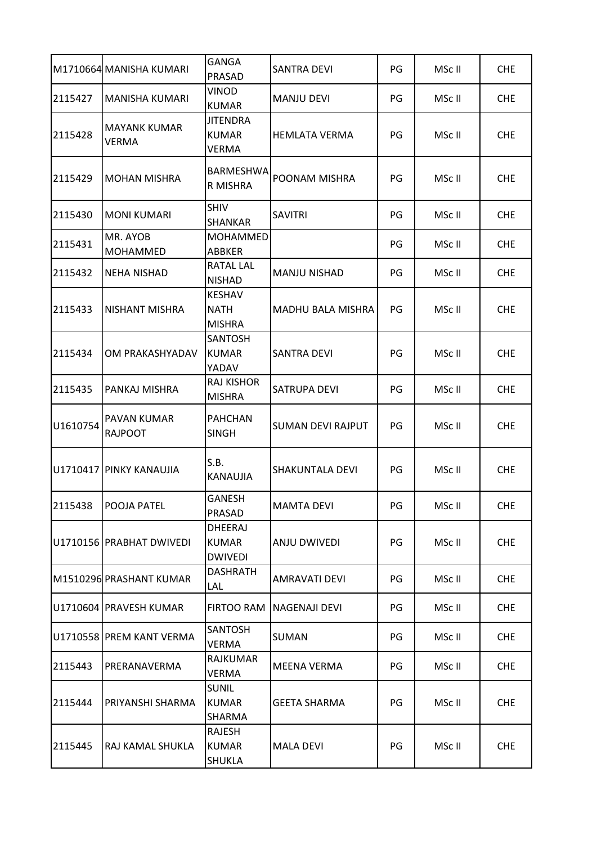|          | M1710664 MANISHA KUMARI             | <b>GANGA</b><br>PRASAD                           | <b>SANTRA DEVI</b>       | PG | MSc II | <b>CHE</b> |
|----------|-------------------------------------|--------------------------------------------------|--------------------------|----|--------|------------|
| 2115427  | <b>MANISHA KUMARI</b>               | <b>VINOD</b><br><b>KUMAR</b>                     | <b>MANJU DEVI</b>        | PG | MSc II | <b>CHE</b> |
| 2115428  | <b>MAYANK KUMAR</b><br><b>VERMA</b> | JITENDRA<br><b>KUMAR</b><br><b>VERMA</b>         | <b>HEMLATA VERMA</b>     | PG | MSc II | <b>CHE</b> |
| 2115429  | <b>MOHAN MISHRA</b>                 | BARMESHWA<br>R MISHRA                            | POONAM MISHRA            | PG | MSc II | <b>CHE</b> |
| 2115430  | <b>MONI KUMARI</b>                  | <b>SHIV</b><br>SHANKAR                           | <b>SAVITRI</b>           | PG | MSc II | <b>CHE</b> |
| 2115431  | MR. AYOB<br><b>MOHAMMED</b>         | MOHAMMED<br>ABBKER                               |                          | PG | MSc II | <b>CHE</b> |
| 2115432  | <b>NEHA NISHAD</b>                  | RATAL LAL<br><b>NISHAD</b>                       | MANJU NISHAD             | PG | MSc II | <b>CHE</b> |
| 2115433  | <b>NISHANT MISHRA</b>               | <b>KESHAV</b><br><b>NATH</b><br><b>MISHRA</b>    | <b>MADHU BALA MISHRA</b> | PG | MSc II | <b>CHE</b> |
| 2115434  | OM PRAKASHYADAV                     | <b>SANTOSH</b><br><b>KUMAR</b><br>YADAV          | <b>SANTRA DEVI</b>       | PG | MSc II | <b>CHE</b> |
| 2115435  | PANKAJ MISHRA                       | <b>RAJ KISHOR</b><br><b>MISHRA</b>               | <b>SATRUPA DEVI</b>      | PG | MSc II | <b>CHE</b> |
| U1610754 | PAVAN KUMAR<br><b>RAJPOOT</b>       | <b>PAHCHAN</b><br><b>SINGH</b>                   | <b>SUMAN DEVI RAJPUT</b> | PG | MSc II | <b>CHE</b> |
|          | U1710417 PINKY KANAUJIA             | S.B.<br><b>KANAUJIA</b>                          | SHAKUNTALA DEVI          | PG | MSc II | <b>CHE</b> |
| 2115438  | IPOOJA PATEL                        | <b>GANESH</b><br>PRASAD                          | MAMTA DEVI               | PG | MSc II | CHE.       |
|          | U1710156 PRABHAT DWIVEDI            | <b>DHEERAJ</b><br><b>KUMAR</b><br><b>DWIVEDI</b> | <b>ANJU DWIVEDI</b>      | PG | MSc II | <b>CHE</b> |
|          | M1510296 PRASHANT KUMAR             | <b>DASHRATH</b><br>LAL                           | <b>AMRAVATI DEVI</b>     | PG | MSc II | <b>CHE</b> |
|          | U1710604 PRAVESH KUMAR              | <b>FIRTOO RAM</b>                                | NAGENAJI DEVI            | PG | MSc II | <b>CHE</b> |
|          | U1710558 PREM KANT VERMA            | <b>SANTOSH</b><br>VERMA                          | <b>SUMAN</b>             | PG | MSc II | <b>CHE</b> |
| 2115443  | PRERANAVERMA                        | <b>RAJKUMAR</b><br>VERMA                         | MEENA VERMA              | PG | MSc II | <b>CHE</b> |
| 2115444  | PRIYANSHI SHARMA                    | <b>SUNIL</b><br><b>KUMAR</b><br>SHARMA           | <b>GEETA SHARMA</b>      | PG | MSc II | <b>CHE</b> |
| 2115445  | RAJ KAMAL SHUKLA                    | RAJESH<br><b>KUMAR</b><br><b>SHUKLA</b>          | <b>MALA DEVI</b>         | PG | MSc II | <b>CHE</b> |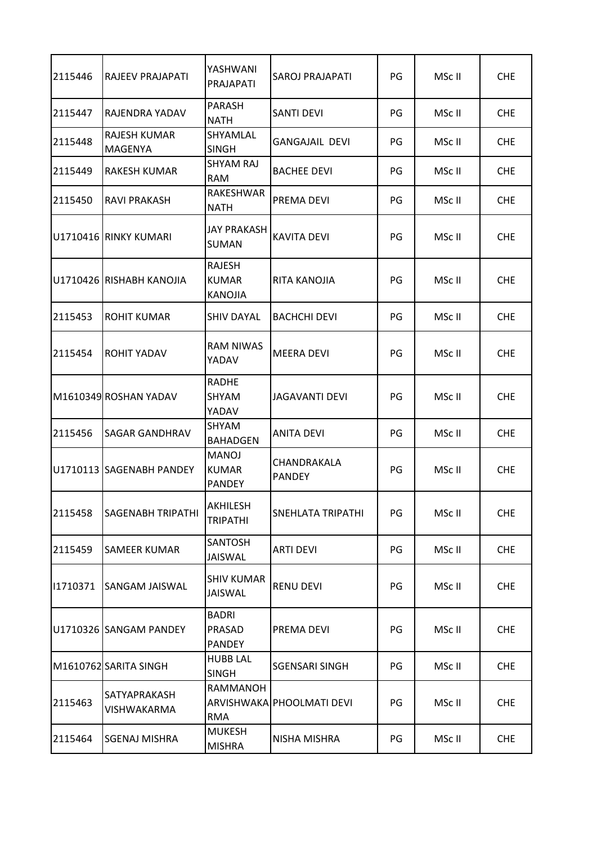| 2115446  | <b>RAJEEV PRAJAPATI</b>               | YASHWANI<br>PRAJAPATI                         | SAROJ PRAJAPATI              | PG | MSc II | <b>CHE</b> |
|----------|---------------------------------------|-----------------------------------------------|------------------------------|----|--------|------------|
| 2115447  | RAJENDRA YADAV                        | <b>PARASH</b><br><b>NATH</b>                  | <b>SANTI DEVI</b>            | PG | MSc II | <b>CHE</b> |
| 2115448  | <b>RAJESH KUMAR</b><br><b>MAGENYA</b> | SHYAMLAL<br><b>SINGH</b>                      | <b>GANGAJAIL DEVI</b>        | PG | MSc II | <b>CHE</b> |
| 2115449  | <b>RAKESH KUMAR</b>                   | <b>SHYAM RAJ</b><br><b>RAM</b>                | <b>BACHEE DEVI</b>           | PG | MSc II | <b>CHE</b> |
| 2115450  | RAVI PRAKASH                          | RAKESHWAR<br><b>NATH</b>                      | PREMA DEVI                   | PG | MSc II | <b>CHE</b> |
|          | U1710416 RINKY KUMARI                 | <b>JAY PRAKASH</b><br>SUMAN                   | <b>KAVITA DEVI</b>           | PG | MSc II | <b>CHE</b> |
|          | U1710426 RISHABH KANOJIA              | RAJESH<br><b>KUMAR</b><br><b>KANOJIA</b>      | RITA KANOJIA                 | PG | MSc II | <b>CHE</b> |
| 2115453  | <b>ROHIT KUMAR</b>                    | <b>SHIV DAYAL</b>                             | <b>BACHCHI DEVI</b>          | PG | MSc II | <b>CHE</b> |
| 2115454  | <b>ROHIT YADAV</b>                    | <b>RAM NIWAS</b><br>YADAV                     | <b>MEERA DEVI</b>            | PG | MSc II | <b>CHE</b> |
|          | M1610349 ROSHAN YADAV                 | <b>RADHE</b><br><b>SHYAM</b><br>YADAV         | JAGAVANTI DEVI               | PG | MSc II | <b>CHE</b> |
| 2115456  | <b>SAGAR GANDHRAV</b>                 | <b>SHYAM</b><br><b>BAHADGEN</b>               | ANITA DEVI                   | PG | MSc II | <b>CHE</b> |
|          | U1710113 SAGENABH PANDEY              | <b>MANOJ</b><br><b>KUMAR</b><br><b>PANDEY</b> | CHANDRAKALA<br><b>PANDEY</b> | PG | MSc II | <b>CHE</b> |
| 2115458  | <b>SAGENABH TRIPATHI</b>              | <b>AKHILESH</b><br><b>TRIPATHI</b>            | SNEHLATA TRIPATHI            | PG | MSc II | <b>CHE</b> |
| 2115459  | <b>SAMEER KUMAR</b>                   | <b>SANTOSH</b><br><b>JAISWAL</b>              | <b>ARTI DEVI</b>             | PG | MSc II | <b>CHE</b> |
| 11710371 | <b>SANGAM JAISWAL</b>                 | <b>SHIV KUMAR</b><br><b>JAISWAL</b>           | <b>RENU DEVI</b>             | PG | MSc II | <b>CHE</b> |
|          | U1710326 SANGAM PANDEY                | <b>BADRI</b><br>PRASAD<br><b>PANDEY</b>       | PREMA DEVI                   | PG | MSc II | <b>CHE</b> |
|          | M1610762 SARITA SINGH                 | <b>HUBB LAL</b><br><b>SINGH</b>               | <b>SGENSARI SINGH</b>        | PG | MSc II | <b>CHE</b> |
| 2115463  | SATYAPRAKASH<br>VISHWAKARMA           | RAMMANOH<br><b>RMA</b>                        | ARVISHWAKA PHOOLMATI DEVI    | PG | MSc II | <b>CHE</b> |
| 2115464  | <b>SGENAJ MISHRA</b>                  | <b>MUKESH</b><br><b>MISHRA</b>                | NISHA MISHRA                 | PG | MSc II | <b>CHE</b> |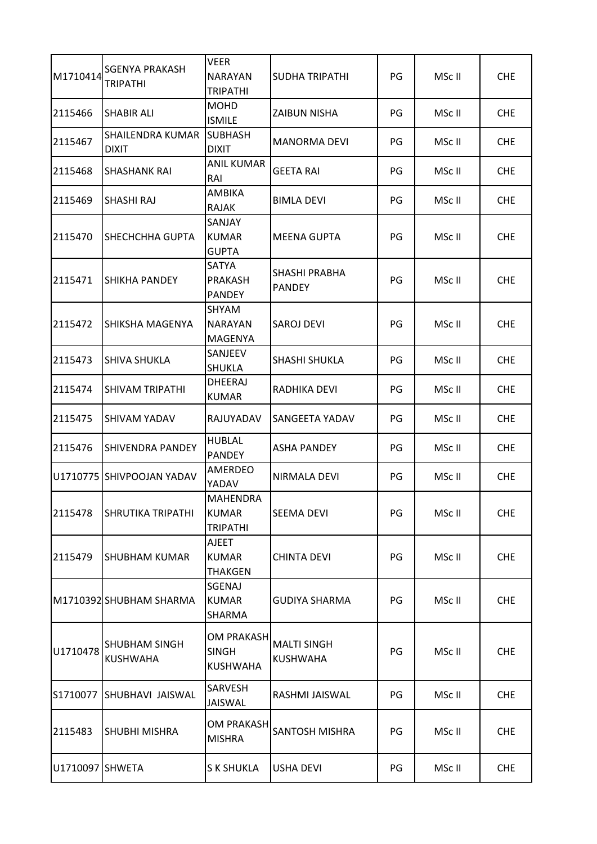| M1710414        | <b>SGENYA PRAKASH</b><br><b>TRIPATHI</b> | VEER<br><b>NARAYAN</b><br><b>TRIPATHI</b>            | SUDHA TRIPATHI                        | PG | MSc II | <b>CHE</b> |
|-----------------|------------------------------------------|------------------------------------------------------|---------------------------------------|----|--------|------------|
| 2115466         | <b>SHABIR ALI</b>                        | <b>MOHD</b><br><b>ISMILE</b>                         | ZAIBUN NISHA                          | PG | MSc II | <b>CHE</b> |
| 2115467         | <b>SHAILENDRA KUMAR</b><br><b>DIXIT</b>  | <b>SUBHASH</b><br><b>DIXIT</b>                       | <b>MANORMA DEVI</b>                   | PG | MSc II | <b>CHE</b> |
| 2115468         | <b>SHASHANK RAI</b>                      | <b>ANIL KUMAR</b><br>RAI                             | <b>GEETA RAI</b>                      | PG | MSc II | <b>CHE</b> |
| 2115469         | <b>SHASHI RAJ</b>                        | AMBIKA<br><b>RAJAK</b>                               | <b>BIMLA DEVI</b>                     | PG | MSc II | <b>CHE</b> |
| 2115470         | ISHECHCHHA GUPTA                         | SANJAY<br><b>KUMAR</b><br><b>GUPTA</b>               | <b>MEENA GUPTA</b>                    | PG | MSc II | <b>CHE</b> |
| 2115471         | ISHIKHA PANDEY                           | SATYA<br><b>PRAKASH</b><br><b>PANDEY</b>             | SHASHI PRABHA<br><b>PANDEY</b>        | PG | MSc II | <b>CHE</b> |
| 2115472         | SHIKSHA MAGENYA                          | SHYAM<br><b>NARAYAN</b><br><b>MAGENYA</b>            | <b>SAROJ DEVI</b>                     | PG | MSc II | <b>CHE</b> |
| 2115473         | ISHIVA SHUKLA                            | SANJEEV<br><b>SHUKLA</b>                             | SHASHI SHUKLA                         | PG | MSc II | <b>CHE</b> |
| 2115474         | <b>SHIVAM TRIPATHI</b>                   | <b>DHEERAJ</b><br><b>KUMAR</b>                       | RADHIKA DEVI                          | PG | MSc II | <b>CHE</b> |
| 2115475         | <b>SHIVAM YADAV</b>                      | RAJUYADAV                                            | SANGEETA YADAV                        | PG | MSc II | <b>CHE</b> |
| 2115476         | <b>SHIVENDRA PANDEY</b>                  | <b>HUBLAL</b><br><b>PANDEY</b>                       | <b>ASHA PANDEY</b>                    | PG | MSc II | <b>CHE</b> |
|                 | U1710775 SHIVPOOJAN YADAV                | AMERDEO<br>YADAV                                     | <b>NIRMALA DEVI</b>                   | PG | MSc II | <b>CHE</b> |
| 2115478         | <b>SHRUTIKA TRIPATHI</b>                 | <b>MAHENDRA</b><br><b>KUMAR</b><br><b>TRIPATHI</b>   | <b>SEEMA DEVI</b>                     | PG | MSc II | <b>CHE</b> |
| 2115479         | <b>SHUBHAM KUMAR</b>                     | AJEET<br><b>KUMAR</b><br><b>THAKGEN</b>              | <b>CHINTA DEVI</b>                    | PG | MSc II | <b>CHE</b> |
|                 | M1710392 SHUBHAM SHARMA                  | SGENAJ<br><b>KUMAR</b><br>SHARMA                     | <b>GUDIYA SHARMA</b>                  | PG | MSc II | <b>CHE</b> |
| U1710478        | SHUBHAM SINGH<br><b>KUSHWAHA</b>         | <b>OM PRAKASH</b><br><b>SINGH</b><br><b>KUSHWAHA</b> | <b>MALTI SINGH</b><br><b>KUSHWAHA</b> | PG | MSc II | <b>CHE</b> |
| S1710077        | SHUBHAVI JAISWAL                         | SARVESH<br>JAISWAL                                   | RASHMI JAISWAL                        | PG | MSc II | <b>CHE</b> |
| 2115483         | <b>SHUBHI MISHRA</b>                     | <b>OM PRAKASH</b><br><b>MISHRA</b>                   | <b>SANTOSH MISHRA</b>                 | PG | MSc II | <b>CHE</b> |
| U1710097 SHWETA |                                          | S K SHUKLA                                           | <b>USHA DEVI</b>                      | PG | MSc II | <b>CHE</b> |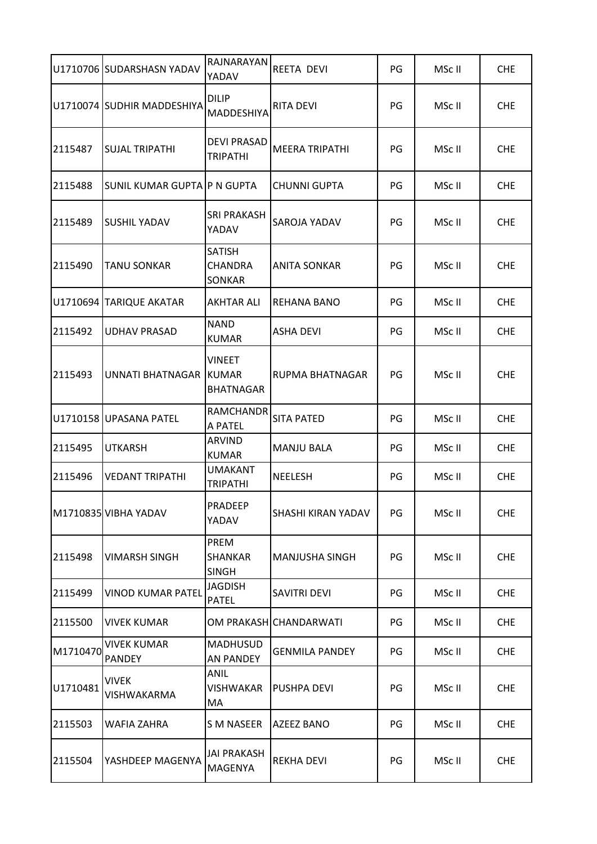|          | U1710706 SUDARSHASN YADAV           | RAJNARAYAN<br>YADAV                    | <b>REETA DEVI</b>         | PG | MSc II | <b>CHE</b> |
|----------|-------------------------------------|----------------------------------------|---------------------------|----|--------|------------|
|          | U1710074 SUDHIR MADDESHIYA          | <b>DILIP</b><br>MADDESHIYA             | <b>RITA DEVI</b>          | PG | MSc II | <b>CHE</b> |
| 2115487  | <b>SUJAL TRIPATHI</b>               | <b>DEVI PRASAD</b><br><b>TRIPATHI</b>  | <b>MEERA TRIPATHI</b>     | PG | MSc II | <b>CHE</b> |
| 2115488  | SUNIL KUMAR GUPTA IP N GUPTA        |                                        | <b>CHUNNI GUPTA</b>       | PG | MSc II | <b>CHE</b> |
| 2115489  | <b>SUSHIL YADAV</b>                 | <b>SRI PRAKASH</b><br>YADAV            | <b>SAROJA YADAV</b>       | PG | MSc II | <b>CHE</b> |
| 2115490  | <b>TANU SONKAR</b>                  | <b>SATISH</b><br>CHANDRA<br>SONKAR     | <b>ANITA SONKAR</b>       | PG | MSc II | <b>CHE</b> |
|          | U1710694 TARIQUE AKATAR             | AKHTAR ALI                             | <b>REHANA BANO</b>        | PG | MSc II | <b>CHE</b> |
| 2115492  | <b>UDHAV PRASAD</b>                 | <b>NAND</b><br><b>KUMAR</b>            | <b>ASHA DEVI</b>          | PG | MSc II | <b>CHE</b> |
| 2115493  | UNNATI BHATNAGAR KUMAR              | <b>VINEET</b><br><b>BHATNAGAR</b>      | <b>RUPMA BHATNAGAR</b>    | PG | MSc II | <b>CHE</b> |
|          | U1710158 UPASANA PATEL              | <b>RAMCHANDR</b><br>A PATEL            | <b>SITA PATED</b>         | PG | MSc II | <b>CHE</b> |
| 2115495  | <b>UTKARSH</b>                      | <b>ARVIND</b><br><b>KUMAR</b>          | <b>MANJU BALA</b>         | PG | MSc II | <b>CHE</b> |
| 2115496  | <b>VEDANT TRIPATHI</b>              | <b>UMAKANT</b><br><b>TRIPATHI</b>      | <b>NEELESH</b>            | PG | MSc II | <b>CHE</b> |
|          | M1710835 VIBHA YADAV                | PRADEEP<br>YADAV                       | <b>SHASHI KIRAN YADAV</b> | PG | MSc II | <b>CHE</b> |
| 2115498  | <b>VIMARSH SINGH</b>                | PREM<br><b>SHANKAR</b><br><b>SINGH</b> | <b>MANJUSHA SINGH</b>     | PG | MSc II | <b>CHE</b> |
| 2115499  | <b>VINOD KUMAR PATEL</b>            | <b>JAGDISH</b><br><b>PATEL</b>         | <b>SAVITRI DEVI</b>       | PG | MSc II | <b>CHE</b> |
| 2115500  | <b>VIVEK KUMAR</b>                  |                                        | OM PRAKASH CHANDARWATI    | PG | MSc II | <b>CHE</b> |
| M1710470 | <b>VIVEK KUMAR</b><br><b>PANDEY</b> | <b>MADHUSUD</b><br><b>AN PANDEY</b>    | <b>GENMILA PANDEY</b>     | PG | MSc II | <b>CHE</b> |
| U1710481 | <b>VIVEK</b><br>VISHWAKARMA         | ANIL<br>VISHWAKAR<br>МA                | PUSHPA DEVI               | PG | MSc II | <b>CHE</b> |
| 2115503  | <b>WAFIA ZAHRA</b>                  | <b>S M NASEER</b>                      | <b>AZEEZ BANO</b>         | PG | MSc II | <b>CHE</b> |
| 2115504  | YASHDEEP MAGENYA                    | <b>JAI PRAKASH</b><br>MAGENYA          | <b>REKHA DEVI</b>         | PG | MSc II | <b>CHE</b> |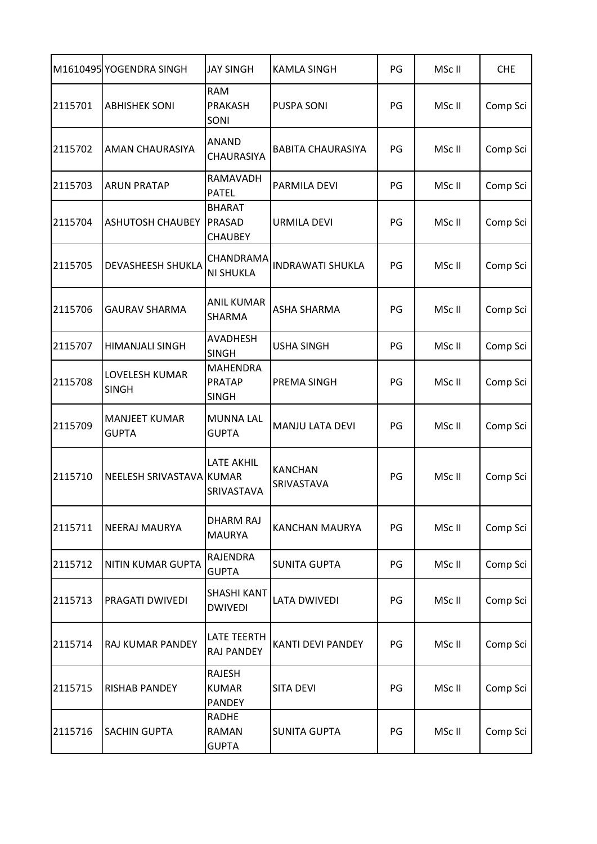|         | M1610495 YOGENDRA SINGH              | <b>JAY SINGH</b>                                 | <b>KAMLA SINGH</b>           | PG | MSc II | <b>CHE</b> |
|---------|--------------------------------------|--------------------------------------------------|------------------------------|----|--------|------------|
| 2115701 | <b>ABHISHEK SONI</b>                 | <b>RAM</b><br><b>PRAKASH</b><br>SONI             | <b>PUSPA SONI</b>            | PG | MSc II | Comp Sci   |
| 2115702 | <b>AMAN CHAURASIYA</b>               | <b>ANAND</b><br><b>CHAURASIYA</b>                | <b>BABITA CHAURASIYA</b>     | PG | MSc II | Comp Sci   |
| 2115703 | <b>ARUN PRATAP</b>                   | RAMAVADH<br><b>PATEL</b>                         | PARMILA DEVI                 | PG | MSc II | Comp Sci   |
| 2115704 | <b>ASHUTOSH CHAUBEY</b>              | <b>BHARAT</b><br>PRASAD<br><b>CHAUBEY</b>        | <b>URMILA DEVI</b>           | PG | MSc II | Comp Sci   |
| 2115705 | <b>DEVASHEESH SHUKLA</b>             | CHANDRAMA<br><b>NI SHUKLA</b>                    | <b>INDRAWATI SHUKLA</b>      | PG | MSc II | Comp Sci   |
| 2115706 | <b>GAURAV SHARMA</b>                 | <b>ANIL KUMAR</b><br>SHARMA                      | <b>ASHA SHARMA</b>           | PG | MSc II | Comp Sci   |
| 2115707 | <b>HIMANJALI SINGH</b>               | <b>AVADHESH</b><br><b>SINGH</b>                  | <b>USHA SINGH</b>            | PG | MSc II | Comp Sci   |
| 2115708 | LOVELESH KUMAR<br><b>SINGH</b>       | <b>MAHENDRA</b><br><b>PRATAP</b><br><b>SINGH</b> | PREMA SINGH                  | PG | MSc II | Comp Sci   |
| 2115709 | <b>MANJEET KUMAR</b><br><b>GUPTA</b> | <b>MUNNA LAL</b><br><b>GUPTA</b>                 | MANJU LATA DEVI              | PG | MSc II | Comp Sci   |
| 2115710 | NEELESH SRIVASTAVA                   | <b>LATE AKHIL</b><br><b>KUMAR</b><br>SRIVASTAVA  | <b>KANCHAN</b><br>SRIVASTAVA | PG | MSc II | Comp Sci   |
| 2115711 | <b>NEERAJ MAURYA</b>                 | <b>DHARM RAJ</b><br><b>MAURYA</b>                | KANCHAN MAURYA               | PG | MSc II | Comp Sci   |
| 2115712 | <b>NITIN KUMAR GUPTA</b>             | RAJENDRA<br><b>GUPTA</b>                         | <b>SUNITA GUPTA</b>          | PG | MSc II | Comp Sci   |
| 2115713 | PRAGATI DWIVEDI                      | <b>SHASHI KANT</b><br><b>DWIVEDI</b>             | <b>LATA DWIVEDI</b>          | PG | MSc II | Comp Sci   |
| 2115714 | <b>RAJ KUMAR PANDEY</b>              | LATE TEERTH<br><b>RAJ PANDEY</b>                 | <b>KANTI DEVI PANDEY</b>     | PG | MSc II | Comp Sci   |
| 2115715 | <b>RISHAB PANDEY</b>                 | <b>RAJESH</b><br><b>KUMAR</b><br><b>PANDEY</b>   | <b>SITA DEVI</b>             | PG | MSc II | Comp Sci   |
| 2115716 | <b>SACHIN GUPTA</b>                  | <b>RADHE</b><br><b>RAMAN</b><br><b>GUPTA</b>     | <b>SUNITA GUPTA</b>          | PG | MSc II | Comp Sci   |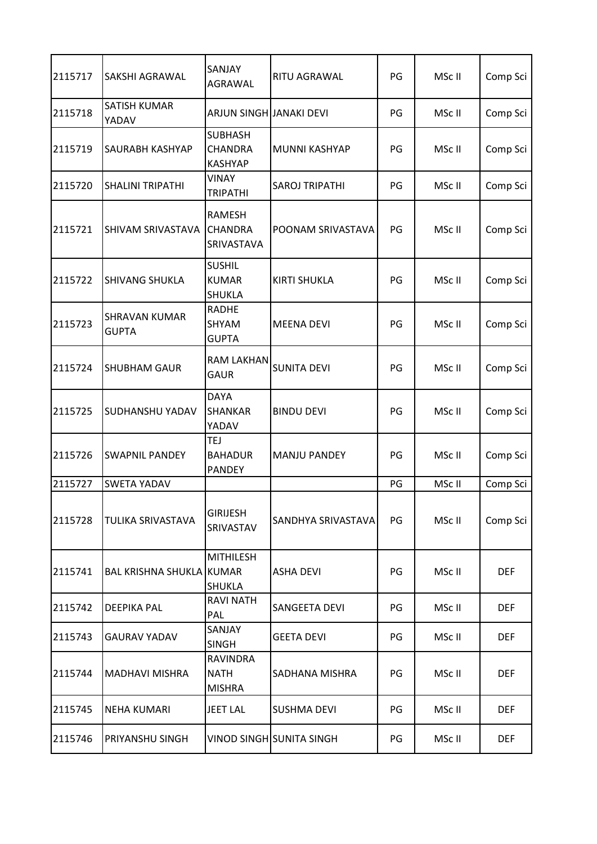| 2115717 | SAKSHI AGRAWAL                       | SANJAY<br><b>AGRAWAL</b>                           | RITU AGRAWAL             | PG | MSc II | Comp Sci   |
|---------|--------------------------------------|----------------------------------------------------|--------------------------|----|--------|------------|
| 2115718 | <b>SATISH KUMAR</b><br>YADAV         | ARJUN SINGH JANAKI DEVI                            |                          | PG | MSc II | Comp Sci   |
| 2115719 | SAURABH KASHYAP                      | <b>SUBHASH</b><br><b>CHANDRA</b><br><b>KASHYAP</b> | MUNNI KASHYAP            | PG | MSc II | Comp Sci   |
| 2115720 | <b>SHALINI TRIPATHI</b>              | <b>VINAY</b><br><b>TRIPATHI</b>                    | <b>SAROJ TRIPATHI</b>    | PG | MSc II | Comp Sci   |
| 2115721 | SHIVAM SRIVASTAVA                    | <b>RAMESH</b><br><b>CHANDRA</b><br>SRIVASTAVA      | POONAM SRIVASTAVA        | PG | MSc II | Comp Sci   |
| 2115722 | <b>SHIVANG SHUKLA</b>                | <b>SUSHIL</b><br><b>KUMAR</b><br><b>SHUKLA</b>     | <b>KIRTI SHUKLA</b>      | PG | MSc II | Comp Sci   |
| 2115723 | <b>SHRAVAN KUMAR</b><br><b>GUPTA</b> | <b>RADHE</b><br>SHYAM<br><b>GUPTA</b>              | <b>MEENA DEVI</b>        | PG | MSc II | Comp Sci   |
| 2115724 | <b>SHUBHAM GAUR</b>                  | <b>RAM LAKHAN</b><br><b>GAUR</b>                   | <b>SUNITA DEVI</b>       | PG | MSc II | Comp Sci   |
| 2115725 | SUDHANSHU YADAV                      | <b>DAYA</b><br><b>SHANKAR</b><br>YADAV             | <b>BINDU DEVI</b>        | PG | MSc II | Comp Sci   |
| 2115726 | <b>SWAPNIL PANDEY</b>                | <b>TEJ</b><br><b>BAHADUR</b><br><b>PANDEY</b>      | <b>MANJU PANDEY</b>      | PG | MSc II | Comp Sci   |
| 2115727 | <b>SWETA YADAV</b>                   |                                                    |                          | PG | MSc II | Comp Sci   |
| 2115728 | TULIKA SRIVASTAVA                    | <b>GIRIJESH</b><br>SRIVASTAV                       | SANDHYA SRIVASTAVA       | PG | MSc II | Comp Sci   |
| 2115741 | <b>BAL KRISHNA SHUKLA KUMAR</b>      | <b>MITHILESH</b><br><b>SHUKLA</b>                  | <b>ASHA DEVI</b>         | PG | MSc II | <b>DEF</b> |
| 2115742 | <b>DEEPIKA PAL</b>                   | <b>RAVI NATH</b><br>PAL                            | <b>SANGEETA DEVI</b>     | PG | MSc II | <b>DEF</b> |
| 2115743 | <b>GAURAV YADAV</b>                  | SANJAY<br><b>SINGH</b>                             | <b>GEETA DEVI</b>        | PG | MSc II | <b>DEF</b> |
| 2115744 | MADHAVI MISHRA                       | <b>RAVINDRA</b><br><b>NATH</b><br><b>MISHRA</b>    | SADHANA MISHRA           | PG | MSc II | <b>DEF</b> |
| 2115745 | <b>NEHA KUMARI</b>                   | <b>JEET LAL</b>                                    | <b>SUSHMA DEVI</b>       | PG | MSc II | <b>DEF</b> |
| 2115746 | PRIYANSHU SINGH                      |                                                    | VINOD SINGH SUNITA SINGH | PG | MSc II | <b>DEF</b> |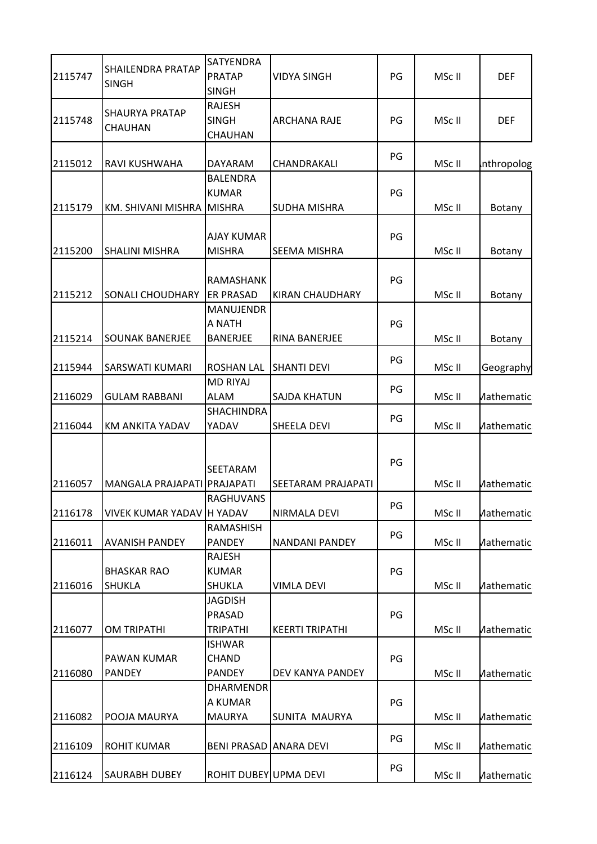|         |                                          | SATYENDRA              |                           |    |        |                     |
|---------|------------------------------------------|------------------------|---------------------------|----|--------|---------------------|
| 2115747 | <b>SHAILENDRA PRATAP</b><br><b>SINGH</b> | <b>PRATAP</b>          | <b>VIDYA SINGH</b>        | PG | MSc II | <b>DEF</b>          |
|         |                                          | <b>SINGH</b>           |                           |    |        |                     |
|         |                                          | <b>RAJESH</b>          |                           |    |        |                     |
| 2115748 | SHAURYA PRATAP                           | <b>SINGH</b>           | <b>ARCHANA RAJE</b>       | PG | MSc II | <b>DEF</b>          |
|         | CHAUHAN                                  | CHAUHAN                |                           |    |        |                     |
|         |                                          |                        |                           | PG |        |                     |
| 2115012 | RAVI KUSHWAHA                            | DAYARAM                | CHANDRAKALI               |    | MSc II | nthropolog          |
|         |                                          | <b>BALENDRA</b>        |                           |    |        |                     |
|         |                                          | <b>KUMAR</b>           |                           | PG |        |                     |
| 2115179 | KM. SHIVANI MISHRA MISHRA                |                        | <b>SUDHA MISHRA</b>       |    | MSc II | <b>Botany</b>       |
|         |                                          |                        |                           |    |        |                     |
|         |                                          | <b>AJAY KUMAR</b>      |                           | PG |        |                     |
| 2115200 | <b>SHALINI MISHRA</b>                    | <b>MISHRA</b>          | <b>SEEMA MISHRA</b>       |    | MSc II | Botany              |
|         |                                          | <b>RAMASHANK</b>       |                           | PG |        |                     |
| 2115212 | <b>SONALI CHOUDHARY</b>                  | <b>ER PRASAD</b>       | KIRAN CHAUDHARY           |    | MSc II | Botany              |
|         |                                          | <b>MANUJENDR</b>       |                           |    |        |                     |
|         |                                          | A NATH                 |                           | PG |        |                     |
| 2115214 | <b>SOUNAK BANERJEE</b>                   | <b>BANERJEE</b>        | RINA BANERJEE             |    | MSc II | Botany              |
|         |                                          |                        |                           |    |        |                     |
| 2115944 | SARSWATI KUMARI                          | <b>ROSHAN LAL</b>      | <b>SHANTI DEVI</b>        | PG | MSc II | Geography           |
|         |                                          | <b>MD RIYAJ</b>        |                           |    |        |                     |
| 2116029 | <b>GULAM RABBANI</b>                     | <b>ALAM</b>            | <b>SAJDA KHATUN</b>       | PG | MSc II | <b>Aathematic</b>   |
|         |                                          | <b>SHACHINDRA</b>      |                           |    |        |                     |
| 2116044 | KM ANKITA YADAV                          | YADAV                  | SHEELA DEVI               | PG | MSc II | <b>Aathematic:</b>  |
|         |                                          |                        |                           |    |        |                     |
|         |                                          |                        |                           |    |        |                     |
|         |                                          | <b>SEETARAM</b>        |                           | PG |        |                     |
| 2116057 | MANGALA PRAJAPATI PRAJAPATI              |                        | <b>SEETARAM PRAJAPATI</b> |    | MSc II | <b>Aathematic</b>   |
|         |                                          | RAGHUVANS              |                           | PG |        |                     |
| 2116178 | VIVEK KUMAR YADAV H YADAV                |                        | NIRMALA DEVI              |    | MSc II | <b>Aathematic:</b>  |
|         |                                          | <b>RAMASHISH</b>       |                           | PG |        |                     |
| 2116011 | <b>AVANISH PANDEY</b>                    | <b>PANDEY</b>          | <b>NANDANI PANDEY</b>     |    | MSc II | <b>Aathematic:</b>  |
|         |                                          | <b>RAJESH</b>          |                           |    |        |                     |
|         | <b>BHASKAR RAO</b>                       | <b>KUMAR</b>           |                           | PG |        |                     |
| 2116016 | <b>SHUKLA</b>                            | <b>SHUKLA</b>          | <b>VIMLA DEVI</b>         |    | MSc II | <b>Mathematic:</b>  |
|         |                                          | <b>JAGDISH</b>         |                           |    |        |                     |
|         |                                          | PRASAD                 |                           | PG |        |                     |
| 2116077 | <b>OM TRIPATHI</b>                       | <b>TRIPATHI</b>        | <b>KEERTI TRIPATHI</b>    |    | MSc II | <b>Aathematic:</b>  |
|         |                                          | <b>ISHWAR</b>          |                           |    |        |                     |
|         | <b>PAWAN KUMAR</b>                       | CHAND                  |                           | PG |        |                     |
| 2116080 | <b>PANDEY</b>                            | <b>PANDEY</b>          | DEV KANYA PANDEY          |    | MSc II | <b>Mathematic:</b>  |
|         |                                          | DHARMENDR              |                           |    |        |                     |
|         |                                          | A KUMAR                |                           | PG |        |                     |
| 2116082 | POOJA MAURYA                             | <b>MAURYA</b>          | SUNITA MAURYA             |    | MSc II | <b>Aathematic:</b>  |
|         |                                          |                        |                           | PG |        |                     |
| 2116109 | <b>ROHIT KUMAR</b>                       | BENI PRASAD ANARA DEVI |                           |    | MSc II | <b>Aathematic</b> : |
|         |                                          |                        |                           | PG |        |                     |
| 2116124 | <b>SAURABH DUBEY</b>                     | ROHIT DUBEY UPMA DEVI  |                           |    | MSc II | <b>Aathematic:</b>  |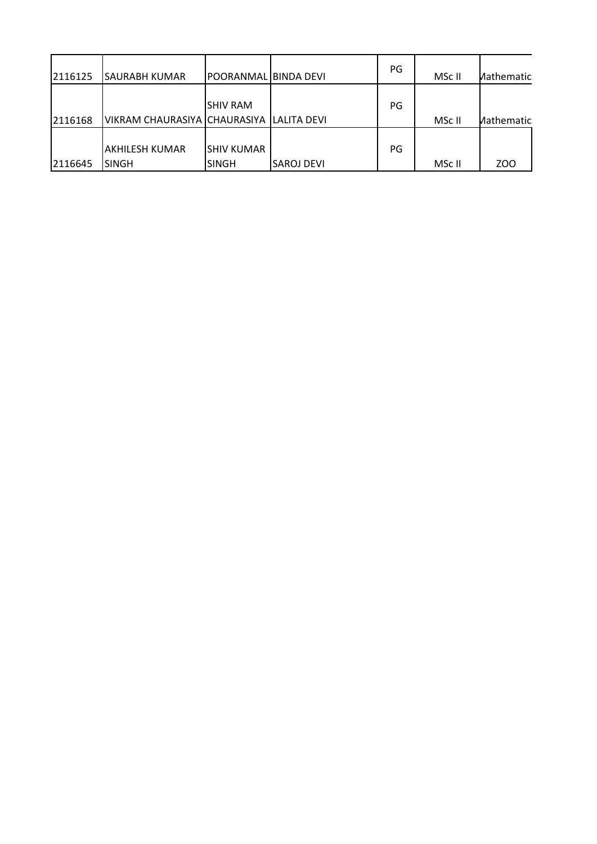| 2116125 | ISAURABH KUMAR                           | IPOORANMALIBINDA DEVI       |                   | PG | MSc II | Mathematic: |
|---------|------------------------------------------|-----------------------------|-------------------|----|--------|-------------|
| 2116168 | VIKRAM CHAURASIYA CHAURASIYA LALITA DEVI | <b>ISHIV RAM</b>            |                   | PG | MSc II | Mathematic: |
| 2116645 | AKHILESH KUMAR<br>ISINGH                 | ISHIV KUMAR<br><b>SINGH</b> | <b>SAROJ DEVI</b> | PG | MSc II | ZOO         |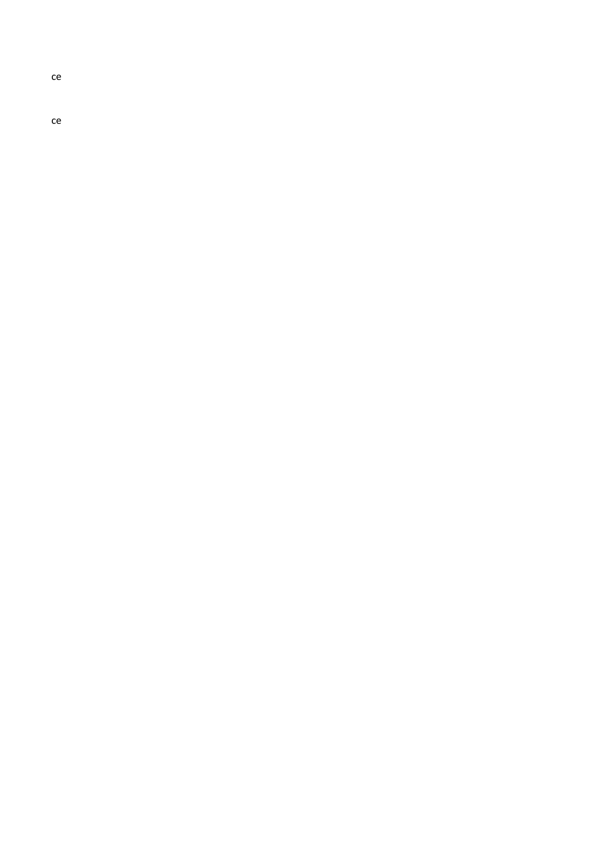ce

ce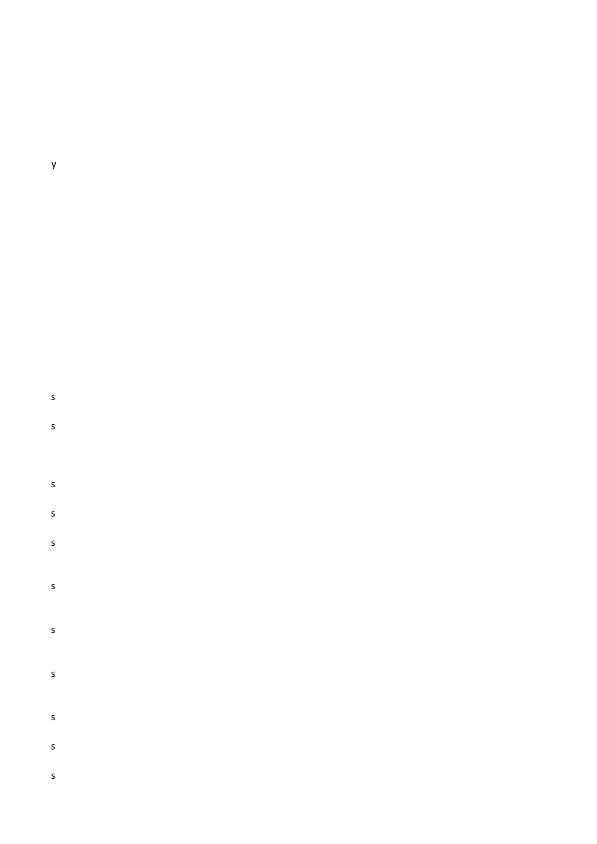#### $\mathsf{y}$

# $\mathsf{s}$

 $\mathsf{s}$ 

### $\mathsf{s}$  $\mathsf{s}$

 $\mathsf{s}$  $\mathsf{s}$ 

## $\mathsf{s}$

 $\mathsf{s}$ 

 $\mathsf{s}$ 

 $\mathsf{s}$ 

 $\mathsf{s}$